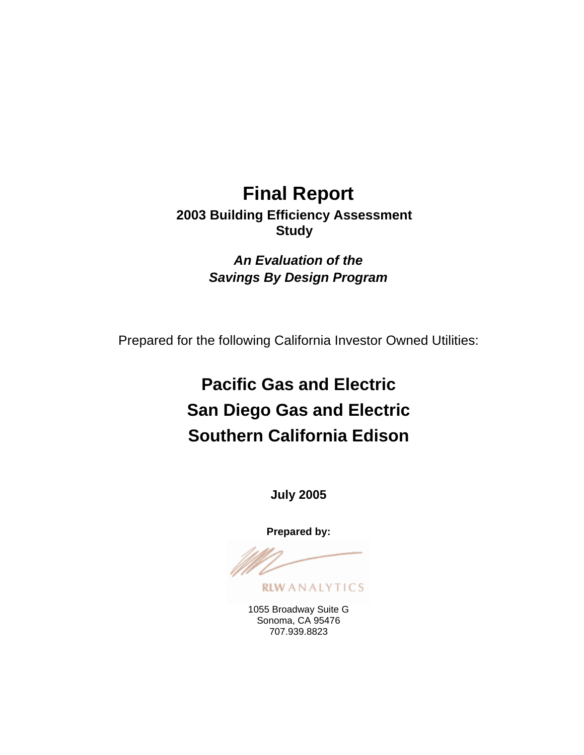# **Final Report 2003 Building Efficiency Assessment Study**

*An Evaluation of the Savings By Design Program* 

Prepared for the following California Investor Owned Utilities:

# **Pacific Gas and Electric San Diego Gas and Electric Southern California Edison**

**July 2005** 

**Prepared by:**

**RLWANALYTICS** 

1055 Broadway Suite G Sonoma, CA 95476 707.939.8823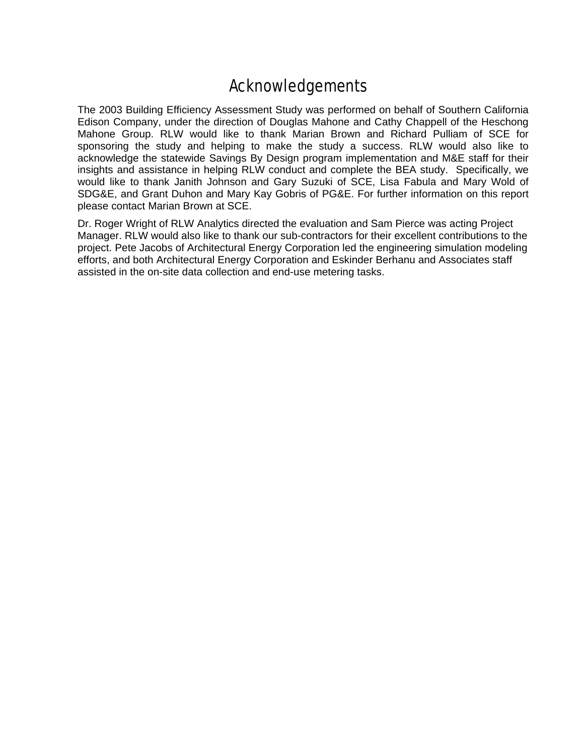# Acknowledgements

The 2003 Building Efficiency Assessment Study was performed on behalf of Southern California Edison Company, under the direction of Douglas Mahone and Cathy Chappell of the Heschong Mahone Group. RLW would like to thank Marian Brown and Richard Pulliam of SCE for sponsoring the study and helping to make the study a success. RLW would also like to acknowledge the statewide Savings By Design program implementation and M&E staff for their insights and assistance in helping RLW conduct and complete the BEA study. Specifically, we would like to thank Janith Johnson and Gary Suzuki of SCE, Lisa Fabula and Mary Wold of SDG&E, and Grant Duhon and Mary Kay Gobris of PG&E. For further information on this report please contact Marian Brown at SCE.

Dr. Roger Wright of RLW Analytics directed the evaluation and Sam Pierce was acting Project Manager. RLW would also like to thank our sub-contractors for their excellent contributions to the project. Pete Jacobs of Architectural Energy Corporation led the engineering simulation modeling efforts, and both Architectural Energy Corporation and Eskinder Berhanu and Associates staff assisted in the on-site data collection and end-use metering tasks.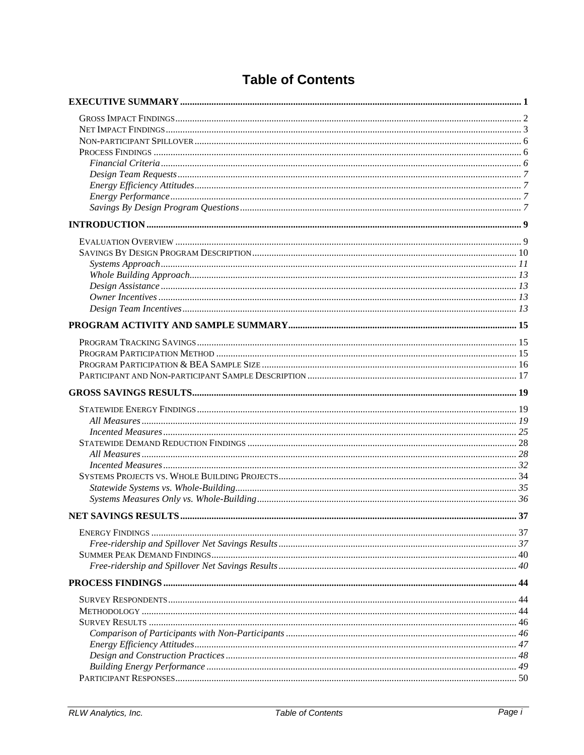# **Table of Contents**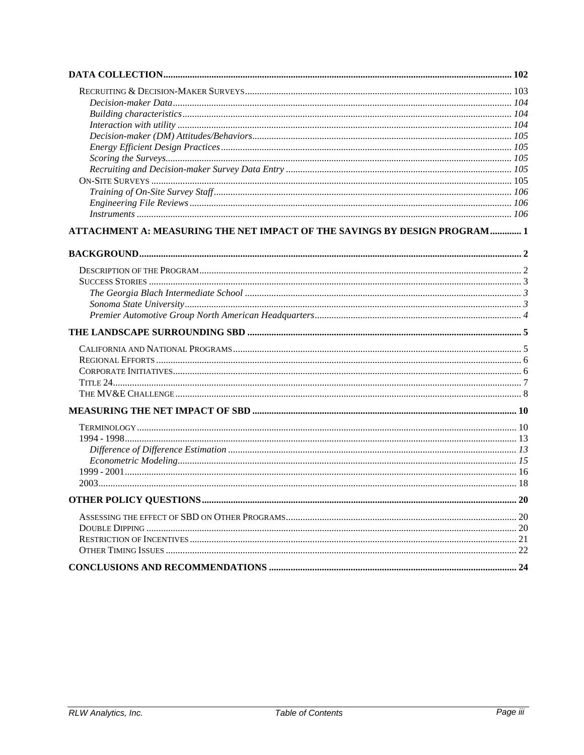| ATTACHMENT A: MEASURING THE NET IMPACT OF THE SAVINGS BY DESIGN PROGRAM 1 |  |
|---------------------------------------------------------------------------|--|
|                                                                           |  |
|                                                                           |  |
|                                                                           |  |
|                                                                           |  |
|                                                                           |  |
|                                                                           |  |
|                                                                           |  |
|                                                                           |  |
|                                                                           |  |
|                                                                           |  |
|                                                                           |  |
|                                                                           |  |
|                                                                           |  |
|                                                                           |  |
|                                                                           |  |
|                                                                           |  |
|                                                                           |  |
|                                                                           |  |
|                                                                           |  |
|                                                                           |  |
|                                                                           |  |
|                                                                           |  |
|                                                                           |  |
|                                                                           |  |
|                                                                           |  |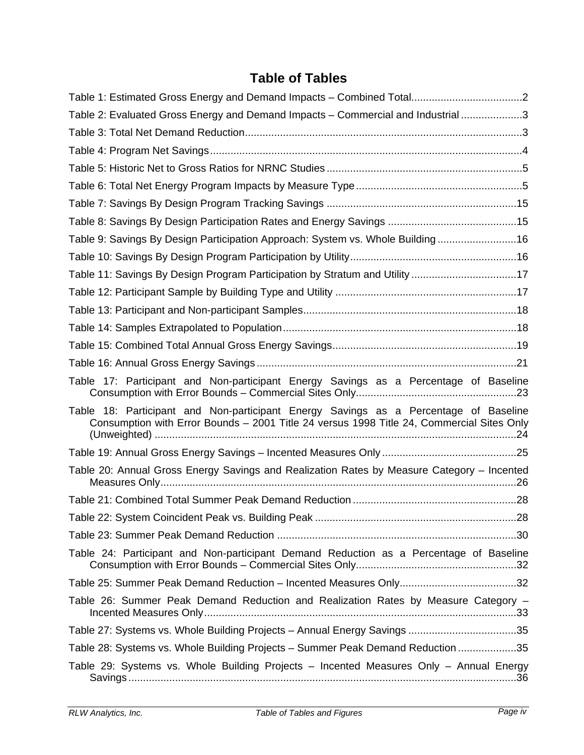# **Table of Tables**

| Table 2: Evaluated Gross Energy and Demand Impacts - Commercial and Industrial 3                                                                                                  |
|-----------------------------------------------------------------------------------------------------------------------------------------------------------------------------------|
|                                                                                                                                                                                   |
|                                                                                                                                                                                   |
|                                                                                                                                                                                   |
|                                                                                                                                                                                   |
|                                                                                                                                                                                   |
|                                                                                                                                                                                   |
| Table 9: Savings By Design Participation Approach: System vs. Whole Building16                                                                                                    |
|                                                                                                                                                                                   |
| Table 11: Savings By Design Program Participation by Stratum and Utility 17                                                                                                       |
|                                                                                                                                                                                   |
|                                                                                                                                                                                   |
|                                                                                                                                                                                   |
|                                                                                                                                                                                   |
|                                                                                                                                                                                   |
| Table 17: Participant and Non-participant Energy Savings as a Percentage of Baseline                                                                                              |
| Table 18: Participant and Non-participant Energy Savings as a Percentage of Baseline<br>Consumption with Error Bounds - 2001 Title 24 versus 1998 Title 24, Commercial Sites Only |
|                                                                                                                                                                                   |
| Table 20: Annual Gross Energy Savings and Realization Rates by Measure Category - Incented                                                                                        |
|                                                                                                                                                                                   |
|                                                                                                                                                                                   |
|                                                                                                                                                                                   |
| Table 24: Participant and Non-participant Demand Reduction as a Percentage of Baseline                                                                                            |
|                                                                                                                                                                                   |
| Table 26: Summer Peak Demand Reduction and Realization Rates by Measure Category -                                                                                                |
| Table 27: Systems vs. Whole Building Projects - Annual Energy Savings 35                                                                                                          |
| Table 28: Systems vs. Whole Building Projects - Summer Peak Demand Reduction 35                                                                                                   |
| Table 29: Systems vs. Whole Building Projects - Incented Measures Only - Annual Energy                                                                                            |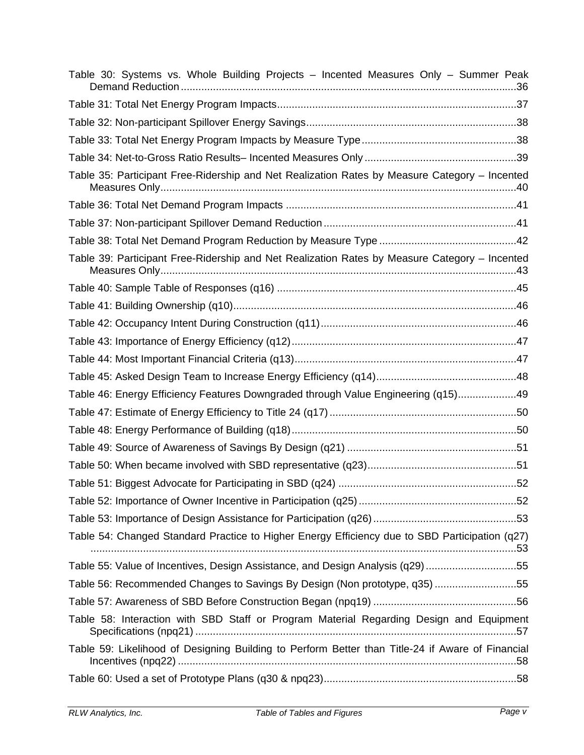| Table 30: Systems vs. Whole Building Projects - Incented Measures Only - Summer Peak             |  |
|--------------------------------------------------------------------------------------------------|--|
|                                                                                                  |  |
|                                                                                                  |  |
|                                                                                                  |  |
|                                                                                                  |  |
| Table 35: Participant Free-Ridership and Net Realization Rates by Measure Category - Incented    |  |
|                                                                                                  |  |
|                                                                                                  |  |
|                                                                                                  |  |
| Table 39: Participant Free-Ridership and Net Realization Rates by Measure Category - Incented    |  |
|                                                                                                  |  |
|                                                                                                  |  |
|                                                                                                  |  |
|                                                                                                  |  |
|                                                                                                  |  |
|                                                                                                  |  |
| Table 46: Energy Efficiency Features Downgraded through Value Engineering (q15)49                |  |
|                                                                                                  |  |
|                                                                                                  |  |
|                                                                                                  |  |
|                                                                                                  |  |
|                                                                                                  |  |
|                                                                                                  |  |
|                                                                                                  |  |
| Table 54: Changed Standard Practice to Higher Energy Efficiency due to SBD Participation (q27)   |  |
| Table 55: Value of Incentives, Design Assistance, and Design Analysis (q29)55                    |  |
| Table 56: Recommended Changes to Savings By Design (Non prototype, q35)55                        |  |
|                                                                                                  |  |
| Table 58: Interaction with SBD Staff or Program Material Regarding Design and Equipment          |  |
| Table 59: Likelihood of Designing Building to Perform Better than Title-24 if Aware of Financial |  |
|                                                                                                  |  |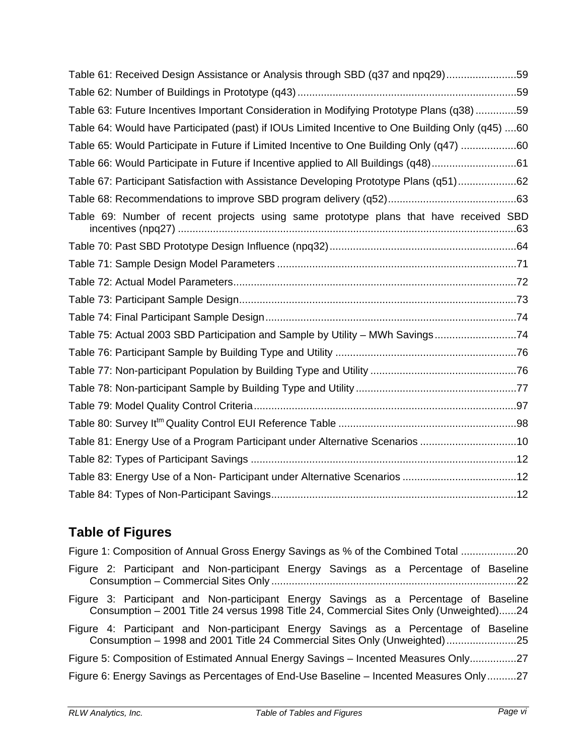| Table 61: Received Design Assistance or Analysis through SBD (q37 and npq29)59                   |
|--------------------------------------------------------------------------------------------------|
|                                                                                                  |
| Table 63: Future Incentives Important Consideration in Modifying Prototype Plans (q38)59         |
| Table 64: Would have Participated (past) if IOUs Limited Incentive to One Building Only (q45) 60 |
| Table 65: Would Participate in Future if Limited Incentive to One Building Only (q47) 60         |
| Table 66: Would Participate in Future if Incentive applied to All Buildings (q48)61              |
| Table 67: Participant Satisfaction with Assistance Developing Prototype Plans (q51)62            |
|                                                                                                  |
| Table 69: Number of recent projects using same prototype plans that have received SBD            |
|                                                                                                  |
|                                                                                                  |
|                                                                                                  |
|                                                                                                  |
|                                                                                                  |
| Table 75: Actual 2003 SBD Participation and Sample by Utility - MWh Savings74                    |
|                                                                                                  |
|                                                                                                  |
|                                                                                                  |
|                                                                                                  |
|                                                                                                  |
| Table 81: Energy Use of a Program Participant under Alternative Scenarios 10                     |
|                                                                                                  |
|                                                                                                  |
|                                                                                                  |

# **Table of Figures**

Figure 1: Composition of Annual Gross Energy Savings as % of the Combined Total ...................20 Figure 2: Participant and Non-participant Energy Savings as a Percentage of Baseline Consumption – Commercial Sites Only ....................................................................................22 Figure 3: Participant and Non-participant Energy Savings as a Percentage of Baseline Consumption – 2001 Title 24 versus 1998 Title 24, Commercial Sites Only (Unweighted)......24 Figure 4: Participant and Non-participant Energy Savings as a Percentage of Baseline Consumption – 1998 and 2001 Title 24 Commercial Sites Only (Unweighted)........................25 Figure 5: Composition of Estimated Annual Energy Savings – Incented Measures Only................27 Figure 6: Energy Savings as Percentages of End-Use Baseline – Incented Measures Only..........27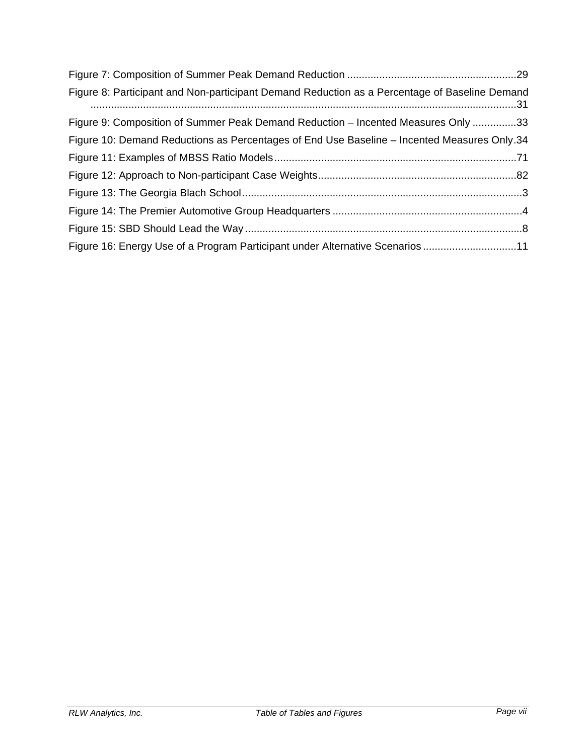| Figure 8: Participant and Non-participant Demand Reduction as a Percentage of Baseline Demand |  |
|-----------------------------------------------------------------------------------------------|--|
| Figure 9: Composition of Summer Peak Demand Reduction - Incented Measures Only 33             |  |
| Figure 10: Demand Reductions as Percentages of End Use Baseline - Incented Measures Only.34   |  |
|                                                                                               |  |
|                                                                                               |  |
|                                                                                               |  |
|                                                                                               |  |
|                                                                                               |  |
| Figure 16: Energy Use of a Program Participant under Alternative Scenarios 11                 |  |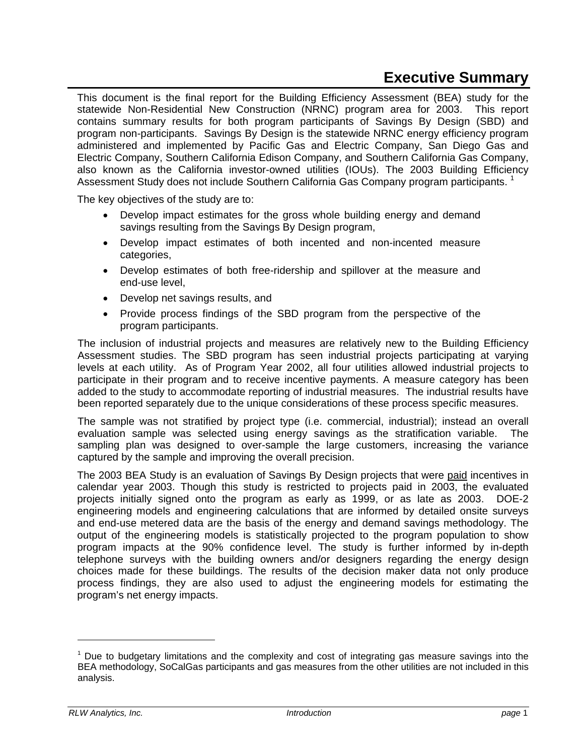# **Executive Summary**

This document is the final report for the Building Efficiency Assessment (BEA) study for the statewide Non-Residential New Construction (NRNC) program area for 2003. This report contains summary results for both program participants of Savings By Design (SBD) and program non-participants. Savings By Design is the statewide NRNC energy efficiency program administered and implemented by Pacific Gas and Electric Company, San Diego Gas and Electric Company, Southern California Edison Company, and Southern California Gas Company, also known as the California investor-owned utilities (IOUs). The 2003 Building Efficiency Assessment Study does not include Southern California Gas Company program participants.<sup>1</sup>

The key objectives of the study are to:

- Develop impact estimates for the gross whole building energy and demand savings resulting from the Savings By Design program,
- Develop impact estimates of both incented and non-incented measure categories,
- Develop estimates of both free-ridership and spillover at the measure and end-use level,
- Develop net savings results, and
- Provide process findings of the SBD program from the perspective of the program participants.

The inclusion of industrial projects and measures are relatively new to the Building Efficiency Assessment studies. The SBD program has seen industrial projects participating at varying levels at each utility. As of Program Year 2002, all four utilities allowed industrial projects to participate in their program and to receive incentive payments. A measure category has been added to the study to accommodate reporting of industrial measures. The industrial results have been reported separately due to the unique considerations of these process specific measures.

The sample was not stratified by project type (i.e. commercial, industrial); instead an overall evaluation sample was selected using energy savings as the stratification variable. The sampling plan was designed to over-sample the large customers, increasing the variance captured by the sample and improving the overall precision.

The 2003 BEA Study is an evaluation of Savings By Design projects that were paid incentives in calendar year 2003. Though this study is restricted to projects paid in 2003, the evaluated projects initially signed onto the program as early as 1999, or as late as 2003. DOE-2 engineering models and engineering calculations that are informed by detailed onsite surveys and end-use metered data are the basis of the energy and demand savings methodology. The output of the engineering models is statistically projected to the program population to show program impacts at the 90% confidence level. The study is further informed by in-depth telephone surveys with the building owners and/or designers regarding the energy design choices made for these buildings. The results of the decision maker data not only produce process findings, they are also used to adjust the engineering models for estimating the program's net energy impacts.

 $\overline{a}$ 

 $1$  Due to budgetary limitations and the complexity and cost of integrating gas measure savings into the BEA methodology, SoCalGas participants and gas measures from the other utilities are not included in this analysis.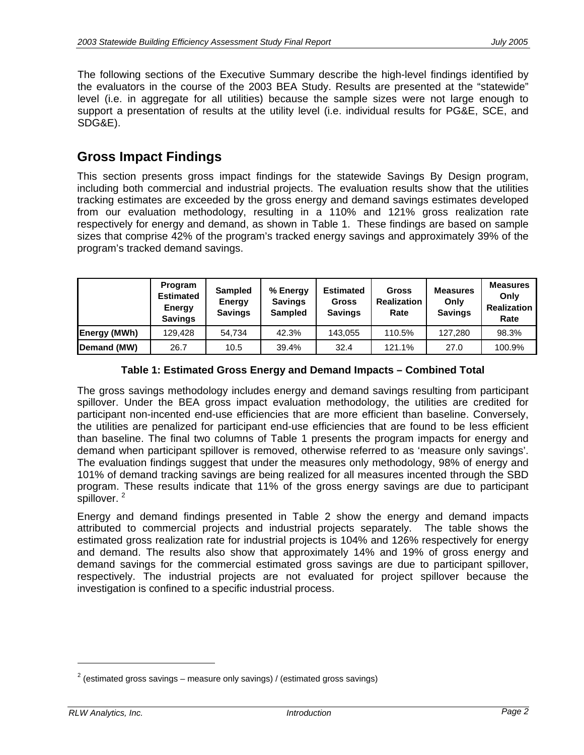The following sections of the Executive Summary describe the high-level findings identified by the evaluators in the course of the 2003 BEA Study. Results are presented at the "statewide" level (i.e. in aggregate for all utilities) because the sample sizes were not large enough to support a presentation of results at the utility level (i.e. individual results for PG&E, SCE, and SDG&E).

# **Gross Impact Findings**

This section presents gross impact findings for the statewide Savings By Design program, including both commercial and industrial projects. The evaluation results show that the utilities tracking estimates are exceeded by the gross energy and demand savings estimates developed from our evaluation methodology, resulting in a 110% and 121% gross realization rate respectively for energy and demand, as shown in Table 1. These findings are based on sample sizes that comprise 42% of the program's tracked energy savings and approximately 39% of the program's tracked demand savings.

|              | Program<br><b>Estimated</b><br>Energy<br><b>Savings</b> | <b>Sampled</b><br>Energy<br><b>Savings</b> | % Energy<br><b>Savings</b><br><b>Sampled</b> | <b>Estimated</b><br><b>Gross</b><br><b>Savings</b> | <b>Gross</b><br><b>Realization</b><br>Rate | <b>Measures</b><br>Only<br><b>Savings</b> | <b>Measures</b><br>Only<br><b>Realization</b><br>Rate |
|--------------|---------------------------------------------------------|--------------------------------------------|----------------------------------------------|----------------------------------------------------|--------------------------------------------|-------------------------------------------|-------------------------------------------------------|
| Energy (MWh) | 129,428                                                 | 54.734                                     | 42.3%                                        | 143,055                                            | 110.5%                                     | 127,280                                   | 98.3%                                                 |
| Demand (MW)  | 26.7                                                    | 10.5                                       | 39.4%                                        | 32.4                                               | 121.1%                                     | 27.0                                      | 100.9%                                                |

### **Table 1: Estimated Gross Energy and Demand Impacts – Combined Total**

The gross savings methodology includes energy and demand savings resulting from participant spillover. Under the BEA gross impact evaluation methodology, the utilities are credited for participant non-incented end-use efficiencies that are more efficient than baseline. Conversely, the utilities are penalized for participant end-use efficiencies that are found to be less efficient than baseline. The final two columns of Table 1 presents the program impacts for energy and demand when participant spillover is removed, otherwise referred to as 'measure only savings'. The evaluation findings suggest that under the measures only methodology, 98% of energy and 101% of demand tracking savings are being realized for all measures incented through the SBD program. These results indicate that 11% of the gross energy savings are due to participant spillover.<sup>2</sup>

Energy and demand findings presented in Table 2 show the energy and demand impacts attributed to commercial projects and industrial projects separately. The table shows the estimated gross realization rate for industrial projects is 104% and 126% respectively for energy and demand. The results also show that approximately 14% and 19% of gross energy and demand savings for the commercial estimated gross savings are due to participant spillover, respectively. The industrial projects are not evaluated for project spillover because the investigation is confined to a specific industrial process.

<sup>&</sup>lt;sup>2</sup> (estimated gross savings – measure only savings) / (estimated gross savings)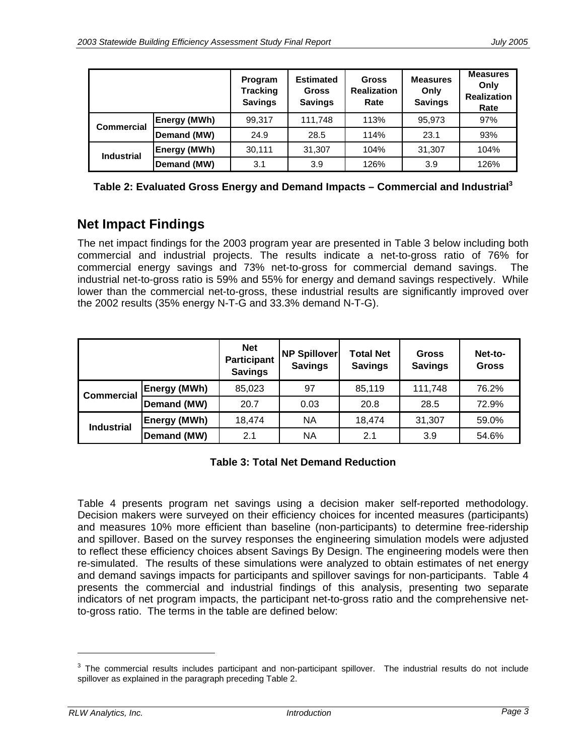|                   |                     | Program<br><b>Tracking</b><br><b>Savings</b> | <b>Estimated</b><br><b>Gross</b><br><b>Savings</b> | <b>Gross</b><br><b>Realization</b><br>Rate | <b>Measures</b><br>Only<br><b>Savings</b> | <b>Measures</b><br>Only<br><b>Realization</b><br>Rate |
|-------------------|---------------------|----------------------------------------------|----------------------------------------------------|--------------------------------------------|-------------------------------------------|-------------------------------------------------------|
| <b>Commercial</b> | <b>Energy (MWh)</b> | 99,317                                       | 111,748                                            | 113%                                       | 95,973                                    | 97%                                                   |
|                   | Demand (MW)         | 24.9                                         | 28.5                                               | 114%                                       | 23.1                                      | 93%                                                   |
| <b>Industrial</b> | Energy (MWh)        | 30,111                                       | 31,307                                             | 104%                                       | 31,307                                    | 104%                                                  |
|                   | Demand (MW)         | 3.1                                          | 3.9                                                | 126%                                       | 3.9                                       | 126%                                                  |

**Table 2: Evaluated Gross Energy and Demand Impacts – Commercial and Industrial3**

# **Net Impact Findings**

The net impact findings for the 2003 program year are presented in Table 3 below including both commercial and industrial projects. The results indicate a net-to-gross ratio of 76% for commercial energy savings and 73% net-to-gross for commercial demand savings. The industrial net-to-gross ratio is 59% and 55% for energy and demand savings respectively. While lower than the commercial net-to-gross, these industrial results are significantly improved over the 2002 results (35% energy N-T-G and 33.3% demand N-T-G).

|                   |                     | <b>Net</b><br><b>Participant</b><br><b>Savings</b> | <b>NP Spillover</b><br><b>Savings</b> | <b>Total Net</b><br><b>Savings</b> | <b>Gross</b><br><b>Savings</b> | Net-to-<br><b>Gross</b> |
|-------------------|---------------------|----------------------------------------------------|---------------------------------------|------------------------------------|--------------------------------|-------------------------|
| <b>Commercial</b> | <b>Energy (MWh)</b> | 85,023                                             | 97                                    | 85,119                             | 111,748                        | 76.2%                   |
|                   | Demand (MW)         | 20.7                                               | 0.03                                  | 20.8                               | 28.5                           | 72.9%                   |
| <b>Industrial</b> | Energy (MWh)        | 18,474                                             | <b>NA</b>                             | 18,474                             | 31,307                         | 59.0%                   |
|                   | Demand (MW)         | 2.1                                                | <b>NA</b>                             | 2.1                                | 3.9                            | 54.6%                   |

### **Table 3: Total Net Demand Reduction**

Table 4 presents program net savings using a decision maker self-reported methodology. Decision makers were surveyed on their efficiency choices for incented measures (participants) and measures 10% more efficient than baseline (non-participants) to determine free-ridership and spillover. Based on the survey responses the engineering simulation models were adjusted to reflect these efficiency choices absent Savings By Design. The engineering models were then re-simulated. The results of these simulations were analyzed to obtain estimates of net energy and demand savings impacts for participants and spillover savings for non-participants. Table 4 presents the commercial and industrial findings of this analysis, presenting two separate indicators of net program impacts, the participant net-to-gross ratio and the comprehensive netto-gross ratio. The terms in the table are defined below:

 $3$  The commercial results includes participant and non-participant spillover. The industrial results do not include spillover as explained in the paragraph preceding Table 2.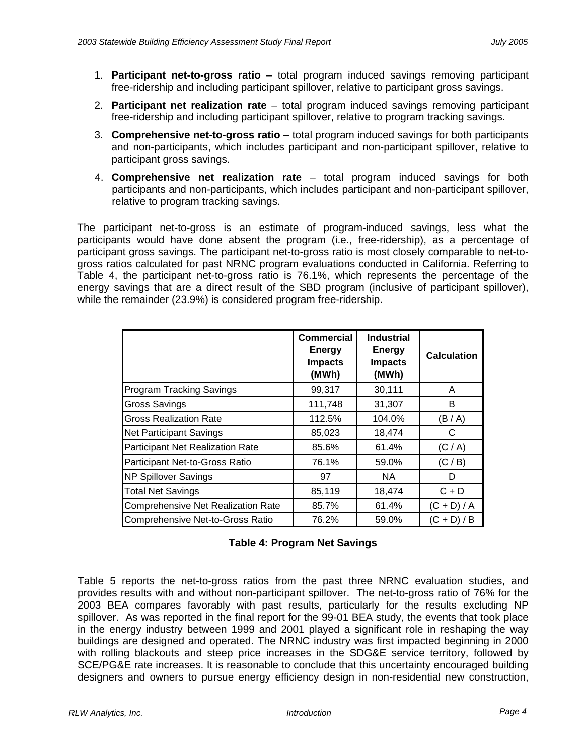- 1. **Participant net-to-gross ratio** total program induced savings removing participant free-ridership and including participant spillover, relative to participant gross savings.
- 2. **Participant net realization rate** total program induced savings removing participant free-ridership and including participant spillover, relative to program tracking savings.
- 3. **Comprehensive net-to-gross ratio** total program induced savings for both participants and non-participants, which includes participant and non-participant spillover, relative to participant gross savings.
- 4. **Comprehensive net realization rate** total program induced savings for both participants and non-participants, which includes participant and non-participant spillover, relative to program tracking savings.

The participant net-to-gross is an estimate of program-induced savings, less what the participants would have done absent the program (i.e., free-ridership), as a percentage of participant gross savings. The participant net-to-gross ratio is most closely comparable to net-togross ratios calculated for past NRNC program evaluations conducted in California. Referring to Table 4, the participant net-to-gross ratio is 76.1%, which represents the percentage of the energy savings that are a direct result of the SBD program (inclusive of participant spillover), while the remainder (23.9%) is considered program free-ridership.

|                                           | Commercial<br><b>Energy</b><br><b>Impacts</b><br>(MWh) | <b>Industrial</b><br><b>Energy</b><br><b>Impacts</b><br>(MWh) | <b>Calculation</b> |
|-------------------------------------------|--------------------------------------------------------|---------------------------------------------------------------|--------------------|
| <b>Program Tracking Savings</b>           | 99,317                                                 | 30,111                                                        | A                  |
| Gross Savings                             | 111,748                                                | 31,307                                                        | B                  |
| <b>Gross Realization Rate</b>             | 112.5%                                                 | 104.0%                                                        | (B/A)              |
| <b>Net Participant Savings</b>            | 85,023                                                 | 18,474                                                        | С                  |
| Participant Net Realization Rate          | 85.6%                                                  | 61.4%                                                         | (C/A)              |
| Participant Net-to-Gross Ratio            | 76.1%                                                  | 59.0%                                                         | (C / B)            |
| <b>NP Spillover Savings</b>               | 97                                                     | NA.                                                           | D                  |
| <b>Total Net Savings</b>                  | 85,119                                                 | 18,474                                                        | $C + D$            |
| <b>Comprehensive Net Realization Rate</b> | 85.7%                                                  | 61.4%                                                         | $(C + D) / A$      |
| Comprehensive Net-to-Gross Ratio          | 76.2%                                                  | 59.0%                                                         | $(C + D)$<br>/ B   |

### **Table 4: Program Net Savings**

Table 5 reports the net-to-gross ratios from the past three NRNC evaluation studies, and provides results with and without non-participant spillover. The net-to-gross ratio of 76% for the 2003 BEA compares favorably with past results, particularly for the results excluding NP spillover. As was reported in the final report for the 99-01 BEA study, the events that took place in the energy industry between 1999 and 2001 played a significant role in reshaping the way buildings are designed and operated. The NRNC industry was first impacted beginning in 2000 with rolling blackouts and steep price increases in the SDG&E service territory, followed by SCE/PG&E rate increases. It is reasonable to conclude that this uncertainty encouraged building designers and owners to pursue energy efficiency design in non-residential new construction,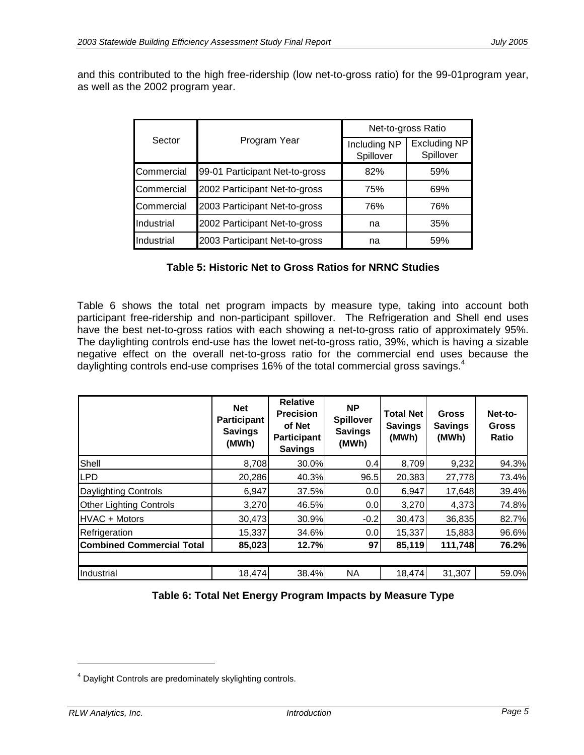and this contributed to the high free-ridership (low net-to-gross ratio) for the 99-01program year, as well as the 2002 program year.

|            |                                | Net-to-gross Ratio        |                                  |  |  |
|------------|--------------------------------|---------------------------|----------------------------------|--|--|
| Sector     | Program Year                   | Including NP<br>Spillover | <b>Excluding NP</b><br>Spillover |  |  |
| Commercial | 99-01 Participant Net-to-gross | 82%                       | 59%                              |  |  |
| Commercial | 2002 Participant Net-to-gross  | 75%                       | 69%                              |  |  |
| Commercial | 2003 Participant Net-to-gross  | 76%                       | 76%                              |  |  |
| Industrial | 2002 Participant Net-to-gross  | na                        | 35%                              |  |  |
| Industrial | 2003 Participant Net-to-gross  | na                        | 59%                              |  |  |

#### **Table 5: Historic Net to Gross Ratios for NRNC Studies**

Table 6 shows the total net program impacts by measure type, taking into account both participant free-ridership and non-participant spillover. The Refrigeration and Shell end uses have the best net-to-gross ratios with each showing a net-to-gross ratio of approximately 95%. The daylighting controls end-use has the lowet net-to-gross ratio, 39%, which is having a sizable negative effect on the overall net-to-gross ratio for the commercial end uses because the daylighting controls end-use comprises 16% of the total commercial gross savings. $4$ 

|                                  | <b>Net</b><br><b>Participant</b><br><b>Savings</b><br>(MWh) | Relative<br><b>Precision</b><br>of Net<br><b>Participant</b><br><b>Savings</b> | <b>NP</b><br><b>Spillover</b><br><b>Savings</b><br>(MWh) |        | <b>Gross</b><br><b>Savings</b><br>(MWh) | Net-to-<br><b>Gross</b><br>Ratio |  |
|----------------------------------|-------------------------------------------------------------|--------------------------------------------------------------------------------|----------------------------------------------------------|--------|-----------------------------------------|----------------------------------|--|
| Shell                            | 8,708                                                       | 30.0%                                                                          | 0.4                                                      | 8,709  | 9,232                                   | 94.3%                            |  |
| <b>LPD</b>                       | 20,286                                                      | 40.3%                                                                          | 96.5                                                     | 20,383 | 27,778                                  | 73.4%                            |  |
| <b>Daylighting Controls</b>      | 6,947                                                       | 37.5%                                                                          | 0.0                                                      | 6,947  | 17,648                                  | 39.4%                            |  |
| Other Lighting Controls          | 3,270                                                       | 46.5%                                                                          | 0.0                                                      | 3,270  | 4,373                                   | 74.8%                            |  |
| <b>HVAC + Motors</b>             | 30,473                                                      | 30.9%                                                                          | $-0.2$                                                   | 30,473 | 36,835                                  | 82.7%                            |  |
| Refrigeration                    | 15,337                                                      | 34.6%                                                                          | 0.0                                                      | 15,337 | 15,883                                  | 96.6%                            |  |
| <b>Combined Commercial Total</b> | 85,023                                                      | 12.7%                                                                          | 97                                                       | 85,119 | 111,748                                 | 76.2%                            |  |
|                                  |                                                             |                                                                                |                                                          |        |                                         |                                  |  |
| Industrial                       | 18,474                                                      | 38.4%                                                                          | <b>NA</b>                                                | 18,474 | 31,307                                  | 59.0%                            |  |

| Table 6: Total Net Energy Program Impacts by Measure Type |  |
|-----------------------------------------------------------|--|
|-----------------------------------------------------------|--|

<sup>&</sup>lt;sup>4</sup> Daylight Controls are predominately skylighting controls.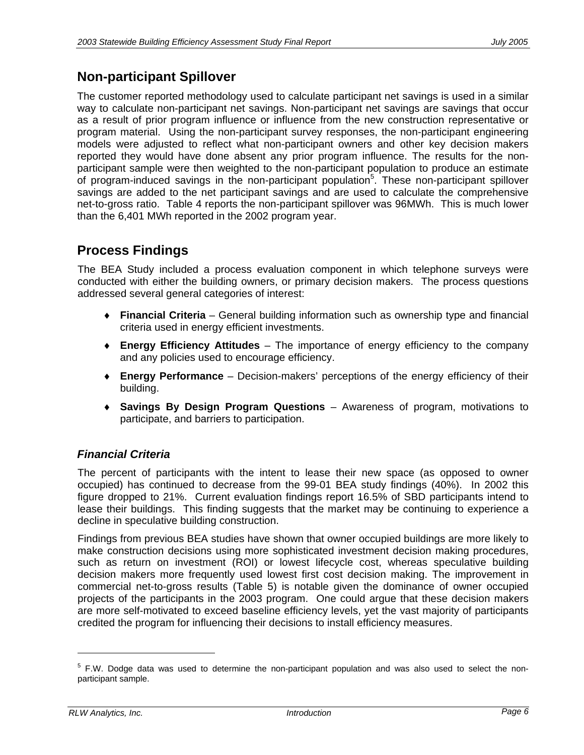# **Non-participant Spillover**

The customer reported methodology used to calculate participant net savings is used in a similar way to calculate non-participant net savings. Non-participant net savings are savings that occur as a result of prior program influence or influence from the new construction representative or program material. Using the non-participant survey responses, the non-participant engineering models were adjusted to reflect what non-participant owners and other key decision makers reported they would have done absent any prior program influence. The results for the nonparticipant sample were then weighted to the non-participant population to produce an estimate of program-induced savings in the non-participant population<sup>5</sup>. These non-participant spillover savings are added to the net participant savings and are used to calculate the comprehensive net-to-gross ratio. Table 4 reports the non-participant spillover was 96MWh. This is much lower than the 6,401 MWh reported in the 2002 program year.

# **Process Findings**

The BEA Study included a process evaluation component in which telephone surveys were conducted with either the building owners, or primary decision makers. The process questions addressed several general categories of interest:

- ♦ **Financial Criteria** General building information such as ownership type and financial criteria used in energy efficient investments.
- ♦ **Energy Efficiency Attitudes** The importance of energy efficiency to the company and any policies used to encourage efficiency.
- ♦ **Energy Performance** Decision-makers' perceptions of the energy efficiency of their building.
- ♦ **Savings By Design Program Questions** Awareness of program, motivations to participate, and barriers to participation.

# *Financial Criteria*

The percent of participants with the intent to lease their new space (as opposed to owner occupied) has continued to decrease from the 99-01 BEA study findings (40%). In 2002 this figure dropped to 21%. Current evaluation findings report 16.5% of SBD participants intend to lease their buildings. This finding suggests that the market may be continuing to experience a decline in speculative building construction.

Findings from previous BEA studies have shown that owner occupied buildings are more likely to make construction decisions using more sophisticated investment decision making procedures, such as return on investment (ROI) or lowest lifecycle cost, whereas speculative building decision makers more frequently used lowest first cost decision making. The improvement in commercial net-to-gross results (Table 5) is notable given the dominance of owner occupied projects of the participants in the 2003 program. One could argue that these decision makers are more self-motivated to exceed baseline efficiency levels, yet the vast majority of participants credited the program for influencing their decisions to install efficiency measures.

<sup>&</sup>lt;sup>5</sup> F.W. Dodge data was used to determine the non-participant population and was also used to select the nonparticipant sample.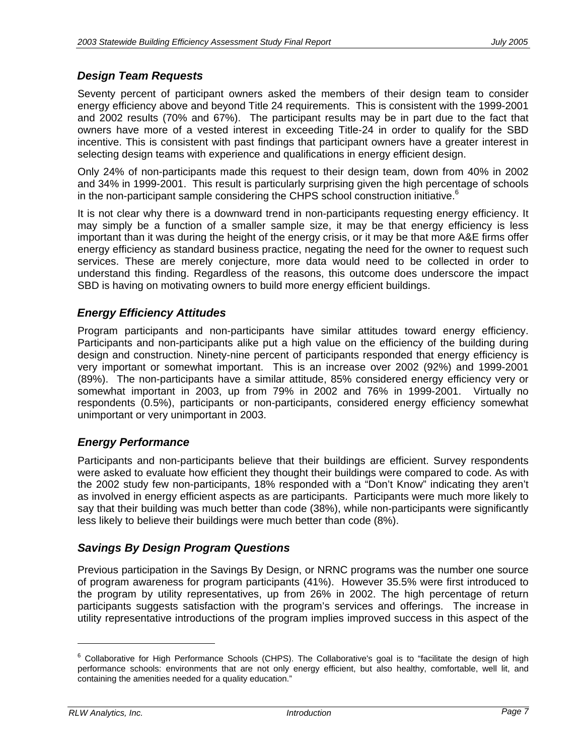## *Design Team Requests*

Seventy percent of participant owners asked the members of their design team to consider energy efficiency above and beyond Title 24 requirements. This is consistent with the 1999-2001 and 2002 results (70% and 67%).The participant results may be in part due to the fact that owners have more of a vested interest in exceeding Title-24 in order to qualify for the SBD incentive. This is consistent with past findings that participant owners have a greater interest in selecting design teams with experience and qualifications in energy efficient design.

Only 24% of non-participants made this request to their design team, down from 40% in 2002 and 34% in 1999-2001.This result is particularly surprising given the high percentage of schools in the non-participant sample considering the CHPS school construction initiative.<sup>6</sup>

It is not clear why there is a downward trend in non-participants requesting energy efficiency. It may simply be a function of a smaller sample size, it may be that energy efficiency is less important than it was during the height of the energy crisis, or it may be that more A&E firms offer energy efficiency as standard business practice, negating the need for the owner to request such services. These are merely conjecture, more data would need to be collected in order to understand this finding. Regardless of the reasons, this outcome does underscore the impact SBD is having on motivating owners to build more energy efficient buildings.

## *Energy Efficiency Attitudes*

Program participants and non-participants have similar attitudes toward energy efficiency. Participants and non-participants alike put a high value on the efficiency of the building during design and construction. Ninety-nine percent of participants responded that energy efficiency is very important or somewhat important. This is an increase over 2002 (92%) and 1999-2001 (89%). The non-participants have a similar attitude, 85% considered energy efficiency very or somewhat important in 2003, up from 79% in 2002 and 76% in 1999-2001. Virtually no respondents (0.5%), participants or non-participants, considered energy efficiency somewhat unimportant or very unimportant in 2003.

## *Energy Performance*

Participants and non-participants believe that their buildings are efficient. Survey respondents were asked to evaluate how efficient they thought their buildings were compared to code. As with the 2002 study few non-participants, 18% responded with a "Don't Know" indicating they aren't as involved in energy efficient aspects as are participants. Participants were much more likely to say that their building was much better than code (38%), while non-participants were significantly less likely to believe their buildings were much better than code (8%).

## *Savings By Design Program Questions*

Previous participation in the Savings By Design, or NRNC programs was the number one source of program awareness for program participants (41%). However 35.5% were first introduced to the program by utility representatives, up from 26% in 2002. The high percentage of return participants suggests satisfaction with the program's services and offerings. The increase in utility representative introductions of the program implies improved success in this aspect of the

<sup>&</sup>lt;sup>6</sup> Collaborative for High Performance Schools (CHPS). The Collaborative's goal is to "facilitate the design of high performance schools: environments that are not only energy efficient, but also healthy, comfortable, well lit, and containing the amenities needed for a quality education."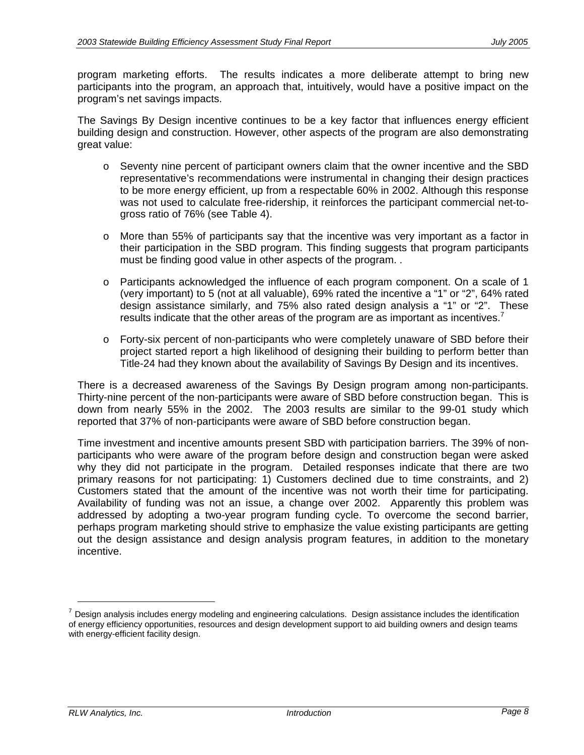program marketing efforts. The results indicates a more deliberate attempt to bring new participants into the program, an approach that, intuitively, would have a positive impact on the program's net savings impacts.

The Savings By Design incentive continues to be a key factor that influences energy efficient building design and construction. However, other aspects of the program are also demonstrating great value:

- o Seventy nine percent of participant owners claim that the owner incentive and the SBD representative's recommendations were instrumental in changing their design practices to be more energy efficient, up from a respectable 60% in 2002. Although this response was not used to calculate free-ridership, it reinforces the participant commercial net-togross ratio of 76% (see Table 4).
- o More than 55% of participants say that the incentive was very important as a factor in their participation in the SBD program. This finding suggests that program participants must be finding good value in other aspects of the program. .
- o Participants acknowledged the influence of each program component. On a scale of 1 (very important) to 5 (not at all valuable), 69% rated the incentive a "1" or "2", 64% rated design assistance similarly, and 75% also rated design analysis a "1" or "2". These results indicate that the other areas of the program are as important as incentives.<sup>7</sup>
- o Forty-six percent of non-participants who were completely unaware of SBD before their project started report a high likelihood of designing their building to perform better than Title-24 had they known about the availability of Savings By Design and its incentives.

There is a decreased awareness of the Savings By Design program among non-participants. Thirty-nine percent of the non-participants were aware of SBD before construction began. This is down from nearly 55% in the 2002. The 2003 results are similar to the 99-01 study which reported that 37% of non-participants were aware of SBD before construction began.

Time investment and incentive amounts present SBD with participation barriers. The 39% of nonparticipants who were aware of the program before design and construction began were asked why they did not participate in the program. Detailed responses indicate that there are two primary reasons for not participating: 1) Customers declined due to time constraints, and 2) Customers stated that the amount of the incentive was not worth their time for participating. Availability of funding was not an issue, a change over 2002. Apparently this problem was addressed by adopting a two-year program funding cycle. To overcome the second barrier, perhaps program marketing should strive to emphasize the value existing participants are getting out the design assistance and design analysis program features, in addition to the monetary incentive.

 $<sup>7</sup>$  Design analysis includes energy modeling and engineering calculations. Design assistance includes the identification</sup> of energy efficiency opportunities, resources and design development support to aid building owners and design teams with energy-efficient facility design.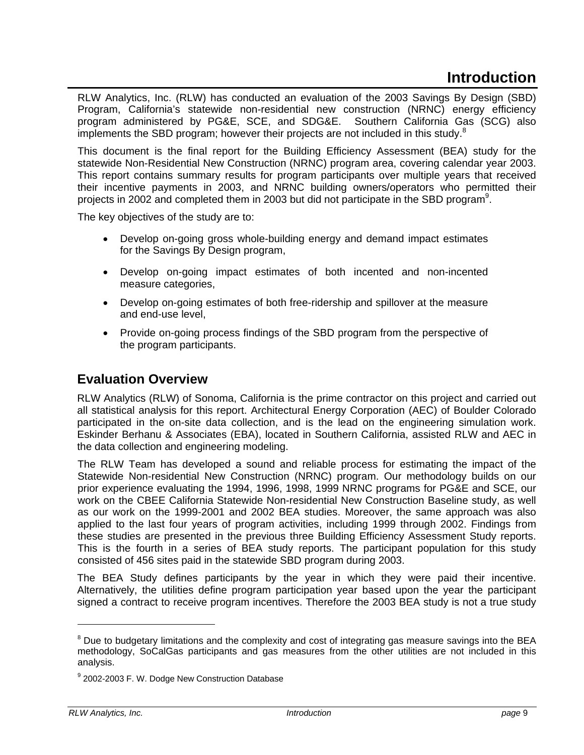RLW Analytics, Inc. (RLW) has conducted an evaluation of the 2003 Savings By Design (SBD) Program, California's statewide non-residential new construction (NRNC) energy efficiency program administered by PG&E, SCE, and SDG&E. Southern California Gas (SCG) also implements the SBD program; however their projects are not included in this study. $8$ 

This document is the final report for the Building Efficiency Assessment (BEA) study for the statewide Non-Residential New Construction (NRNC) program area, covering calendar year 2003. This report contains summary results for program participants over multiple years that received their incentive payments in 2003, and NRNC building owners/operators who permitted their projects in 2002 and completed them in 2003 but did not participate in the SBD program<sup>9</sup>.

The key objectives of the study are to:

- Develop on-going gross whole-building energy and demand impact estimates for the Savings By Design program,
- Develop on-going impact estimates of both incented and non-incented measure categories,
- Develop on-going estimates of both free-ridership and spillover at the measure and end-use level,
- Provide on-going process findings of the SBD program from the perspective of the program participants.

# **Evaluation Overview**

RLW Analytics (RLW) of Sonoma, California is the prime contractor on this project and carried out all statistical analysis for this report. Architectural Energy Corporation (AEC) of Boulder Colorado participated in the on-site data collection, and is the lead on the engineering simulation work. Eskinder Berhanu & Associates (EBA), located in Southern California, assisted RLW and AEC in the data collection and engineering modeling.

The RLW Team has developed a sound and reliable process for estimating the impact of the Statewide Non-residential New Construction (NRNC) program. Our methodology builds on our prior experience evaluating the 1994, 1996, 1998, 1999 NRNC programs for PG&E and SCE, our work on the CBEE California Statewide Non-residential New Construction Baseline study, as well as our work on the 1999-2001 and 2002 BEA studies. Moreover, the same approach was also applied to the last four years of program activities, including 1999 through 2002. Findings from these studies are presented in the previous three Building Efficiency Assessment Study reports. This is the fourth in a series of BEA study reports. The participant population for this study consisted of 456 sites paid in the statewide SBD program during 2003.

The BEA Study defines participants by the year in which they were paid their incentive. Alternatively, the utilities define program participation year based upon the year the participant signed a contract to receive program incentives. Therefore the 2003 BEA study is not a true study

<sup>&</sup>lt;sup>8</sup> Due to budgetary limitations and the complexity and cost of integrating gas measure savings into the BEA methodology, SoCalGas participants and gas measures from the other utilities are not included in this analysis.

<sup>&</sup>lt;sup>9</sup> 2002-2003 F. W. Dodge New Construction Database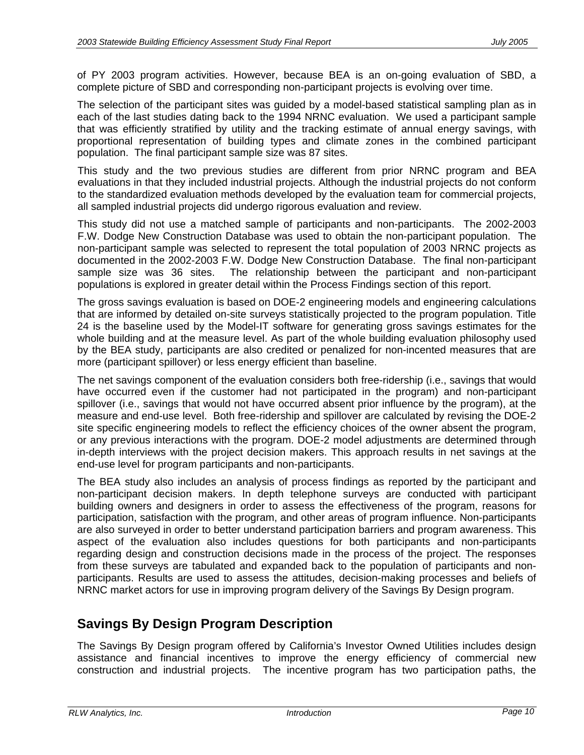of PY 2003 program activities. However, because BEA is an on-going evaluation of SBD, a complete picture of SBD and corresponding non-participant projects is evolving over time.

The selection of the participant sites was guided by a model-based statistical sampling plan as in each of the last studies dating back to the 1994 NRNC evaluation. We used a participant sample that was efficiently stratified by utility and the tracking estimate of annual energy savings, with proportional representation of building types and climate zones in the combined participant population. The final participant sample size was 87 sites.

This study and the two previous studies are different from prior NRNC program and BEA evaluations in that they included industrial projects. Although the industrial projects do not conform to the standardized evaluation methods developed by the evaluation team for commercial projects, all sampled industrial projects did undergo rigorous evaluation and review.

This study did not use a matched sample of participants and non-participants. The 2002-2003 F.W. Dodge New Construction Database was used to obtain the non-participant population. The non-participant sample was selected to represent the total population of 2003 NRNC projects as documented in the 2002-2003 F.W. Dodge New Construction Database. The final non-participant sample size was 36 sites. The relationship between the participant and non-participant populations is explored in greater detail within the Process Findings section of this report.

The gross savings evaluation is based on DOE-2 engineering models and engineering calculations that are informed by detailed on-site surveys statistically projected to the program population. Title 24 is the baseline used by the Model-IT software for generating gross savings estimates for the whole building and at the measure level. As part of the whole building evaluation philosophy used by the BEA study, participants are also credited or penalized for non-incented measures that are more (participant spillover) or less energy efficient than baseline.

The net savings component of the evaluation considers both free-ridership (i.e., savings that would have occurred even if the customer had not participated in the program) and non-participant spillover (i.e., savings that would not have occurred absent prior influence by the program), at the measure and end-use level. Both free-ridership and spillover are calculated by revising the DOE-2 site specific engineering models to reflect the efficiency choices of the owner absent the program, or any previous interactions with the program. DOE-2 model adjustments are determined through in-depth interviews with the project decision makers. This approach results in net savings at the end-use level for program participants and non-participants.

The BEA study also includes an analysis of process findings as reported by the participant and non-participant decision makers. In depth telephone surveys are conducted with participant building owners and designers in order to assess the effectiveness of the program, reasons for participation, satisfaction with the program, and other areas of program influence. Non-participants are also surveyed in order to better understand participation barriers and program awareness. This aspect of the evaluation also includes questions for both participants and non-participants regarding design and construction decisions made in the process of the project. The responses from these surveys are tabulated and expanded back to the population of participants and nonparticipants. Results are used to assess the attitudes, decision-making processes and beliefs of NRNC market actors for use in improving program delivery of the Savings By Design program.

# **Savings By Design Program Description**

The Savings By Design program offered by California's Investor Owned Utilities includes design assistance and financial incentives to improve the energy efficiency of commercial new construction and industrial projects. The incentive program has two participation paths, the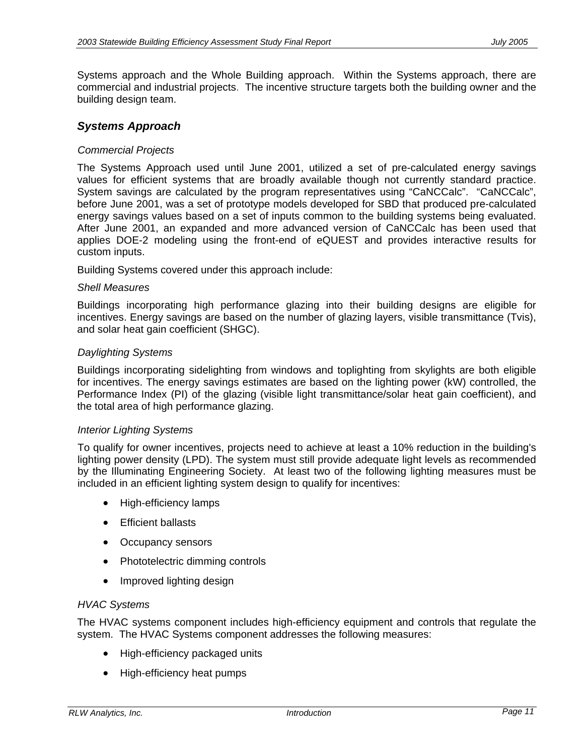Systems approach and the Whole Building approach. Within the Systems approach, there are commercial and industrial projects. The incentive structure targets both the building owner and the building design team.

#### *Systems Approach*

#### *Commercial Projects*

The Systems Approach used until June 2001, utilized a set of pre-calculated energy savings values for efficient systems that are broadly available though not currently standard practice. System savings are calculated by the program representatives using "CaNCCalc". "CaNCCalc", before June 2001, was a set of prototype models developed for SBD that produced pre-calculated energy savings values based on a set of inputs common to the building systems being evaluated. After June 2001, an expanded and more advanced version of CaNCCalc has been used that applies DOE-2 modeling using the front-end of eQUEST and provides interactive results for custom inputs.

Building Systems covered under this approach include:

#### *Shell Measures*

Buildings incorporating high performance glazing into their building designs are eligible for incentives. Energy savings are based on the number of glazing layers, visible transmittance (Tvis), and solar heat gain coefficient (SHGC).

#### *Daylighting Systems*

Buildings incorporating sidelighting from windows and toplighting from skylights are both eligible for incentives. The energy savings estimates are based on the lighting power (kW) controlled, the Performance Index (PI) of the glazing (visible light transmittance/solar heat gain coefficient), and the total area of high performance glazing.

#### *Interior Lighting Systems*

To qualify for owner incentives, projects need to achieve at least a 10% reduction in the building's lighting power density (LPD). The system must still provide adequate light levels as recommended by the Illuminating Engineering Society. At least two of the following lighting measures must be included in an efficient lighting system design to qualify for incentives:

- High-efficiency lamps
- Efficient ballasts
- Occupancy sensors
- Phototelectric dimming controls
- Improved lighting design

#### *HVAC Systems*

The HVAC systems component includes high-efficiency equipment and controls that regulate the system. The HVAC Systems component addresses the following measures:

- High-efficiency packaged units
- High-efficiency heat pumps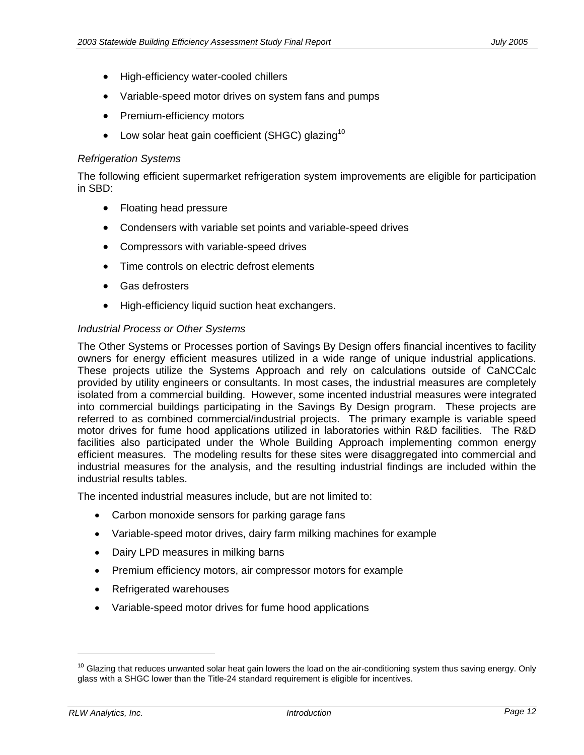- High-efficiency water-cooled chillers
- Variable-speed motor drives on system fans and pumps
- Premium-efficiency motors
- Low solar heat gain coefficient (SHGC) glazing<sup>10</sup>

#### *Refrigeration Systems*

The following efficient supermarket refrigeration system improvements are eligible for participation in SBD:

- Floating head pressure
- Condensers with variable set points and variable-speed drives
- Compressors with variable-speed drives
- Time controls on electric defrost elements
- Gas defrosters
- High-efficiency liquid suction heat exchangers.

### *Industrial Process or Other Systems*

The Other Systems or Processes portion of Savings By Design offers financial incentives to facility owners for energy efficient measures utilized in a wide range of unique industrial applications. These projects utilize the Systems Approach and rely on calculations outside of CaNCCalc provided by utility engineers or consultants. In most cases, the industrial measures are completely isolated from a commercial building. However, some incented industrial measures were integrated into commercial buildings participating in the Savings By Design program. These projects are referred to as combined commercial/industrial projects. The primary example is variable speed motor drives for fume hood applications utilized in laboratories within R&D facilities. The R&D facilities also participated under the Whole Building Approach implementing common energy efficient measures. The modeling results for these sites were disaggregated into commercial and industrial measures for the analysis, and the resulting industrial findings are included within the industrial results tables.

The incented industrial measures include, but are not limited to:

- Carbon monoxide sensors for parking garage fans
- Variable-speed motor drives, dairy farm milking machines for example
- Dairy LPD measures in milking barns
- Premium efficiency motors, air compressor motors for example
- Refrigerated warehouses
- Variable-speed motor drives for fume hood applications

<sup>&</sup>lt;sup>10</sup> Glazing that reduces unwanted solar heat gain lowers the load on the air-conditioning system thus saving energy. Only glass with a SHGC lower than the Title-24 standard requirement is eligible for incentives.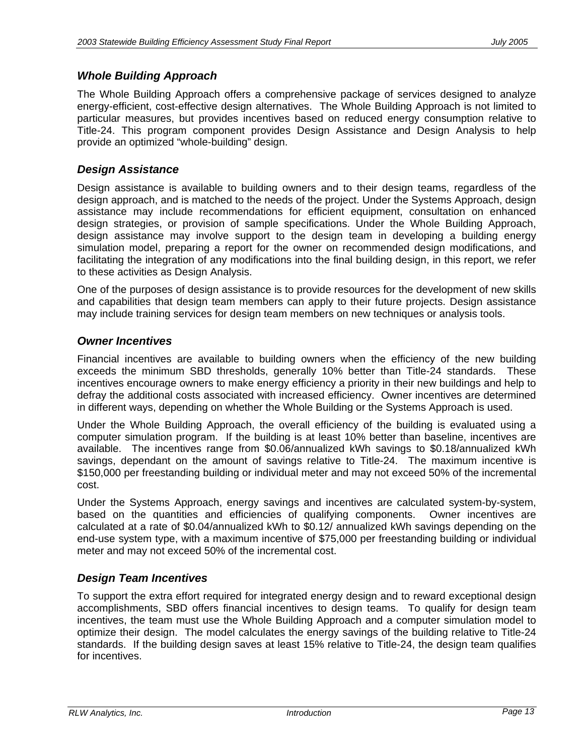### *Whole Building Approach*

The Whole Building Approach offers a comprehensive package of services designed to analyze energy-efficient, cost-effective design alternatives. The Whole Building Approach is not limited to particular measures, but provides incentives based on reduced energy consumption relative to Title-24. This program component provides Design Assistance and Design Analysis to help provide an optimized "whole-building" design.

### *Design Assistance*

Design assistance is available to building owners and to their design teams, regardless of the design approach, and is matched to the needs of the project. Under the Systems Approach, design assistance may include recommendations for efficient equipment, consultation on enhanced design strategies, or provision of sample specifications. Under the Whole Building Approach, design assistance may involve support to the design team in developing a building energy simulation model, preparing a report for the owner on recommended design modifications, and facilitating the integration of any modifications into the final building design, in this report, we refer to these activities as Design Analysis.

One of the purposes of design assistance is to provide resources for the development of new skills and capabilities that design team members can apply to their future projects. Design assistance may include training services for design team members on new techniques or analysis tools.

### *Owner Incentives*

Financial incentives are available to building owners when the efficiency of the new building exceeds the minimum SBD thresholds, generally 10% better than Title-24 standards. These incentives encourage owners to make energy efficiency a priority in their new buildings and help to defray the additional costs associated with increased efficiency. Owner incentives are determined in different ways, depending on whether the Whole Building or the Systems Approach is used.

Under the Whole Building Approach, the overall efficiency of the building is evaluated using a computer simulation program. If the building is at least 10% better than baseline, incentives are available. The incentives range from \$0.06/annualized kWh savings to \$0.18/annualized kWh savings, dependant on the amount of savings relative to Title-24. The maximum incentive is \$150,000 per freestanding building or individual meter and may not exceed 50% of the incremental cost.

Under the Systems Approach, energy savings and incentives are calculated system-by-system, based on the quantities and efficiencies of qualifying components. Owner incentives are calculated at a rate of \$0.04/annualized kWh to \$0.12/ annualized kWh savings depending on the end-use system type, with a maximum incentive of \$75,000 per freestanding building or individual meter and may not exceed 50% of the incremental cost.

## *Design Team Incentives*

To support the extra effort required for integrated energy design and to reward exceptional design accomplishments, SBD offers financial incentives to design teams. To qualify for design team incentives, the team must use the Whole Building Approach and a computer simulation model to optimize their design. The model calculates the energy savings of the building relative to Title-24 standards. If the building design saves at least 15% relative to Title-24, the design team qualifies for incentives.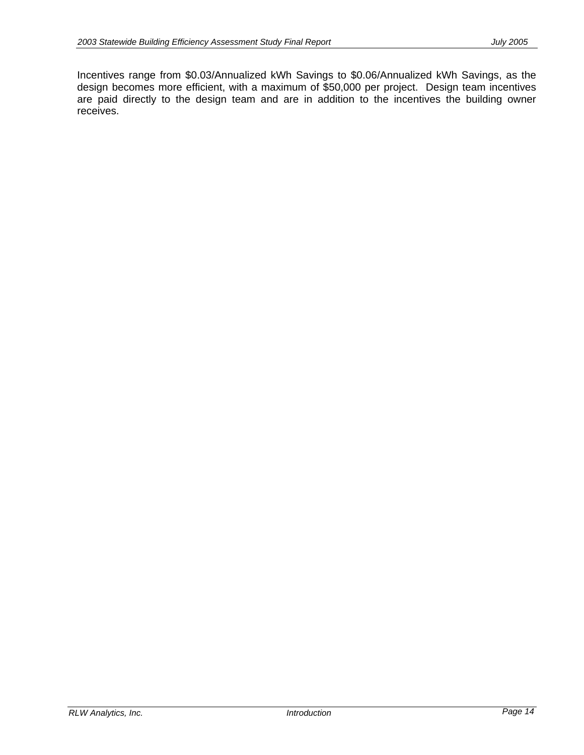Incentives range from \$0.03/Annualized kWh Savings to \$0.06/Annualized kWh Savings, as the design becomes more efficient, with a maximum of \$50,000 per project. Design team incentives are paid directly to the design team and are in addition to the incentives the building owner receives.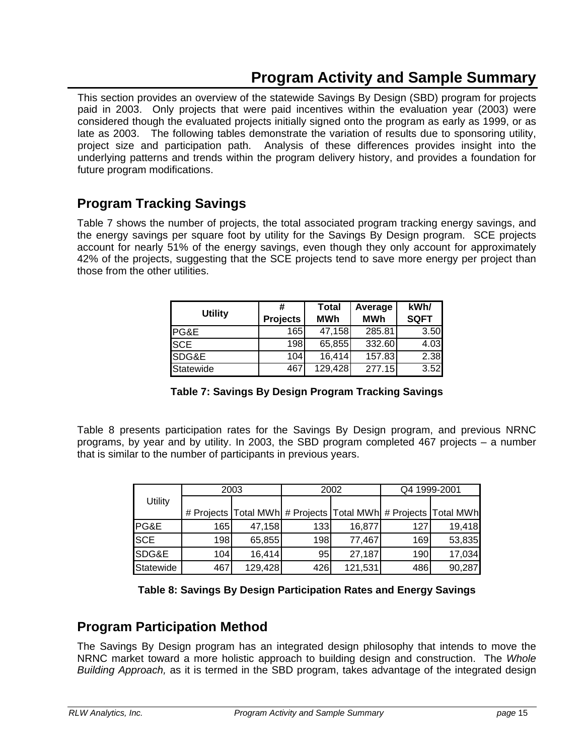# **Program Activity and Sample Summary**

This section provides an overview of the statewide Savings By Design (SBD) program for projects paid in 2003. Only projects that were paid incentives within the evaluation year (2003) were considered though the evaluated projects initially signed onto the program as early as 1999, or as late as 2003. The following tables demonstrate the variation of results due to sponsoring utility, project size and participation path. Analysis of these differences provides insight into the underlying patterns and trends within the program delivery history, and provides a foundation for future program modifications.

# **Program Tracking Savings**

Table 7 shows the number of projects, the total associated program tracking energy savings, and the energy savings per square foot by utility for the Savings By Design program. SCE projects account for nearly 51% of the energy savings, even though they only account for approximately 42% of the projects, suggesting that the SCE projects tend to save more energy per project than those from the other utilities.

| <b>Utility</b>   | #               | Total      | Average    | kWh/        |
|------------------|-----------------|------------|------------|-------------|
|                  | <b>Projects</b> | <b>MWh</b> | <b>MWh</b> | <b>SQFT</b> |
| <b>IPG&amp;E</b> | 165             | 47,158     | 285.81     | 3.50        |
| <b>ISCE</b>      | 198             | 65,855     | 332.60     | 4.03        |
| SDG&E            | 104             | 16,414     | 157.83     | 2.38        |
| Statewide        | 467             | 129,428    | 277.15     | 3.52        |

**Table 7: Savings By Design Program Tracking Savings** 

Table 8 presents participation rates for the Savings By Design program, and previous NRNC programs, by year and by utility. In 2003, the SBD program completed 467 projects – a number that is similar to the number of participants in previous years.

|            |     | 2003    |     | 2002                                                           | Q4 1999-2001 |        |  |  |
|------------|-----|---------|-----|----------------------------------------------------------------|--------------|--------|--|--|
| Utility    |     |         |     |                                                                |              |        |  |  |
|            |     |         |     | # Projects Total MWh # Projects Total MWh # Projects Total MWh |              |        |  |  |
| PG&E       | 165 | 47,158  | 133 | 16,877                                                         | 127          | 19,418 |  |  |
| <b>SCE</b> | 198 | 65,855  | 198 | 77,467                                                         | 169          | 53,835 |  |  |
| SDG&E      | 104 | 16,414  | 95  | 27,187                                                         | 190          | 17,034 |  |  |
| Statewide  | 467 | 129,428 | 426 | 121,531                                                        | 486          | 90,287 |  |  |

**Table 8: Savings By Design Participation Rates and Energy Savings** 

# **Program Participation Method**

The Savings By Design program has an integrated design philosophy that intends to move the NRNC market toward a more holistic approach to building design and construction. The *Whole Building Approach,* as it is termed in the SBD program, takes advantage of the integrated design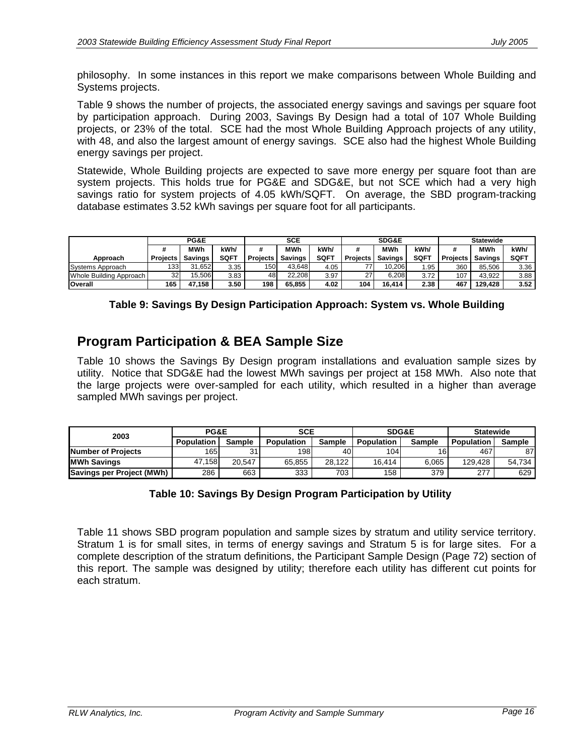philosophy. In some instances in this report we make comparisons between Whole Building and Systems projects.

Table 9 shows the number of projects, the associated energy savings and savings per square foot by participation approach. During 2003, Savings By Design had a total of 107 Whole Building projects, or 23% of the total. SCE had the most Whole Building Approach projects of any utility, with 48, and also the largest amount of energy savings. SCE also had the highest Whole Building energy savings per project.

Statewide, Whole Building projects are expected to save more energy per square foot than are system projects. This holds true for PG&E and SDG&E, but not SCE which had a very high savings ratio for system projects of 4.05 kWh/SQFT. On average, the SBD program-tracking database estimates 3.52 kWh savings per square foot for all participants.

|                         | PG&E            |                |             |                 | <b>SCE</b>     |             |                 | <b>SDG&amp;E</b> |             | <b>Statewide</b> |         |             |
|-------------------------|-----------------|----------------|-------------|-----------------|----------------|-------------|-----------------|------------------|-------------|------------------|---------|-------------|
|                         |                 | MWh            | kWh/        |                 | <b>MWh</b>     | kWh/        | #               | <b>MWh</b>       | kWh/        | #                | MWh     | kWh/        |
| Approach                | <b>Projects</b> | <b>Savings</b> | <b>SQFT</b> | <b>Projects</b> | <b>Savings</b> | <b>SQFT</b> | <b>Projects</b> | <b>Savings</b>   | <b>SQFT</b> | <b>Projects</b>  | Savings | <b>SQFT</b> |
| Systems Approach        | 133             | 31.652         | 3.35        | 150             | 43.648         | 4.05        |                 | 10.206           | .95         | 360              | 85.506  | 3.36        |
| Whole Building Approach | 32 <sub>1</sub> | 15.506         | 3.83        | 48              | 22.208         | 3.97        | 27              | 6.208            | 3.72        | 107              | 43.922  | 3.88        |
| <b>Overall</b>          | 165             | 47.158         | 3.50        | 198             | 65.855         | 4.02        | 104             | 16.414           | 2.38        | 467              | 129.428 | 3.52        |

# **Program Participation & BEA Sample Size**

Table 10 shows the Savings By Design program installations and evaluation sample sizes by utility. Notice that SDG&E had the lowest MWh savings per project at 158 MWh. Also note that the large projects were over-sampled for each utility, which resulted in a higher than average sampled MWh savings per project.

| 2003                      | PG&E              |               | <b>SCE</b>        |        | <b>SDG&amp;E</b> |               | <b>Statewide</b>  |               |  |
|---------------------------|-------------------|---------------|-------------------|--------|------------------|---------------|-------------------|---------------|--|
|                           | <b>Population</b> | <b>Sample</b> | <b>Population</b> | Sample | Population       | <b>Sample</b> | <b>Population</b> | <b>Sample</b> |  |
| Number of Projects        | 165               | 31            | 198               | 40     | 104I             | 161           | 467               | 87            |  |
| <b>MWh Savings</b>        | 47.158            | 20.547        | 65.855            | 28.122 | 16.414           | 6.065         | 129.428           | 54.734        |  |
| Savings per Project (MWh) | 286               | 663           | 333               | 703    | 158              | 379           | 277               | 629           |  |

### **Table 10: Savings By Design Program Participation by Utility**

Table 11 shows SBD program population and sample sizes by stratum and utility service territory. Stratum 1 is for small sites, in terms of energy savings and Stratum 5 is for large sites. For a complete description of the stratum definitions, the Participant Sample Design (Page 72) section of this report. The sample was designed by utility; therefore each utility has different cut points for each stratum.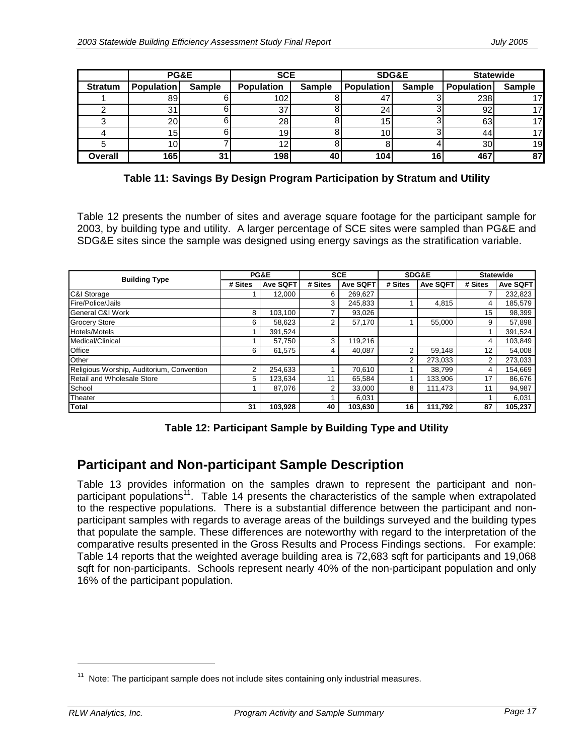|                | PG&E              |               | <b>SCE</b> |               | <b>SDG&amp;E</b>  |               | <b>Statewide</b>  |               |  |
|----------------|-------------------|---------------|------------|---------------|-------------------|---------------|-------------------|---------------|--|
| <b>Stratum</b> | <b>Population</b> | <b>Sample</b> | Population | <b>Sample</b> | <b>Population</b> | <b>Sample</b> | <b>Population</b> | <b>Sample</b> |  |
|                | 89                |               | 102        |               |                   |               | 238               |               |  |
|                | 31                |               | 37         |               | 24                |               | 92                |               |  |
|                | <b>20</b>         |               | <b>28</b>  |               | 15                |               | 63                |               |  |
|                | 15                |               | 19.        |               |                   |               | 44                |               |  |
|                | 10 <sub>1</sub>   |               |            |               |                   |               | 30                | 19            |  |
| Overall        | 165               | 31            | 198        | 40            | 104               | 16            | 467               | 87            |  |

**Table 11: Savings By Design Program Participation by Stratum and Utility** 

Table 12 presents the number of sites and average square footage for the participant sample for 2003, by building type and utility. A larger percentage of SCE sites were sampled than PG&E and SDG&E sites since the sample was designed using energy savings as the stratification variable.

| <b>Building Type</b>                      |         | PG&E     |         | <b>SCE</b>      |         | SDG&E           | <b>Statewide</b> |                 |
|-------------------------------------------|---------|----------|---------|-----------------|---------|-----------------|------------------|-----------------|
|                                           | # Sites | Ave SQFT | # Sites | <b>Ave SQFT</b> | # Sites | <b>Ave SQFT</b> | # Sites          | <b>Ave SQFT</b> |
| C&I Storage                               |         | 12.000   | 6       | 269,627         |         |                 |                  | 232,823         |
| Fire/Police/Jails                         |         |          | 3       | 245,833         |         | 4.815           | 4                | 185,579         |
| General C&I Work                          | 8       | 103.100  | 7       | 93,026          |         |                 | 15               | 98,399          |
| <b>Grocery Store</b>                      | 6       | 58,623   | 2       | 57,170          |         | 55.000          | 9                | 57,898          |
| <b>Hotels/Motels</b>                      |         | 391,524  |         |                 |         |                 |                  | 391,524         |
| Medical/Clinical                          |         | 57.750   | 3       | 119.216         |         |                 | 4                | 103,849         |
| Office                                    | 6       | 61.575   | 4       | 40.087          | 2       | 59,148          | 12               | 54,008          |
| Other                                     |         |          |         |                 | 2       | 273,033         | 2                | 273,033         |
| Religious Worship, Auditorium, Convention | າ       | 254,633  |         | 70,610          |         | 38.799          | 4                | 154,669         |
| Retail and Wholesale Store                | 5       | 123,634  | 11      | 65,584          |         | 133,906         | 17               | 86,676          |
| School                                    |         | 87.076   | 2       | 33,000          | 8       | 111.473         | 11               | 94,987          |
| <b>Theater</b>                            |         |          |         | 6,031           |         |                 |                  | 6,031           |
| <b>Total</b>                              | 31      | 103,928  | 40      | 103,630         | 16      | 111,792         | 87               | 105,237         |

# **Participant and Non-participant Sample Description**

Table 13 provides information on the samples drawn to represent the participant and nonparticipant populations<sup>11</sup>. Table 14 presents the characteristics of the sample when extrapolated to the respective populations. There is a substantial difference between the participant and nonparticipant samples with regards to average areas of the buildings surveyed and the building types that populate the sample. These differences are noteworthy with regard to the interpretation of the comparative results presented in the Gross Results and Process Findings sections. For example: Table 14 reports that the weighted average building area is 72,683 sqft for participants and 19,068 sqft for non-participants. Schools represent nearly 40% of the non-participant population and only 16% of the participant population.

 $11$  Note: The participant sample does not include sites containing only industrial measures.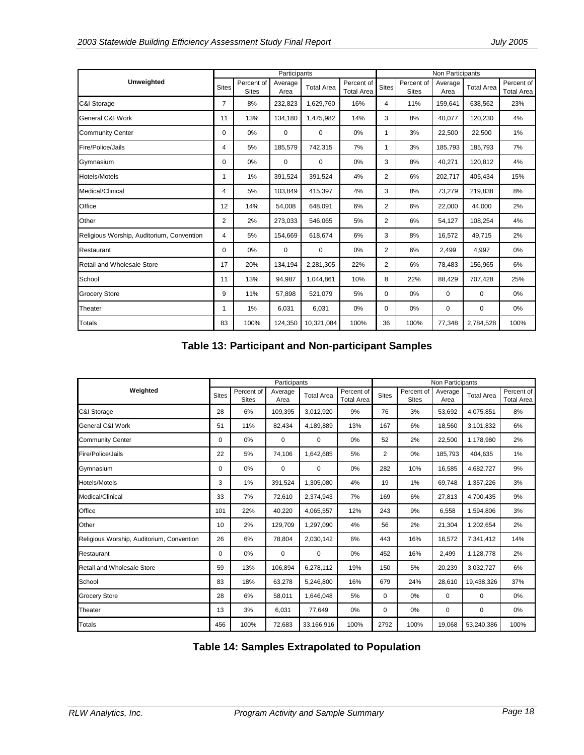|                                           |                |                            | Participants    |                   |                                 | Non Participants |                            |                 |                   |                                 |
|-------------------------------------------|----------------|----------------------------|-----------------|-------------------|---------------------------------|------------------|----------------------------|-----------------|-------------------|---------------------------------|
| <b>Unweighted</b>                         | <b>Sites</b>   | Percent of<br><b>Sites</b> | Average<br>Area | <b>Total Area</b> | Percent of<br><b>Total Area</b> | Sites            | Percent of<br><b>Sites</b> | Average<br>Area | <b>Total Area</b> | Percent of<br><b>Total Area</b> |
| C&I Storage                               | $\overline{7}$ | 8%                         | 232,823         | 1,629,760         | 16%                             | 4                | 11%                        | 159,641         | 638,562           | 23%                             |
| General C&I Work                          | 11             | 13%                        | 134,180         | 1,475,982         | 14%                             | 3                | 8%                         | 40,077          | 120,230           | 4%                              |
| <b>Community Center</b>                   | 0              | 0%                         | 0               | $\mathbf 0$       | 0%                              | 1                | 3%                         | 22,500          | 22,500            | 1%                              |
| Fire/Police/Jails                         | 4              | 5%                         | 185,579         | 742,315           | 7%                              | 1                | 3%                         | 185,793         | 185,793           | 7%                              |
| Gymnasium                                 | 0              | 0%                         | 0               | 0                 | 0%                              | 3                | 8%                         | 40,271          | 120,812           | 4%                              |
| Hotels/Motels                             | 1              | 1%                         | 391,524         | 391,524           | 4%                              | 2                | 6%                         | 202,717         | 405,434           | 15%                             |
| Medical/Clinical                          | 4              | 5%                         | 103,849         | 415,397           | 4%                              | 3                | 8%                         | 73,279          | 219,838           | 8%                              |
| Office                                    | 12             | 14%                        | 54,008          | 648,091           | 6%                              | 2                | 6%                         | 22,000          | 44,000            | 2%                              |
| Other                                     | $\overline{2}$ | 2%                         | 273,033         | 546,065           | 5%                              | 2                | 6%                         | 54,127          | 108,254           | 4%                              |
| Religious Worship, Auditorium, Convention | 4              | 5%                         | 154,669         | 618,674           | 6%                              | 3                | 8%                         | 16,572          | 49,715            | 2%                              |
| Restaurant                                | 0              | 0%                         | 0               | 0                 | 0%                              | 2                | 6%                         | 2,499           | 4,997             | 0%                              |
| <b>Retail and Wholesale Store</b>         | 17             | 20%                        | 134,194         | 2,281,305         | 22%                             | 2                | 6%                         | 78,483          | 156,965           | 6%                              |
| School                                    | 11             | 13%                        | 94,987          | 1,044,861         | 10%                             | 8                | 22%                        | 88,429          | 707,428           | 25%                             |
| <b>Grocery Store</b>                      | 9              | 11%                        | 57,898          | 521,079           | 5%                              | 0                | 0%                         | 0               | 0                 | 0%                              |
| Theater                                   | 1              | 1%                         | 6,031           | 6,031             | 0%                              | 0                | 0%                         | 0               | 0                 | 0%                              |
| Totals                                    | 83             | 100%                       | 124,350         | 10,321,084        | 100%                            | 36               | 100%                       | 77,348          | 2,784,528         | 100%                            |

**Table 13: Participant and Non-participant Samples** 

|                                           |              |                            | Participants    |                   |                                 | Non Participants |                            |                 |                   |                                 |
|-------------------------------------------|--------------|----------------------------|-----------------|-------------------|---------------------------------|------------------|----------------------------|-----------------|-------------------|---------------------------------|
| Weighted                                  | <b>Sites</b> | Percent of<br><b>Sites</b> | Average<br>Area | <b>Total Area</b> | Percent of<br><b>Total Area</b> | <b>Sites</b>     | Percent of<br><b>Sites</b> | Average<br>Area | <b>Total Area</b> | Percent of<br><b>Total Area</b> |
| C&I Storage                               | 28           | 6%                         | 109,395         | 3,012,920         | 9%                              | 76               | 3%                         | 53,692          | 4,075,851         | 8%                              |
| General C&I Work                          | 51           | 11%                        | 82,434          | 4,189,889         | 13%                             | 167              | 6%                         | 18,560          | 3,101,832         | 6%                              |
| <b>Community Center</b>                   | 0            | 0%                         | 0               | $\mathbf 0$       | 0%                              | 52               | 2%                         | 22,500          | 1,178,980         | 2%                              |
| Fire/Police/Jails                         | 22           | 5%                         | 74,106          | 1,642,685         | 5%                              | $\overline{2}$   | 0%                         | 185.793         | 404.635           | 1%                              |
| Gymnasium                                 | 0            | 0%                         | 0               | $\mathbf 0$       | 0%                              | 282              | 10%                        | 16,585          | 4,682,727         | 9%                              |
| <b>Hotels/Motels</b>                      | 3            | 1%                         | 391,524         | 1,305,080         | 4%                              | 19               | 1%                         | 69,748          | 1,357,226         | 3%                              |
| Medical/Clinical                          | 33           | 7%                         | 72,610          | 2,374,943         | 7%                              | 169              | 6%                         | 27,813          | 4,700,435         | 9%                              |
| Office                                    | 101          | 22%                        | 40,220          | 4,065,557         | 12%                             | 243              | 9%                         | 6,558           | 1,594,806         | 3%                              |
| Other                                     | 10           | 2%                         | 129,709         | 1,297,090         | 4%                              | 56               | 2%                         | 21,304          | 1,202,654         | 2%                              |
| Religious Worship, Auditorium, Convention | 26           | 6%                         | 78,804          | 2,030,142         | 6%                              | 443              | 16%                        | 16,572          | 7,341,412         | 14%                             |
| Restaurant                                | 0            | 0%                         | $\mathbf 0$     | $\mathbf 0$       | $0\%$                           | 452              | 16%                        | 2,499           | 1,128,778         | 2%                              |
| Retail and Wholesale Store                | 59           | 13%                        | 106,894         | 6,278,112         | 19%                             | 150              | 5%                         | 20,239          | 3,032,727         | 6%                              |
| School                                    | 83           | 18%                        | 63,278          | 5,246,800         | 16%                             | 679              | 24%                        | 28,610          | 19,438,326        | 37%                             |
| <b>Grocery Store</b>                      | 28           | 6%                         | 58,011          | 1,646,048         | 5%                              | $\mathbf 0$      | 0%                         | $\mathbf 0$     | $\mathbf 0$       | 0%                              |
| Theater                                   | 13           | 3%                         | 6,031           | 77,649            | 0%                              | 0                | 0%                         | 0               | 0                 | 0%                              |
| Totals                                    | 456          | 100%                       | 72,683          | 33,166,916        | 100%                            | 2792             | 100%                       | 19,068          | 53,240,386        | 100%                            |

**Table 14: Samples Extrapolated to Population**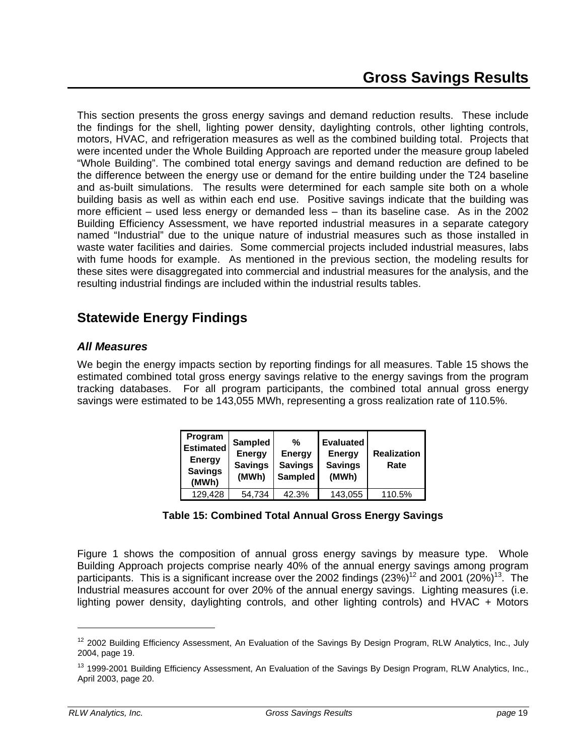This section presents the gross energy savings and demand reduction results. These include the findings for the shell, lighting power density, daylighting controls, other lighting controls, motors, HVAC, and refrigeration measures as well as the combined building total. Projects that were incented under the Whole Building Approach are reported under the measure group labeled "Whole Building". The combined total energy savings and demand reduction are defined to be the difference between the energy use or demand for the entire building under the T24 baseline and as-built simulations. The results were determined for each sample site both on a whole building basis as well as within each end use. Positive savings indicate that the building was more efficient – used less energy or demanded less – than its baseline case. As in the 2002 Building Efficiency Assessment, we have reported industrial measures in a separate category named "Industrial" due to the unique nature of industrial measures such as those installed in waste water facilities and dairies. Some commercial projects included industrial measures, labs with fume hoods for example. As mentioned in the previous section, the modeling results for these sites were disaggregated into commercial and industrial measures for the analysis, and the resulting industrial findings are included within the industrial results tables.

# **Statewide Energy Findings**

### *All Measures*

We begin the energy impacts section by reporting findings for all measures. Table 15 shows the estimated combined total gross energy savings relative to the energy savings from the program tracking databases. For all program participants, the combined total annual gross energy savings were estimated to be 143,055 MWh, representing a gross realization rate of 110.5%.

| Program<br>Estimated<br><b>Energy</b><br><b>Savings</b><br>(MWh) | Sampled<br>Energy<br><b>Savings</b><br>(MWh) | %<br><b>Energy</b><br><b>Savings</b><br><b>Sampled</b> | <b>Evaluated</b><br><b>Energy</b><br><b>Savings</b><br>(MWh) | <b>Realization</b><br>Rate |
|------------------------------------------------------------------|----------------------------------------------|--------------------------------------------------------|--------------------------------------------------------------|----------------------------|
| 129,428                                                          | 54,734                                       | 42.3%                                                  | 143,055                                                      | 110.5%                     |

### **Table 15: Combined Total Annual Gross Energy Savings**

Figure 1 shows the composition of annual gross energy savings by measure type. Whole Building Approach projects comprise nearly 40% of the annual energy savings among program participants. This is a significant increase over the 2002 findings  $(23\%)^{12}$  and 2001  $(20\%)^{13}$ . The Industrial measures account for over 20% of the annual energy savings. Lighting measures (i.e. lighting power density, daylighting controls, and other lighting controls) and HVAC + Motors

<sup>&</sup>lt;sup>12</sup> 2002 Building Efficiency Assessment, An Evaluation of the Savings By Design Program, RLW Analytics, Inc., July 2004, page 19.

<sup>&</sup>lt;sup>13</sup> 1999-2001 Building Efficiency Assessment, An Evaluation of the Savings By Design Program, RLW Analytics, Inc., April 2003, page 20.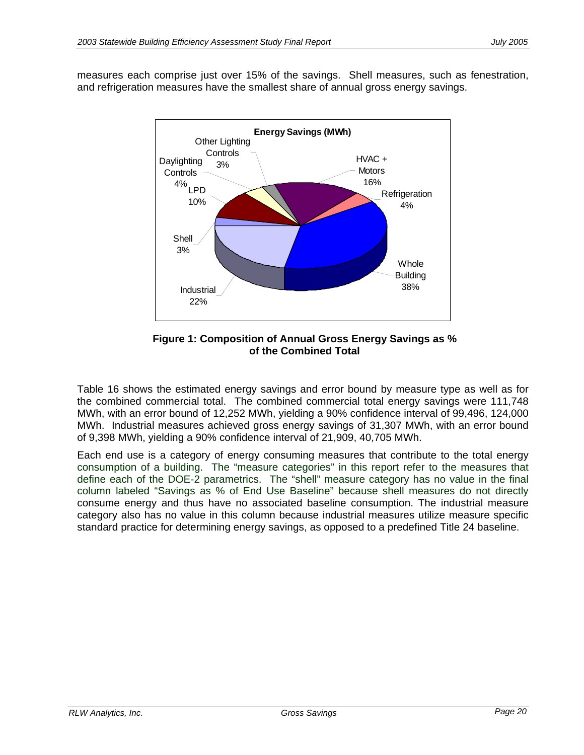measures each comprise just over 15% of the savings. Shell measures, such as fenestration, and refrigeration measures have the smallest share of annual gross energy savings.



**Figure 1: Composition of Annual Gross Energy Savings as % of the Combined Total**

Table 16 shows the estimated energy savings and error bound by measure type as well as for the combined commercial total. The combined commercial total energy savings were 111,748 MWh, with an error bound of 12,252 MWh, yielding a 90% confidence interval of 99,496, 124,000 MWh. Industrial measures achieved gross energy savings of 31,307 MWh, with an error bound of 9,398 MWh, yielding a 90% confidence interval of 21,909, 40,705 MWh.

Each end use is a category of energy consuming measures that contribute to the total energy consumption of a building. The "measure categories" in this report refer to the measures that define each of the DOE-2 parametrics. The "shell" measure category has no value in the final column labeled "Savings as % of End Use Baseline" because shell measures do not directly consume energy and thus have no associated baseline consumption. The industrial measure category also has no value in this column because industrial measures utilize measure specific standard practice for determining energy savings, as opposed to a predefined Title 24 baseline.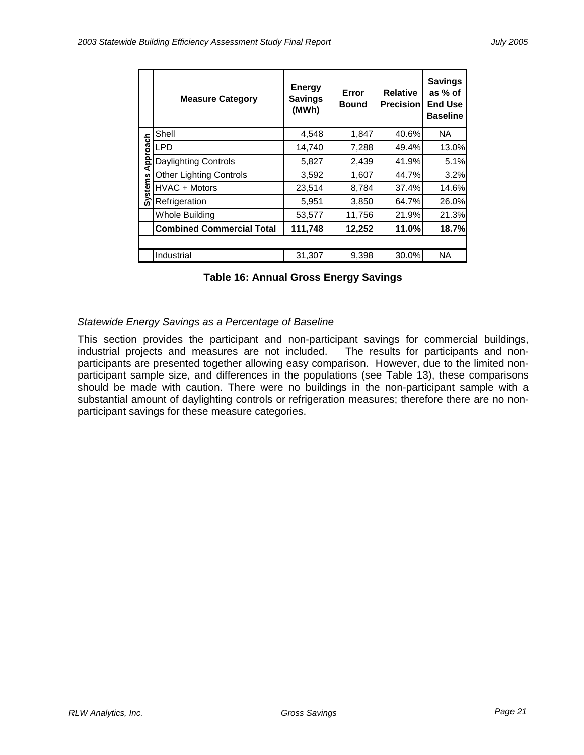|                | <b>Measure Category</b>          | <b>Energy</b><br><b>Savings</b><br>(MWh) | Error<br><b>Bound</b> | <b>Relative</b><br><b>Precision</b> | <b>Savings</b><br>as % of<br><b>End Use</b><br><b>Baseline</b> |
|----------------|----------------------------------|------------------------------------------|-----------------------|-------------------------------------|----------------------------------------------------------------|
|                | Shell                            | 4,548                                    | 1,847                 | 40.6%                               | <b>NA</b>                                                      |
| Approach       | LPD                              | 14,740                                   | 7,288                 | 49.4%                               | 13.0%                                                          |
|                | Daylighting Controls             | 5,827                                    | 2,439                 | 41.9%                               | 5.1%                                                           |
|                | <b>Other Lighting Controls</b>   | 3,592                                    | 1,607                 | 44.7%                               | 3.2%                                                           |
| <b>Systems</b> | HVAC + Motors                    | 23,514                                   | 8,784                 | 37.4%                               | 14.6%                                                          |
|                | Refrigeration                    | 5,951                                    | 3,850                 | 64.7%                               | 26.0%                                                          |
|                | <b>Whole Building</b>            | 53,577                                   | 11,756                | 21.9%                               | 21.3%                                                          |
|                | <b>Combined Commercial Total</b> | 111,748                                  | 12,252                | 11.0%                               | 18.7%                                                          |
|                |                                  |                                          |                       |                                     |                                                                |
|                | Industrial                       | 31,307                                   | 9,398                 | 30.0%                               | NA.                                                            |

**Table 16: Annual Gross Energy Savings** 

### *Statewide Energy Savings as a Percentage of Baseline*

This section provides the participant and non-participant savings for commercial buildings, industrial projects and measures are not included. The results for participants and nonparticipants are presented together allowing easy comparison. However, due to the limited nonparticipant sample size, and differences in the populations (see Table 13), these comparisons should be made with caution. There were no buildings in the non-participant sample with a substantial amount of daylighting controls or refrigeration measures; therefore there are no nonparticipant savings for these measure categories.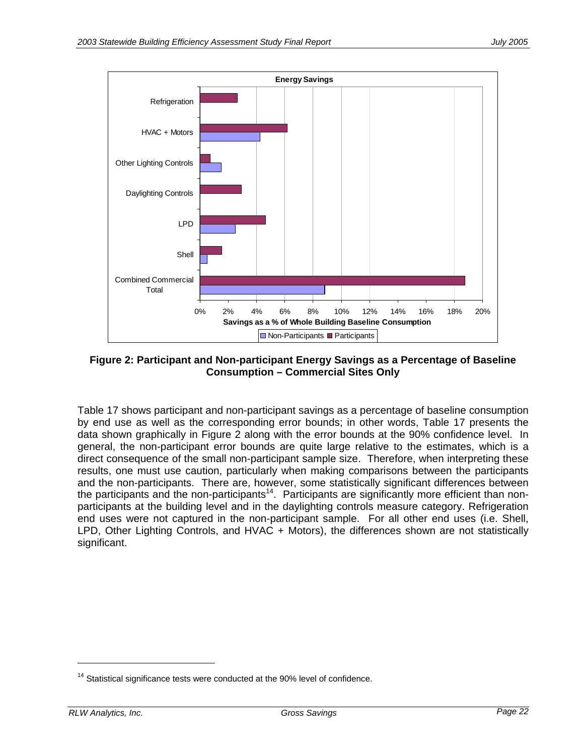

**Figure 2: Participant and Non-participant Energy Savings as a Percentage of Baseline Consumption – Commercial Sites Only** 

Table 17 shows participant and non-participant savings as a percentage of baseline consumption by end use as well as the corresponding error bounds; in other words, Table 17 presents the data shown graphically in Figure 2 along with the error bounds at the 90% confidence level. In general, the non-participant error bounds are quite large relative to the estimates, which is a direct consequence of the small non-participant sample size. Therefore, when interpreting these results, one must use caution, particularly when making comparisons between the participants and the non-participants. There are, however, some statistically significant differences between the participants and the non-participants<sup>14</sup>. Participants are significantly more efficient than nonparticipants at the building level and in the daylighting controls measure category. Refrigeration end uses were not captured in the non-participant sample. For all other end uses (i.e. Shell, LPD, Other Lighting Controls, and HVAC + Motors), the differences shown are not statistically significant.

 $14$  Statistical significance tests were conducted at the 90% level of confidence.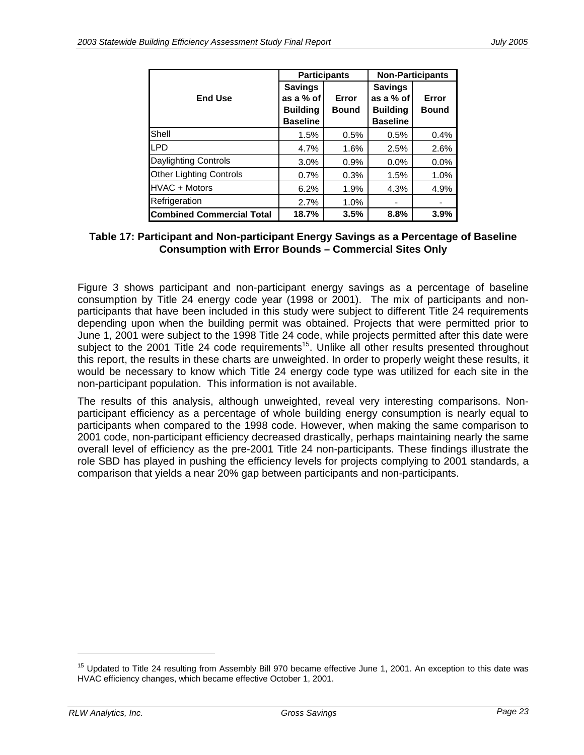|                                  | <b>Participants</b> |              | <b>Non-Participants</b> |              |
|----------------------------------|---------------------|--------------|-------------------------|--------------|
|                                  | <b>Savings</b>      |              | <b>Savings</b>          |              |
| <b>End Use</b>                   | as a % of           | Error        | as a % of               | Error        |
|                                  | <b>Building</b>     | <b>Bound</b> | <b>Building</b>         | <b>Bound</b> |
|                                  | <b>Baseline</b>     |              | <b>Baseline</b>         |              |
| Shell                            | 1.5%                | 0.5%         | 0.5%                    | 0.4%         |
| <b>LPD</b>                       | 4.7%                | 1.6%         | 2.5%                    | 2.6%         |
| Daylighting Controls             | 3.0%                | 0.9%         | 0.0%                    | 0.0%         |
| <b>Other Lighting Controls</b>   | 0.7%                | 0.3%         | 1.5%                    | 1.0%         |
| HVAC + Motors                    | 6.2%                | 1.9%         | 4.3%                    | 4.9%         |
| Refrigeration                    | 2.7%                | 1.0%         |                         |              |
| <b>Combined Commercial Total</b> | 18.7%               | 3.5%         | 8.8%                    | 3.9%         |

### **Table 17: Participant and Non-participant Energy Savings as a Percentage of Baseline Consumption with Error Bounds – Commercial Sites Only**

Figure 3 shows participant and non-participant energy savings as a percentage of baseline consumption by Title 24 energy code year (1998 or 2001). The mix of participants and nonparticipants that have been included in this study were subject to different Title 24 requirements depending upon when the building permit was obtained. Projects that were permitted prior to June 1, 2001 were subject to the 1998 Title 24 code, while projects permitted after this date were subject to the 2001 Title 24 code requirements<sup>15</sup>. Unlike all other results presented throughout this report, the results in these charts are unweighted. In order to properly weight these results, it would be necessary to know which Title 24 energy code type was utilized for each site in the non-participant population. This information is not available.

The results of this analysis, although unweighted, reveal very interesting comparisons. Nonparticipant efficiency as a percentage of whole building energy consumption is nearly equal to participants when compared to the 1998 code. However, when making the same comparison to 2001 code, non-participant efficiency decreased drastically, perhaps maintaining nearly the same overall level of efficiency as the pre-2001 Title 24 non-participants. These findings illustrate the role SBD has played in pushing the efficiency levels for projects complying to 2001 standards, a comparison that yields a near 20% gap between participants and non-participants.

<sup>&</sup>lt;sup>15</sup> Updated to Title 24 resulting from Assembly Bill 970 became effective June 1, 2001. An exception to this date was HVAC efficiency changes, which became effective October 1, 2001.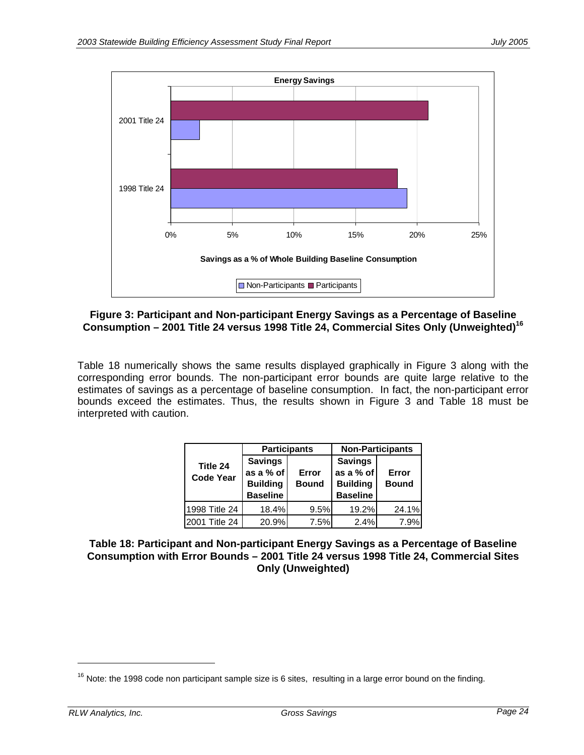

### **Figure 3: Participant and Non-participant Energy Savings as a Percentage of Baseline Consumption – 2001 Title 24 versus 1998 Title 24, Commercial Sites Only (Unweighted)16**

Table 18 numerically shows the same results displayed graphically in Figure 3 along with the corresponding error bounds. The non-participant error bounds are quite large relative to the estimates of savings as a percentage of baseline consumption. In fact, the non-participant error bounds exceed the estimates. Thus, the results shown in Figure 3 and Table 18 must be interpreted with caution.

|                              |                                                                   | <b>Participants</b>   | <b>Non-Participants</b>                                           |                       |  |
|------------------------------|-------------------------------------------------------------------|-----------------------|-------------------------------------------------------------------|-----------------------|--|
| Title 24<br><b>Code Year</b> | <b>Savings</b><br>as a % of<br><b>Building</b><br><b>Baseline</b> | Error<br><b>Bound</b> | <b>Savings</b><br>as a % of<br><b>Building</b><br><b>Baseline</b> | Error<br><b>Bound</b> |  |
| 1998 Title 24                | 18.4%                                                             | 9.5%                  | 19.2%                                                             | 24.1%                 |  |
| 2001 Title 24                | 20.9%                                                             | 7.5%                  | 2.4%                                                              | 7.9%                  |  |

#### **Table 18: Participant and Non-participant Energy Savings as a Percentage of Baseline Consumption with Error Bounds – 2001 Title 24 versus 1998 Title 24, Commercial Sites Only (Unweighted)**

 $16$  Note: the 1998 code non participant sample size is 6 sites, resulting in a large error bound on the finding.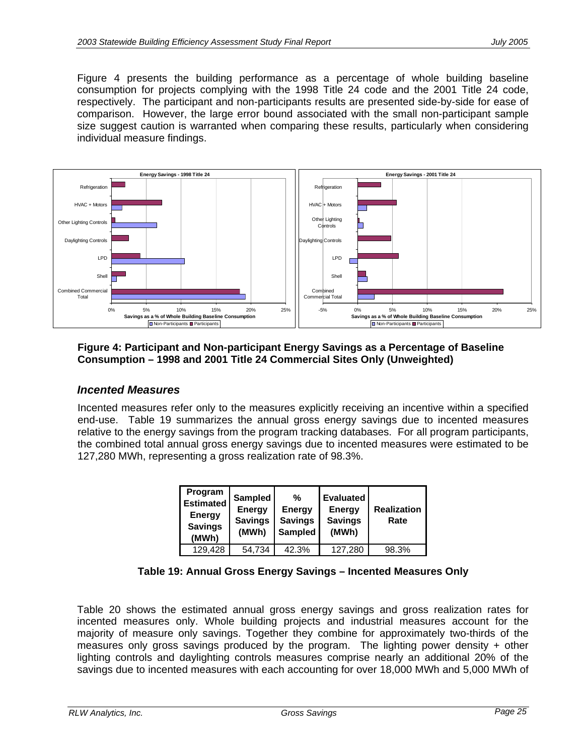Figure 4 presents the building performance as a percentage of whole building baseline consumption for projects complying with the 1998 Title 24 code and the 2001 Title 24 code, respectively. The participant and non-participants results are presented side-by-side for ease of comparison. However, the large error bound associated with the small non-participant sample size suggest caution is warranted when comparing these results, particularly when considering individual measure findings.



**Figure 4: Participant and Non-participant Energy Savings as a Percentage of Baseline Consumption – 1998 and 2001 Title 24 Commercial Sites Only (Unweighted)** 

### *Incented Measures*

Incented measures refer only to the measures explicitly receiving an incentive within a specified end-use. Table 19 summarizes the annual gross energy savings due to incented measures relative to the energy savings from the program tracking databases. For all program participants, the combined total annual gross energy savings due to incented measures were estimated to be 127,280 MWh, representing a gross realization rate of 98.3%.

| Program<br><b>Estimated</b><br><b>Energy</b><br><b>Savings</b><br>(MWh) | Sampled<br><b>Energy</b><br><b>Savings</b><br>(MWh) | %<br><b>Energy</b><br><b>Savings</b><br>Sampled | <b>Evaluated</b><br><b>Energy</b><br><b>Savings</b><br>(MWh) | <b>Realization</b><br>Rate |
|-------------------------------------------------------------------------|-----------------------------------------------------|-------------------------------------------------|--------------------------------------------------------------|----------------------------|
| 129,428                                                                 | 54.734                                              | 42.3%                                           | 127.280                                                      | 98.3%                      |

#### **Table 19: Annual Gross Energy Savings – Incented Measures Only**

Table 20 shows the estimated annual gross energy savings and gross realization rates for incented measures only. Whole building projects and industrial measures account for the majority of measure only savings. Together they combine for approximately two-thirds of the measures only gross savings produced by the program. The lighting power density  $+$  other lighting controls and daylighting controls measures comprise nearly an additional 20% of the savings due to incented measures with each accounting for over 18,000 MWh and 5,000 MWh of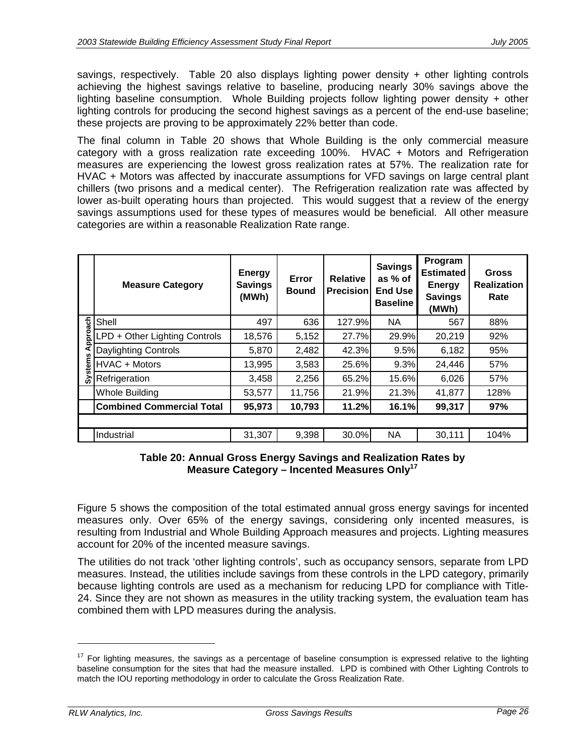savings, respectively. Table 20 also displays lighting power density + other lighting controls achieving the highest savings relative to baseline, producing nearly 30% savings above the lighting baseline consumption. Whole Building projects follow lighting power density + other lighting controls for producing the second highest savings as a percent of the end-use baseline; these projects are proving to be approximately 22% better than code.

The final column in Table 20 shows that Whole Building is the only commercial measure category with a gross realization rate exceeding 100%. HVAC + Motors and Refrigeration measures are experiencing the lowest gross realization rates at 57%. The realization rate for HVAC + Motors was affected by inaccurate assumptions for VFD savings on large central plant chillers (two prisons and a medical center). The Refrigeration realization rate was affected by lower as-built operating hours than projected. This would suggest that a review of the energy savings assumptions used for these types of measures would be beneficial. All other measure categories are within a reasonable Realization Rate range.

|      | <b>Measure Category</b>          | <b>Energy</b><br><b>Savings</b><br>(MWh) | Error<br><b>Bound</b> | <b>Relative</b><br><b>Precision</b> | <b>Savings</b><br>as % of<br><b>End Use</b><br><b>Baseline</b> | Program<br><b>Estimated</b><br><b>Energy</b><br><b>Savings</b><br>(MWh) | <b>Gross</b><br><b>Realization</b><br>Rate |
|------|----------------------------------|------------------------------------------|-----------------------|-------------------------------------|----------------------------------------------------------------|-------------------------------------------------------------------------|--------------------------------------------|
| ach  | Shell                            | 497                                      | 636                   | 127.9%                              | <b>NA</b>                                                      | 567                                                                     | 88%                                        |
| ppro | LPD + Other Lighting Controls    | 18,576                                   | 5,152                 | 27.7%                               | 29.9%                                                          | 20,219                                                                  | 92%                                        |
| n    | Daylighting Controls             | 5,870                                    | 2,482                 | 42.3%                               | 9.5%                                                           | 6,182                                                                   | 95%                                        |
| stem | HVAC + Motors                    | 13,995                                   | 3,583                 | 25.6%                               | 9.3%                                                           | 24,446                                                                  | 57%                                        |
| ລັ   | Refrigeration                    | 3,458                                    | 2,256                 | 65.2%                               | 15.6%                                                          | 6,026                                                                   | 57%                                        |
|      | Whole Building                   | 53,577                                   | 11,756                | 21.9%                               | 21.3%                                                          | 41,877                                                                  | 128%                                       |
|      | <b>Combined Commercial Total</b> | 95,973                                   | 10,793                | 11.2%                               | 16.1%                                                          | 99,317                                                                  | 97%                                        |
|      |                                  |                                          |                       |                                     |                                                                |                                                                         |                                            |
|      | Industrial                       | 31,307                                   | 9,398                 | 30.0%                               | <b>NA</b>                                                      | 30,111                                                                  | 104%                                       |

#### **Table 20: Annual Gross Energy Savings and Realization Rates by Measure Category – Incented Measures Only17**

Figure 5 shows the composition of the total estimated annual gross energy savings for incented measures only. Over 65% of the energy savings, considering only incented measures, is resulting from Industrial and Whole Building Approach measures and projects. Lighting measures account for 20% of the incented measure savings.

The utilities do not track 'other lighting controls', such as occupancy sensors, separate from LPD measures. Instead, the utilities include savings from these controls in the LPD category, primarily because lighting controls are used as a mechanism for reducing LPD for compliance with Title-24. Since they are not shown as measures in the utility tracking system, the evaluation team has combined them with LPD measures during the analysis.

-

 $17$  For lighting measures, the savings as a percentage of baseline consumption is expressed relative to the lighting baseline consumption for the sites that had the measure installed. LPD is combined with Other Lighting Controls to match the IOU reporting methodology in order to calculate the Gross Realization Rate.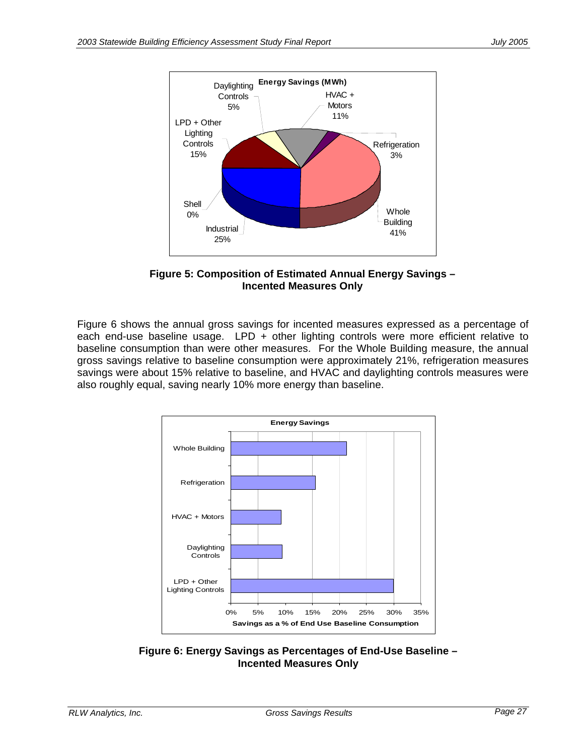

**Figure 5: Composition of Estimated Annual Energy Savings – Incented Measures Only** 

Figure 6 shows the annual gross savings for incented measures expressed as a percentage of each end-use baseline usage. LPD + other lighting controls were more efficient relative to baseline consumption than were other measures. For the Whole Building measure, the annual gross savings relative to baseline consumption were approximately 21%, refrigeration measures savings were about 15% relative to baseline, and HVAC and daylighting controls measures were also roughly equal, saving nearly 10% more energy than baseline.



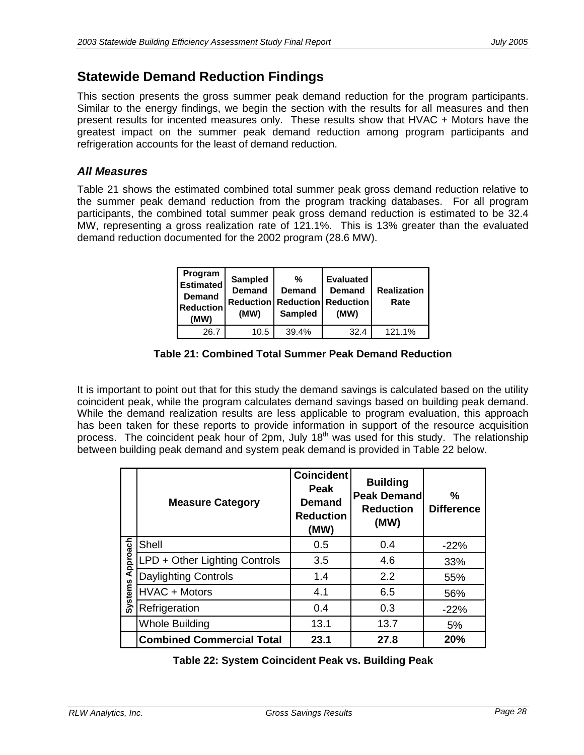# **Statewide Demand Reduction Findings**

This section presents the gross summer peak demand reduction for the program participants. Similar to the energy findings, we begin the section with the results for all measures and then present results for incented measures only. These results show that HVAC + Motors have the greatest impact on the summer peak demand reduction among program participants and refrigeration accounts for the least of demand reduction.

### *All Measures*

Table 21 shows the estimated combined total summer peak gross demand reduction relative to the summer peak demand reduction from the program tracking databases. For all program participants, the combined total summer peak gross demand reduction is estimated to be 32.4 MW, representing a gross realization rate of 121.1%. This is 13% greater than the evaluated demand reduction documented for the 2002 program (28.6 MW).

| Program<br><b>Estimated</b><br><b>Demand</b><br><b>Reduction</b><br>(MW) | Sampled<br><b>Demand</b><br>(MW) | %<br><b>Demand</b><br><b>Reduction   Reduction   Reduction</b><br><b>Sampled</b> | Evaluated<br><b>Demand</b><br>(MW) | <b>Realization</b><br>Rate |
|--------------------------------------------------------------------------|----------------------------------|----------------------------------------------------------------------------------|------------------------------------|----------------------------|
| 26.7                                                                     | 10.5                             | 39.4%                                                                            | 32.4                               | 121.1%                     |

**Table 21: Combined Total Summer Peak Demand Reduction** 

It is important to point out that for this study the demand savings is calculated based on the utility coincident peak, while the program calculates demand savings based on building peak demand. While the demand realization results are less applicable to program evaluation, this approach has been taken for these reports to provide information in support of the resource acquisition process. The coincident peak hour of 2pm, July 18<sup>th</sup> was used for this study. The relationship between building peak demand and system peak demand is provided in Table 22 below.

|                | <b>Measure Category</b>          | <b>Coincident</b><br>Peak<br><b>Demand</b><br><b>Reduction</b><br>(MW) | <b>Building</b><br><b>Peak Demandl</b><br><b>Reduction</b><br>(MW) | %<br><b>Difference</b> |
|----------------|----------------------------------|------------------------------------------------------------------------|--------------------------------------------------------------------|------------------------|
|                | Shell                            | 0.5                                                                    | 0.4                                                                | $-22%$                 |
| Approach       | LPD + Other Lighting Controls    | 3.5                                                                    | 4.6                                                                | 33%                    |
|                | <b>Daylighting Controls</b>      | 1.4                                                                    | 2.2                                                                | 55%                    |
| <b>Systems</b> | HVAC + Motors                    | 4.1                                                                    | 6.5                                                                | 56%                    |
|                | Refrigeration                    | 0.4                                                                    | 0.3                                                                | $-22%$                 |
|                | <b>Whole Building</b>            | 13.1                                                                   | 13.7                                                               | 5%                     |
|                | <b>Combined Commercial Total</b> | 23.1                                                                   | 27.8                                                               | 20%                    |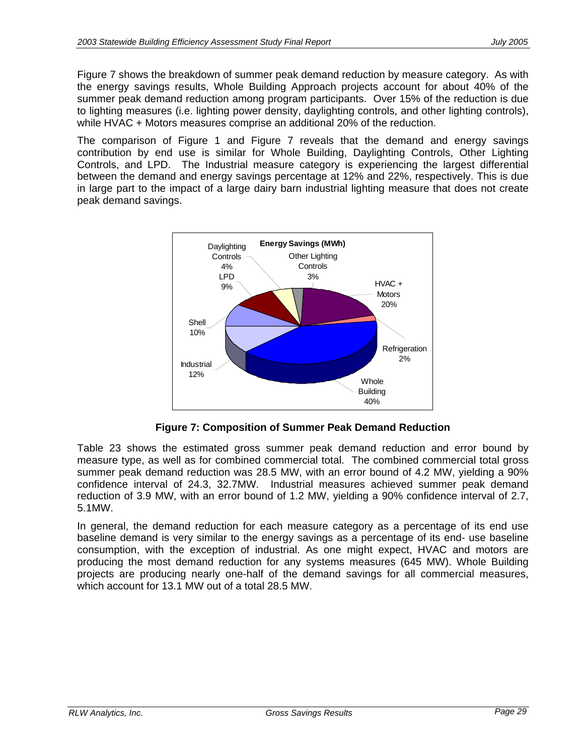Figure 7 shows the breakdown of summer peak demand reduction by measure category. As with the energy savings results, Whole Building Approach projects account for about 40% of the summer peak demand reduction among program participants. Over 15% of the reduction is due to lighting measures (i.e. lighting power density, daylighting controls, and other lighting controls), while HVAC + Motors measures comprise an additional 20% of the reduction.

The comparison of Figure 1 and Figure 7 reveals that the demand and energy savings contribution by end use is similar for Whole Building, Daylighting Controls, Other Lighting Controls, and LPD. The Industrial measure category is experiencing the largest differential between the demand and energy savings percentage at 12% and 22%, respectively. This is due in large part to the impact of a large dairy barn industrial lighting measure that does not create peak demand savings.



**Figure 7: Composition of Summer Peak Demand Reduction** 

Table 23 shows the estimated gross summer peak demand reduction and error bound by measure type, as well as for combined commercial total. The combined commercial total gross summer peak demand reduction was 28.5 MW, with an error bound of 4.2 MW, yielding a 90% confidence interval of 24.3, 32.7MW. Industrial measures achieved summer peak demand reduction of 3.9 MW, with an error bound of 1.2 MW, yielding a 90% confidence interval of 2.7, 5.1MW.

In general, the demand reduction for each measure category as a percentage of its end use baseline demand is very similar to the energy savings as a percentage of its end- use baseline consumption, with the exception of industrial. As one might expect, HVAC and motors are producing the most demand reduction for any systems measures (645 MW). Whole Building projects are producing nearly one-half of the demand savings for all commercial measures, which account for 13.1 MW out of a total 28.5 MW.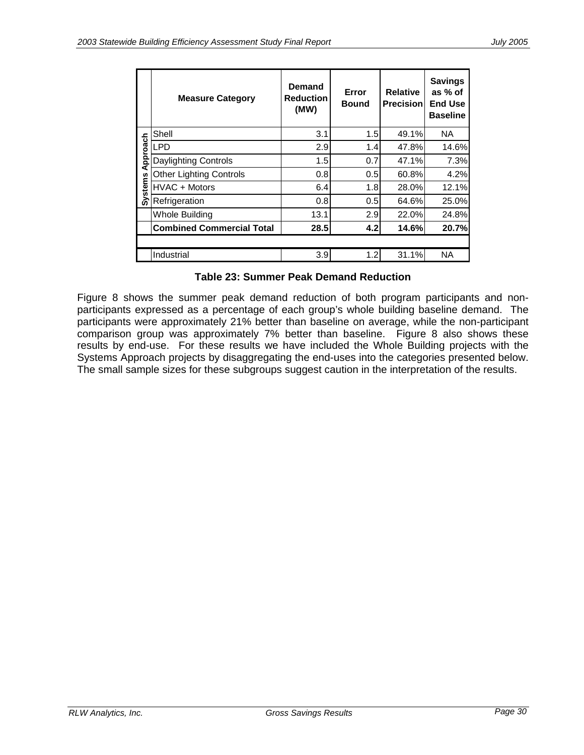|                | <b>Measure Category</b>          | <b>Demand</b><br><b>Reduction</b><br>(MW) | Error<br><b>Bound</b> | <b>Relative</b><br><b>Precision</b> | <b>Savings</b><br>as % of<br><b>End Use</b><br><b>Baseline</b> |
|----------------|----------------------------------|-------------------------------------------|-----------------------|-------------------------------------|----------------------------------------------------------------|
|                | Shell                            | 3.1                                       | 1.5                   | 49.1%                               | NA.                                                            |
|                | <b>LPD</b>                       | 2.9                                       | 1.4                   | 47.8%                               | 14.6%                                                          |
| Approach       | <b>Daylighting Controls</b>      | 1.5                                       | 0.7                   | 47.1%                               | 7.3%                                                           |
|                | <b>Other Lighting Controls</b>   | 0.8                                       | 0.5                   | 60.8%                               | 4.2%                                                           |
| <b>Systems</b> | HVAC + Motors                    | 6.4                                       | 1.8                   | 28.0%                               | 12.1%                                                          |
|                | Refrigeration                    | 0.8                                       | 0.5                   | 64.6%                               | 25.0%                                                          |
|                | Whole Building                   | 13.1                                      | 2.9                   | 22.0%                               | 24.8%                                                          |
|                | <b>Combined Commercial Total</b> | 28.5                                      | 4.2                   | 14.6%                               | 20.7%                                                          |
|                |                                  |                                           |                       |                                     |                                                                |
|                | Industrial                       | 3.9                                       | 1.2                   | 31.1%                               | NA.                                                            |

### **Table 23: Summer Peak Demand Reduction**

Figure 8 shows the summer peak demand reduction of both program participants and nonparticipants expressed as a percentage of each group's whole building baseline demand. The participants were approximately 21% better than baseline on average, while the non-participant comparison group was approximately 7% better than baseline. Figure 8 also shows these results by end-use. For these results we have included the Whole Building projects with the Systems Approach projects by disaggregating the end-uses into the categories presented below. The small sample sizes for these subgroups suggest caution in the interpretation of the results.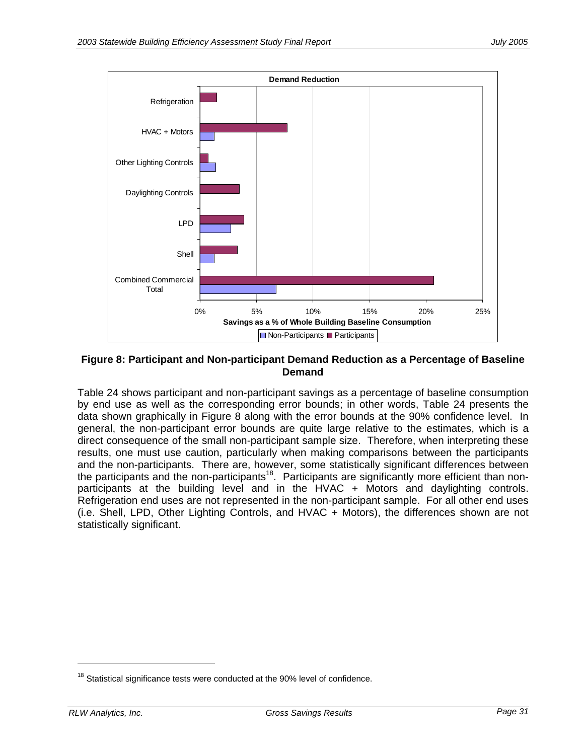

#### **Figure 8: Participant and Non-participant Demand Reduction as a Percentage of Baseline Demand**

Table 24 shows participant and non-participant savings as a percentage of baseline consumption by end use as well as the corresponding error bounds; in other words, Table 24 presents the data shown graphically in Figure 8 along with the error bounds at the 90% confidence level. In general, the non-participant error bounds are quite large relative to the estimates, which is a direct consequence of the small non-participant sample size. Therefore, when interpreting these results, one must use caution, particularly when making comparisons between the participants and the non-participants. There are, however, some statistically significant differences between the participants and the non-participants<sup>18</sup>. Participants are significantly more efficient than nonparticipants at the building level and in the HVAC + Motors and daylighting controls. Refrigeration end uses are not represented in the non-participant sample. For all other end uses (i.e. Shell, LPD, Other Lighting Controls, and HVAC + Motors), the differences shown are not statistically significant.

-

 $18$  Statistical significance tests were conducted at the 90% level of confidence.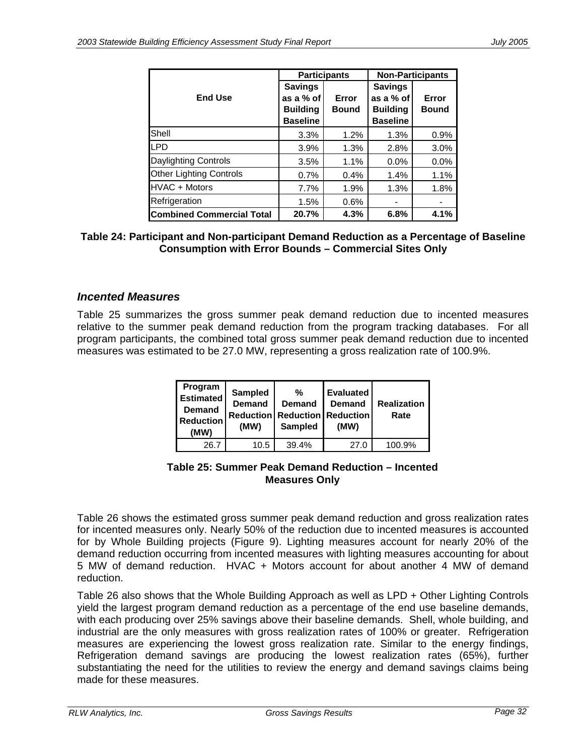|                                  | <b>Participants</b>                            |                       | <b>Non-Participants</b>                        |                       |  |
|----------------------------------|------------------------------------------------|-----------------------|------------------------------------------------|-----------------------|--|
| <b>End Use</b>                   | <b>Savings</b><br>as a % of<br><b>Building</b> | Error<br><b>Bound</b> | <b>Savings</b><br>as a % of<br><b>Building</b> | Error<br><b>Bound</b> |  |
|                                  | <b>Baseline</b>                                |                       | <b>Baseline</b>                                |                       |  |
| Shell                            | 3.3%                                           | 1.2%                  | 1.3%                                           | 0.9%                  |  |
| <b>LPD</b>                       | 3.9%                                           | 1.3%                  | 2.8%                                           | 3.0%                  |  |
| Daylighting Controls             | 3.5%                                           | 1.1%                  | 0.0%                                           | 0.0%                  |  |
| <b>Other Lighting Controls</b>   | 0.7%                                           | 0.4%                  | 1.4%                                           | 1.1%                  |  |
| HVAC + Motors                    | 7.7%                                           | 1.9%                  | 1.3%                                           | 1.8%                  |  |
| Refrigeration                    | 1.5%                                           | 0.6%                  |                                                |                       |  |
| <b>Combined Commercial Total</b> | 20.7%                                          | 4.3%                  | 6.8%                                           | 4.1%                  |  |

#### **Table 24: Participant and Non-participant Demand Reduction as a Percentage of Baseline Consumption with Error Bounds – Commercial Sites Only**

### *Incented Measures*

Table 25 summarizes the gross summer peak demand reduction due to incented measures relative to the summer peak demand reduction from the program tracking databases. For all program participants, the combined total gross summer peak demand reduction due to incented measures was estimated to be 27.0 MW, representing a gross realization rate of 100.9%.

| Program<br><b>Estimated</b><br><b>Demand</b><br><b>Reduction</b><br>(MW) | <b>Sampled</b><br><b>Demand</b><br>(MW) | %<br>Demand<br><b>Reduction Reduction Reduction</b><br><b>Sampled</b> | <b>Evaluated</b><br>Demand<br>(MW) | <b>Realization</b><br>Rate |
|--------------------------------------------------------------------------|-----------------------------------------|-----------------------------------------------------------------------|------------------------------------|----------------------------|
| 26.7                                                                     | 10.5                                    | 39.4%                                                                 | 27.0                               | 100.9%                     |

#### **Table 25: Summer Peak Demand Reduction – Incented Measures Only**

Table 26 shows the estimated gross summer peak demand reduction and gross realization rates for incented measures only. Nearly 50% of the reduction due to incented measures is accounted for by Whole Building projects (Figure 9). Lighting measures account for nearly 20% of the demand reduction occurring from incented measures with lighting measures accounting for about 5 MW of demand reduction. HVAC + Motors account for about another 4 MW of demand reduction.

Table 26 also shows that the Whole Building Approach as well as LPD + Other Lighting Controls yield the largest program demand reduction as a percentage of the end use baseline demands, with each producing over 25% savings above their baseline demands. Shell, whole building, and industrial are the only measures with gross realization rates of 100% or greater. Refrigeration measures are experiencing the lowest gross realization rate. Similar to the energy findings, Refrigeration demand savings are producing the lowest realization rates (65%), further substantiating the need for the utilities to review the energy and demand savings claims being made for these measures.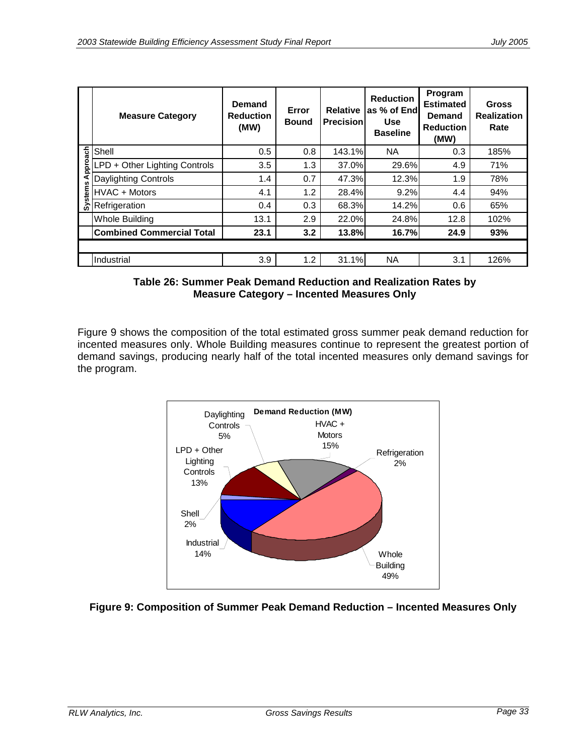|        | <b>Measure Category</b>          | <b>Demand</b><br><b>Reduction</b><br>(MW) | Error<br><b>Bound</b> | <b>Relative</b><br><b>Precision</b> | <b>Reduction</b><br>as % of End<br><b>Use</b><br><b>Baseline</b> | Program<br><b>Estimated</b><br>Demand<br><b>Reduction</b><br>(MW) | <b>Gross</b><br><b>Realization</b><br>Rate |
|--------|----------------------------------|-------------------------------------------|-----------------------|-------------------------------------|------------------------------------------------------------------|-------------------------------------------------------------------|--------------------------------------------|
| oach   | Shell                            | 0.5                                       | 0.8                   | 143.1%                              | NA.                                                              | 0.3                                                               | 185%                                       |
| ă<br>ō | LPD + Other Lighting Controls    | 3.5                                       | 1.3                   | 37.0%                               | 29.6%                                                            | 4.9                                                               | 71%                                        |
|        | <b>Daylighting Controls</b>      | 1.4                                       | 0.7                   | 47.3%                               | 12.3%                                                            | 1.9                                                               | 78%                                        |
| stem   | HVAC + Motors                    | 4.1                                       | 1.2                   | 28.4%                               | 9.2%                                                             | 4.4                                                               | 94%                                        |
|        | Refrigeration                    | 0.4                                       | 0.3                   | 68.3%                               | 14.2%                                                            | 0.6                                                               | 65%                                        |
|        | Whole Building                   | 13.1                                      | 2.9                   | 22.0%                               | 24.8%                                                            | 12.8                                                              | 102%                                       |
|        | <b>Combined Commercial Total</b> | 23.1                                      | 3.2                   | <b>13.8%</b>                        | 16.7%                                                            | 24.9                                                              | 93%                                        |
|        |                                  |                                           |                       |                                     |                                                                  |                                                                   |                                            |
|        | Industrial                       | 3.9                                       | 1.2                   | 31.1%                               | <b>NA</b>                                                        | 3.1                                                               | 126%                                       |

**Table 26: Summer Peak Demand Reduction and Realization Rates by Measure Category – Incented Measures Only** 

Figure 9 shows the composition of the total estimated gross summer peak demand reduction for incented measures only. Whole Building measures continue to represent the greatest portion of demand savings, producing nearly half of the total incented measures only demand savings for the program.



### **Figure 9: Composition of Summer Peak Demand Reduction – Incented Measures Only**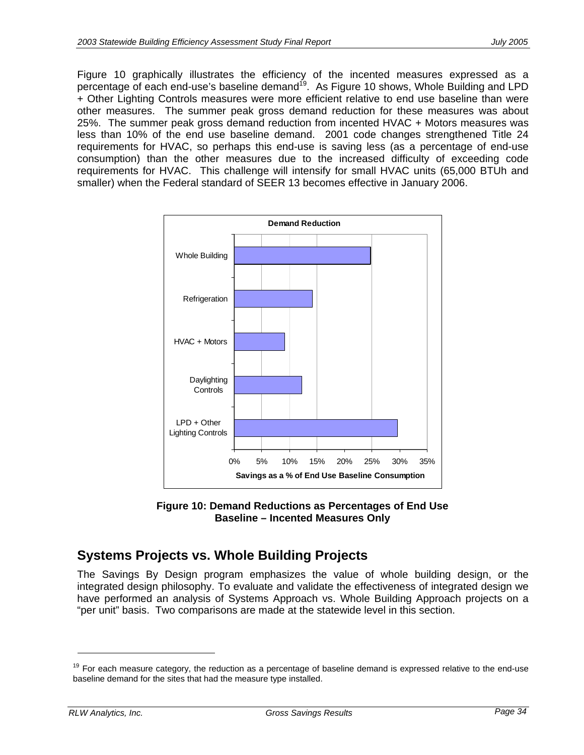Figure 10 graphically illustrates the efficiency of the incented measures expressed as a percentage of each end-use's baseline demand<sup>19</sup>. As Figure 10 shows, Whole Building and LPD + Other Lighting Controls measures were more efficient relative to end use baseline than were other measures. The summer peak gross demand reduction for these measures was about 25%. The summer peak gross demand reduction from incented HVAC + Motors measures was less than 10% of the end use baseline demand. 2001 code changes strengthened Title 24 requirements for HVAC, so perhaps this end-use is saving less (as a percentage of end-use consumption) than the other measures due to the increased difficulty of exceeding code requirements for HVAC. This challenge will intensify for small HVAC units (65,000 BTUh and smaller) when the Federal standard of SEER 13 becomes effective in January 2006.



**Figure 10: Demand Reductions as Percentages of End Use Baseline – Incented Measures Only**

# **Systems Projects vs. Whole Building Projects**

The Savings By Design program emphasizes the value of whole building design, or the integrated design philosophy. To evaluate and validate the effectiveness of integrated design we have performed an analysis of Systems Approach vs. Whole Building Approach projects on a "per unit" basis. Two comparisons are made at the statewide level in this section.

-

<sup>&</sup>lt;sup>19</sup> For each measure category, the reduction as a percentage of baseline demand is expressed relative to the end-use baseline demand for the sites that had the measure type installed.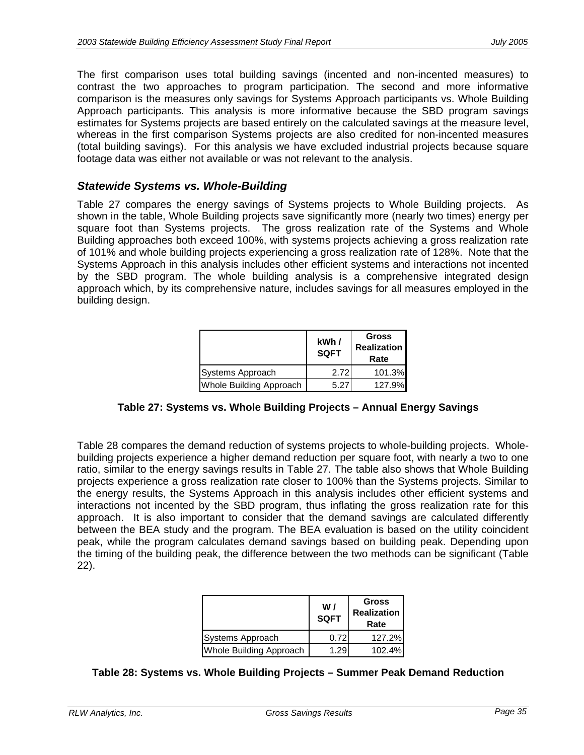The first comparison uses total building savings (incented and non-incented measures) to contrast the two approaches to program participation. The second and more informative comparison is the measures only savings for Systems Approach participants vs. Whole Building Approach participants. This analysis is more informative because the SBD program savings estimates for Systems projects are based entirely on the calculated savings at the measure level, whereas in the first comparison Systems projects are also credited for non-incented measures (total building savings). For this analysis we have excluded industrial projects because square footage data was either not available or was not relevant to the analysis.

#### *Statewide Systems vs. Whole-Building*

Table 27 compares the energy savings of Systems projects to Whole Building projects. As shown in the table, Whole Building projects save significantly more (nearly two times) energy per square foot than Systems projects. The gross realization rate of the Systems and Whole Building approaches both exceed 100%, with systems projects achieving a gross realization rate of 101% and whole building projects experiencing a gross realization rate of 128%. Note that the Systems Approach in this analysis includes other efficient systems and interactions not incented by the SBD program. The whole building analysis is a comprehensive integrated design approach which, by its comprehensive nature, includes savings for all measures employed in the building design.

|                         | kWh/<br><b>SQFT</b> | <b>Gross</b><br><b>Realization</b><br>Rate |
|-------------------------|---------------------|--------------------------------------------|
| Systems Approach        | 2.72                | 101.3%                                     |
| Whole Building Approach | 5.27                | 127.9%                                     |

### **Table 27: Systems vs. Whole Building Projects – Annual Energy Savings**

Table 28 compares the demand reduction of systems projects to whole-building projects. Wholebuilding projects experience a higher demand reduction per square foot, with nearly a two to one ratio, similar to the energy savings results in Table 27. The table also shows that Whole Building projects experience a gross realization rate closer to 100% than the Systems projects. Similar to the energy results, the Systems Approach in this analysis includes other efficient systems and interactions not incented by the SBD program, thus inflating the gross realization rate for this approach. It is also important to consider that the demand savings are calculated differently between the BEA study and the program. The BEA evaluation is based on the utility coincident peak, while the program calculates demand savings based on building peak. Depending upon the timing of the building peak, the difference between the two methods can be significant (Table 22).

|                                | W/<br><b>SQFT</b> | <b>Gross</b><br><b>Realization</b><br>Rate |
|--------------------------------|-------------------|--------------------------------------------|
| Systems Approach               | 0.72              | 127.2%                                     |
| <b>Whole Building Approach</b> | 1.29              | 102.4%                                     |

#### **Table 28: Systems vs. Whole Building Projects – Summer Peak Demand Reduction**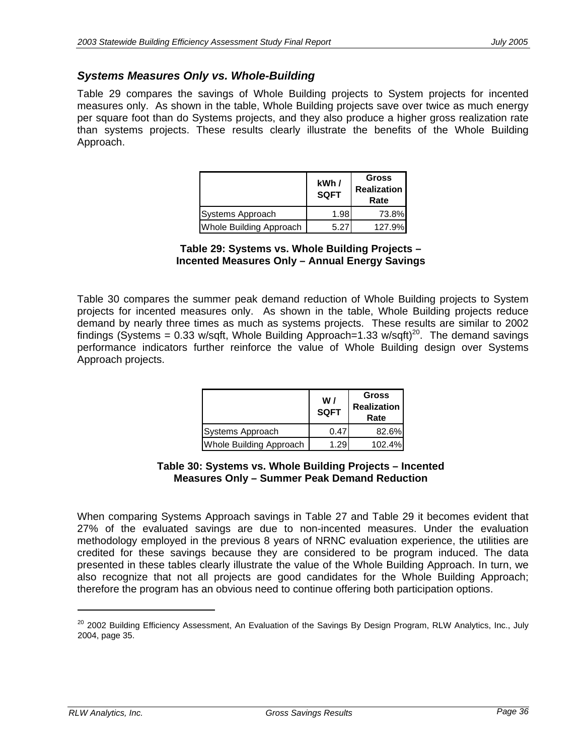### *Systems Measures Only vs. Whole-Building*

Table 29 compares the savings of Whole Building projects to System projects for incented measures only. As shown in the table, Whole Building projects save over twice as much energy per square foot than do Systems projects, and they also produce a higher gross realization rate than systems projects. These results clearly illustrate the benefits of the Whole Building Approach.

|                         | kWh/<br><b>SQFT</b> | <b>Gross</b><br><b>Realization</b><br>Rate |
|-------------------------|---------------------|--------------------------------------------|
| Systems Approach        | 1.98                | 73.8%                                      |
| Whole Building Approach | 5.27                | 127.9%                                     |

**Table 29: Systems vs. Whole Building Projects – Incented Measures Only – Annual Energy Savings** 

Table 30 compares the summer peak demand reduction of Whole Building projects to System projects for incented measures only. As shown in the table, Whole Building projects reduce demand by nearly three times as much as systems projects. These results are similar to 2002 findings (Systems = 0.33 w/sqft, Whole Building Approach=1.33 w/sqft)<sup>20</sup>. The demand savings performance indicators further reinforce the value of Whole Building design over Systems Approach projects.

|                                | W <sub>l</sub><br><b>SQFT</b> | <b>Gross</b><br><b>Realization</b><br>Rate |
|--------------------------------|-------------------------------|--------------------------------------------|
| Systems Approach               | 0.47                          | 82.6%                                      |
| <b>Whole Building Approach</b> | 1.29                          | 102.4%                                     |

#### **Table 30: Systems vs. Whole Building Projects – Incented Measures Only – Summer Peak Demand Reduction**

When comparing Systems Approach savings in Table 27 and Table 29 it becomes evident that 27% of the evaluated savings are due to non-incented measures. Under the evaluation methodology employed in the previous 8 years of NRNC evaluation experience, the utilities are credited for these savings because they are considered to be program induced. The data presented in these tables clearly illustrate the value of the Whole Building Approach. In turn, we also recognize that not all projects are good candidates for the Whole Building Approach; therefore the program has an obvious need to continue offering both participation options.

-

<sup>&</sup>lt;sup>20</sup> 2002 Building Efficiency Assessment, An Evaluation of the Savings By Design Program, RLW Analytics, Inc., July 2004, page 35.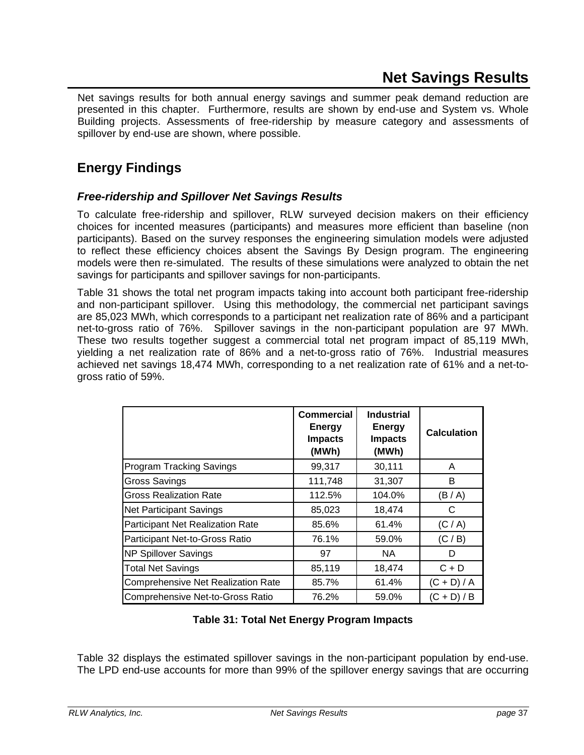Net savings results for both annual energy savings and summer peak demand reduction are presented in this chapter. Furthermore, results are shown by end-use and System vs. Whole Building projects. Assessments of free-ridership by measure category and assessments of spillover by end-use are shown, where possible.

# **Energy Findings**

### *Free-ridership and Spillover Net Savings Results*

To calculate free-ridership and spillover, RLW surveyed decision makers on their efficiency choices for incented measures (participants) and measures more efficient than baseline (non participants). Based on the survey responses the engineering simulation models were adjusted to reflect these efficiency choices absent the Savings By Design program. The engineering models were then re-simulated. The results of these simulations were analyzed to obtain the net savings for participants and spillover savings for non-participants.

Table 31 shows the total net program impacts taking into account both participant free-ridership and non-participant spillover. Using this methodology, the commercial net participant savings are 85,023 MWh, which corresponds to a participant net realization rate of 86% and a participant net-to-gross ratio of 76%. Spillover savings in the non-participant population are 97 MWh. These two results together suggest a commercial total net program impact of 85,119 MWh, yielding a net realization rate of 86% and a net-to-gross ratio of 76%. Industrial measures achieved net savings 18,474 MWh, corresponding to a net realization rate of 61% and a net-togross ratio of 59%.

|                                    | Commercial<br><b>Energy</b><br><b>Impacts</b><br>(MWh) | <b>Industrial</b><br><b>Energy</b><br><b>Impacts</b><br>(MWh) | <b>Calculation</b> |
|------------------------------------|--------------------------------------------------------|---------------------------------------------------------------|--------------------|
| <b>Program Tracking Savings</b>    | 99,317                                                 | 30,111                                                        | A                  |
| <b>Gross Savings</b>               | 111,748                                                | 31,307                                                        | B                  |
| <b>Gross Realization Rate</b>      | 112.5%                                                 | 104.0%                                                        | (B/A)              |
| <b>Net Participant Savings</b>     | 85,023                                                 | 18,474                                                        | C                  |
| Participant Net Realization Rate   | 85.6%                                                  | 61.4%                                                         | (C/A)              |
| Participant Net-to-Gross Ratio     | 76.1%                                                  | 59.0%                                                         | (C / B)            |
| <b>NP Spillover Savings</b>        | 97                                                     | NA.                                                           | D                  |
| <b>Total Net Savings</b>           | 85,119                                                 | 18,474                                                        | $C + D$            |
| Comprehensive Net Realization Rate | 85.7%                                                  | 61.4%                                                         | $(C + D) / A$      |
| Comprehensive Net-to-Gross Ratio   | 76.2%                                                  | 59.0%                                                         | $(C + D) / B$      |

### **Table 31: Total Net Energy Program Impacts**

Table 32 displays the estimated spillover savings in the non-participant population by end-use. The LPD end-use accounts for more than 99% of the spillover energy savings that are occurring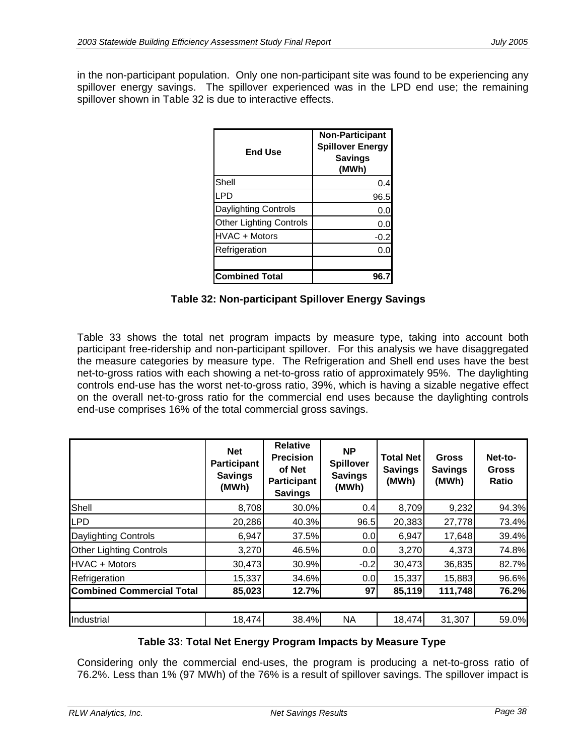in the non-participant population. Only one non-participant site was found to be experiencing any spillover energy savings. The spillover experienced was in the LPD end use; the remaining spillover shown in Table 32 is due to interactive effects.

| <b>End Use</b>                 | <b>Non-Participant</b><br><b>Spillover Energy</b><br><b>Savings</b><br>(MWh) |
|--------------------------------|------------------------------------------------------------------------------|
| Shell                          | 0.4                                                                          |
| LPD                            | 96.5                                                                         |
| Daylighting Controls           | 0.0                                                                          |
| <b>Other Lighting Controls</b> | 0.0                                                                          |
| HVAC + Motors                  | -0.2                                                                         |
| Refrigeration                  | 0.0                                                                          |
|                                |                                                                              |
| <b>Combined Total</b>          |                                                                              |

**Table 32: Non-participant Spillover Energy Savings** 

Table 33 shows the total net program impacts by measure type, taking into account both participant free-ridership and non-participant spillover. For this analysis we have disaggregated the measure categories by measure type. The Refrigeration and Shell end uses have the best net-to-gross ratios with each showing a net-to-gross ratio of approximately 95%. The daylighting controls end-use has the worst net-to-gross ratio, 39%, which is having a sizable negative effect on the overall net-to-gross ratio for the commercial end uses because the daylighting controls end-use comprises 16% of the total commercial gross savings.

|                                  | <b>Net</b><br><b>Participant</b><br><b>Savings</b><br>(MWh) | <b>Relative</b><br><b>Precision</b><br>of Net<br><b>Participant</b><br><b>Savings</b> | <b>NP</b><br><b>Spillover</b><br><b>Savings</b><br>(MWh) | <b>Total Net</b><br><b>Savings</b><br>(MWh) | <b>Gross</b><br><b>Savings</b><br>(MWh) | Net-to-<br><b>Gross</b><br>Ratio |
|----------------------------------|-------------------------------------------------------------|---------------------------------------------------------------------------------------|----------------------------------------------------------|---------------------------------------------|-----------------------------------------|----------------------------------|
| Shell                            | 8,708                                                       | 30.0%                                                                                 | 0.4                                                      | 8,709                                       | 9,232                                   | 94.3%                            |
| <b>LPD</b>                       | 20,286                                                      | 40.3%                                                                                 | 96.5                                                     | 20,383                                      | 27,778                                  | 73.4%                            |
| <b>Daylighting Controls</b>      | 6,947                                                       | 37.5%                                                                                 | 0.0                                                      | 6,947                                       | 17,648                                  | 39.4%                            |
| <b>Other Lighting Controls</b>   | 3,270                                                       | 46.5%                                                                                 | 0.0                                                      | 3,270                                       | 4,373                                   | 74.8%                            |
| HVAC + Motors                    | 30,473                                                      | 30.9%                                                                                 | $-0.2$                                                   | 30,473                                      | 36,835                                  | 82.7%                            |
| Refrigeration                    | 15,337                                                      | 34.6%                                                                                 | 0.0                                                      | 15,337                                      | 15,883                                  | 96.6%                            |
| <b>Combined Commercial Total</b> | 85,023                                                      | 12.7%                                                                                 | 97                                                       | 85,119                                      | 111,748                                 | 76.2%                            |
|                                  |                                                             |                                                                                       |                                                          |                                             |                                         |                                  |
| Industrial                       | 18,474                                                      | 38.4%                                                                                 | <b>NA</b>                                                | 18,474                                      | 31,307                                  | 59.0%                            |

### **Table 33: Total Net Energy Program Impacts by Measure Type**

Considering only the commercial end-uses, the program is producing a net-to-gross ratio of 76.2%. Less than 1% (97 MWh) of the 76% is a result of spillover savings. The spillover impact is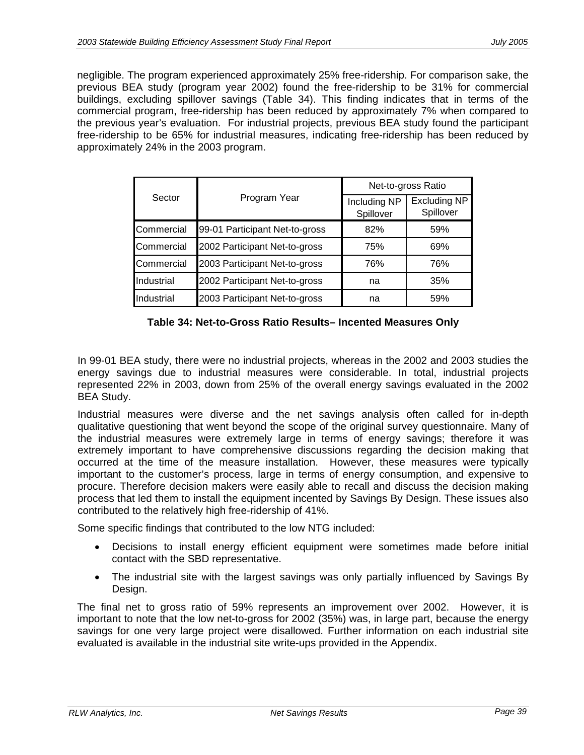negligible. The program experienced approximately 25% free-ridership. For comparison sake, the previous BEA study (program year 2002) found the free-ridership to be 31% for commercial buildings, excluding spillover savings (Table 34). This finding indicates that in terms of the commercial program, free-ridership has been reduced by approximately 7% when compared to the previous year's evaluation. For industrial projects, previous BEA study found the participant free-ridership to be 65% for industrial measures, indicating free-ridership has been reduced by approximately 24% in the 2003 program.

|            |                                |                           | Net-to-gross Ratio               |  |  |
|------------|--------------------------------|---------------------------|----------------------------------|--|--|
| Sector     | Program Year                   | Including NP<br>Spillover | <b>Excluding NP</b><br>Spillover |  |  |
| Commercial | 99-01 Participant Net-to-gross | 82%                       | 59%                              |  |  |
| Commercial | 2002 Participant Net-to-gross  | 75%                       | 69%                              |  |  |
| Commercial | 2003 Participant Net-to-gross  | 76%                       | 76%                              |  |  |
| Industrial | 2002 Participant Net-to-gross  | na                        | 35%                              |  |  |
| Industrial | 2003 Participant Net-to-gross  | na                        | 59%                              |  |  |

**Table 34: Net-to-Gross Ratio Results– Incented Measures Only** 

In 99-01 BEA study, there were no industrial projects, whereas in the 2002 and 2003 studies the energy savings due to industrial measures were considerable. In total, industrial projects represented 22% in 2003, down from 25% of the overall energy savings evaluated in the 2002 BEA Study.

Industrial measures were diverse and the net savings analysis often called for in-depth qualitative questioning that went beyond the scope of the original survey questionnaire. Many of the industrial measures were extremely large in terms of energy savings; therefore it was extremely important to have comprehensive discussions regarding the decision making that occurred at the time of the measure installation. However, these measures were typically important to the customer's process, large in terms of energy consumption, and expensive to procure. Therefore decision makers were easily able to recall and discuss the decision making process that led them to install the equipment incented by Savings By Design. These issues also contributed to the relatively high free-ridership of 41%.

Some specific findings that contributed to the low NTG included:

- Decisions to install energy efficient equipment were sometimes made before initial contact with the SBD representative.
- The industrial site with the largest savings was only partially influenced by Savings By Design.

The final net to gross ratio of 59% represents an improvement over 2002. However, it is important to note that the low net-to-gross for 2002 (35%) was, in large part, because the energy savings for one very large project were disallowed. Further information on each industrial site evaluated is available in the industrial site write-ups provided in the Appendix.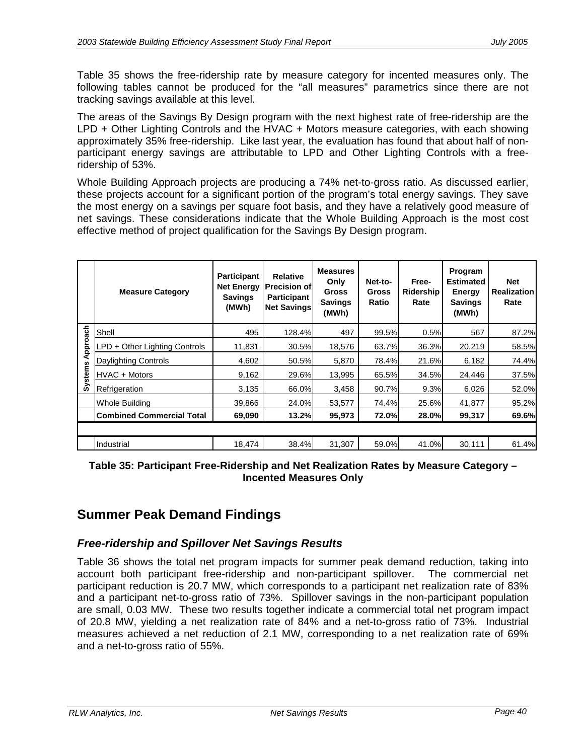Table 35 shows the free-ridership rate by measure category for incented measures only. The following tables cannot be produced for the "all measures" parametrics since there are not tracking savings available at this level.

The areas of the Savings By Design program with the next highest rate of free-ridership are the LPD + Other Lighting Controls and the HVAC + Motors measure categories, with each showing approximately 35% free-ridership. Like last year, the evaluation has found that about half of nonparticipant energy savings are attributable to LPD and Other Lighting Controls with a freeridership of 53%.

Whole Building Approach projects are producing a 74% net-to-gross ratio. As discussed earlier, these projects account for a significant portion of the program's total energy savings. They save the most energy on a savings per square foot basis, and they have a relatively good measure of net savings. These considerations indicate that the Whole Building Approach is the most cost effective method of project qualification for the Savings By Design program.

|                | <b>Measure Category</b>          | <b>Participant</b><br><b>Net Energy</b><br><b>Savings</b><br>(MWh) | <b>Relative</b><br>Precision of<br><b>Participant</b><br><b>Net Savings</b> | <b>Measures</b><br>Only<br><b>Gross</b><br><b>Savings</b><br>(MWh) | Net-to-<br><b>Gross</b><br>Ratio | Free-<br>Ridership<br>Rate | Program<br><b>Estimated</b><br>Energy<br><b>Savings</b><br>(MWh) | <b>Net</b><br><b>Realization</b><br>Rate |
|----------------|----------------------------------|--------------------------------------------------------------------|-----------------------------------------------------------------------------|--------------------------------------------------------------------|----------------------------------|----------------------------|------------------------------------------------------------------|------------------------------------------|
|                | Shell                            | 495                                                                | 128.4%                                                                      | 497                                                                | 99.5%                            | 0.5%                       | 567                                                              | 87.2%                                    |
| pproach        | LPD + Other Lighting Controls    | 11,831                                                             | 30.5%                                                                       | 18,576                                                             | 63.7%                            | 36.3%                      | 20,219                                                           | 58.5%                                    |
| ⋖              | Daylighting Controls             | 4,602                                                              | 50.5%                                                                       | 5,870                                                              | 78.4%                            | 21.6%                      | 6,182                                                            | 74.4%                                    |
| <b>Systems</b> | HVAC + Motors                    | 9,162                                                              | 29.6%                                                                       | 13,995                                                             | 65.5%                            | 34.5%                      | 24,446                                                           | 37.5%                                    |
|                | Refrigeration                    | 3,135                                                              | 66.0%                                                                       | 3,458                                                              | 90.7%                            | 9.3%                       | 6,026                                                            | 52.0%                                    |
|                | <b>Whole Building</b>            | 39,866                                                             | 24.0%                                                                       | 53,577                                                             | 74.4%                            | 25.6%                      | 41,877                                                           | 95.2%                                    |
|                | <b>Combined Commercial Total</b> | 69,090                                                             | 13.2%                                                                       | 95,973                                                             | 72.0%                            | 28.0%                      | 99,317                                                           | 69.6%                                    |
|                |                                  |                                                                    |                                                                             |                                                                    |                                  |                            |                                                                  |                                          |
|                | Industrial                       | 18,474                                                             | 38.4%                                                                       | 31,307                                                             | 59.0%                            | 41.0%                      | 30,111                                                           | 61.4%                                    |

### **Table 35: Participant Free-Ridership and Net Realization Rates by Measure Category – Incented Measures Only**

# **Summer Peak Demand Findings**

### *Free-ridership and Spillover Net Savings Results*

Table 36 shows the total net program impacts for summer peak demand reduction, taking into account both participant free-ridership and non-participant spillover. The commercial net participant reduction is 20.7 MW, which corresponds to a participant net realization rate of 83% and a participant net-to-gross ratio of 73%. Spillover savings in the non-participant population are small, 0.03 MW. These two results together indicate a commercial total net program impact of 20.8 MW, yielding a net realization rate of 84% and a net-to-gross ratio of 73%. Industrial measures achieved a net reduction of 2.1 MW, corresponding to a net realization rate of 69% and a net-to-gross ratio of 55%.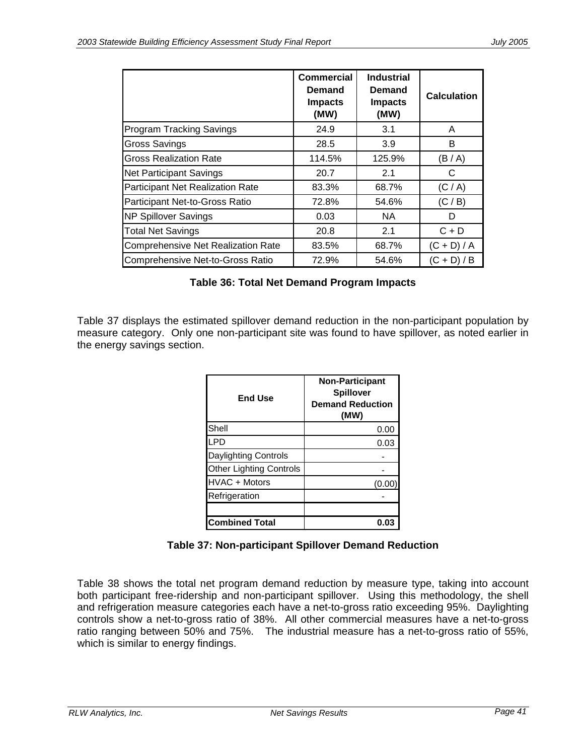|                                         | Commercial<br>Demand<br><b>Impacts</b><br>(MW) | <b>Industrial</b><br>Demand<br><b>Impacts</b><br>(MW) | <b>Calculation</b> |
|-----------------------------------------|------------------------------------------------|-------------------------------------------------------|--------------------|
| <b>Program Tracking Savings</b>         | 24.9                                           | 3.1                                                   | A                  |
| Gross Savings                           | 28.5                                           | 3.9                                                   | B                  |
| <b>Gross Realization Rate</b>           | 114.5%                                         | 125.9%                                                | (B/A)              |
| <b>Net Participant Savings</b>          | 20.7                                           | 2.1                                                   | C                  |
| <b>Participant Net Realization Rate</b> | 83.3%                                          | 68.7%                                                 | (C/A)              |
| Participant Net-to-Gross Ratio          | 72.8%                                          | 54.6%                                                 | (C / B)            |
| <b>NP Spillover Savings</b>             | 0.03                                           | NA.                                                   | D                  |
| <b>Total Net Savings</b>                | 20.8                                           | 2.1                                                   | $C + D$            |
| Comprehensive Net Realization Rate      | 83.5%                                          | 68.7%                                                 | $(C + D) / A$      |
| Comprehensive Net-to-Gross Ratio        | 72.9%                                          | 54.6%                                                 | $(C + D)/B$        |

| Table 36: Total Net Demand Program Impacts |  |  |  |  |  |
|--------------------------------------------|--|--|--|--|--|
|--------------------------------------------|--|--|--|--|--|

Table 37 displays the estimated spillover demand reduction in the non-participant population by measure category. Only one non-participant site was found to have spillover, as noted earlier in the energy savings section.

| <b>End Use</b>                 | <b>Non-Participant</b><br><b>Spillover</b><br><b>Demand Reduction</b><br>(MW) |
|--------------------------------|-------------------------------------------------------------------------------|
| Shell                          | 0.00                                                                          |
| LPD                            | 0.03                                                                          |
| <b>Daylighting Controls</b>    |                                                                               |
| <b>Other Lighting Controls</b> |                                                                               |
| HVAC + Motors                  | (0.00                                                                         |
| Refrigeration                  |                                                                               |
|                                |                                                                               |
| <b>Combined Total</b>          | 0.0                                                                           |

### **Table 37: Non-participant Spillover Demand Reduction**

Table 38 shows the total net program demand reduction by measure type, taking into account both participant free-ridership and non-participant spillover. Using this methodology, the shell and refrigeration measure categories each have a net-to-gross ratio exceeding 95%. Daylighting controls show a net-to-gross ratio of 38%. All other commercial measures have a net-to-gross ratio ranging between 50% and 75%. The industrial measure has a net-to-gross ratio of 55%, which is similar to energy findings.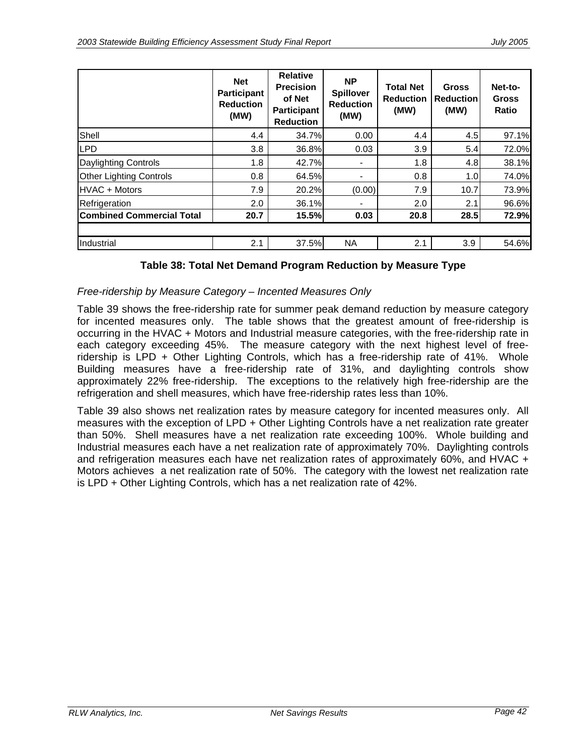|                                  | <b>Net</b><br><b>Participant</b><br><b>Reduction</b><br>(MW) | <b>Relative</b><br><b>Precision</b><br>of Net<br><b>Participant</b><br><b>Reduction</b> | <b>NP</b><br><b>Spillover</b><br><b>Reduction</b><br>(MW) | <b>Total Net</b><br><b>Reduction</b><br>(MW) | <b>Gross</b><br><b>Reduction</b><br>(MW) | Net-to-<br><b>Gross</b><br><b>Ratio</b> |
|----------------------------------|--------------------------------------------------------------|-----------------------------------------------------------------------------------------|-----------------------------------------------------------|----------------------------------------------|------------------------------------------|-----------------------------------------|
| Shell                            | 4.4                                                          | 34.7%                                                                                   | 0.00                                                      | 4.4                                          | 4.5                                      | 97.1%                                   |
| <b>LPD</b>                       | 3.8                                                          | 36.8%                                                                                   | 0.03                                                      | 3.9                                          | 5.4                                      | 72.0%                                   |
| <b>Daylighting Controls</b>      | 1.8                                                          | 42.7%                                                                                   |                                                           | 1.8                                          | 4.8                                      | 38.1%                                   |
| <b>Other Lighting Controls</b>   | 0.8                                                          | 64.5%                                                                                   |                                                           | 0.8                                          | 1.0 <sub>l</sub>                         | 74.0%                                   |
| <b>HVAC + Motors</b>             | 7.9                                                          | 20.2%                                                                                   | (0.00)                                                    | 7.9                                          | 10.7                                     | 73.9%                                   |
| Refrigeration                    | 2.0                                                          | 36.1%                                                                                   |                                                           | 2.0                                          | 2.1                                      | 96.6%                                   |
| <b>Combined Commercial Total</b> | 20.7                                                         | 15.5%                                                                                   | 0.03                                                      | 20.8                                         | 28.5                                     | 72.9%                                   |
|                                  |                                                              |                                                                                         |                                                           |                                              |                                          |                                         |
| Industrial                       | 2.1                                                          | 37.5%                                                                                   | <b>NA</b>                                                 | 2.1                                          | 3.9                                      | 54.6%                                   |

#### **Table 38: Total Net Demand Program Reduction by Measure Type**

#### *Free-ridership by Measure Category – Incented Measures Only*

Table 39 shows the free-ridership rate for summer peak demand reduction by measure category for incented measures only. The table shows that the greatest amount of free-ridership is occurring in the HVAC + Motors and Industrial measure categories, with the free-ridership rate in each category exceeding 45%. The measure category with the next highest level of freeridership is LPD + Other Lighting Controls, which has a free-ridership rate of 41%. Whole Building measures have a free-ridership rate of 31%, and daylighting controls show approximately 22% free-ridership. The exceptions to the relatively high free-ridership are the refrigeration and shell measures, which have free-ridership rates less than 10%.

Table 39 also shows net realization rates by measure category for incented measures only. All measures with the exception of LPD + Other Lighting Controls have a net realization rate greater than 50%. Shell measures have a net realization rate exceeding 100%. Whole building and Industrial measures each have a net realization rate of approximately 70%. Daylighting controls and refrigeration measures each have net realization rates of approximately 60%, and HVAC + Motors achieves a net realization rate of 50%. The category with the lowest net realization rate is LPD + Other Lighting Controls, which has a net realization rate of 42%.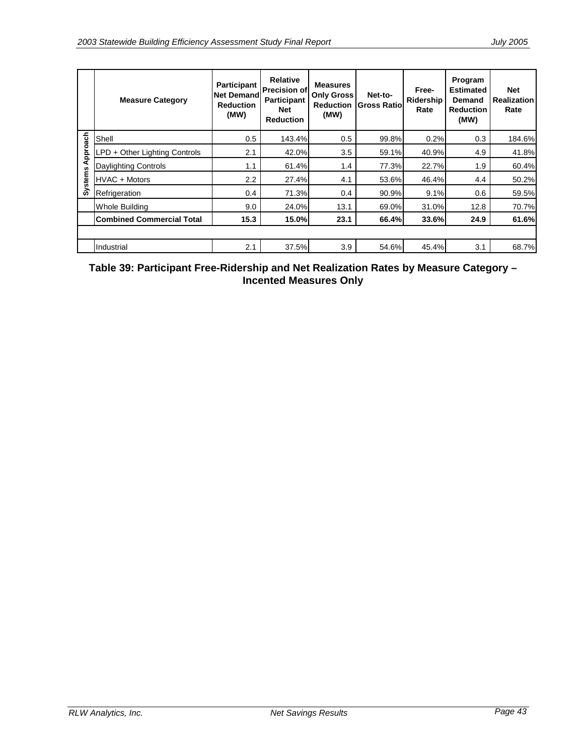|         | <b>Measure Category</b>          | <b>Participant</b><br><b>Net Demandl</b><br><b>Reduction</b><br>(MW) | <b>Relative</b><br><b>Precision of</b><br><b>Participant</b><br><b>Net</b><br><b>Reduction</b> | <b>Measures</b><br><b>Only Gross</b><br><b>Reduction</b><br>(MW) | Net-to-<br><b>Gross Ratiol</b> | Free-<br>Ridership<br>Rate | Program<br><b>Estimated</b><br>Demand<br><b>Reduction</b><br>(MW) | <b>Net</b><br><b>Realization</b><br>Rate |
|---------|----------------------------------|----------------------------------------------------------------------|------------------------------------------------------------------------------------------------|------------------------------------------------------------------|--------------------------------|----------------------------|-------------------------------------------------------------------|------------------------------------------|
|         | Shell                            | 0.5                                                                  | 143.4%                                                                                         | 0.5                                                              | 99.8%                          | 0.2%                       | 0.3                                                               | 184.6%                                   |
| pproach | LPD + Other Lighting Controls    | 2.1                                                                  | 42.0%                                                                                          | 3.5                                                              | 59.1%                          | 40.9%                      | 4.9                                                               | 41.8%                                    |
| ₹       | <b>Daylighting Controls</b>      | 1.1                                                                  | 61.4%                                                                                          | 1.4                                                              | 77.3%                          | 22.7%                      | 1.9                                                               | 60.4%                                    |
| stems   | HVAC + Motors                    | 2.2                                                                  | 27.4%                                                                                          | 4.1                                                              | 53.6%                          | 46.4%                      | 4.4                                                               | 50.2%                                    |
| ä       | Refrigeration                    | 0.4                                                                  | 71.3%                                                                                          | 0.4                                                              | 90.9%                          | 9.1%                       | 0.6                                                               | 59.5%                                    |
|         | <b>Whole Building</b>            | 9.0                                                                  | 24.0%                                                                                          | 13.1                                                             | 69.0%                          | 31.0%                      | 12.8                                                              | 70.7%                                    |
|         | <b>Combined Commercial Total</b> | 15.3                                                                 | 15.0%                                                                                          | 23.1                                                             | 66.4%                          | 33.6%                      | 24.9                                                              | 61.6%                                    |
|         |                                  |                                                                      |                                                                                                |                                                                  |                                |                            |                                                                   |                                          |
|         | Industrial                       | 2.1                                                                  | 37.5%                                                                                          | 3.9                                                              | 54.6%                          | 45.4%                      | 3.1                                                               | 68.7%                                    |

### **Table 39: Participant Free-Ridership and Net Realization Rates by Measure Category – Incented Measures Only**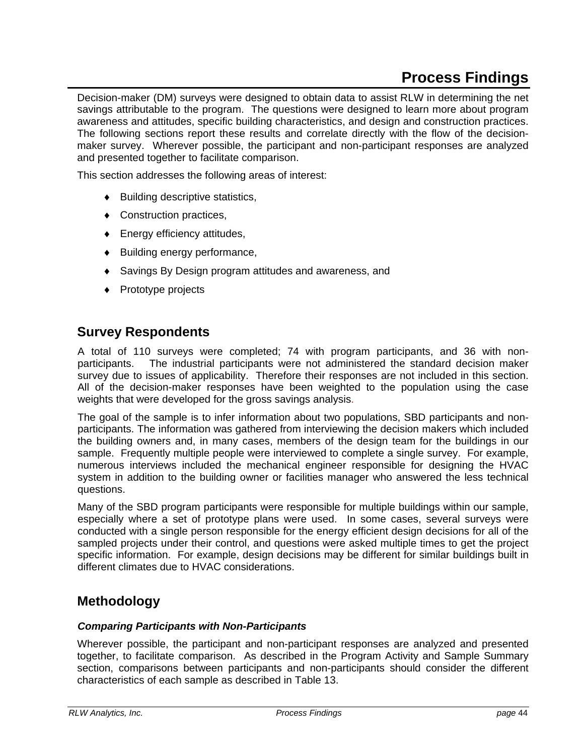# **Process Findings**

Decision-maker (DM) surveys were designed to obtain data to assist RLW in determining the net savings attributable to the program. The questions were designed to learn more about program awareness and attitudes, specific building characteristics, and design and construction practices. The following sections report these results and correlate directly with the flow of the decisionmaker survey. Wherever possible, the participant and non-participant responses are analyzed and presented together to facilitate comparison.

This section addresses the following areas of interest:

- ♦ Building descriptive statistics,
- ♦ Construction practices,
- ♦ Energy efficiency attitudes,
- ♦ Building energy performance,
- ♦ Savings By Design program attitudes and awareness, and
- ♦ Prototype projects

## **Survey Respondents**

A total of 110 surveys were completed; 74 with program participants, and 36 with nonparticipants. The industrial participants were not administered the standard decision maker survey due to issues of applicability. Therefore their responses are not included in this section. All of the decision-maker responses have been weighted to the population using the case weights that were developed for the gross savings analysis.

The goal of the sample is to infer information about two populations, SBD participants and nonparticipants. The information was gathered from interviewing the decision makers which included the building owners and, in many cases, members of the design team for the buildings in our sample. Frequently multiple people were interviewed to complete a single survey. For example, numerous interviews included the mechanical engineer responsible for designing the HVAC system in addition to the building owner or facilities manager who answered the less technical questions.

Many of the SBD program participants were responsible for multiple buildings within our sample, especially where a set of prototype plans were used. In some cases, several surveys were conducted with a single person responsible for the energy efficient design decisions for all of the sampled projects under their control, and questions were asked multiple times to get the project specific information. For example, design decisions may be different for similar buildings built in different climates due to HVAC considerations.

# **Methodology**

#### *Comparing Participants with Non-Participants*

Wherever possible, the participant and non-participant responses are analyzed and presented together, to facilitate comparison. As described in the Program Activity and Sample Summary section, comparisons between participants and non-participants should consider the different characteristics of each sample as described in Table 13.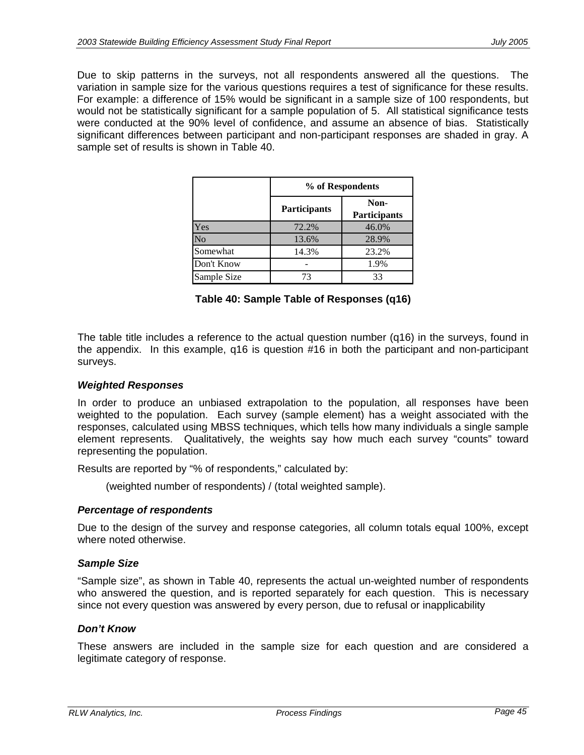Due to skip patterns in the surveys, not all respondents answered all the questions. The variation in sample size for the various questions requires a test of significance for these results. For example: a difference of 15% would be significant in a sample size of 100 respondents, but would not be statistically significant for a sample population of 5. All statistical significance tests were conducted at the 90% level of confidence, and assume an absence of bias. Statistically significant differences between participant and non-participant responses are shaded in gray. A sample set of results is shown in Table 40.

|             | % of Respondents    |                             |  |  |  |
|-------------|---------------------|-----------------------------|--|--|--|
|             | <b>Participants</b> | Non-<br><b>Participants</b> |  |  |  |
| Yes         | 72.2%               | 46.0%                       |  |  |  |
| No          | 13.6%               | 28.9%                       |  |  |  |
| Somewhat    | 14.3%               | 23.2%                       |  |  |  |
| Don't Know  |                     | 1.9%                        |  |  |  |
| Sample Size | 73                  | 33                          |  |  |  |

**Table 40: Sample Table of Responses (q16)** 

The table title includes a reference to the actual question number (q16) in the surveys, found in the appendix. In this example, q16 is question #16 in both the participant and non-participant surveys.

#### *Weighted Responses*

In order to produce an unbiased extrapolation to the population, all responses have been weighted to the population. Each survey (sample element) has a weight associated with the responses, calculated using MBSS techniques, which tells how many individuals a single sample element represents. Qualitatively, the weights say how much each survey "counts" toward representing the population.

Results are reported by "% of respondents," calculated by:

(weighted number of respondents) / (total weighted sample).

#### *Percentage of respondents*

Due to the design of the survey and response categories, all column totals equal 100%, except where noted otherwise.

#### *Sample Size*

"Sample size", as shown in Table 40, represents the actual un-weighted number of respondents who answered the question, and is reported separately for each question. This is necessary since not every question was answered by every person, due to refusal or inapplicability

#### *Don't Know*

These answers are included in the sample size for each question and are considered a legitimate category of response.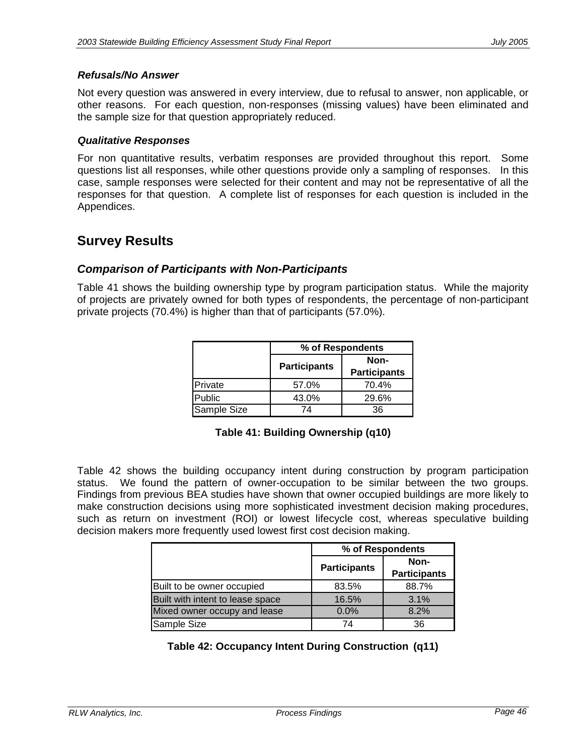#### *Refusals/No Answer*

Not every question was answered in every interview, due to refusal to answer, non applicable, or other reasons. For each question, non-responses (missing values) have been eliminated and the sample size for that question appropriately reduced.

#### *Qualitative Responses*

For non quantitative results, verbatim responses are provided throughout this report. Some questions list all responses, while other questions provide only a sampling of responses. In this case, sample responses were selected for their content and may not be representative of all the responses for that question. A complete list of responses for each question is included in the Appendices.

# **Survey Results**

### *Comparison of Participants with Non-Participants*

Table 41 shows the building ownership type by program participation status. While the majority of projects are privately owned for both types of respondents, the percentage of non-participant private projects (70.4%) is higher than that of participants (57.0%).

|             | % of Respondents    |                     |  |  |  |
|-------------|---------------------|---------------------|--|--|--|
|             | <b>Participants</b> | Non-                |  |  |  |
|             |                     | <b>Participants</b> |  |  |  |
| Private     | 57.0%               | 70.4%               |  |  |  |
| lPublic     | 43.0%               | 29.6%               |  |  |  |
| Sample Size | 74                  | 36                  |  |  |  |

### **Table 41: Building Ownership (q10)**

Table 42 shows the building occupancy intent during construction by program participation status. We found the pattern of owner-occupation to be similar between the two groups. Findings from previous BEA studies have shown that owner occupied buildings are more likely to make construction decisions using more sophisticated investment decision making procedures, such as return on investment (ROI) or lowest lifecycle cost, whereas speculative building decision makers more frequently used lowest first cost decision making.

|                                  | % of Respondents    |                             |
|----------------------------------|---------------------|-----------------------------|
|                                  | <b>Participants</b> | Non-<br><b>Participants</b> |
| Built to be owner occupied       | 83.5%               | 88.7%                       |
| Built with intent to lease space | 16.5%               | 3.1%                        |
| Mixed owner occupy and lease     | 0.0%                | 8.2%                        |
| Sample Size                      | 74                  | 36                          |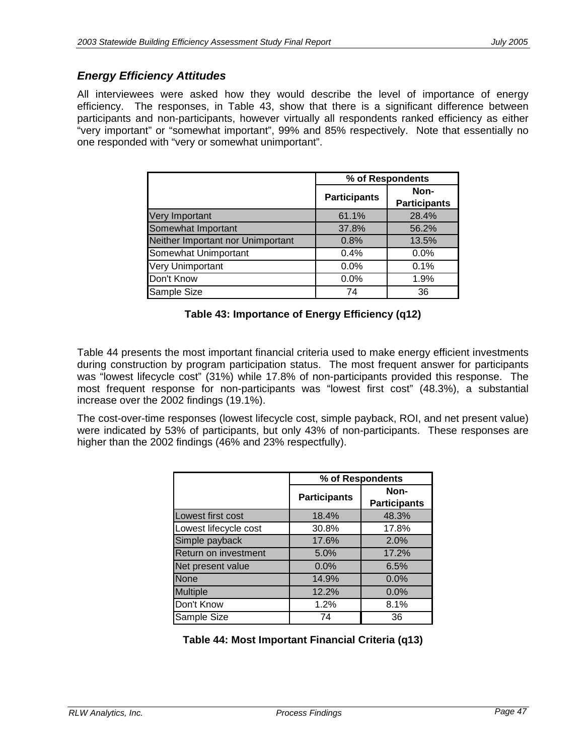### *Energy Efficiency Attitudes*

All interviewees were asked how they would describe the level of importance of energy efficiency. The responses, in Table 43, show that there is a significant difference between participants and non-participants, however virtually all respondents ranked efficiency as either "very important" or "somewhat important", 99% and 85% respectively. Note that essentially no one responded with "very or somewhat unimportant".

|                                   | % of Respondents    |                     |
|-----------------------------------|---------------------|---------------------|
|                                   | <b>Participants</b> | Non-                |
|                                   |                     | <b>Participants</b> |
| <b>Very Important</b>             | 61.1%               | 28.4%               |
| Somewhat Important                | 37.8%               | 56.2%               |
| Neither Important nor Unimportant | 0.8%                | 13.5%               |
| Somewhat Unimportant              | 0.4%                | 0.0%                |
| <b>Very Unimportant</b>           | 0.0%                | 0.1%                |
| Don't Know                        | $0.0\%$             | 1.9%                |
| Sample Size                       | 74                  | 36                  |

### **Table 43: Importance of Energy Efficiency (q12)**

Table 44 presents the most important financial criteria used to make energy efficient investments during construction by program participation status. The most frequent answer for participants was "lowest lifecycle cost" (31%) while 17.8% of non-participants provided this response. The most frequent response for non-participants was "lowest first cost" (48.3%), a substantial increase over the 2002 findings (19.1%).

The cost-over-time responses (lowest lifecycle cost, simple payback, ROI, and net present value) were indicated by 53% of participants, but only 43% of non-participants. These responses are higher than the 2002 findings (46% and 23% respectfully).

|                       | % of Respondents    |                     |
|-----------------------|---------------------|---------------------|
|                       | <b>Participants</b> | Non-                |
|                       |                     | <b>Participants</b> |
| Lowest first cost     | 18.4%               | 48.3%               |
| Lowest lifecycle cost | 30.8%               | 17.8%               |
| Simple payback        | 17.6%               | 2.0%                |
| Return on investment  | 5.0%                | 17.2%               |
| Net present value     | 0.0%                | 6.5%                |
| <b>None</b>           | 14.9%               | 0.0%                |
| <b>Multiple</b>       | 12.2%               | 0.0%                |
| Don't Know            | 1.2%                | 8.1%                |
| Sample Size           | 74                  | 36                  |

### **Table 44: Most Important Financial Criteria (q13)**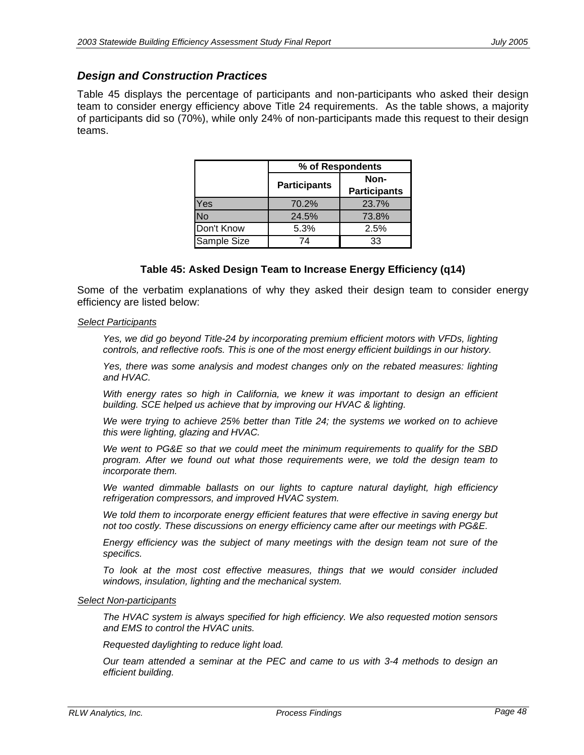### *Design and Construction Practices*

Table 45 displays the percentage of participants and non-participants who asked their design team to consider energy efficiency above Title 24 requirements. As the table shows, a majority of participants did so (70%), while only 24% of non-participants made this request to their design teams.

|             | % of Respondents    |                             |  |
|-------------|---------------------|-----------------------------|--|
|             | <b>Participants</b> | Non-<br><b>Participants</b> |  |
| Yes         | 70.2%               | 23.7%                       |  |
| <b>No</b>   | 24.5%               | 73.8%                       |  |
| Don't Know  | 5.3%                | 2.5%                        |  |
| Sample Size | 74                  | 33                          |  |

#### **Table 45: Asked Design Team to Increase Energy Efficiency (q14)**

Some of the verbatim explanations of why they asked their design team to consider energy efficiency are listed below:

#### *Select Participants*

Yes, we did go beyond Title-24 by incorporating premium efficient motors with VFDs, lighting *controls, and reflective roofs. This is one of the most energy efficient buildings in our history.*

Yes, there was some analysis and modest changes only on the rebated measures: lighting *and HVAC.* 

*With energy rates so high in California, we knew it was important to design an efficient building. SCE helped us achieve that by improving our HVAC & lighting.* 

*We were trying to achieve 25% better than Title 24; the systems we worked on to achieve this were lighting, glazing and HVAC.* 

*We went to PG&E so that we could meet the minimum requirements to qualify for the SBD program. After we found out what those requirements were, we told the design team to incorporate them.*

*We wanted dimmable ballasts on our lights to capture natural daylight, high efficiency refrigeration compressors, and improved HVAC system.*

*We told them to incorporate energy efficient features that were effective in saving energy but not too costly. These discussions on energy efficiency came after our meetings with PG&E.*

*Energy efficiency was the subject of many meetings with the design team not sure of the specifics.*

*To look at the most cost effective measures, things that we would consider included windows, insulation, lighting and the mechanical system.*

#### *Select Non-participants*

*The HVAC system is always specified for high efficiency. We also requested motion sensors and EMS to control the HVAC units.*

*Requested daylighting to reduce light load.*

*Our team attended a seminar at the PEC and came to us with 3-4 methods to design an efficient building.*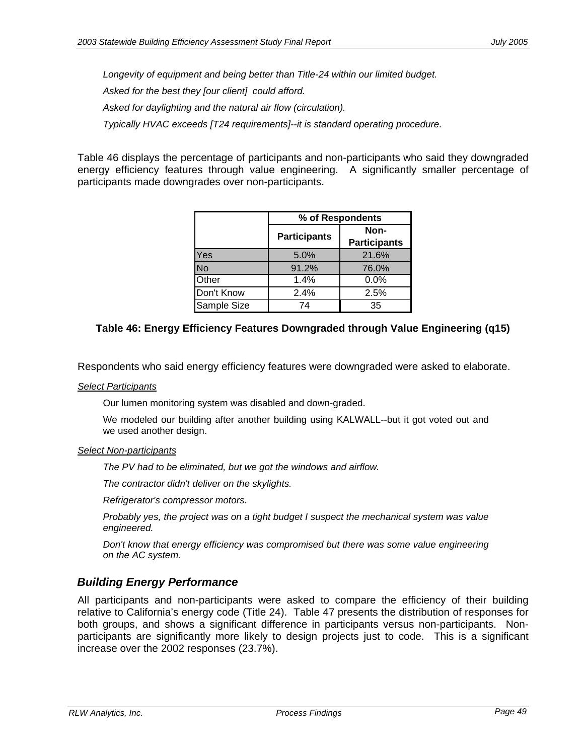*Longevity of equipment and being better than Title-24 within our limited budget.*

*Asked for the best they [our client] could afford.* 

*Asked for daylighting and the natural air flow (circulation).*

*Typically HVAC exceeds [T24 requirements]--it is standard operating procedure.* 

Table 46 displays the percentage of participants and non-participants who said they downgraded energy efficiency features through value engineering. A significantly smaller percentage of participants made downgrades over non-participants.

|              | % of Respondents    |                             |  |
|--------------|---------------------|-----------------------------|--|
|              | <b>Participants</b> | Non-<br><b>Participants</b> |  |
| <b>Yes</b>   | 5.0%                | 21.6%                       |  |
| <b>No</b>    | 91.2%               | 76.0%                       |  |
| <b>Other</b> | 1.4%                | 0.0%                        |  |
| Don't Know   | 2.4%                | 2.5%                        |  |
| Sample Size  | 74                  | 35                          |  |

### **Table 46: Energy Efficiency Features Downgraded through Value Engineering (q15)**

Respondents who said energy efficiency features were downgraded were asked to elaborate.

#### *Select Participants*

Our lumen monitoring system was disabled and down-graded.

We modeled our building after another building using KALWALL--but it got voted out and we used another design.

#### *Select Non-participants*

*The PV had to be eliminated, but we got the windows and airflow.*

*The contractor didn't deliver on the skylights.*

*Refrigerator's compressor motors.*

*Probably yes, the project was on a tight budget I suspect the mechanical system was value engineered.*

*Don't know that energy efficiency was compromised but there was some value engineering on the AC system.* 

### *Building Energy Performance*

All participants and non-participants were asked to compare the efficiency of their building relative to California's energy code (Title 24). Table 47 presents the distribution of responses for both groups, and shows a significant difference in participants versus non-participants. Nonparticipants are significantly more likely to design projects just to code. This is a significant increase over the 2002 responses (23.7%).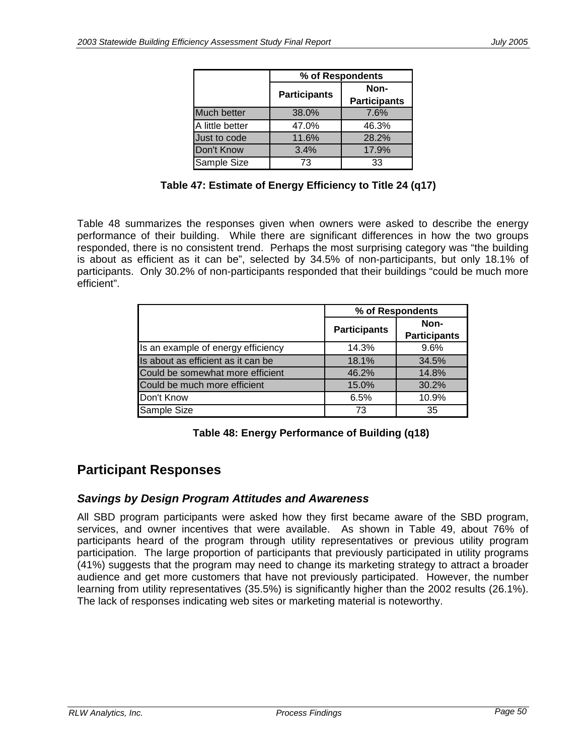|                 | % of Respondents    |                             |  |
|-----------------|---------------------|-----------------------------|--|
|                 | <b>Participants</b> | Non-<br><b>Participants</b> |  |
| Much better     | 38.0%               | 7.6%                        |  |
| A little better | 47.0%               | 46.3%                       |  |
| Just to code    | 11.6%               | 28.2%                       |  |
| Don't Know      | 3.4%                | 17.9%                       |  |
| Sample Size     | 73                  | 33                          |  |

Table 48 summarizes the responses given when owners were asked to describe the energy performance of their building. While there are significant differences in how the two groups responded, there is no consistent trend. Perhaps the most surprising category was "the building is about as efficient as it can be", selected by 34.5% of non-participants, but only 18.1% of participants. Only 30.2% of non-participants responded that their buildings "could be much more efficient".

|                                    | % of Respondents    |                             |
|------------------------------------|---------------------|-----------------------------|
|                                    | <b>Participants</b> | Non-<br><b>Participants</b> |
| Is an example of energy efficiency | 14.3%               | 9.6%                        |
| Is about as efficient as it can be | 18.1%               | 34.5%                       |
| Could be somewhat more efficient   | 46.2%               | 14.8%                       |
| Could be much more efficient       | 15.0%               | 30.2%                       |
| Don't Know                         | 6.5%                | 10.9%                       |
| Sample Size                        | 73                  | 35                          |

**Table 48: Energy Performance of Building (q18)** 

# **Participant Responses**

### *Savings by Design Program Attitudes and Awareness*

All SBD program participants were asked how they first became aware of the SBD program, services, and owner incentives that were available. As shown in Table 49, about 76% of participants heard of the program through utility representatives or previous utility program participation. The large proportion of participants that previously participated in utility programs (41%) suggests that the program may need to change its marketing strategy to attract a broader audience and get more customers that have not previously participated. However, the number learning from utility representatives (35.5%) is significantly higher than the 2002 results (26.1%). The lack of responses indicating web sites or marketing material is noteworthy.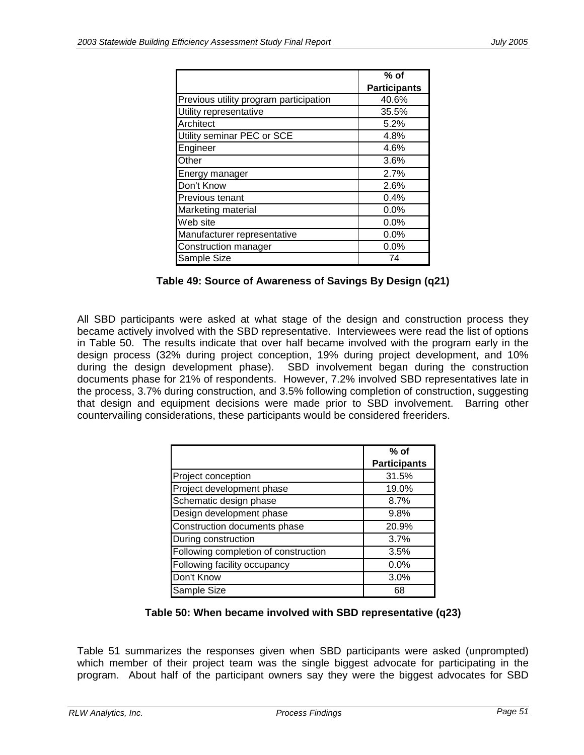|                                        | $%$ of              |
|----------------------------------------|---------------------|
|                                        | <b>Participants</b> |
| Previous utility program participation | 40.6%               |
| Utility representative                 | 35.5%               |
| Architect                              | 5.2%                |
| Utility seminar PEC or SCE             | 4.8%                |
| Engineer                               | 4.6%                |
| Other                                  | 3.6%                |
| Energy manager                         | 2.7%                |
| Don't Know                             | 2.6%                |
| Previous tenant                        | 0.4%                |
| Marketing material                     | 0.0%                |
| Web site                               | 0.0%                |
| Manufacturer representative            | 0.0%                |
| Construction manager                   | 0.0%                |
| Sample Size                            | 74                  |

| Table 49: Source of Awareness of Savings By Design (q21) |  |  |  |  |
|----------------------------------------------------------|--|--|--|--|
|----------------------------------------------------------|--|--|--|--|

All SBD participants were asked at what stage of the design and construction process they became actively involved with the SBD representative. Interviewees were read the list of options in Table 50. The results indicate that over half became involved with the program early in the design process (32% during project conception, 19% during project development, and 10% during the design development phase). SBD involvement began during the construction documents phase for 21% of respondents. However, 7.2% involved SBD representatives late in the process, 3.7% during construction, and 3.5% following completion of construction, suggesting that design and equipment decisions were made prior to SBD involvement. Barring other countervailing considerations, these participants would be considered freeriders.

|                                      | $%$ of              |
|--------------------------------------|---------------------|
|                                      | <b>Participants</b> |
| Project conception                   | 31.5%               |
| Project development phase            | 19.0%               |
| Schematic design phase               | 8.7%                |
| Design development phase             | 9.8%                |
| Construction documents phase         | 20.9%               |
| During construction                  | 3.7%                |
| Following completion of construction | 3.5%                |
| Following facility occupancy         | 0.0%                |
| Don't Know                           | 3.0%                |
| Sample Size                          | 68                  |

### **Table 50: When became involved with SBD representative (q23)**

Table 51 summarizes the responses given when SBD participants were asked (unprompted) which member of their project team was the single biggest advocate for participating in the program. About half of the participant owners say they were the biggest advocates for SBD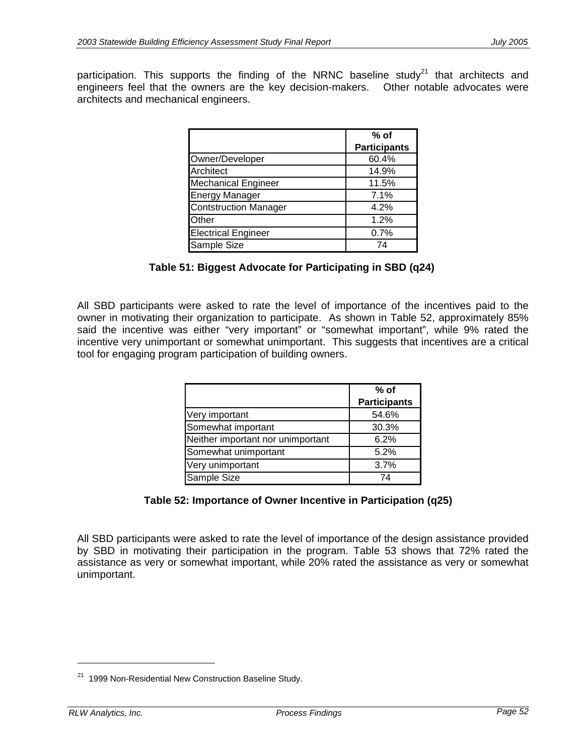participation. This supports the finding of the NRNC baseline study<sup>21</sup> that architects and engineers feel that the owners are the key decision-makers. Other notable advocates were architects and mechanical engineers.

|                              | $%$ of              |
|------------------------------|---------------------|
|                              | <b>Participants</b> |
| Owner/Developer              | 60.4%               |
| Architect                    | 14.9%               |
| <b>Mechanical Engineer</b>   | 11.5%               |
| <b>Energy Manager</b>        | 7.1%                |
| <b>Contstruction Manager</b> | 4.2%                |
| Other                        | 1.2%                |
| <b>Electrical Engineer</b>   | 0.7%                |
| Sample Size                  | 74                  |

### **Table 51: Biggest Advocate for Participating in SBD (q24)**

All SBD participants were asked to rate the level of importance of the incentives paid to the owner in motivating their organization to participate. As shown in Table 52, approximately 85% said the incentive was either "very important" or "somewhat important", while 9% rated the incentive very unimportant or somewhat unimportant. This suggests that incentives are a critical tool for engaging program participation of building owners.

|                                   | $%$ of<br><b>Participants</b> |
|-----------------------------------|-------------------------------|
| Very important                    | 54.6%                         |
| Somewhat important                | 30.3%                         |
| Neither important nor unimportant | 6.2%                          |
| Somewhat unimportant              | 5.2%                          |
| Very unimportant                  | 3.7%                          |
| Sample Size                       | 74                            |

### **Table 52: Importance of Owner Incentive in Participation (q25)**

All SBD participants were asked to rate the level of importance of the design assistance provided by SBD in motivating their participation in the program. Table 53 shows that 72% rated the assistance as very or somewhat important, while 20% rated the assistance as very or somewhat unimportant.

-

<sup>&</sup>lt;sup>21</sup> 1999 Non-Residential New Construction Baseline Study.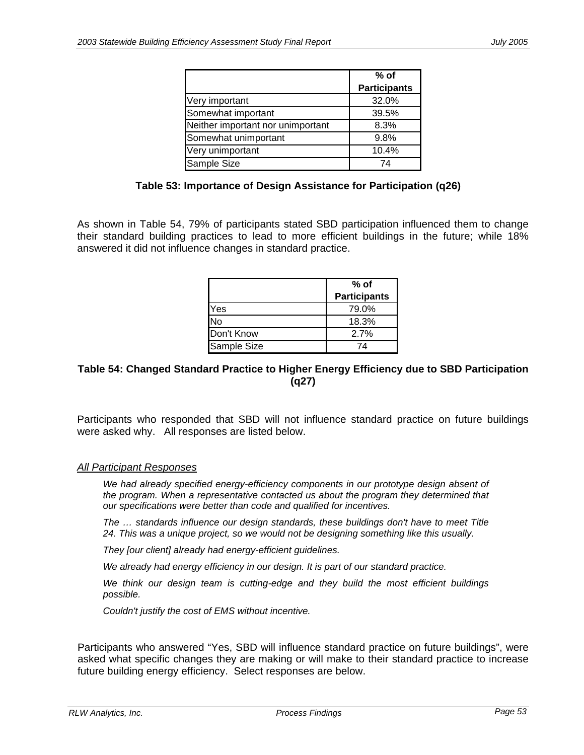|                                   | $%$ of              |
|-----------------------------------|---------------------|
|                                   | <b>Participants</b> |
| Very important                    | 32.0%               |
| Somewhat important                | 39.5%               |
| Neither important nor unimportant | 8.3%                |
| Somewhat unimportant              | 9.8%                |
| Very unimportant                  | 10.4%               |
| Sample Size                       | 74                  |

#### **Table 53: Importance of Design Assistance for Participation (q26)**

As shown in Table 54, 79% of participants stated SBD participation influenced them to change their standard building practices to lead to more efficient buildings in the future; while 18% answered it did not influence changes in standard practice.

|             | $%$ of              |
|-------------|---------------------|
|             | <b>Participants</b> |
| Yes         | 79.0%               |
| No          | 18.3%               |
| Don't Know  | 2.7%                |
| Sample Size | 74                  |

### **Table 54: Changed Standard Practice to Higher Energy Efficiency due to SBD Participation (q27)**

Participants who responded that SBD will not influence standard practice on future buildings were asked why. All responses are listed below.

#### *All Participant Responses*

We had already specified energy-efficiency components in our prototype design absent of *the program. When a representative contacted us about the program they determined that our specifications were better than code and qualified for incentives.*

*The … standards influence our design standards, these buildings don't have to meet Title 24. This was a unique project, so we would not be designing something like this usually.*

*They [our client] already had energy-efficient guidelines.* 

*We already had energy efficiency in our design. It is part of our standard practice.*

*We think our design team is cutting-edge and they build the most efficient buildings possible.*

*Couldn't justify the cost of EMS without incentive.* 

Participants who answered "Yes, SBD will influence standard practice on future buildings", were asked what specific changes they are making or will make to their standard practice to increase future building energy efficiency. Select responses are below.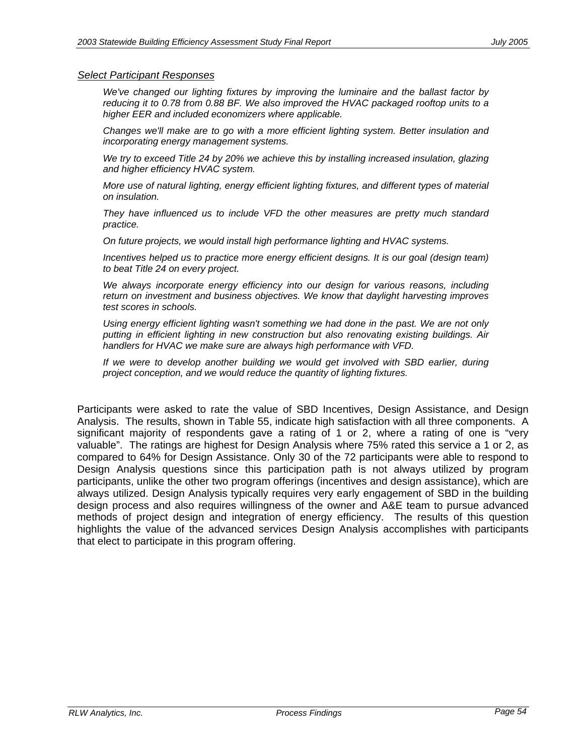#### *Select Participant Responses*

*We've changed our lighting fixtures by improving the luminaire and the ballast factor by reducing it to 0.78 from 0.88 BF. We also improved the HVAC packaged rooftop units to a higher EER and included economizers where applicable.*

*Changes we'll make are to go with a more efficient lighting system. Better insulation and incorporating energy management systems.*

*We try to exceed Title 24 by 20% we achieve this by installing increased insulation, glazing and higher efficiency HVAC system.*

*More use of natural lighting, energy efficient lighting fixtures, and different types of material on insulation.*

*They have influenced us to include VFD the other measures are pretty much standard practice.*

*On future projects, we would install high performance lighting and HVAC systems.*

*Incentives helped us to practice more energy efficient designs. It is our goal (design team) to beat Title 24 on every project.*

*We always incorporate energy efficiency into our design for various reasons, including return on investment and business objectives. We know that daylight harvesting improves test scores in schools.*

*Using energy efficient lighting wasn't something we had done in the past. We are not only putting in efficient lighting in new construction but also renovating existing buildings. Air handlers for HVAC we make sure are always high performance with VFD.*

*If we were to develop another building we would get involved with SBD earlier, during project conception, and we would reduce the quantity of lighting fixtures.* 

Participants were asked to rate the value of SBD Incentives, Design Assistance, and Design Analysis. The results, shown in Table 55, indicate high satisfaction with all three components. A significant majority of respondents gave a rating of 1 or 2, where a rating of one is "very valuable". The ratings are highest for Design Analysis where 75% rated this service a 1 or 2, as compared to 64% for Design Assistance. Only 30 of the 72 participants were able to respond to Design Analysis questions since this participation path is not always utilized by program participants, unlike the other two program offerings (incentives and design assistance), which are always utilized. Design Analysis typically requires very early engagement of SBD in the building design process and also requires willingness of the owner and A&E team to pursue advanced methods of project design and integration of energy efficiency. The results of this question highlights the value of the advanced services Design Analysis accomplishes with participants that elect to participate in this program offering.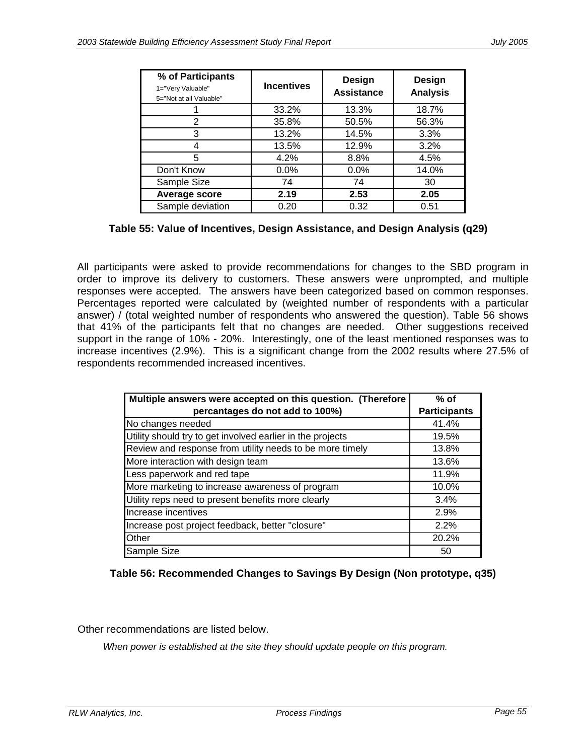| % of Participants<br>1="Very Valuable"<br>5="Not at all Valuable" | <b>Incentives</b> | Design<br><b>Assistance</b> | Design<br><b>Analysis</b> |
|-------------------------------------------------------------------|-------------------|-----------------------------|---------------------------|
|                                                                   | 33.2%             | 13.3%                       | 18.7%                     |
| 2                                                                 | 35.8%             | 50.5%                       | 56.3%                     |
| 3                                                                 | 13.2%             | 14.5%                       | 3.3%                      |
|                                                                   | 13.5%             | 12.9%                       | 3.2%                      |
| 5                                                                 | 4.2%              | 8.8%                        | 4.5%                      |
| Don't Know                                                        | 0.0%              | $0.0\%$                     | 14.0%                     |
| Sample Size                                                       | 74                | 74                          | 30                        |
| Average score                                                     | 2.19              | 2.53                        | 2.05                      |
| Sample deviation                                                  | 0.20              | 0.32                        | 0.51                      |

**Table 55: Value of Incentives, Design Assistance, and Design Analysis (q29)** 

All participants were asked to provide recommendations for changes to the SBD program in order to improve its delivery to customers. These answers were unprompted, and multiple responses were accepted. The answers have been categorized based on common responses. Percentages reported were calculated by (weighted number of respondents with a particular answer) / (total weighted number of respondents who answered the question). Table 56 shows that 41% of the participants felt that no changes are needed. Other suggestions received support in the range of 10% - 20%. Interestingly, one of the least mentioned responses was to increase incentives (2.9%). This is a significant change from the 2002 results where 27.5% of respondents recommended increased incentives.

| Multiple answers were accepted on this question. (Therefore | $%$ of              |
|-------------------------------------------------------------|---------------------|
| percantages do not add to 100%)                             | <b>Participants</b> |
| No changes needed                                           | 41.4%               |
| Utility should try to get involved earlier in the projects  | 19.5%               |
| Review and response from utility needs to be more timely    | 13.8%               |
| More interaction with design team                           | 13.6%               |
| Less paperwork and red tape                                 | 11.9%               |
| More marketing to increase awareness of program             | 10.0%               |
| Utility reps need to present benefits more clearly          | 3.4%                |
| Increase incentives                                         | 2.9%                |
| Increase post project feedback, better "closure"            | 2.2%                |
| <b>Other</b>                                                | 20.2%               |
| Sample Size                                                 | 50                  |

**Table 56: Recommended Changes to Savings By Design (Non prototype, q35)** 

Other recommendations are listed below.

*When power is established at the site they should update people on this program.*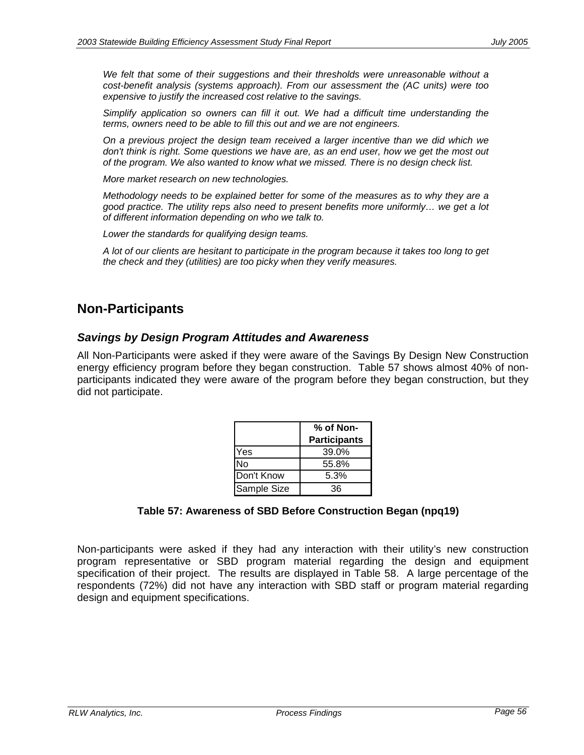*We felt that some of their suggestions and their thresholds were unreasonable without a cost-benefit analysis (systems approach). From our assessment the (AC units) were too expensive to justify the increased cost relative to the savings.*

*Simplify application so owners can fill it out. We had a difficult time understanding the terms, owners need to be able to fill this out and we are not engineers.*

*On a previous project the design team received a larger incentive than we did which we don't think is right. Some questions we have are, as an end user, how we get the most out of the program. We also wanted to know what we missed. There is no design check list.* 

*More market research on new technologies.*

*Methodology needs to be explained better for some of the measures as to why they are a good practice. The utility reps also need to present benefits more uniformly… we get a lot of different information depending on who we talk to.*

*Lower the standards for qualifying design teams.*

*A lot of our clients are hesitant to participate in the program because it takes too long to get the check and they (utilities) are too picky when they verify measures.*

## **Non-Participants**

#### *Savings by Design Program Attitudes and Awareness*

All Non-Participants were asked if they were aware of the Savings By Design New Construction energy efficiency program before they began construction. Table 57 shows almost 40% of nonparticipants indicated they were aware of the program before they began construction, but they did not participate.

|             | % of Non-           |  |
|-------------|---------------------|--|
|             | <b>Participants</b> |  |
| Yes         | 39.0%               |  |
| N٥          | 55.8%               |  |
| Don't Know  | 5.3%                |  |
| Sample Size | 36                  |  |

#### **Table 57: Awareness of SBD Before Construction Began (npq19)**

Non-participants were asked if they had any interaction with their utility's new construction program representative or SBD program material regarding the design and equipment specification of their project. The results are displayed in Table 58. A large percentage of the respondents (72%) did not have any interaction with SBD staff or program material regarding design and equipment specifications.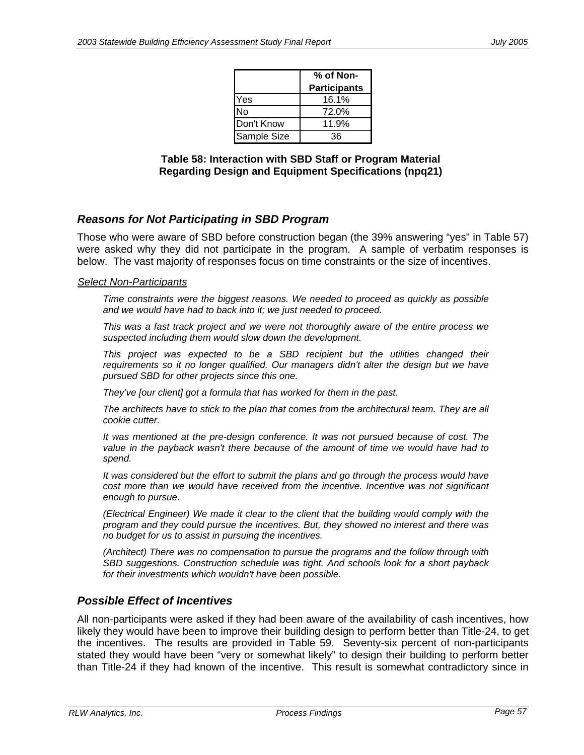|             | % of Non-           |  |
|-------------|---------------------|--|
|             | <b>Participants</b> |  |
| Yes         | 16.1%               |  |
| No          | 72.0%               |  |
| Don't Know  | 11.9%               |  |
| Sample Size | 36                  |  |

**Table 58: Interaction with SBD Staff or Program Material Regarding Design and Equipment Specifications (npq21)** 

### *Reasons for Not Participating in SBD Program*

Those who were aware of SBD before construction began (the 39% answering "yes" in Table 57) were asked why they did not participate in the program. A sample of verbatim responses is below. The vast majority of responses focus on time constraints or the size of incentives.

#### *Select Non-Participants*

*Time constraints were the biggest reasons. We needed to proceed as quickly as possible and we would have had to back into it; we just needed to proceed.*

*This was a fast track project and we were not thoroughly aware of the entire process we suspected including them would slow down the development.*

*This project was expected to be a SBD recipient but the utilities changed their* requirements so it no longer qualified. Our managers didn't alter the design but we have *pursued SBD for other projects since this one.*

*They've [our client] got a formula that has worked for them in the past.* 

*The architects have to stick to the plan that comes from the architectural team. They are all cookie cutter.*

*It was mentioned at the pre-design conference. It was not pursued because of cost. The value in the payback wasn't there because of the amount of time we would have had to spend.*

*It was considered but the effort to submit the plans and go through the process would have cost more than we would have received from the incentive. Incentive was not significant enough to pursue.*

*(Electrical Engineer) We made it clear to the client that the building would comply with the program and they could pursue the incentives. But, they showed no interest and there was no budget for us to assist in pursuing the incentives.*

*(Architect) There was no compensation to pursue the programs and the follow through with SBD suggestions. Construction schedule was tight. And schools look for a short payback for their investments which wouldn't have been possible.*

### *Possible Effect of Incentives*

All non-participants were asked if they had been aware of the availability of cash incentives, how likely they would have been to improve their building design to perform better than Title-24, to get the incentives. The results are provided in Table 59. Seventy-six percent of non-participants stated they would have been "very or somewhat likely" to design their building to perform better than Title-24 if they had known of the incentive. This result is somewhat contradictory since in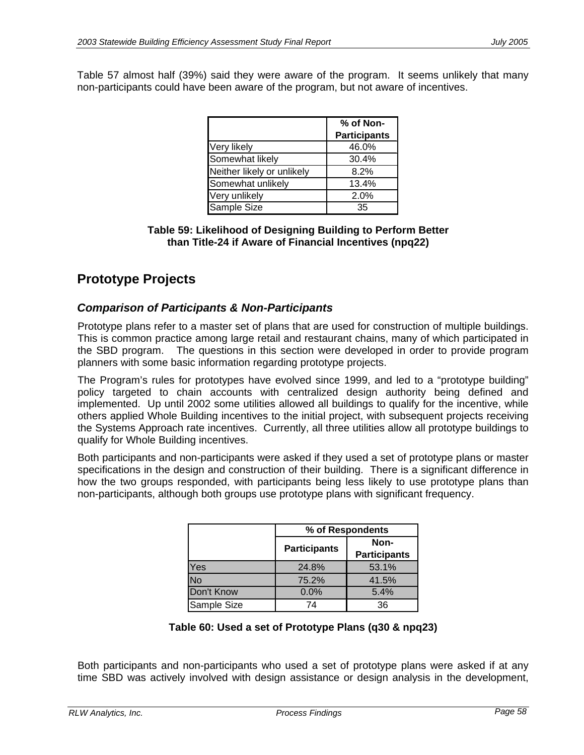Table 57 almost half (39%) said they were aware of the program. It seems unlikely that many non-participants could have been aware of the program, but not aware of incentives.

|                            | % of Non-           |
|----------------------------|---------------------|
|                            | <b>Participants</b> |
| Very likely                | 46.0%               |
| Somewhat likely            | 30.4%               |
| Neither likely or unlikely | 8.2%                |
| Somewhat unlikely          | 13.4%               |
| Very unlikely              | 2.0%                |
| Sample Size                | 35                  |

#### **Table 59: Likelihood of Designing Building to Perform Better than Title-24 if Aware of Financial Incentives (npq22)**

# **Prototype Projects**

### *Comparison of Participants & Non-Participants*

Prototype plans refer to a master set of plans that are used for construction of multiple buildings. This is common practice among large retail and restaurant chains, many of which participated in the SBD program. The questions in this section were developed in order to provide program planners with some basic information regarding prototype projects.

The Program's rules for prototypes have evolved since 1999, and led to a "prototype building" policy targeted to chain accounts with centralized design authority being defined and implemented. Up until 2002 some utilities allowed all buildings to qualify for the incentive, while others applied Whole Building incentives to the initial project, with subsequent projects receiving the Systems Approach rate incentives. Currently, all three utilities allow all prototype buildings to qualify for Whole Building incentives.

Both participants and non-participants were asked if they used a set of prototype plans or master specifications in the design and construction of their building. There is a significant difference in how the two groups responded, with participants being less likely to use prototype plans than non-participants, although both groups use prototype plans with significant frequency.

|             | % of Respondents    |                             |
|-------------|---------------------|-----------------------------|
|             | <b>Participants</b> | Non-<br><b>Participants</b> |
| Yes         | 24.8%               | 53.1%                       |
| No          | 75.2%               | 41.5%                       |
| Don't Know  | 0.0%                | 5.4%                        |
| Sample Size | 74                  | 36                          |

### **Table 60: Used a set of Prototype Plans (q30 & npq23)**

Both participants and non-participants who used a set of prototype plans were asked if at any time SBD was actively involved with design assistance or design analysis in the development,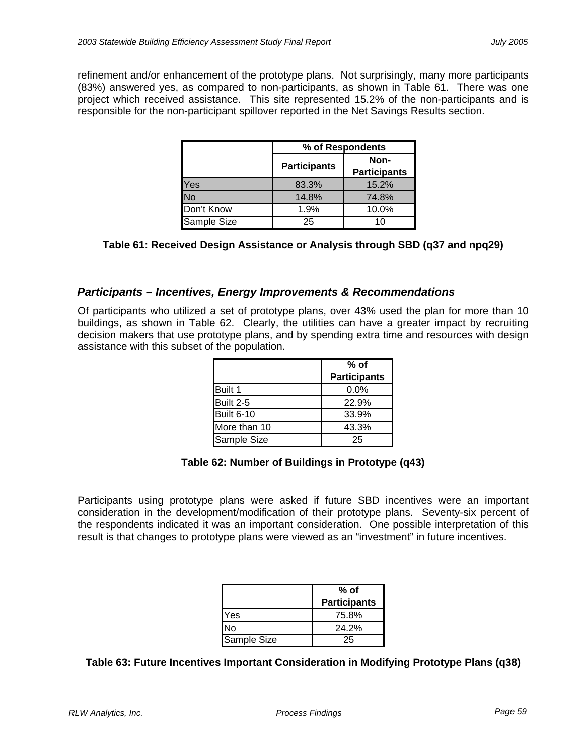refinement and/or enhancement of the prototype plans. Not surprisingly, many more participants (83%) answered yes, as compared to non-participants, as shown in Table 61. There was one project which received assistance. This site represented 15.2% of the non-participants and is responsible for the non-participant spillover reported in the Net Savings Results section.

|             | % of Respondents    |                             |
|-------------|---------------------|-----------------------------|
|             | <b>Participants</b> | Non-<br><b>Participants</b> |
| Yes         | 83.3%               | 15.2%                       |
| <b>No</b>   | 14.8%               | 74.8%                       |
| Don't Know  | 1.9%                | 10.0%                       |
| Sample Size | 25                  | 10                          |

**Table 61: Received Design Assistance or Analysis through SBD (q37 and npq29)** 

### *Participants – Incentives, Energy Improvements & Recommendations*

Of participants who utilized a set of prototype plans, over 43% used the plan for more than 10 buildings, as shown in Table 62. Clearly, the utilities can have a greater impact by recruiting decision makers that use prototype plans, and by spending extra time and resources with design assistance with this subset of the population.

|              | % of                |
|--------------|---------------------|
|              | <b>Participants</b> |
| Built 1      | $0.0\%$             |
| Built 2-5    | 22.9%               |
| Built 6-10   | 33.9%               |
| More than 10 | 43.3%               |
| Sample Size  | 25                  |

#### **Table 62: Number of Buildings in Prototype (q43)**

Participants using prototype plans were asked if future SBD incentives were an important consideration in the development/modification of their prototype plans. Seventy-six percent of the respondents indicated it was an important consideration. One possible interpretation of this result is that changes to prototype plans were viewed as an "investment" in future incentives.

|             | % of                |
|-------------|---------------------|
|             | <b>Participants</b> |
| lYes        | 75.8%               |
| No          | 24.2%               |
| Sample Size | 25                  |

**Table 63: Future Incentives Important Consideration in Modifying Prototype Plans (q38)**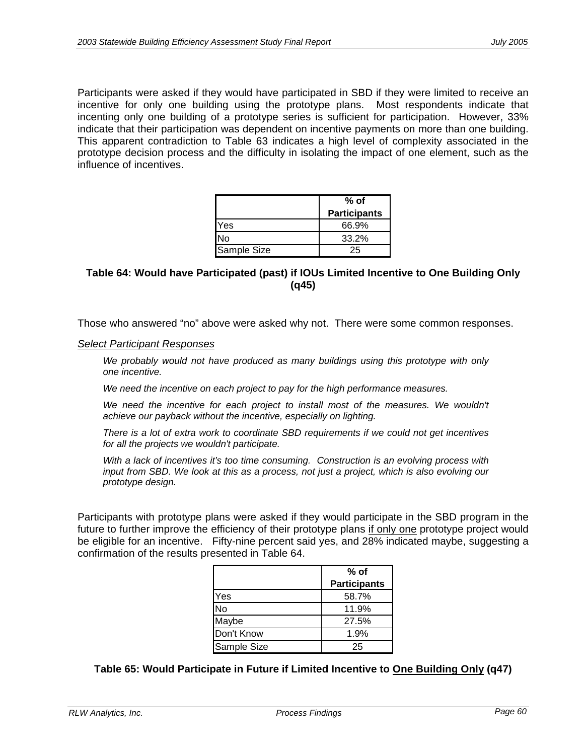Participants were asked if they would have participated in SBD if they were limited to receive an incentive for only one building using the prototype plans. Most respondents indicate that incenting only one building of a prototype series is sufficient for participation. However, 33% indicate that their participation was dependent on incentive payments on more than one building. This apparent contradiction to Table 63 indicates a high level of complexity associated in the prototype decision process and the difficulty in isolating the impact of one element, such as the influence of incentives.

|             | % of                |
|-------------|---------------------|
|             | <b>Participants</b> |
| Yes         | 66.9%               |
| N٥          | 33.2%               |
| Sample Size | 25                  |

#### **Table 64: Would have Participated (past) if IOUs Limited Incentive to One Building Only (q45)**

Those who answered "no" above were asked why not. There were some common responses.

#### *Select Participant Responses*

We probably would not have produced as many buildings using this prototype with only *one incentive.* 

*We need the incentive on each project to pay for the high performance measures.* 

We need the incentive for each project to install most of the measures. We wouldn't *achieve our payback without the incentive, especially on lighting.* 

*There is a lot of extra work to coordinate SBD requirements if we could not get incentives for all the projects we wouldn't participate.* 

*With a lack of incentives it's too time consuming. Construction is an evolving process with*  input from SBD. We look at this as a process, not just a project, which is also evolving our *prototype design.* 

Participants with prototype plans were asked if they would participate in the SBD program in the future to further improve the efficiency of their prototype plans if only one prototype project would be eligible for an incentive. Fifty-nine percent said yes, and 28% indicated maybe, suggesting a confirmation of the results presented in Table 64.

|             | % of                |
|-------------|---------------------|
|             | <b>Participants</b> |
| Yes         | 58.7%               |
| No          | 11.9%               |
| Maybe       | 27.5%               |
| Don't Know  | 1.9%                |
| Sample Size | 25                  |

#### **Table 65: Would Participate in Future if Limited Incentive to One Building Only (q47)**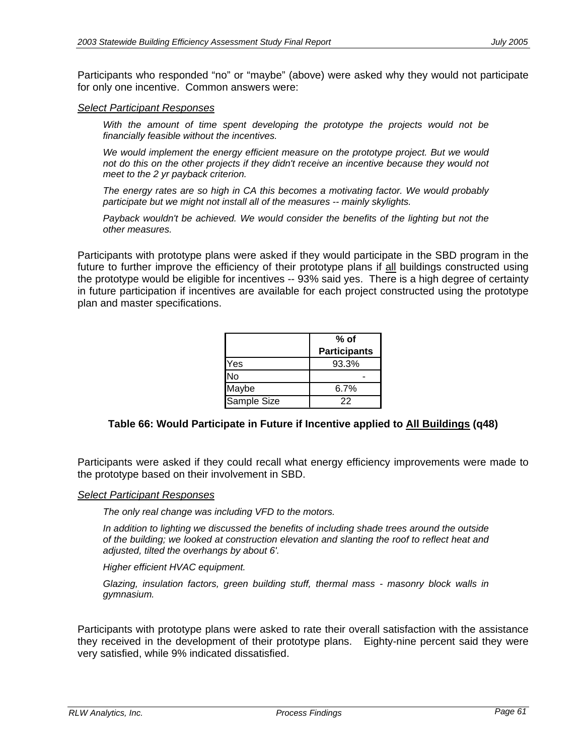Participants who responded "no" or "maybe" (above) were asked why they would not participate for only one incentive. Common answers were:

#### *Select Participant Responses*

With the amount of time spent developing the prototype the projects would not be *financially feasible without the incentives.*

*We would implement the energy efficient measure on the prototype project. But we would not do this on the other projects if they didn't receive an incentive because they would not meet to the 2 yr payback criterion.* 

*The energy rates are so high in CA this becomes a motivating factor. We would probably participate but we might not install all of the measures -- mainly skylights.* 

*Payback wouldn't be achieved. We would consider the benefits of the lighting but not the other measures.* 

Participants with prototype plans were asked if they would participate in the SBD program in the future to further improve the efficiency of their prototype plans if all buildings constructed using the prototype would be eligible for incentives -- 93% said yes. There is a high degree of certainty in future participation if incentives are available for each project constructed using the prototype plan and master specifications.

|             | % of<br><b>Participants</b> |
|-------------|-----------------------------|
| Yes         | 93.3%                       |
| No          |                             |
| Maybe       | 6.7%                        |
| Sample Size | 22                          |

### **Table 66: Would Participate in Future if Incentive applied to All Buildings (q48)**

Participants were asked if they could recall what energy efficiency improvements were made to the prototype based on their involvement in SBD.

#### *Select Participant Responses*

*The only real change was including VFD to the motors.*

*In addition to lighting we discussed the benefits of including shade trees around the outside of the building; we looked at construction elevation and slanting the roof to reflect heat and adjusted, tilted the overhangs by about 6'.*

*Higher efficient HVAC equipment.*

*Glazing, insulation factors, green building stuff, thermal mass - masonry block walls in gymnasium.*

Participants with prototype plans were asked to rate their overall satisfaction with the assistance they received in the development of their prototype plans. Eighty-nine percent said they were very satisfied, while 9% indicated dissatisfied.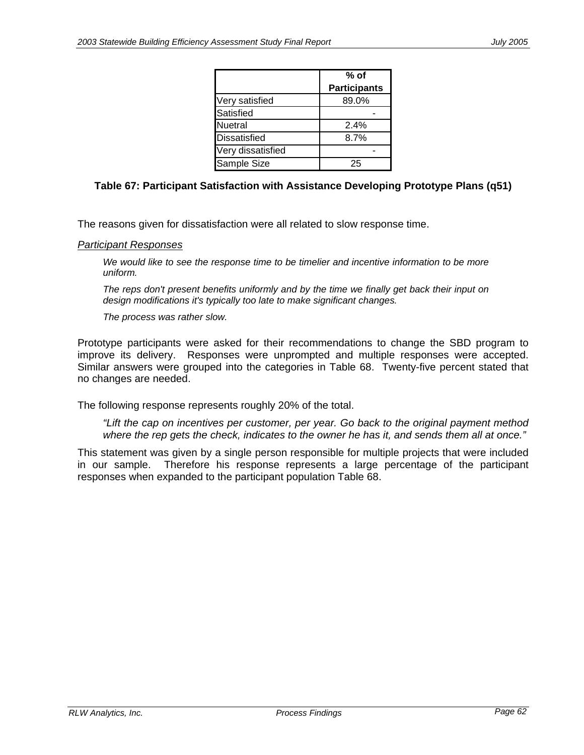|                     | % of                |
|---------------------|---------------------|
|                     | <b>Participants</b> |
| Very satisfied      | 89.0%               |
| Satisfied           |                     |
| Nuetral             | 2.4%                |
| <b>Dissatisfied</b> | 8.7%                |
| Very dissatisfied   |                     |
| Sample Size         | 25                  |

#### **Table 67: Participant Satisfaction with Assistance Developing Prototype Plans (q51)**

The reasons given for dissatisfaction were all related to slow response time.

#### *Participant Responses*

*We would like to see the response time to be timelier and incentive information to be more uniform.*

*The reps don't present benefits uniformly and by the time we finally get back their input on design modifications it's typically too late to make significant changes.*

*The process was rather slow.*

Prototype participants were asked for their recommendations to change the SBD program to improve its delivery. Responses were unprompted and multiple responses were accepted. Similar answers were grouped into the categories in Table 68. Twenty-five percent stated that no changes are needed.

The following response represents roughly 20% of the total.

*"Lift the cap on incentives per customer, per year. Go back to the original payment method where the rep gets the check, indicates to the owner he has it, and sends them all at once."* 

This statement was given by a single person responsible for multiple projects that were included in our sample. Therefore his response represents a large percentage of the participant responses when expanded to the participant population Table 68.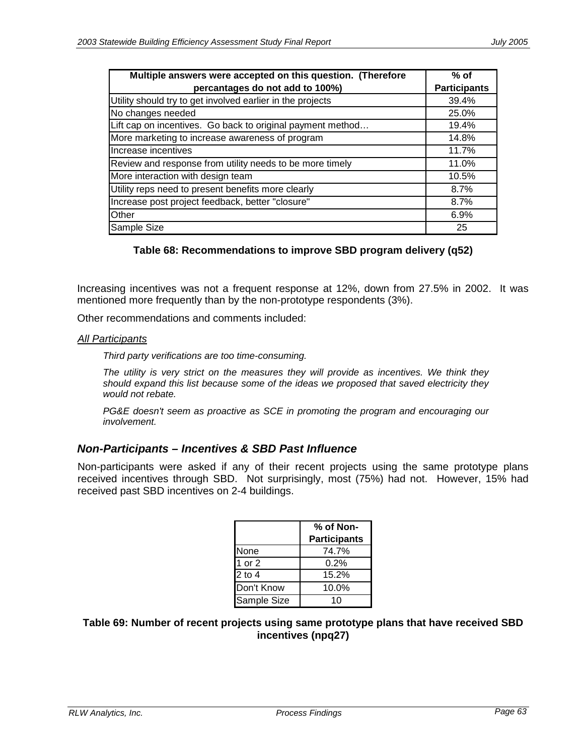| Multiple answers were accepted on this question. (Therefore | $%$ of              |
|-------------------------------------------------------------|---------------------|
| percantages do not add to 100%)                             | <b>Participants</b> |
| Utility should try to get involved earlier in the projects  | 39.4%               |
| No changes needed                                           | 25.0%               |
| Lift cap on incentives. Go back to original payment method  | 19.4%               |
| More marketing to increase awareness of program             | 14.8%               |
| Increase incentives                                         | 11.7%               |
| Review and response from utility needs to be more timely    | 11.0%               |
| More interaction with design team                           | 10.5%               |
| Utility reps need to present benefits more clearly          | 8.7%                |
| Increase post project feedback, better "closure"            | 8.7%                |
| Other                                                       | 6.9%                |
| Sample Size                                                 | 25                  |

#### **Table 68: Recommendations to improve SBD program delivery (q52)**

Increasing incentives was not a frequent response at 12%, down from 27.5% in 2002. It was mentioned more frequently than by the non-prototype respondents (3%).

Other recommendations and comments included:

#### *All Participants*

*Third party verifications are too time-consuming.*

*The utility is very strict on the measures they will provide as incentives. We think they should expand this list because some of the ideas we proposed that saved electricity they would not rebate.*

*PG&E doesn't seem as proactive as SCE in promoting the program and encouraging our involvement.*

#### *Non-Participants – Incentives & SBD Past Influence*

Non-participants were asked if any of their recent projects using the same prototype plans received incentives through SBD. Not surprisingly, most (75%) had not. However, 15% had received past SBD incentives on 2-4 buildings.

|             | % of Non-           |
|-------------|---------------------|
|             | <b>Participants</b> |
| None        | 74.7%               |
| 1 or 2      | 0.2%                |
| $2$ to $4$  | 15.2%               |
| Don't Know  | 10.0%               |
| Sample Size | 10                  |

**Table 69: Number of recent projects using same prototype plans that have received SBD incentives (npq27)**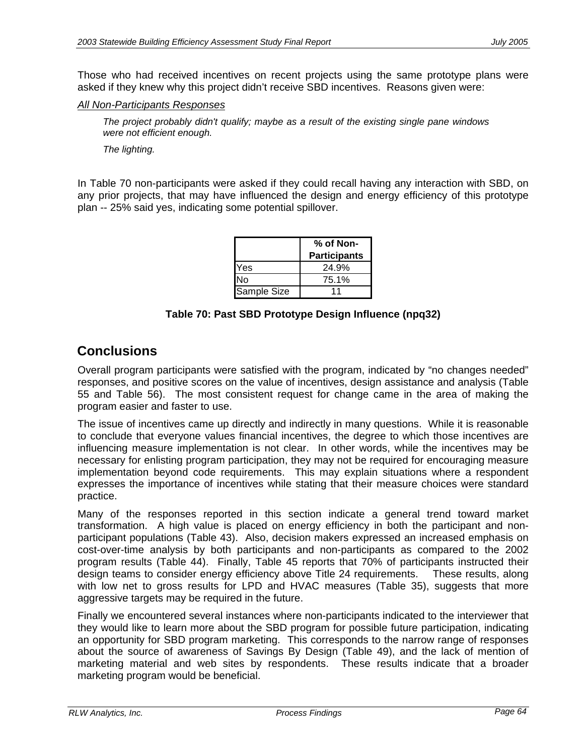Those who had received incentives on recent projects using the same prototype plans were asked if they knew why this project didn't receive SBD incentives. Reasons given were:

#### *All Non-Participants Responses*

*The project probably didn't qualify; maybe as a result of the existing single pane windows were not efficient enough.* 

*The lighting.* 

In Table 70 non-participants were asked if they could recall having any interaction with SBD, on any prior projects, that may have influenced the design and energy efficiency of this prototype plan -- 25% said yes, indicating some potential spillover.

|             | % of Non-           |
|-------------|---------------------|
|             | <b>Participants</b> |
| Yes         | 24.9%               |
| N٥          | 75.1%               |
| Sample Size | 11                  |

#### **Table 70: Past SBD Prototype Design Influence (npq32)**

### **Conclusions**

Overall program participants were satisfied with the program, indicated by "no changes needed" responses, and positive scores on the value of incentives, design assistance and analysis (Table 55 and Table 56). The most consistent request for change came in the area of making the program easier and faster to use.

The issue of incentives came up directly and indirectly in many questions. While it is reasonable to conclude that everyone values financial incentives, the degree to which those incentives are influencing measure implementation is not clear. In other words, while the incentives may be necessary for enlisting program participation, they may not be required for encouraging measure implementation beyond code requirements. This may explain situations where a respondent expresses the importance of incentives while stating that their measure choices were standard practice.

Many of the responses reported in this section indicate a general trend toward market transformation. A high value is placed on energy efficiency in both the participant and nonparticipant populations (Table 43). Also, decision makers expressed an increased emphasis on cost-over-time analysis by both participants and non-participants as compared to the 2002 program results (Table 44). Finally, Table 45 reports that 70% of participants instructed their design teams to consider energy efficiency above Title 24 requirements. These results, along with low net to gross results for LPD and HVAC measures (Table 35), suggests that more aggressive targets may be required in the future.

Finally we encountered several instances where non-participants indicated to the interviewer that they would like to learn more about the SBD program for possible future participation, indicating an opportunity for SBD program marketing. This corresponds to the narrow range of responses about the source of awareness of Savings By Design (Table 49), and the lack of mention of marketing material and web sites by respondents. These results indicate that a broader marketing program would be beneficial.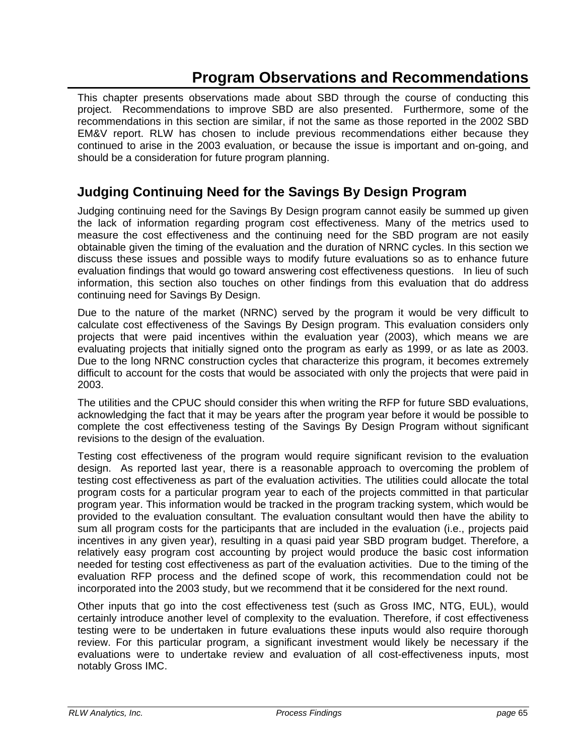# **Program Observations and Recommendations**

This chapter presents observations made about SBD through the course of conducting this project. Recommendations to improve SBD are also presented. Furthermore, some of the recommendations in this section are similar, if not the same as those reported in the 2002 SBD EM&V report. RLW has chosen to include previous recommendations either because they continued to arise in the 2003 evaluation, or because the issue is important and on-going, and should be a consideration for future program planning.

# **Judging Continuing Need for the Savings By Design Program**

Judging continuing need for the Savings By Design program cannot easily be summed up given the lack of information regarding program cost effectiveness. Many of the metrics used to measure the cost effectiveness and the continuing need for the SBD program are not easily obtainable given the timing of the evaluation and the duration of NRNC cycles. In this section we discuss these issues and possible ways to modify future evaluations so as to enhance future evaluation findings that would go toward answering cost effectiveness questions. In lieu of such information, this section also touches on other findings from this evaluation that do address continuing need for Savings By Design.

Due to the nature of the market (NRNC) served by the program it would be very difficult to calculate cost effectiveness of the Savings By Design program. This evaluation considers only projects that were paid incentives within the evaluation year (2003), which means we are evaluating projects that initially signed onto the program as early as 1999, or as late as 2003. Due to the long NRNC construction cycles that characterize this program, it becomes extremely difficult to account for the costs that would be associated with only the projects that were paid in 2003.

The utilities and the CPUC should consider this when writing the RFP for future SBD evaluations, acknowledging the fact that it may be years after the program year before it would be possible to complete the cost effectiveness testing of the Savings By Design Program without significant revisions to the design of the evaluation.

Testing cost effectiveness of the program would require significant revision to the evaluation design. As reported last year, there is a reasonable approach to overcoming the problem of testing cost effectiveness as part of the evaluation activities. The utilities could allocate the total program costs for a particular program year to each of the projects committed in that particular program year. This information would be tracked in the program tracking system, which would be provided to the evaluation consultant. The evaluation consultant would then have the ability to sum all program costs for the participants that are included in the evaluation (i.e., projects paid incentives in any given year), resulting in a quasi paid year SBD program budget. Therefore, a relatively easy program cost accounting by project would produce the basic cost information needed for testing cost effectiveness as part of the evaluation activities. Due to the timing of the evaluation RFP process and the defined scope of work, this recommendation could not be incorporated into the 2003 study, but we recommend that it be considered for the next round.

Other inputs that go into the cost effectiveness test (such as Gross IMC, NTG, EUL), would certainly introduce another level of complexity to the evaluation. Therefore, if cost effectiveness testing were to be undertaken in future evaluations these inputs would also require thorough review. For this particular program, a significant investment would likely be necessary if the evaluations were to undertake review and evaluation of all cost-effectiveness inputs, most notably Gross IMC.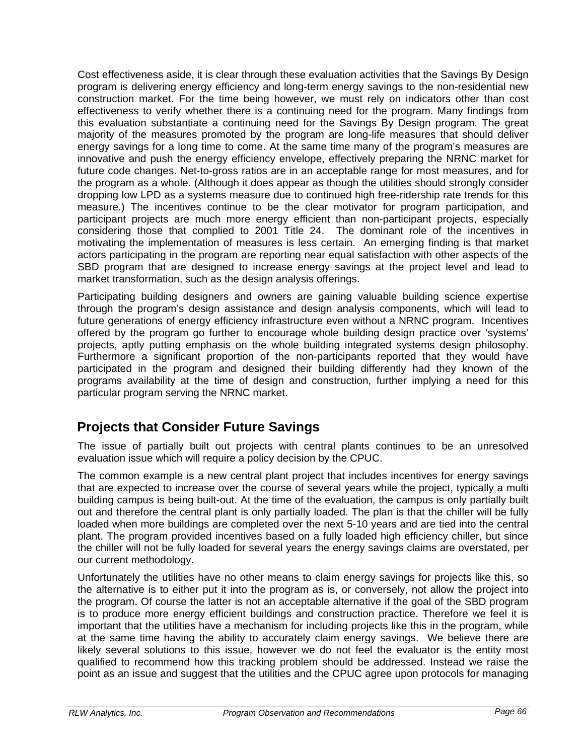Cost effectiveness aside, it is clear through these evaluation activities that the Savings By Design program is delivering energy efficiency and long-term energy savings to the non-residential new construction market. For the time being however, we must rely on indicators other than cost effectiveness to verify whether there is a continuing need for the program. Many findings from this evaluation substantiate a continuing need for the Savings By Design program. The great majority of the measures promoted by the program are long-life measures that should deliver energy savings for a long time to come. At the same time many of the program's measures are innovative and push the energy efficiency envelope, effectively preparing the NRNC market for future code changes. Net-to-gross ratios are in an acceptable range for most measures, and for the program as a whole. (Although it does appear as though the utilities should strongly consider dropping low LPD as a systems measure due to continued high free-ridership rate trends for this measure.) The incentives continue to be the clear motivator for program participation, and participant projects are much more energy efficient than non-participant projects, especially considering those that complied to 2001 Title 24. The dominant role of the incentives in motivating the implementation of measures is less certain. An emerging finding is that market actors participating in the program are reporting near equal satisfaction with other aspects of the SBD program that are designed to increase energy savings at the project level and lead to market transformation, such as the design analysis offerings.

Participating building designers and owners are gaining valuable building science expertise through the program's design assistance and design analysis components, which will lead to future generations of energy efficiency infrastructure even without a NRNC program. Incentives offered by the program go further to encourage whole building design practice over 'systems' projects, aptly putting emphasis on the whole building integrated systems design philosophy. Furthermore a significant proportion of the non-participants reported that they would have participated in the program and designed their building differently had they known of the programs availability at the time of design and construction, further implying a need for this particular program serving the NRNC market.

# **Projects that Consider Future Savings**

The issue of partially built out projects with central plants continues to be an unresolved evaluation issue which will require a policy decision by the CPUC.

The common example is a new central plant project that includes incentives for energy savings that are expected to increase over the course of several years while the project, typically a multi building campus is being built-out. At the time of the evaluation, the campus is only partially built out and therefore the central plant is only partially loaded. The plan is that the chiller will be fully loaded when more buildings are completed over the next 5-10 years and are tied into the central plant. The program provided incentives based on a fully loaded high efficiency chiller, but since the chiller will not be fully loaded for several years the energy savings claims are overstated, per our current methodology.

Unfortunately the utilities have no other means to claim energy savings for projects like this, so the alternative is to either put it into the program as is, or conversely, not allow the project into the program. Of course the latter is not an acceptable alternative if the goal of the SBD program is to produce more energy efficient buildings and construction practice. Therefore we feel it is important that the utilities have a mechanism for including projects like this in the program, while at the same time having the ability to accurately claim energy savings. We believe there are likely several solutions to this issue, however we do not feel the evaluator is the entity most qualified to recommend how this tracking problem should be addressed. Instead we raise the point as an issue and suggest that the utilities and the CPUC agree upon protocols for managing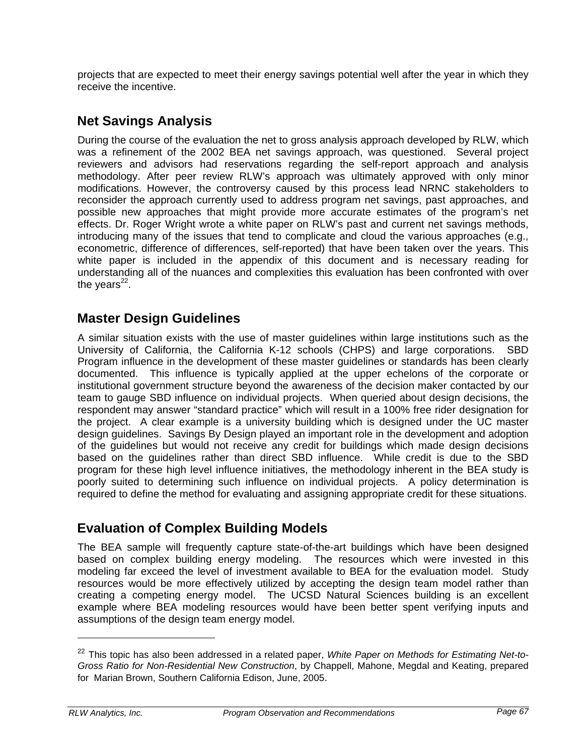projects that are expected to meet their energy savings potential well after the year in which they receive the incentive.

# **Net Savings Analysis**

During the course of the evaluation the net to gross analysis approach developed by RLW, which was a refinement of the 2002 BEA net savings approach, was questioned. Several project reviewers and advisors had reservations regarding the self-report approach and analysis methodology. After peer review RLW's approach was ultimately approved with only minor modifications. However, the controversy caused by this process lead NRNC stakeholders to reconsider the approach currently used to address program net savings, past approaches, and possible new approaches that might provide more accurate estimates of the program's net effects. Dr. Roger Wright wrote a white paper on RLW's past and current net savings methods, introducing many of the issues that tend to complicate and cloud the various approaches (e.g., econometric, difference of differences, self-reported) that have been taken over the years. This white paper is included in the appendix of this document and is necessary reading for understanding all of the nuances and complexities this evaluation has been confronted with over the years $^{22}$ .

## **Master Design Guidelines**

A similar situation exists with the use of master guidelines within large institutions such as the University of California, the California K-12 schools (CHPS) and large corporations. SBD Program influence in the development of these master guidelines or standards has been clearly documented. This influence is typically applied at the upper echelons of the corporate or institutional government structure beyond the awareness of the decision maker contacted by our team to gauge SBD influence on individual projects. When queried about design decisions, the respondent may answer "standard practice" which will result in a 100% free rider designation for the project. A clear example is a university building which is designed under the UC master design guidelines. Savings By Design played an important role in the development and adoption of the guidelines but would not receive any credit for buildings which made design decisions based on the guidelines rather than direct SBD influence. While credit is due to the SBD program for these high level influence initiatives, the methodology inherent in the BEA study is poorly suited to determining such influence on individual projects. A policy determination is required to define the method for evaluating and assigning appropriate credit for these situations.

## **Evaluation of Complex Building Models**

The BEA sample will frequently capture state-of-the-art buildings which have been designed based on complex building energy modeling. The resources which were invested in this modeling far exceed the level of investment available to BEA for the evaluation model. Study resources would be more effectively utilized by accepting the design team model rather than creating a competing energy model. The UCSD Natural Sciences building is an excellent example where BEA modeling resources would have been better spent verifying inputs and assumptions of the design team energy model.

-

<sup>22</sup> This topic has also been addressed in a related paper, *White Paper on Methods for Estimating Net-to-Gross Ratio for Non-Residential New Construction*, by Chappell, Mahone, Megdal and Keating, prepared for Marian Brown, Southern California Edison, June, 2005.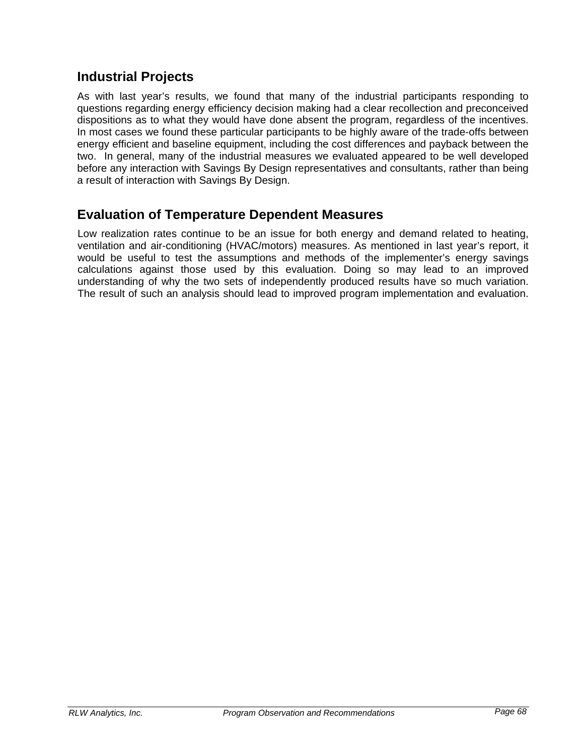## **Industrial Projects**

As with last year's results, we found that many of the industrial participants responding to questions regarding energy efficiency decision making had a clear recollection and preconceived dispositions as to what they would have done absent the program, regardless of the incentives. In most cases we found these particular participants to be highly aware of the trade-offs between energy efficient and baseline equipment, including the cost differences and payback between the two. In general, many of the industrial measures we evaluated appeared to be well developed before any interaction with Savings By Design representatives and consultants, rather than being a result of interaction with Savings By Design.

### **Evaluation of Temperature Dependent Measures**

Low realization rates continue to be an issue for both energy and demand related to heating, ventilation and air-conditioning (HVAC/motors) measures. As mentioned in last year's report, it would be useful to test the assumptions and methods of the implementer's energy savings calculations against those used by this evaluation. Doing so may lead to an improved understanding of why the two sets of independently produced results have so much variation. The result of such an analysis should lead to improved program implementation and evaluation.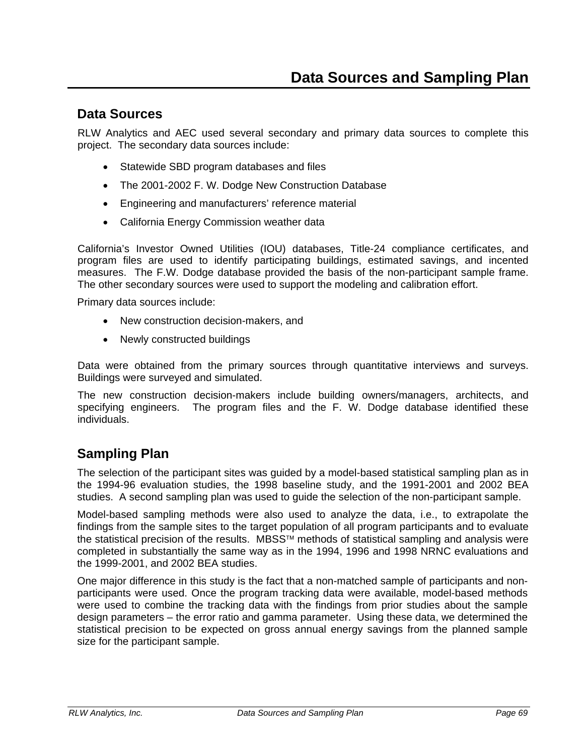### **Data Sources**

RLW Analytics and AEC used several secondary and primary data sources to complete this project. The secondary data sources include:

- Statewide SBD program databases and files
- The 2001-2002 F. W. Dodge New Construction Database
- Engineering and manufacturers' reference material
- California Energy Commission weather data

California's Investor Owned Utilities (IOU) databases, Title-24 compliance certificates, and program files are used to identify participating buildings, estimated savings, and incented measures. The F.W. Dodge database provided the basis of the non-participant sample frame. The other secondary sources were used to support the modeling and calibration effort.

Primary data sources include:

- New construction decision-makers, and
- Newly constructed buildings

Data were obtained from the primary sources through quantitative interviews and surveys. Buildings were surveyed and simulated.

The new construction decision-makers include building owners/managers, architects, and specifying engineers. The program files and the F. W. Dodge database identified these individuals.

### **Sampling Plan**

The selection of the participant sites was guided by a model-based statistical sampling plan as in the 1994-96 evaluation studies, the 1998 baseline study, and the 1991-2001 and 2002 BEA studies. A second sampling plan was used to guide the selection of the non-participant sample.

Model-based sampling methods were also used to analyze the data, i.e., to extrapolate the findings from the sample sites to the target population of all program participants and to evaluate the statistical precision of the results. MBSS™ methods of statistical sampling and analysis were completed in substantially the same way as in the 1994, 1996 and 1998 NRNC evaluations and the 1999-2001, and 2002 BEA studies.

One major difference in this study is the fact that a non-matched sample of participants and nonparticipants were used. Once the program tracking data were available, model-based methods were used to combine the tracking data with the findings from prior studies about the sample design parameters – the error ratio and gamma parameter. Using these data, we determined the statistical precision to be expected on gross annual energy savings from the planned sample size for the participant sample.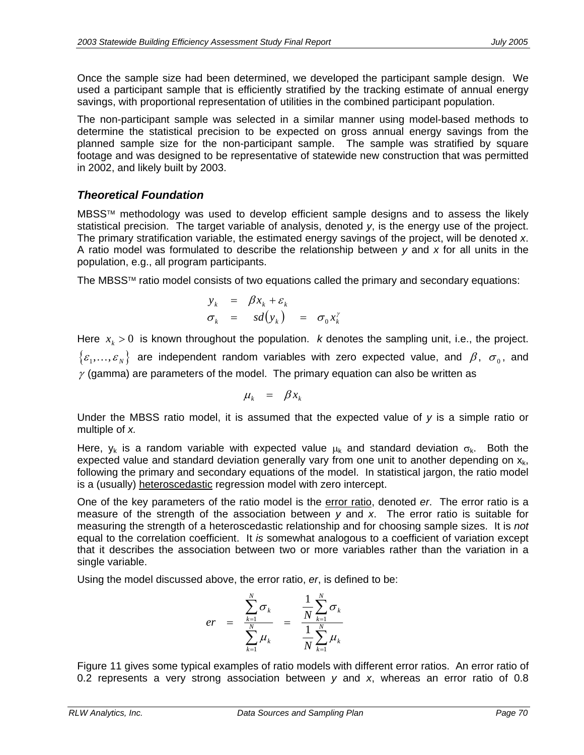Once the sample size had been determined, we developed the participant sample design. We used a participant sample that is efficiently stratified by the tracking estimate of annual energy savings, with proportional representation of utilities in the combined participant population.

The non-participant sample was selected in a similar manner using model-based methods to determine the statistical precision to be expected on gross annual energy savings from the planned sample size for the non-participant sample. The sample was stratified by square footage and was designed to be representative of statewide new construction that was permitted in 2002, and likely built by 2003.

### *Theoretical Foundation*

MBSS™ methodology was used to develop efficient sample designs and to assess the likely statistical precision. The target variable of analysis, denoted *y*, is the energy use of the project. The primary stratification variable, the estimated energy savings of the project, will be denoted *x*. A ratio model was formulated to describe the relationship between *y* and *x* for all units in the population, e.g., all program participants.

The MBSS™ ratio model consists of two equations called the primary and secondary equations:

$$
y_k = \beta x_k + \varepsilon_k
$$
  
\n
$$
\sigma_k = sd(y_k) = \sigma_0 x_k^{\gamma}
$$

Here  $x_k > 0$  is known throughout the population. *k* denotes the sampling unit, i.e., the project.  $\{\varepsilon_1,\ldots,\varepsilon_N\}$  are independent random variables with zero expected value, and  $\beta$ ,  $\sigma_0$ , and  $\gamma$  (gamma) are parameters of the model. The primary equation can also be written as

$$
\mu_k = \beta x_k
$$

Under the MBSS ratio model, it is assumed that the expected value of *y* is a simple ratio or multiple of *x.* 

Here,  $y_k$  is a random variable with expected value  $\mu_k$  and standard deviation  $\sigma_k$ . Both the expected value and standard deviation generally vary from one unit to another depending on  $x_{k}$ , following the primary and secondary equations of the model. In statistical jargon, the ratio model is a (usually) heteroscedastic regression model with zero intercept.

One of the key parameters of the ratio model is the error ratio, denoted *er*. The error ratio is a measure of the strength of the association between *y* and *x*. The error ratio is suitable for measuring the strength of a heteroscedastic relationship and for choosing sample sizes. It is *not* equal to the correlation coefficient. It *is* somewhat analogous to a coefficient of variation except that it describes the association between two or more variables rather than the variation in a single variable.

Using the model discussed above, the error ratio, *er*, is defined to be:

$$
er = \frac{\sum_{k=1}^{N} \sigma_k}{\sum_{k=1}^{N} \mu_k} = \frac{\frac{1}{N} \sum_{k=1}^{N} \sigma_k}{\frac{1}{N} \sum_{k=1}^{N} \mu_k}
$$

Figure 11 gives some typical examples of ratio models with different error ratios. An error ratio of 0.2 represents a very strong association between *y* and *x*, whereas an error ratio of 0.8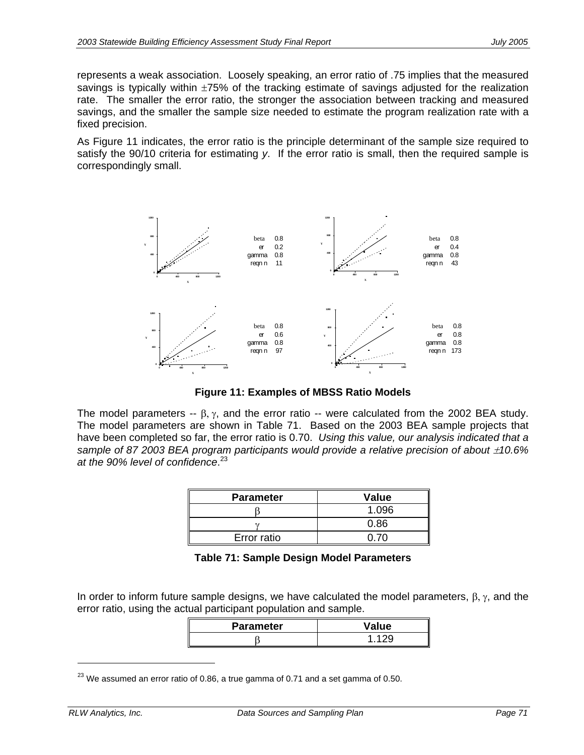represents a weak association. Loosely speaking, an error ratio of .75 implies that the measured savings is typically within  $\pm 75\%$  of the tracking estimate of savings adjusted for the realization rate. The smaller the error ratio, the stronger the association between tracking and measured savings, and the smaller the sample size needed to estimate the program realization rate with a fixed precision.

As Figure 11 indicates, the error ratio is the principle determinant of the sample size required to satisfy the 90/10 criteria for estimating *y*. If the error ratio is small, then the required sample is correspondingly small.



**Figure 11: Examples of MBSS Ratio Models** 

The model parameters --  $\beta$ ,  $\gamma$ , and the error ratio -- were calculated from the 2002 BEA study. The model parameters are shown in Table 71. Based on the 2003 BEA sample projects that have been completed so far, the error ratio is 0.70. *Using this value, our analysis indicated that a sample of 87 2003 BEA program participants would provide a relative precision of about*  $\pm 10.6\%$ *at the 90% level of confidence*. 23

| <b>Parameter</b> | Value |
|------------------|-------|
|                  | 1.096 |
|                  | 0.86  |
| Error ratio      | በ 7በ  |

| Table 71: Sample Design Model Parameters |  |  |  |
|------------------------------------------|--|--|--|
|------------------------------------------|--|--|--|

In order to inform future sample designs, we have calculated the model parameters,  $\beta$ ,  $\gamma$ , and the error ratio, using the actual participant population and sample.

| <b>Parameter</b> | Value |
|------------------|-------|
|                  |       |

 $^{23}$  We assumed an error ratio of 0.86, a true gamma of 0.71 and a set gamma of 0.50.

-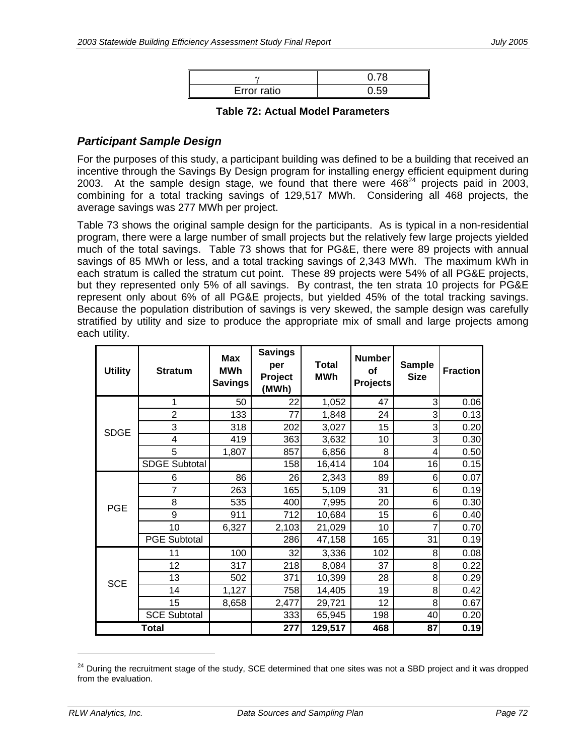| Error ratio |  |
|-------------|--|

#### **Table 72: Actual Model Parameters**

### *Participant Sample Design*

For the purposes of this study, a participant building was defined to be a building that received an incentive through the Savings By Design program for installing energy efficient equipment during 2003. At the sample design stage, we found that there were  $468<sup>24</sup>$  projects paid in 2003, combining for a total tracking savings of 129,517 MWh. Considering all 468 projects, the average savings was 277 MWh per project.

Table 73 shows the original sample design for the participants. As is typical in a non-residential program, there were a large number of small projects but the relatively few large projects yielded much of the total savings. Table 73 shows that for PG&E, there were 89 projects with annual savings of 85 MWh or less, and a total tracking savings of 2,343 MWh. The maximum kWh in each stratum is called the stratum cut point. These 89 projects were 54% of all PG&E projects, but they represented only 5% of all savings. By contrast, the ten strata 10 projects for PG&E represent only about 6% of all PG&E projects, but yielded 45% of the total tracking savings. Because the population distribution of savings is very skewed, the sample design was carefully stratified by utility and size to produce the appropriate mix of small and large projects among each utility.

| <b>Utility</b> | <b>Stratum</b>       | <b>Max</b><br><b>MWh</b><br><b>Savings</b> | <b>Savings</b><br>per<br>Project<br>(MWh) | Total<br><b>MWh</b> | <b>Number</b><br>of<br><b>Projects</b> | <b>Sample</b><br><b>Size</b> | <b>Fraction</b> |
|----------------|----------------------|--------------------------------------------|-------------------------------------------|---------------------|----------------------------------------|------------------------------|-----------------|
|                | 1                    | 50                                         | 22                                        | 1,052               | 47                                     | 3                            | 0.06            |
|                | $\overline{2}$       | 133                                        | 77                                        | 1,848               | 24                                     | 3                            | 0.13            |
| <b>SDGE</b>    | 3                    | 318                                        | 202                                       | 3,027               | 15                                     | 3                            | 0.20            |
|                | 4                    | 419                                        | 363                                       | 3,632               | 10                                     | 3                            | 0.30            |
|                | 5                    | 1,807                                      | 857                                       | 6,856               | 8                                      | 4                            | 0.50            |
|                | <b>SDGE Subtotal</b> |                                            | 158                                       | 16,414              | 104                                    | 16                           | 0.15            |
|                | 6                    | 86                                         | $\overline{26}$                           | 2,343               | 89                                     | 6                            | 0.07            |
|                | 7                    | 263                                        | 165                                       | 5,109               | 31                                     | 6                            | 0.19            |
| <b>PGE</b>     | 8                    | 535                                        | 400                                       | 7,995               | 20                                     | 6                            | 0.30            |
|                | 9                    | 911                                        | 712                                       | 10,684              | 15                                     | 6                            | 0.40            |
|                | 10                   | 6,327                                      | 2,103                                     | 21,029              | 10                                     |                              | 0.70            |
|                | <b>PGE Subtotal</b>  |                                            | 286                                       | 47,158              | 165                                    | 31                           | 0.19            |
|                | 11                   | 100                                        | 32                                        | 3,336               | 102                                    | 8                            | 0.08            |
|                | 12                   | 317                                        | 218                                       | 8,084               | 37                                     | 8                            | 0.22            |
| <b>SCE</b>     | 13                   | 502                                        | 371                                       | 10,399              | 28                                     | 8                            | 0.29            |
|                | 14                   | 1,127                                      | 758                                       | 14,405              | 19                                     | 8                            | 0.42            |
|                | 15                   | 8,658                                      | 2,477                                     | 29,721              | 12                                     | 8                            | 0.67            |
|                | <b>SCE Subtotal</b>  |                                            | 333                                       | 65,945              | 198                                    | 40                           | 0.20            |
|                | <b>Total</b>         |                                            | 277                                       | 129,517             | 468                                    | 87                           | 0.19            |

<sup>&</sup>lt;sup>24</sup> During the recruitment stage of the study, SCE determined that one sites was not a SBD project and it was dropped from the evaluation.

-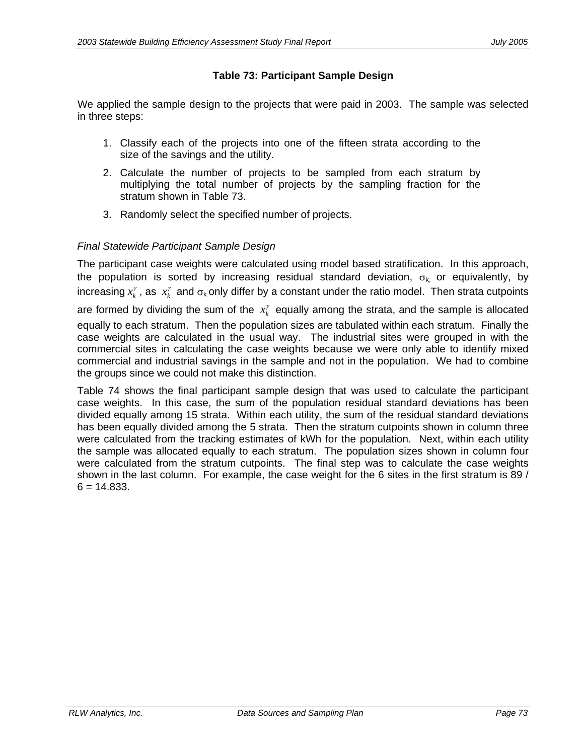#### **Table 73: Participant Sample Design**

We applied the sample design to the projects that were paid in 2003. The sample was selected in three steps:

- 1. Classify each of the projects into one of the fifteen strata according to the size of the savings and the utility.
- 2. Calculate the number of projects to be sampled from each stratum by multiplying the total number of projects by the sampling fraction for the stratum shown in Table 73.
- 3. Randomly select the specified number of projects.

#### *Final Statewide Participant Sample Design*

The participant case weights were calculated using model based stratification. In this approach, the population is sorted by increasing residual standard deviation,  $\sigma_{k}$  or equivalently, by increasing  $x_k^\gamma$  , as  $\ x_k^\gamma$  and  $\sigma_{\sf k}$  only differ by a constant under the ratio model. Then strata cutpoints are formed by dividing the sum of the  $x_k^{\gamma}$  equally among the strata, and the sample is allocated equally to each stratum. Then the population sizes are tabulated within each stratum. Finally the case weights are calculated in the usual way. The industrial sites were grouped in with the commercial sites in calculating the case weights because we were only able to identify mixed commercial and industrial savings in the sample and not in the population. We had to combine the groups since we could not make this distinction.

Table 74 shows the final participant sample design that was used to calculate the participant case weights. In this case, the sum of the population residual standard deviations has been divided equally among 15 strata. Within each utility, the sum of the residual standard deviations has been equally divided among the 5 strata. Then the stratum cutpoints shown in column three were calculated from the tracking estimates of kWh for the population. Next, within each utility the sample was allocated equally to each stratum. The population sizes shown in column four were calculated from the stratum cutpoints. The final step was to calculate the case weights shown in the last column. For example, the case weight for the 6 sites in the first stratum is 89 /  $6 = 14.833$ .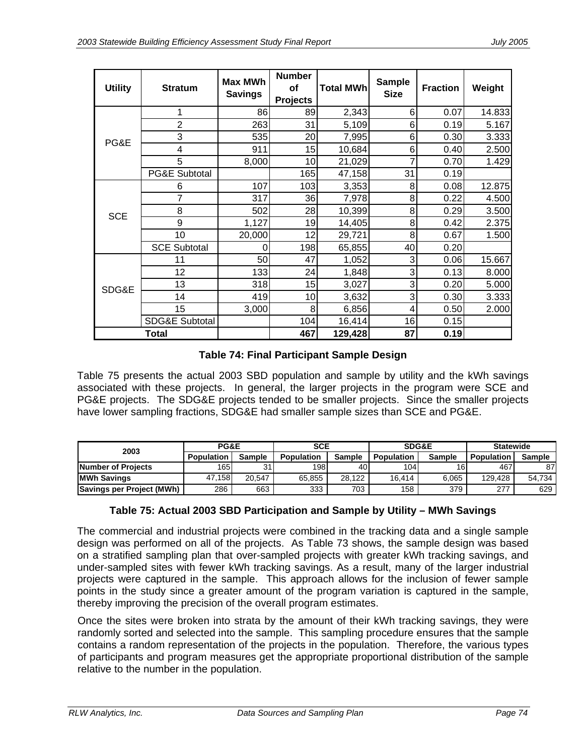|                |                           | <b>Max MWh</b> | <b>Number</b>   |                  | <b>Sample</b> |                 |        |
|----------------|---------------------------|----------------|-----------------|------------------|---------------|-----------------|--------|
| <b>Utility</b> | <b>Stratum</b>            | <b>Savings</b> | of              | <b>Total MWh</b> | <b>Size</b>   | <b>Fraction</b> | Weight |
|                |                           |                | <b>Projects</b> |                  |               |                 |        |
|                |                           | 86             | 89              | 2,343            | 6             | 0.07            | 14.833 |
|                | $\overline{2}$            | 263            | 31              | 5,109            | 6             | 0.19            | 5.167  |
| PG&E           | 3                         | 535            | 20              | 7,995            | 6             | 0.30            | 3.333  |
|                | 4                         | 911            | 15              | 10,684           | 6             | 0.40            | 2.500  |
|                | 5                         | 8,000          | 10              | 21,029           |               | 0.70            | 1.429  |
|                | PG&E Subtotal             |                | 165             | 47,158           | 31            | 0.19            |        |
|                | 6                         | 107            | 103             | 3,353            | 8             | 0.08            | 12.875 |
|                | 7                         | 317            | 36              | 7,978            | 8             | 0.22            | 4.500  |
| <b>SCE</b>     | 8                         | 502            | 28              | 10,399           | 8             | 0.29            | 3.500  |
|                | 9                         | 1,127          | 19              | 14,405           | 8             | 0.42            | 2.375  |
|                | 10                        | 20,000         | 12              | 29,721           | 8             | 0.67            | 1.500  |
|                | <b>SCE Subtotal</b>       | O              | 198             | 65,855           | 40            | 0.20            |        |
|                | 11                        | 50             | 47              | 1,052            | 3             | 0.06            | 15.667 |
|                | 12                        | 133            | 24              | 1,848            | 3             | 0.13            | 8.000  |
| SDG&E          | 13                        | 318            | 15              | 3,027            | 3             | 0.20            | 5.000  |
|                | 14                        | 419            | 10              | 3,632            | 3             | 0.30            | 3.333  |
|                | 15                        | 3,000          | 8               | 6,856            | 4             | 0.50            | 2.000  |
|                | <b>SDG&amp;E Subtotal</b> |                | 104             | 16,414           | 16            | 0.15            |        |
|                | Total                     |                | 467             | 129,428          | 87            | 0.19            |        |

#### **Table 74: Final Participant Sample Design**

Table 75 presents the actual 2003 SBD population and sample by utility and the kWh savings associated with these projects. In general, the larger projects in the program were SCE and PG&E projects. The SDG&E projects tended to be smaller projects. Since the smaller projects have lower sampling fractions, SDG&E had smaller sample sizes than SCE and PG&E.

| 2003                      | PG&E              |        | <b>SCE</b>        |               | SDG&E             |               | <b>Statewide</b> |        |
|---------------------------|-------------------|--------|-------------------|---------------|-------------------|---------------|------------------|--------|
|                           | <b>Population</b> | Sample | <b>Population</b> | <b>Sample</b> | <b>Population</b> | <b>Sample</b> | Population       | Sample |
| Number of Projects        | 165               | 31     | 198 I             | 40            | 104               | 16            | 467              | 87     |
| <b>MWh Savings</b>        | 47.158            | 20.547 | 65.855            | 28.122        | 16.414            | 6.065         | 129.428          | 54.734 |
| Savings per Project (MWh) | 286               | 663    | 333               | 703           | 158               | 379           | 277              | 629    |

#### **Table 75: Actual 2003 SBD Participation and Sample by Utility – MWh Savings**

The commercial and industrial projects were combined in the tracking data and a single sample design was performed on all of the projects. As Table 73 shows, the sample design was based on a stratified sampling plan that over-sampled projects with greater kWh tracking savings, and under-sampled sites with fewer kWh tracking savings. As a result, many of the larger industrial projects were captured in the sample. This approach allows for the inclusion of fewer sample points in the study since a greater amount of the program variation is captured in the sample, thereby improving the precision of the overall program estimates.

Once the sites were broken into strata by the amount of their kWh tracking savings, they were randomly sorted and selected into the sample. This sampling procedure ensures that the sample contains a random representation of the projects in the population. Therefore, the various types of participants and program measures get the appropriate proportional distribution of the sample relative to the number in the population.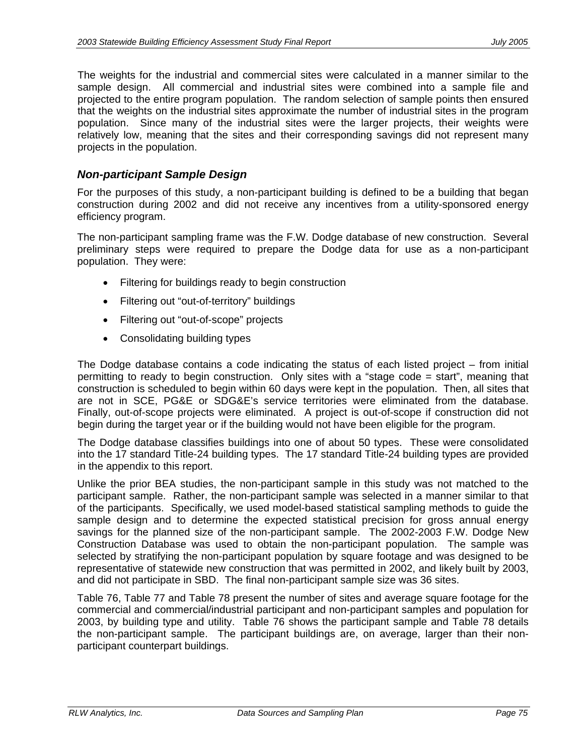The weights for the industrial and commercial sites were calculated in a manner similar to the sample design. All commercial and industrial sites were combined into a sample file and projected to the entire program population. The random selection of sample points then ensured that the weights on the industrial sites approximate the number of industrial sites in the program population. Since many of the industrial sites were the larger projects, their weights were relatively low, meaning that the sites and their corresponding savings did not represent many projects in the population.

#### *Non-participant Sample Design*

For the purposes of this study, a non-participant building is defined to be a building that began construction during 2002 and did not receive any incentives from a utility-sponsored energy efficiency program.

The non-participant sampling frame was the F.W. Dodge database of new construction. Several preliminary steps were required to prepare the Dodge data for use as a non-participant population. They were:

- Filtering for buildings ready to begin construction
- Filtering out "out-of-territory" buildings
- Filtering out "out-of-scope" projects
- Consolidating building types

The Dodge database contains a code indicating the status of each listed project – from initial permitting to ready to begin construction. Only sites with a "stage code = start", meaning that construction is scheduled to begin within 60 days were kept in the population. Then, all sites that are not in SCE, PG&E or SDG&E's service territories were eliminated from the database. Finally, out-of-scope projects were eliminated. A project is out-of-scope if construction did not begin during the target year or if the building would not have been eligible for the program.

The Dodge database classifies buildings into one of about 50 types. These were consolidated into the 17 standard Title-24 building types. The 17 standard Title-24 building types are provided in the appendix to this report.

Unlike the prior BEA studies, the non-participant sample in this study was not matched to the participant sample. Rather, the non-participant sample was selected in a manner similar to that of the participants. Specifically, we used model-based statistical sampling methods to guide the sample design and to determine the expected statistical precision for gross annual energy savings for the planned size of the non-participant sample. The 2002-2003 F.W. Dodge New Construction Database was used to obtain the non-participant population. The sample was selected by stratifying the non-participant population by square footage and was designed to be representative of statewide new construction that was permitted in 2002, and likely built by 2003, and did not participate in SBD. The final non-participant sample size was 36 sites.

Table 76, Table 77 and Table 78 present the number of sites and average square footage for the commercial and commercial/industrial participant and non-participant samples and population for 2003, by building type and utility. Table 76 shows the participant sample and Table 78 details the non-participant sample. The participant buildings are, on average, larger than their nonparticipant counterpart buildings.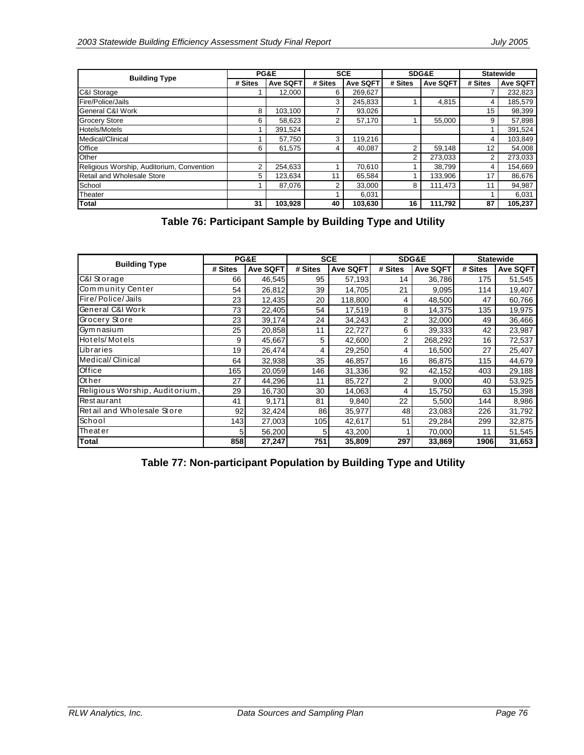| <b>Building Type</b>                      |         | PG&E            |         | <b>SCE</b>      |         | SDG&E    | <b>Statewide</b> |                 |
|-------------------------------------------|---------|-----------------|---------|-----------------|---------|----------|------------------|-----------------|
|                                           | # Sites | <b>Ave SQFT</b> | # Sites | <b>Ave SQFT</b> | # Sites | Ave SQFT | # Sites          | <b>Ave SQFT</b> |
| <b>C&amp;I Storage</b>                    |         | 12.000          | 6       | 269,627         |         |          |                  | 232,823         |
| Fire/Police/Jails                         |         |                 | 3       | 245,833         |         | 4.815    |                  | 185,579         |
| <b>General C&amp;I Work</b>               | 8       | 103.100         |         | 93,026          |         |          | 15               | 98,399          |
| <b>Grocery Store</b>                      | 6       | 58,623          | 2       | 57,170          |         | 55,000   | 9                | 57,898          |
| <b>Hotels/Motels</b>                      |         | 391.524         |         |                 |         |          |                  | 391,524         |
| Medical/Clinical                          |         | 57,750          | 3       | 119,216         |         |          |                  | 103,849         |
| Office                                    | 6       | 61.575          | 4       | 40.087          |         | 59,148   | 12               | 54,008          |
| Other                                     |         |                 |         |                 | 2       | 273,033  |                  | 273,033         |
| Religious Worship, Auditorium, Convention | っ       | 254.633         |         | 70,610          |         | 38.799   | 4                | 154,669         |
| Retail and Wholesale Store                | 5       | 123.634         | 11      | 65,584          |         | 133,906  | 17               | 86,676          |
| School                                    |         | 87.076          | 2       | 33.000          | 8       | 111.473  | 11               | 94,987          |
| Theater                                   |         |                 |         | 6,031           |         |          |                  | 6,031           |
| <b>Total</b>                              | 31      | 103,928         | 40      | 103,630         | 16      | 111,792  | 87               | 105,237         |

**Table 76: Participant Sample by Building Type and Utility** 

| <b>Building Type</b>           | <b>PG&amp;E</b> |                 | <b>SCE</b> |          | SDG&E          |                 | <b>Statewide</b> |                 |
|--------------------------------|-----------------|-----------------|------------|----------|----------------|-----------------|------------------|-----------------|
|                                | # Sites         | <b>Ave SQFT</b> | # Sites    | Ave SQFT | # Sites        | <b>Ave SQFT</b> | # Sites          | <b>Ave SQFT</b> |
| C&I Storage                    | 66              | 46,545          | 95         | 57,193   | 14             | 36,786          | 175              | 51,545          |
| Community Center               | 54              | 26,812          | 39         | 14,705   | 21             | 9,095           | 114              | 19,407          |
| Fire/Police/Jails              | 23              | 12,435          | 20         | 118,800  | 4              | 48,500          | 47               | 60,766          |
| General C&I Work               | 73              | 22,405          | 54         | 17,519   | 8              | 14,375          | 135              | 19,975          |
| Grocery Store                  | 23              | 39,174          | 24         | 34,243   | $\overline{2}$ | 32,000          | 49               | 36,466          |
| Gymnasium                      | 25              | 20,858          | 11         | 22,727   | 6              | 39,333          | 42               | 23,987          |
| Hotels/Motels                  | 9               | 45,667          | 5          | 42,600   | $\overline{2}$ | 268,292         | 16               | 72,537          |
| Libraries                      | 19              | 26,474          | 4          | 29,250   | 4              | 16,500          | 27               | 25,407          |
| Medical/Clinical               | 64              | 32,938          | 35         | 46,857   | 16             | 86,875          | 115              | 44,679          |
| Office                         | 165             | 20,059          | 146        | 31,336   | 92             | 42,152          | 403              | 29,188          |
| Other                          | 27              | 44,296          | 11         | 85,727   | $\overline{2}$ | 9,000           | 40               | 53,925          |
| Religious Worship, Auditorium, | 29              | 16,730          | 30         | 14,063   | 4              | 15,750          | 63               | 15,398          |
| <b>Restaurant</b>              | 41              | 9,171           | 81         | 9,840    | 22             | 5,500           | 144              | 8,986           |
| Retail and Wholesale Store     | 92              | 32,424          | 86         | 35,977   | 48             | 23,083          | 226              | 31,792          |
| School                         | 143             | 27,003          | 105        | 42,617   | 51             | 29,284          | 299              | 32,875          |
| <b>Theater</b>                 |                 | 56,200          | 51         | 43,200   |                | 70,000          | 11               | 51,545          |
| <b>Total</b>                   | 858             | 27,247          | 751        | 35,809   | 297            | 33,869          | 1906             | 31,653          |

**Table 77: Non-participant Population by Building Type and Utility**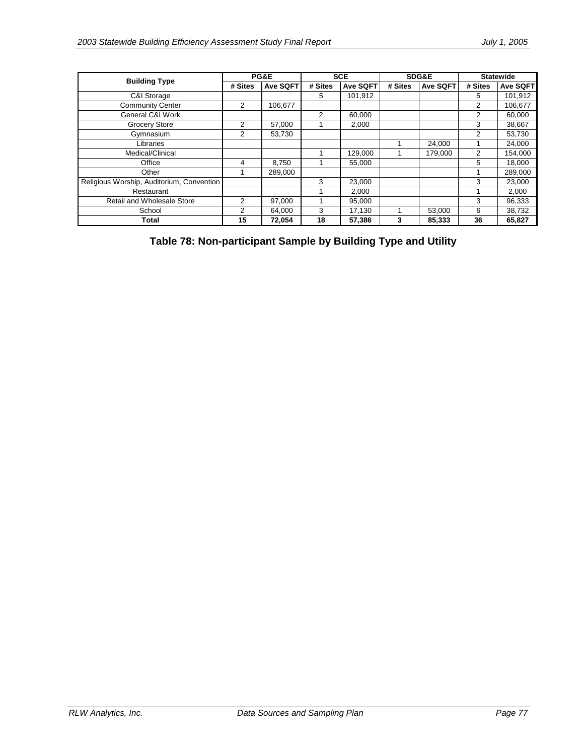| <b>Building Type</b>                      | PG&E    |          | <b>SCE</b> |          | SDG&E   |                 | <b>Statewide</b> |                 |
|-------------------------------------------|---------|----------|------------|----------|---------|-----------------|------------------|-----------------|
|                                           | # Sites | Ave SQFT | # Sites    | Ave SQFT | # Sites | <b>Ave SQFT</b> | # Sites          | <b>Ave SQFT</b> |
| C&I Storage                               |         |          | 5          | 101,912  |         |                 | 5.               | 101,912         |
| <b>Community Center</b>                   | 2       | 106.677  |            |          |         |                 | 2                | 106,677         |
| General C&I Work                          |         |          | 2          | 60,000   |         |                 | $\overline{2}$   | 60,000          |
| <b>Grocery Store</b>                      | 2       | 57,000   |            | 2.000    |         |                 | 3                | 38,667          |
| Gymnasium                                 | 2       | 53.730   |            |          |         |                 | 2                | 53,730          |
| Libraries                                 |         |          |            |          |         | 24,000          |                  | 24,000          |
| Medical/Clinical                          |         |          |            | 129,000  |         | 179.000         | $\overline{2}$   | 154,000         |
| Office                                    | 4       | 8,750    |            | 55.000   |         |                 | 5                | 18,000          |
| Other                                     |         | 289,000  |            |          |         |                 |                  | 289,000         |
| Religious Worship, Auditorium, Convention |         |          | 3          | 23,000   |         |                 | 3                | 23,000          |
| Restaurant                                |         |          |            | 2,000    |         |                 |                  | 2,000           |
| Retail and Wholesale Store                | 2       | 97,000   |            | 95.000   |         |                 | 3                | 96,333          |
| School                                    | 2       | 64,000   | 3          | 17,130   |         | 53,000          | 6                | 38,732          |
| Total                                     | 15      | 72,054   | 18         | 57,386   | 3       | 85,333          | 36               | 65,827          |

**Table 78: Non-participant Sample by Building Type and Utility**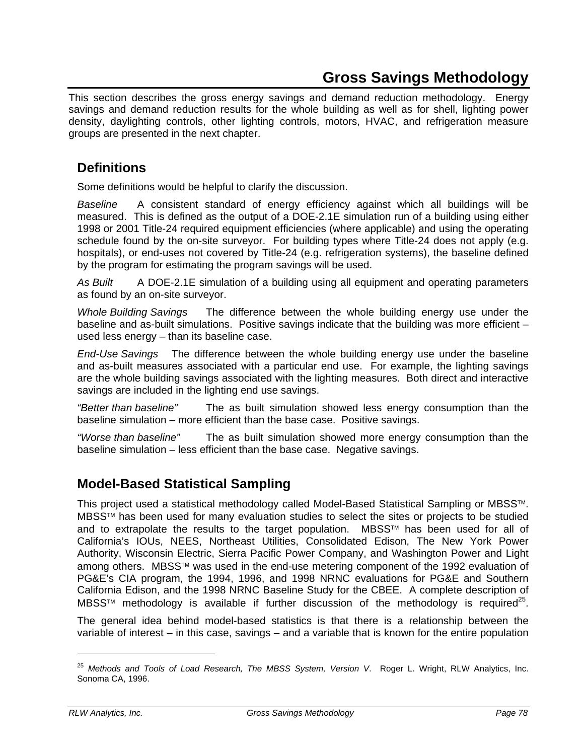This section describes the gross energy savings and demand reduction methodology. Energy savings and demand reduction results for the whole building as well as for shell, lighting power density, daylighting controls, other lighting controls, motors, HVAC, and refrigeration measure groups are presented in the next chapter.

### **Definitions**

Some definitions would be helpful to clarify the discussion.

*Baseline* A consistent standard of energy efficiency against which all buildings will be measured. This is defined as the output of a DOE-2.1E simulation run of a building using either 1998 or 2001 Title-24 required equipment efficiencies (where applicable) and using the operating schedule found by the on-site surveyor. For building types where Title-24 does not apply (e.g. hospitals), or end-uses not covered by Title-24 (e.g. refrigeration systems), the baseline defined by the program for estimating the program savings will be used.

*As Built* A DOE-2.1E simulation of a building using all equipment and operating parameters as found by an on-site surveyor.

*Whole Building Savings* The difference between the whole building energy use under the baseline and as-built simulations. Positive savings indicate that the building was more efficient used less energy – than its baseline case.

*End-Use Savings* The difference between the whole building energy use under the baseline and as-built measures associated with a particular end use. For example, the lighting savings are the whole building savings associated with the lighting measures. Both direct and interactive savings are included in the lighting end use savings.

*"Better than baseline"* The as built simulation showed less energy consumption than the baseline simulation – more efficient than the base case. Positive savings.

*"Worse than baseline"* The as built simulation showed more energy consumption than the baseline simulation – less efficient than the base case. Negative savings.

## **Model-Based Statistical Sampling**

This project used a statistical methodology called Model-Based Statistical Sampling or MBSS™. MBSS™ has been used for many evaluation studies to select the sites or projects to be studied and to extrapolate the results to the target population. MBSS™ has been used for all of California's IOUs, NEES, Northeast Utilities, Consolidated Edison, The New York Power Authority, Wisconsin Electric, Sierra Pacific Power Company, and Washington Power and Light among others. MBSS™ was used in the end-use metering component of the 1992 evaluation of PG&E's CIA program, the 1994, 1996, and 1998 NRNC evaluations for PG&E and Southern California Edison, and the 1998 NRNC Baseline Study for the CBEE. A complete description of MBSS<sup>™</sup> methodology is available if further discussion of the methodology is required<sup>25</sup>.

The general idea behind model-based statistics is that there is a relationship between the variable of interest – in this case, savings – and a variable that is known for the entire population

-

<sup>25</sup> *Methods and Tools of Load Research, The MBSS System, Version V*. Roger L. Wright, RLW Analytics, Inc. Sonoma CA, 1996.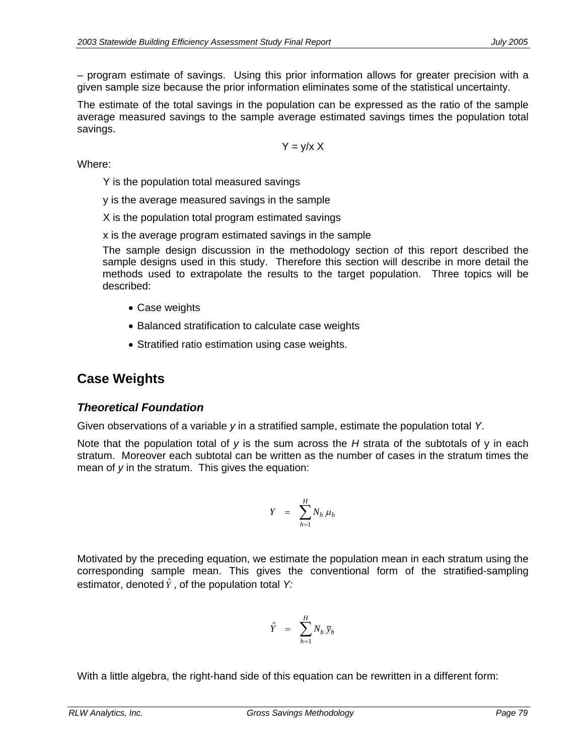– program estimate of savings. Using this prior information allows for greater precision with a given sample size because the prior information eliminates some of the statistical uncertainty.

The estimate of the total savings in the population can be expressed as the ratio of the sample average measured savings to the sample average estimated savings times the population total savings.

$$
Y = y/x X
$$

Where:

Y is the population total measured savings

y is the average measured savings in the sample

X is the population total program estimated savings

x is the average program estimated savings in the sample

The sample design discussion in the methodology section of this report described the sample designs used in this study. Therefore this section will describe in more detail the methods used to extrapolate the results to the target population. Three topics will be described:

- Case weights
- Balanced stratification to calculate case weights
- Stratified ratio estimation using case weights.

## **Case Weights**

### *Theoretical Foundation*

Given observations of a variable *y* in a stratified sample, estimate the population total *Y*.

Note that the population total of *y* is the sum across the *H* strata of the subtotals of y in each stratum. Moreover each subtotal can be written as the number of cases in the stratum times the mean of *y* in the stratum. This gives the equation:

$$
Y = \sum_{h=1}^{H} N_h \mu_h
$$

Motivated by the preceding equation, we estimate the population mean in each stratum using the corresponding sample mean. This gives the conventional form of the stratified-sampling estimator, denoted  $\hat{Y}$  , of the population total Y:

$$
\hat{Y} = \sum_{h=1}^{H} N_h \, \overline{y}_h
$$

With a little algebra, the right-hand side of this equation can be rewritten in a different form: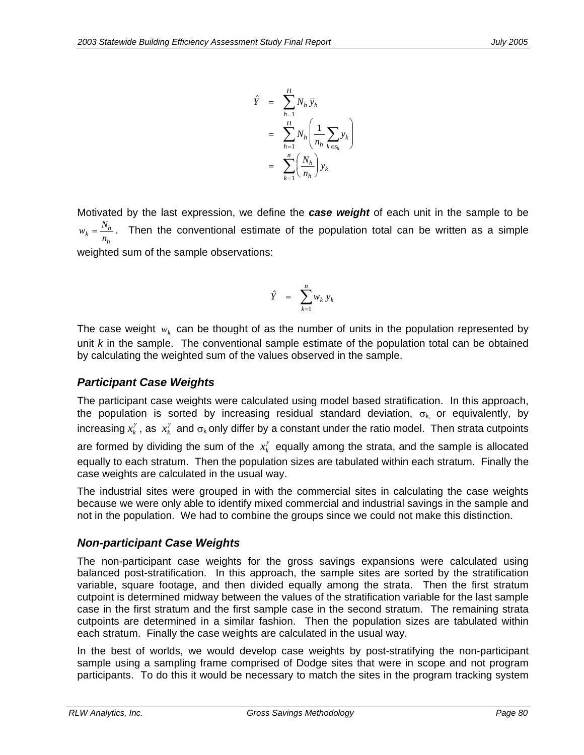$$
\hat{Y} = \sum_{h=1}^{H} N_h \overline{y}_h
$$
\n
$$
= \sum_{h=1}^{H} N_h \left( \frac{1}{n_h} \sum_{k \in S_h} y_k \right)
$$
\n
$$
= \sum_{k=1}^{n} \left( \frac{N_h}{n_h} \right) y_k
$$

Motivated by the last expression, we define the *case weight* of each unit in the sample to be  $w_k = \frac{N}{N}$  $h_k = \frac{N_h}{n_h}$ . Then the conventional estimate of the population total can be written as a simple *h* weighted sum of the sample observations:

$$
\hat{Y} = \sum_{k=1}^{n} w_k y_k
$$

The case weight  $w_k$  can be thought of as the number of units in the population represented by unit *k* in the sample. The conventional sample estimate of the population total can be obtained by calculating the weighted sum of the values observed in the sample.

#### *Participant Case Weights*

The participant case weights were calculated using model based stratification. In this approach, the population is sorted by increasing residual standard deviation,  $\sigma_{k}$  or equivalently, by increasing  $x_k^\gamma$  , as  $\ x_k^\gamma$  and  $\sigma_{\sf k}$  only differ by a constant under the ratio model. Then strata cutpoints

are formed by dividing the sum of the  $x_k^{\gamma}$  equally among the strata, and the sample is allocated equally to each stratum. Then the population sizes are tabulated within each stratum. Finally the case weights are calculated in the usual way.

The industrial sites were grouped in with the commercial sites in calculating the case weights because we were only able to identify mixed commercial and industrial savings in the sample and not in the population. We had to combine the groups since we could not make this distinction.

#### *Non-participant Case Weights*

The non-participant case weights for the gross savings expansions were calculated using balanced post-stratification. In this approach, the sample sites are sorted by the stratification variable, square footage, and then divided equally among the strata. Then the first stratum cutpoint is determined midway between the values of the stratification variable for the last sample case in the first stratum and the first sample case in the second stratum. The remaining strata cutpoints are determined in a similar fashion. Then the population sizes are tabulated within each stratum. Finally the case weights are calculated in the usual way.

In the best of worlds, we would develop case weights by post-stratifying the non-participant sample using a sampling frame comprised of Dodge sites that were in scope and not program participants. To do this it would be necessary to match the sites in the program tracking system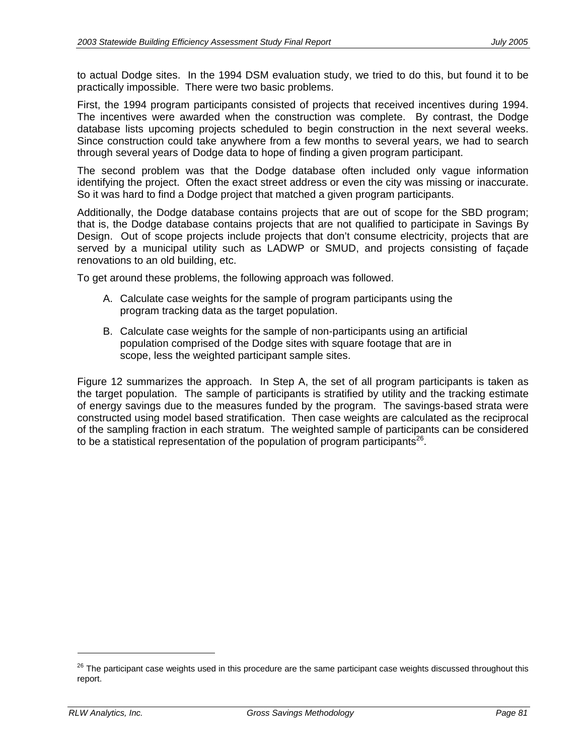to actual Dodge sites. In the 1994 DSM evaluation study, we tried to do this, but found it to be practically impossible. There were two basic problems.

First, the 1994 program participants consisted of projects that received incentives during 1994. The incentives were awarded when the construction was complete. By contrast, the Dodge database lists upcoming projects scheduled to begin construction in the next several weeks. Since construction could take anywhere from a few months to several years, we had to search through several years of Dodge data to hope of finding a given program participant.

The second problem was that the Dodge database often included only vague information identifying the project. Often the exact street address or even the city was missing or inaccurate. So it was hard to find a Dodge project that matched a given program participants.

Additionally, the Dodge database contains projects that are out of scope for the SBD program; that is, the Dodge database contains projects that are not qualified to participate in Savings By Design. Out of scope projects include projects that don't consume electricity, projects that are served by a municipal utility such as LADWP or SMUD, and projects consisting of façade renovations to an old building, etc.

To get around these problems, the following approach was followed.

- A. Calculate case weights for the sample of program participants using the program tracking data as the target population.
- B. Calculate case weights for the sample of non-participants using an artificial population comprised of the Dodge sites with square footage that are in scope, less the weighted participant sample sites.

Figure 12 summarizes the approach. In Step A, the set of all program participants is taken as the target population. The sample of participants is stratified by utility and the tracking estimate of energy savings due to the measures funded by the program. The savings-based strata were constructed using model based stratification. Then case weights are calculated as the reciprocal of the sampling fraction in each stratum. The weighted sample of participants can be considered to be a statistical representation of the population of program participants<sup>26</sup>.

-

 $26$  The participant case weights used in this procedure are the same participant case weights discussed throughout this report.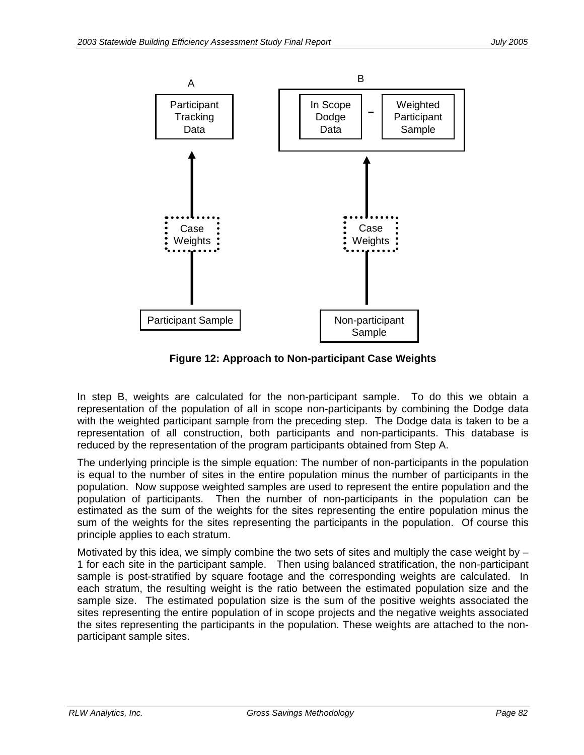

**Figure 12: Approach to Non-participant Case Weights** 

In step B, weights are calculated for the non-participant sample. To do this we obtain a representation of the population of all in scope non-participants by combining the Dodge data with the weighted participant sample from the preceding step. The Dodge data is taken to be a representation of all construction, both participants and non-participants. This database is reduced by the representation of the program participants obtained from Step A.

The underlying principle is the simple equation: The number of non-participants in the population is equal to the number of sites in the entire population minus the number of participants in the population. Now suppose weighted samples are used to represent the entire population and the population of participants. Then the number of non-participants in the population can be estimated as the sum of the weights for the sites representing the entire population minus the sum of the weights for the sites representing the participants in the population. Of course this principle applies to each stratum.

Motivated by this idea, we simply combine the two sets of sites and multiply the case weight by  $-$ 1 for each site in the participant sample. Then using balanced stratification, the non-participant sample is post-stratified by square footage and the corresponding weights are calculated. In each stratum, the resulting weight is the ratio between the estimated population size and the sample size. The estimated population size is the sum of the positive weights associated the sites representing the entire population of in scope projects and the negative weights associated the sites representing the participants in the population. These weights are attached to the nonparticipant sample sites.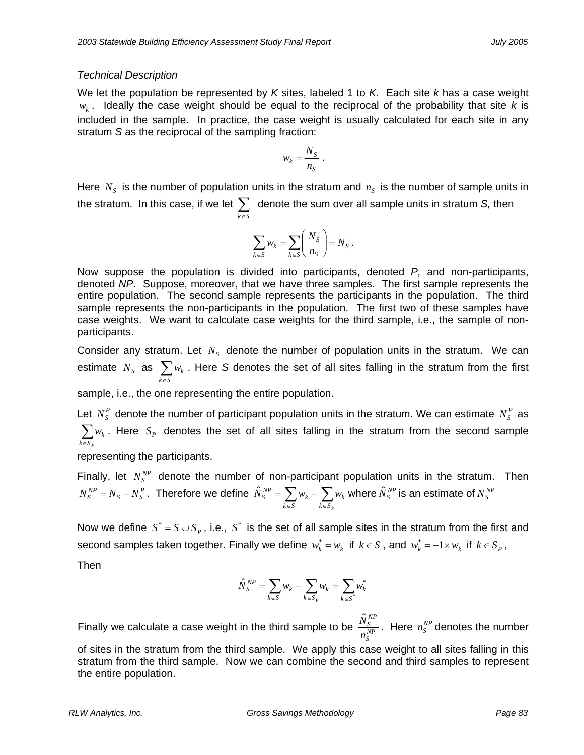### *Technical Description*

We let the population be represented by *K* sites, labeled 1 to *K*. Each site *k* has a case weight  $w_k$ . Ideally the case weight should be equal to the reciprocal of the probability that site *k* is included in the sample. In practice, the case weight is usually calculated for each site in any stratum *S* as the reciprocal of the sampling fraction:

$$
w_k = \frac{N_S}{n_S} \, .
$$

Here  $N<sub>S</sub>$  is the number of population units in the stratum and  $n<sub>S</sub>$  is the number of sample units in the stratum. In this case, if we let ∑ *k*∈*S* denote the sum over all sample units in stratum *S,* then

$$
\sum_{k \in S} w_k = \sum_{k \in S} \left( \frac{N_S}{n_S} \right) = N_S \; .
$$

Now suppose the population is divided into participants, denoted *P,* and non-participants, denoted *NP*. Suppose, moreover, that we have three samples. The first sample represents the entire population. The second sample represents the participants in the population. The third sample represents the non-participants in the population. The first two of these samples have case weights. We want to calculate case weights for the third sample, i.e., the sample of nonparticipants.

Consider any stratum. Let  $N<sub>S</sub>$  denote the number of population units in the stratum. We can  $\mathsf{estimate} \enskip N_{_S} \enskip \mathsf{as} \enskip \sum_{k \in S}$  $w_k$  . Here *S* denotes the set of all sites falling in the stratum from the first

sample, i.e., the one representing the entire population.

Let  $N_S^P$  denote the number of participant population units in the stratum. We can estimate  $N_S^P$  as  $\sum_{k \in S_p} w_k$ . Here  $S_p$  denotes the set of all sites falling in the stratum from the second sample

representing the participants.

Finally, let  $N_S^{NP}$  denote the number of non-participant population units in the stratum. Then  $S - N_S^P$  $N_S^{NP} = N_S - N_S^P$  . Therefore we define  $\hat{N}_S^{NP} = \sum_{k \in S} w_k - \sum_{k \in S_F} w_k$  $k \in S_p$ *k k S*  $\hat{N}^{NP}_S = \sum w_k - \sum w_k$  where  $\hat{N}^{NP}_S$  is an estimate of  $N^{NP}_S$ 

Now we define  $S^* = S \cup S_P$ , i.e.,  $S^*$  is the set of all sample sites in the stratum from the first and second samples taken together. Finally we define  $w_k^* = w_k$  if  $k \in S$  , and  $w_k^* = -1 \times w_k$  if  $k \in S_P$ ,

Then

$$
\hat{N}^{NP}_S = \sum_{k \in S} w_k - \sum_{k \in S_P} w_k = \sum_{k \in S^*} w_k^*
$$

Finally we calculate a case weight in the third sample to be  $\frac{N^S}{n_S^{NP}}$ *NP S n*  $\frac{\hat{N}_S^{NP}}{N^P}$ . Here  $n_S^{NP}$  denotes the number

of sites in the stratum from the third sample. We apply this case weight to all sites falling in this stratum from the third sample. Now we can combine the second and third samples to represent the entire population.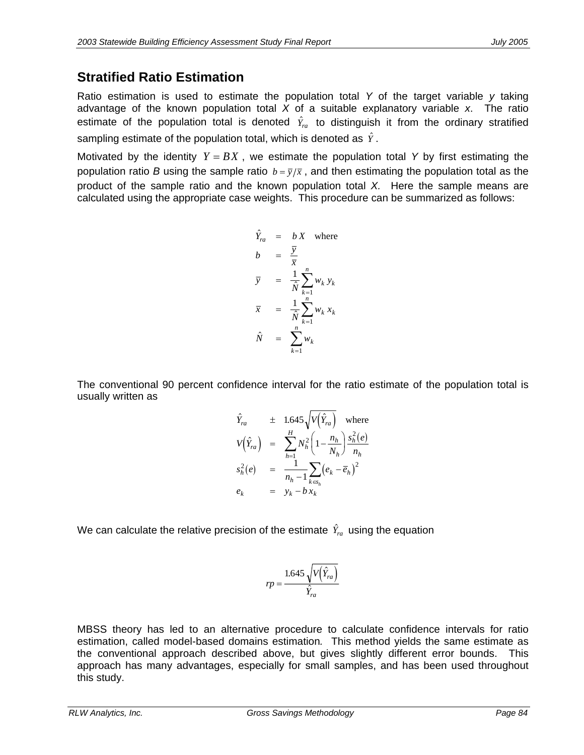### **Stratified Ratio Estimation**

Ratio estimation is used to estimate the population total *Y* of the target variable *y* taking advantage of the known population total *X* of a suitable explanatory variable *x*. The ratio estimate of the population total is denoted  $\hat{Y}_{ra}$  to distinguish it from the ordinary stratified sampling estimate of the population total, which is denoted as  $\hat{Y}$ .

Motivated by the identity  $Y = BX$ , we estimate the population total Y by first estimating the population ratio *B* using the sample ratio  $b = \overline{y}/\overline{x}$ , and then estimating the population total as the product of the sample ratio and the known population total *X.* Here the sample means are calculated using the appropriate case weights. This procedure can be summarized as follows:

$$
\hat{Y}_{ra} = bX \text{ where}
$$
\n
$$
b = \frac{\overline{y}}{\overline{x}}
$$
\n
$$
\overline{y} = \frac{1}{N} \sum_{k=1}^{n} w_k y_k
$$
\n
$$
\overline{x} = \frac{1}{N} \sum_{k=1}^{n} w_k x_k
$$
\n
$$
\hat{N} = \sum_{k=1}^{n} w_k
$$

The conventional 90 percent confidence interval for the ratio estimate of the population total is usually written as

$$
\hat{Y}_{ra} \pm 1.645 \sqrt{V(\hat{Y}_{ra})} \text{ where}
$$
\n
$$
V(\hat{Y}_{ra}) = \sum_{h=1}^{H} N_h^2 \left(1 - \frac{n_h}{N_h}\right) \frac{s_h^2(e)}{n_h}
$$
\n
$$
s_h^2(e) = \frac{1}{n_h - 1} \sum_{k \in s_h} (e_k - \overline{e}_h)^2
$$
\n
$$
e_k = y_k - bx_k
$$

We can calculate the relative precision of the estimate  $\hat{Y}_{ra}$  using the equation

$$
rp = \frac{1.645\sqrt{V(\hat{Y}_{ra})}}{\hat{Y}_{ra}}
$$

MBSS theory has led to an alternative procedure to calculate confidence intervals for ratio estimation, called model-based domains estimation*.* This method yields the same estimate as the conventional approach described above, but gives slightly different error bounds. This approach has many advantages, especially for small samples, and has been used throughout this study.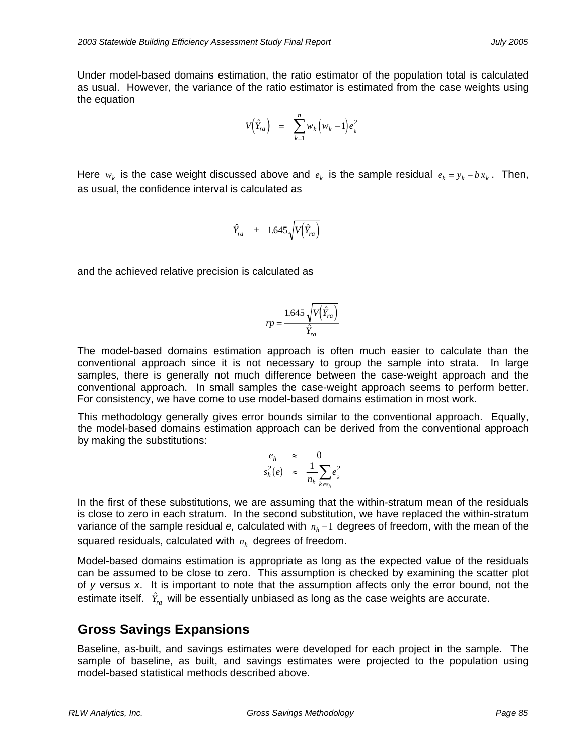Under model-based domains estimation, the ratio estimator of the population total is calculated as usual. However, the variance of the ratio estimator is estimated from the case weights using the equation

$$
V(\hat{Y}_{ra}) = \sum_{k=1}^{n} w_k (w_k - 1) e_k^2
$$

Here  $w_k$  is the case weight discussed above and  $e_k$  is the sample residual  $e_k = y_k - bx_k$ . Then, as usual, the confidence interval is calculated as

$$
\hat{Y}_{ra} \quad \pm \quad 1.645 \sqrt{V(\hat{Y}_{ra})}
$$

and the achieved relative precision is calculated as

$$
rp = \frac{1.645\sqrt{V(\hat{Y}_{ra})}}{\hat{Y}_{ra}}
$$

The model-based domains estimation approach is often much easier to calculate than the conventional approach since it is not necessary to group the sample into strata. In large samples, there is generally not much difference between the case-weight approach and the conventional approach. In small samples the case-weight approach seems to perform better. For consistency, we have come to use model-based domains estimation in most work.

This methodology generally gives error bounds similar to the conventional approach. Equally, the model-based domains estimation approach can be derived from the conventional approach by making the substitutions:

$$
\begin{array}{rcl}\n\overline{e}_h & \approx & 0\\ \ns_{h}^2(e) & \approx & \frac{1}{n_h} \sum_{k \in s_h} e_k^2\n\end{array}
$$

In the first of these substitutions, we are assuming that the within-stratum mean of the residuals is close to zero in each stratum. In the second substitution, we have replaced the within-stratum variance of the sample residual *e*, calculated with  $n_h$  −1 degrees of freedom, with the mean of the squared residuals, calculated with  $n_h$  degrees of freedom.

Model-based domains estimation is appropriate as long as the expected value of the residuals can be assumed to be close to zero. This assumption is checked by examining the scatter plot of *y* versus *x*. It is important to note that the assumption affects only the error bound, not the estimate itself.  $\hat{Y}_{ra}$  will be essentially unbiased as long as the case weights are accurate.

### **Gross Savings Expansions**

Baseline, as-built, and savings estimates were developed for each project in the sample. The sample of baseline, as built, and savings estimates were projected to the population using model-based statistical methods described above.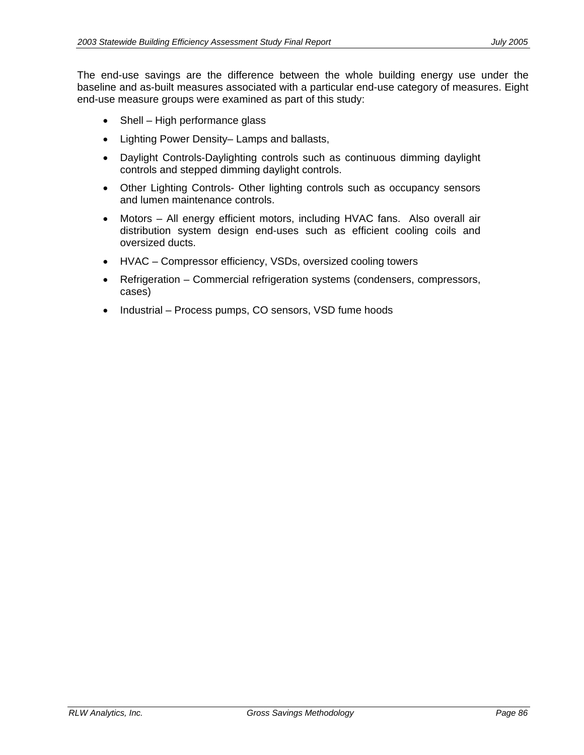The end-use savings are the difference between the whole building energy use under the baseline and as-built measures associated with a particular end-use category of measures. Eight end-use measure groups were examined as part of this study:

- Shell High performance glass
- Lighting Power Density– Lamps and ballasts,
- Daylight Controls-Daylighting controls such as continuous dimming daylight controls and stepped dimming daylight controls.
- Other Lighting Controls- Other lighting controls such as occupancy sensors and lumen maintenance controls.
- Motors All energy efficient motors, including HVAC fans. Also overall air distribution system design end-uses such as efficient cooling coils and oversized ducts.
- HVAC Compressor efficiency, VSDs, oversized cooling towers
- Refrigeration Commercial refrigeration systems (condensers, compressors, cases)
- Industrial Process pumps, CO sensors, VSD fume hoods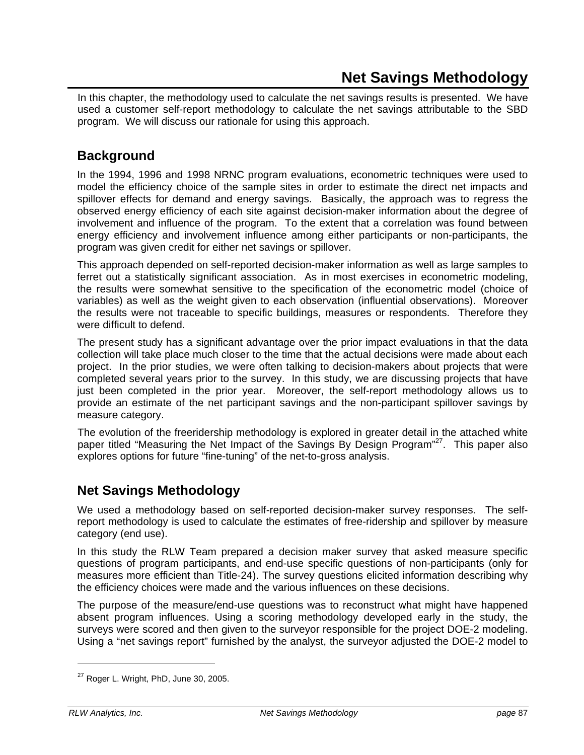In this chapter, the methodology used to calculate the net savings results is presented. We have used a customer self-report methodology to calculate the net savings attributable to the SBD program. We will discuss our rationale for using this approach.

## **Background**

In the 1994, 1996 and 1998 NRNC program evaluations, econometric techniques were used to model the efficiency choice of the sample sites in order to estimate the direct net impacts and spillover effects for demand and energy savings. Basically, the approach was to regress the observed energy efficiency of each site against decision-maker information about the degree of involvement and influence of the program. To the extent that a correlation was found between energy efficiency and involvement influence among either participants or non-participants, the program was given credit for either net savings or spillover.

This approach depended on self-reported decision-maker information as well as large samples to ferret out a statistically significant association. As in most exercises in econometric modeling, the results were somewhat sensitive to the specification of the econometric model (choice of variables) as well as the weight given to each observation (influential observations). Moreover the results were not traceable to specific buildings, measures or respondents. Therefore they were difficult to defend.

The present study has a significant advantage over the prior impact evaluations in that the data collection will take place much closer to the time that the actual decisions were made about each project. In the prior studies, we were often talking to decision-makers about projects that were completed several years prior to the survey. In this study, we are discussing projects that have just been completed in the prior year. Moreover, the self-report methodology allows us to provide an estimate of the net participant savings and the non-participant spillover savings by measure category.

The evolution of the freeridership methodology is explored in greater detail in the attached white paper titled "Measuring the Net Impact of the Savings By Design Program"<sup>27</sup>. This paper also explores options for future "fine-tuning" of the net-to-gross analysis.

### **Net Savings Methodology**

We used a methodology based on self-reported decision-maker survey responses. The selfreport methodology is used to calculate the estimates of free-ridership and spillover by measure category (end use).

In this study the RLW Team prepared a decision maker survey that asked measure specific questions of program participants, and end-use specific questions of non-participants (only for measures more efficient than Title-24). The survey questions elicited information describing why the efficiency choices were made and the various influences on these decisions.

The purpose of the measure/end-use questions was to reconstruct what might have happened absent program influences. Using a scoring methodology developed early in the study, the surveys were scored and then given to the surveyor responsible for the project DOE-2 modeling. Using a "net savings report" furnished by the analyst, the surveyor adjusted the DOE-2 model to

-

 $27$  Roger L. Wright, PhD, June 30, 2005.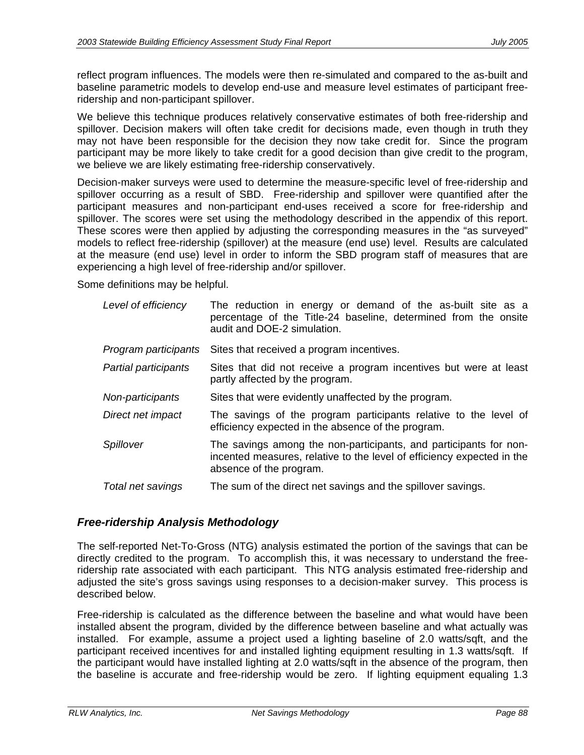reflect program influences. The models were then re-simulated and compared to the as-built and baseline parametric models to develop end-use and measure level estimates of participant freeridership and non-participant spillover.

We believe this technique produces relatively conservative estimates of both free-ridership and spillover. Decision makers will often take credit for decisions made, even though in truth they may not have been responsible for the decision they now take credit for. Since the program participant may be more likely to take credit for a good decision than give credit to the program, we believe we are likely estimating free-ridership conservatively.

Decision-maker surveys were used to determine the measure-specific level of free-ridership and spillover occurring as a result of SBD. Free-ridership and spillover were quantified after the participant measures and non-participant end-uses received a score for free-ridership and spillover. The scores were set using the methodology described in the appendix of this report. These scores were then applied by adjusting the corresponding measures in the "as surveyed" models to reflect free-ridership (spillover) at the measure (end use) level. Results are calculated at the measure (end use) level in order to inform the SBD program staff of measures that are experiencing a high level of free-ridership and/or spillover.

Some definitions may be helpful.

| Level of efficiency  | The reduction in energy or demand of the as-built site as a<br>percentage of the Title-24 baseline, determined from the onsite<br>audit and DOE-2 simulation.          |
|----------------------|------------------------------------------------------------------------------------------------------------------------------------------------------------------------|
| Program participants | Sites that received a program incentives.                                                                                                                              |
| Partial participants | Sites that did not receive a program incentives but were at least<br>partly affected by the program.                                                                   |
| Non-participants     | Sites that were evidently unaffected by the program.                                                                                                                   |
| Direct net impact    | The savings of the program participants relative to the level of<br>efficiency expected in the absence of the program.                                                 |
| Spillover            | The savings among the non-participants, and participants for non-<br>incented measures, relative to the level of efficiency expected in the<br>absence of the program. |
| Total net savings    | The sum of the direct net savings and the spillover savings.                                                                                                           |
|                      |                                                                                                                                                                        |

### *Free-ridership Analysis Methodology*

The self-reported Net-To-Gross (NTG) analysis estimated the portion of the savings that can be directly credited to the program. To accomplish this, it was necessary to understand the freeridership rate associated with each participant. This NTG analysis estimated free-ridership and adjusted the site's gross savings using responses to a decision-maker survey. This process is described below.

Free-ridership is calculated as the difference between the baseline and what would have been installed absent the program, divided by the difference between baseline and what actually was installed. For example, assume a project used a lighting baseline of 2.0 watts/sqft, and the participant received incentives for and installed lighting equipment resulting in 1.3 watts/sqft. If the participant would have installed lighting at 2.0 watts/sqft in the absence of the program, then the baseline is accurate and free-ridership would be zero. If lighting equipment equaling 1.3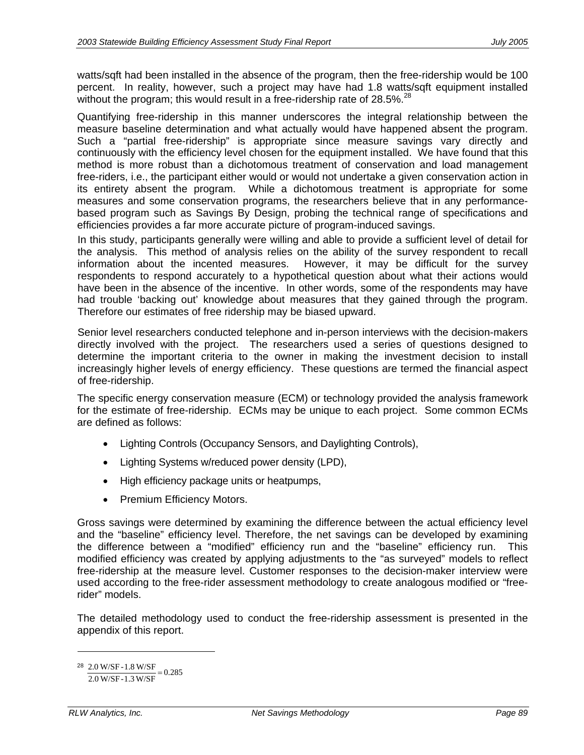watts/sqft had been installed in the absence of the program, then the free-ridership would be 100 percent. In reality, however, such a project may have had 1.8 watts/sqft equipment installed without the program; this would result in a free-ridership rate of 28.5%.<sup>28</sup>

Quantifying free-ridership in this manner underscores the integral relationship between the measure baseline determination and what actually would have happened absent the program. Such a "partial free-ridership" is appropriate since measure savings vary directly and continuously with the efficiency level chosen for the equipment installed. We have found that this method is more robust than a dichotomous treatment of conservation and load management free-riders, i.e., the participant either would or would not undertake a given conservation action in its entirety absent the program. While a dichotomous treatment is appropriate for some measures and some conservation programs, the researchers believe that in any performancebased program such as Savings By Design, probing the technical range of specifications and efficiencies provides a far more accurate picture of program-induced savings.

In this study, participants generally were willing and able to provide a sufficient level of detail for the analysis. This method of analysis relies on the ability of the survey respondent to recall information about the incented measures. However, it may be difficult for the survey respondents to respond accurately to a hypothetical question about what their actions would have been in the absence of the incentive. In other words, some of the respondents may have had trouble 'backing out' knowledge about measures that they gained through the program. Therefore our estimates of free ridership may be biased upward.

Senior level researchers conducted telephone and in-person interviews with the decision-makers directly involved with the project. The researchers used a series of questions designed to determine the important criteria to the owner in making the investment decision to install increasingly higher levels of energy efficiency. These questions are termed the financial aspect of free-ridership.

The specific energy conservation measure (ECM) or technology provided the analysis framework for the estimate of free-ridership. ECMs may be unique to each project. Some common ECMs are defined as follows:

- Lighting Controls (Occupancy Sensors, and Daylighting Controls),
- Lighting Systems w/reduced power density (LPD),
- High efficiency package units or heatpumps,
- Premium Efficiency Motors.

Gross savings were determined by examining the difference between the actual efficiency level and the "baseline" efficiency level. Therefore, the net savings can be developed by examining the difference between a "modified" efficiency run and the "baseline" efficiency run. This modified efficiency was created by applying adjustments to the "as surveyed" models to reflect free-ridership at the measure level. Customer responses to the decision-maker interview were used according to the free-rider assessment methodology to create analogous modified or "freerider" models.

The detailed methodology used to conduct the free-ridership assessment is presented in the appendix of this report.

-

 $\frac{2.0 \text{ W/SF} - 1.8 \text{ W/SF}}{2.0 \text{ W/SF} + 1.8 \text{ W/SF}} = 0.285$ 2.0 W/SF-1.3 W/SF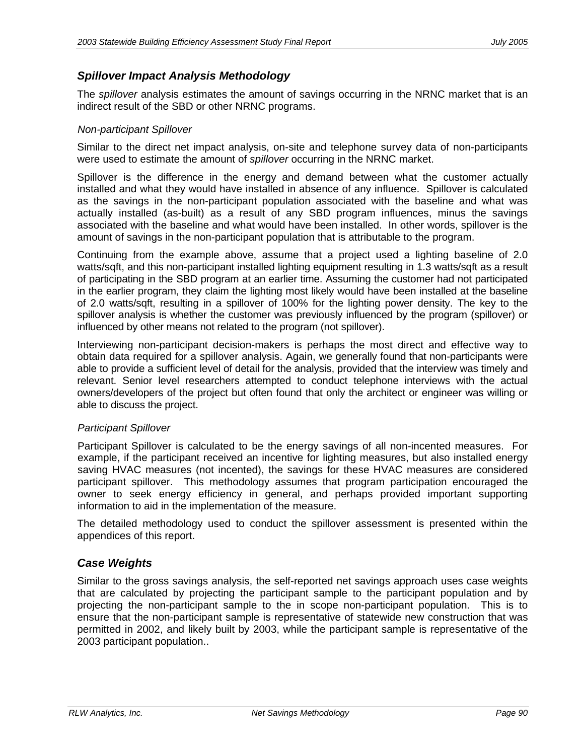### *Spillover Impact Analysis Methodology*

The *spillover* analysis estimates the amount of savings occurring in the NRNC market that is an indirect result of the SBD or other NRNC programs.

#### *Non-participant Spillover*

Similar to the direct net impact analysis, on-site and telephone survey data of non-participants were used to estimate the amount of *spillover* occurring in the NRNC market.

Spillover is the difference in the energy and demand between what the customer actually installed and what they would have installed in absence of any influence. Spillover is calculated as the savings in the non-participant population associated with the baseline and what was actually installed (as-built) as a result of any SBD program influences, minus the savings associated with the baseline and what would have been installed. In other words, spillover is the amount of savings in the non-participant population that is attributable to the program.

Continuing from the example above, assume that a project used a lighting baseline of 2.0 watts/sqft, and this non-participant installed lighting equipment resulting in 1.3 watts/sqft as a result of participating in the SBD program at an earlier time. Assuming the customer had not participated in the earlier program, they claim the lighting most likely would have been installed at the baseline of 2.0 watts/sqft, resulting in a spillover of 100% for the lighting power density. The key to the spillover analysis is whether the customer was previously influenced by the program (spillover) or influenced by other means not related to the program (not spillover).

Interviewing non-participant decision-makers is perhaps the most direct and effective way to obtain data required for a spillover analysis. Again, we generally found that non-participants were able to provide a sufficient level of detail for the analysis, provided that the interview was timely and relevant. Senior level researchers attempted to conduct telephone interviews with the actual owners/developers of the project but often found that only the architect or engineer was willing or able to discuss the project.

#### *Participant Spillover*

Participant Spillover is calculated to be the energy savings of all non-incented measures. For example, if the participant received an incentive for lighting measures, but also installed energy saving HVAC measures (not incented), the savings for these HVAC measures are considered participant spillover. This methodology assumes that program participation encouraged the owner to seek energy efficiency in general, and perhaps provided important supporting information to aid in the implementation of the measure.

The detailed methodology used to conduct the spillover assessment is presented within the appendices of this report.

### *Case Weights*

Similar to the gross savings analysis, the self-reported net savings approach uses case weights that are calculated by projecting the participant sample to the participant population and by projecting the non-participant sample to the in scope non-participant population. This is to ensure that the non-participant sample is representative of statewide new construction that was permitted in 2002, and likely built by 2003, while the participant sample is representative of the 2003 participant population..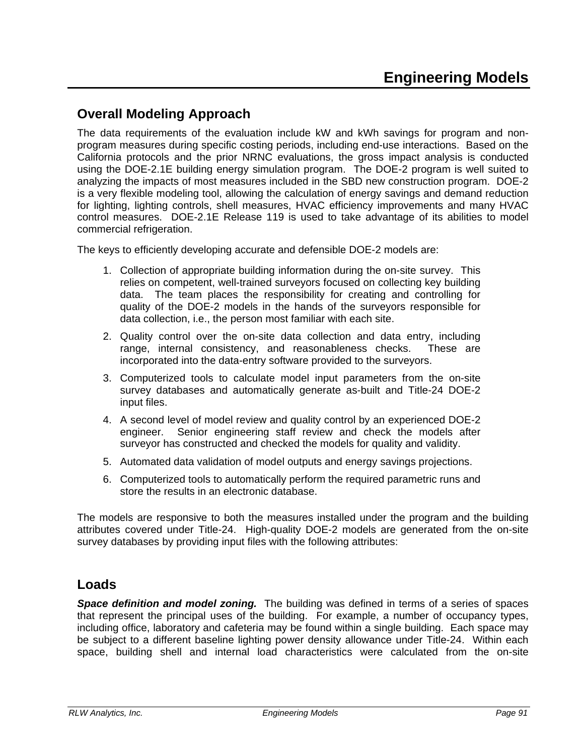### **Overall Modeling Approach**

The data requirements of the evaluation include kW and kWh savings for program and nonprogram measures during specific costing periods, including end-use interactions. Based on the California protocols and the prior NRNC evaluations, the gross impact analysis is conducted using the DOE-2.1E building energy simulation program. The DOE-2 program is well suited to analyzing the impacts of most measures included in the SBD new construction program. DOE-2 is a very flexible modeling tool, allowing the calculation of energy savings and demand reduction for lighting, lighting controls, shell measures, HVAC efficiency improvements and many HVAC control measures. DOE-2.1E Release 119 is used to take advantage of its abilities to model commercial refrigeration.

The keys to efficiently developing accurate and defensible DOE-2 models are:

- 1. Collection of appropriate building information during the on-site survey. This relies on competent, well-trained surveyors focused on collecting key building data. The team places the responsibility for creating and controlling for quality of the DOE-2 models in the hands of the surveyors responsible for data collection, i.e., the person most familiar with each site.
- 2. Quality control over the on-site data collection and data entry, including range, internal consistency, and reasonableness checks. These are incorporated into the data-entry software provided to the surveyors.
- 3. Computerized tools to calculate model input parameters from the on-site survey databases and automatically generate as-built and Title-24 DOE-2 input files.
- 4. A second level of model review and quality control by an experienced DOE-2 engineer. Senior engineering staff review and check the models after surveyor has constructed and checked the models for quality and validity.
- 5. Automated data validation of model outputs and energy savings projections.
- 6. Computerized tools to automatically perform the required parametric runs and store the results in an electronic database.

The models are responsive to both the measures installed under the program and the building attributes covered under Title-24. High-quality DOE-2 models are generated from the on-site survey databases by providing input files with the following attributes:

### **Loads**

*Space definition and model zoning.* The building was defined in terms of a series of spaces that represent the principal uses of the building. For example, a number of occupancy types, including office, laboratory and cafeteria may be found within a single building. Each space may be subject to a different baseline lighting power density allowance under Title-24. Within each space, building shell and internal load characteristics were calculated from the on-site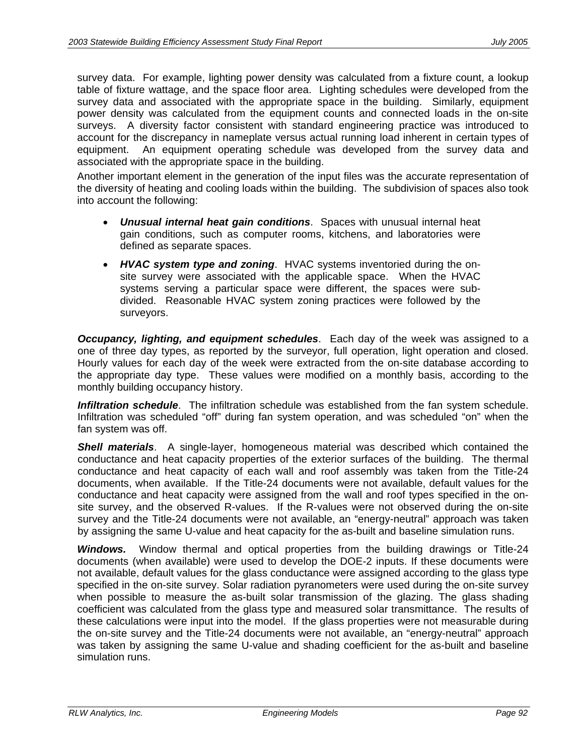survey data. For example, lighting power density was calculated from a fixture count, a lookup table of fixture wattage, and the space floor area. Lighting schedules were developed from the survey data and associated with the appropriate space in the building. Similarly, equipment power density was calculated from the equipment counts and connected loads in the on-site surveys. A diversity factor consistent with standard engineering practice was introduced to account for the discrepancy in nameplate versus actual running load inherent in certain types of equipment. An equipment operating schedule was developed from the survey data and associated with the appropriate space in the building.

Another important element in the generation of the input files was the accurate representation of the diversity of heating and cooling loads within the building. The subdivision of spaces also took into account the following:

- *Unusual internal heat gain conditions*. Spaces with unusual internal heat gain conditions, such as computer rooms, kitchens, and laboratories were defined as separate spaces.
- *HVAC system type and zoning*. HVAC systems inventoried during the onsite survey were associated with the applicable space. When the HVAC systems serving a particular space were different, the spaces were subdivided. Reasonable HVAC system zoning practices were followed by the surveyors.

*Occupancy, lighting, and equipment schedules*. Each day of the week was assigned to a one of three day types, as reported by the surveyor, full operation, light operation and closed. Hourly values for each day of the week were extracted from the on-site database according to the appropriate day type. These values were modified on a monthly basis, according to the monthly building occupancy history.

*Infiltration schedule*. The infiltration schedule was established from the fan system schedule. Infiltration was scheduled "off" during fan system operation, and was scheduled "on" when the fan system was off.

*Shell materials*. A single-layer, homogeneous material was described which contained the conductance and heat capacity properties of the exterior surfaces of the building. The thermal conductance and heat capacity of each wall and roof assembly was taken from the Title-24 documents, when available. If the Title-24 documents were not available, default values for the conductance and heat capacity were assigned from the wall and roof types specified in the onsite survey, and the observed R-values. If the R-values were not observed during the on-site survey and the Title-24 documents were not available, an "energy-neutral" approach was taken by assigning the same U-value and heat capacity for the as-built and baseline simulation runs.

*Windows.* Window thermal and optical properties from the building drawings or Title-24 documents (when available) were used to develop the DOE-2 inputs. If these documents were not available, default values for the glass conductance were assigned according to the glass type specified in the on-site survey. Solar radiation pyranometers were used during the on-site survey when possible to measure the as-built solar transmission of the glazing. The glass shading coefficient was calculated from the glass type and measured solar transmittance. The results of these calculations were input into the model. If the glass properties were not measurable during the on-site survey and the Title-24 documents were not available, an "energy-neutral" approach was taken by assigning the same U-value and shading coefficient for the as-built and baseline simulation runs.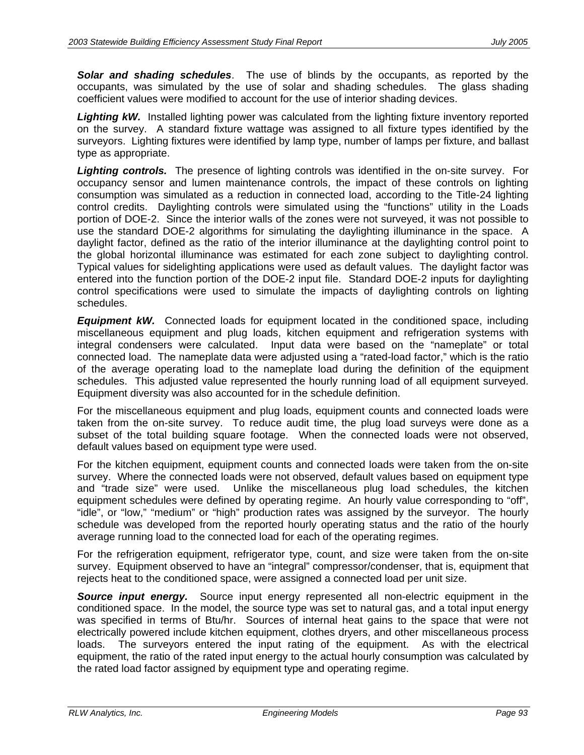*Solar and shading schedules*. The use of blinds by the occupants, as reported by the occupants, was simulated by the use of solar and shading schedules. The glass shading coefficient values were modified to account for the use of interior shading devices.

**Lighting kW.** Installed lighting power was calculated from the lighting fixture inventory reported on the survey. A standard fixture wattage was assigned to all fixture types identified by the surveyors. Lighting fixtures were identified by lamp type, number of lamps per fixture, and ballast type as appropriate.

**Lighting controls.** The presence of lighting controls was identified in the on-site survey. For occupancy sensor and lumen maintenance controls, the impact of these controls on lighting consumption was simulated as a reduction in connected load, according to the Title-24 lighting control credits. Daylighting controls were simulated using the "functions" utility in the Loads portion of DOE-2. Since the interior walls of the zones were not surveyed, it was not possible to use the standard DOE-2 algorithms for simulating the daylighting illuminance in the space. A daylight factor, defined as the ratio of the interior illuminance at the daylighting control point to the global horizontal illuminance was estimated for each zone subject to daylighting control. Typical values for sidelighting applications were used as default values. The daylight factor was entered into the function portion of the DOE-2 input file. Standard DOE-2 inputs for daylighting control specifications were used to simulate the impacts of daylighting controls on lighting schedules.

*Equipment kW.* Connected loads for equipment located in the conditioned space, including miscellaneous equipment and plug loads, kitchen equipment and refrigeration systems with integral condensers were calculated. Input data were based on the "nameplate" or total connected load. The nameplate data were adjusted using a "rated-load factor," which is the ratio of the average operating load to the nameplate load during the definition of the equipment schedules. This adjusted value represented the hourly running load of all equipment surveyed. Equipment diversity was also accounted for in the schedule definition.

For the miscellaneous equipment and plug loads, equipment counts and connected loads were taken from the on-site survey. To reduce audit time, the plug load surveys were done as a subset of the total building square footage. When the connected loads were not observed, default values based on equipment type were used.

For the kitchen equipment, equipment counts and connected loads were taken from the on-site survey. Where the connected loads were not observed, default values based on equipment type and "trade size" were used. Unlike the miscellaneous plug load schedules, the kitchen equipment schedules were defined by operating regime. An hourly value corresponding to "off", "idle", or "low," "medium" or "high" production rates was assigned by the surveyor. The hourly schedule was developed from the reported hourly operating status and the ratio of the hourly average running load to the connected load for each of the operating regimes.

For the refrigeration equipment, refrigerator type, count, and size were taken from the on-site survey. Equipment observed to have an "integral" compressor/condenser, that is, equipment that rejects heat to the conditioned space, were assigned a connected load per unit size.

*Source input energy.* Source input energy represented all non-electric equipment in the conditioned space. In the model, the source type was set to natural gas, and a total input energy was specified in terms of Btu/hr. Sources of internal heat gains to the space that were not electrically powered include kitchen equipment, clothes dryers, and other miscellaneous process loads. The surveyors entered the input rating of the equipment. As with the electrical equipment, the ratio of the rated input energy to the actual hourly consumption was calculated by the rated load factor assigned by equipment type and operating regime.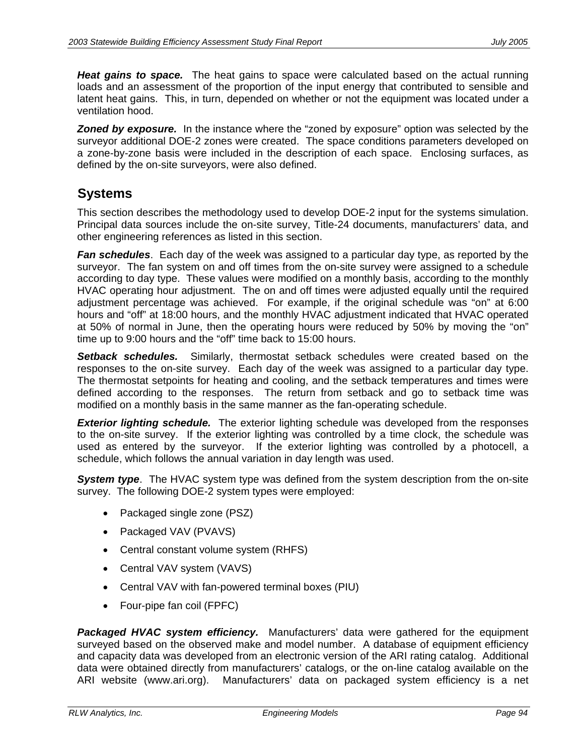*Heat gains to space.* The heat gains to space were calculated based on the actual running loads and an assessment of the proportion of the input energy that contributed to sensible and latent heat gains. This, in turn, depended on whether or not the equipment was located under a ventilation hood.

**Zoned by exposure.** In the instance where the "zoned by exposure" option was selected by the surveyor additional DOE-2 zones were created. The space conditions parameters developed on a zone-by-zone basis were included in the description of each space. Enclosing surfaces, as defined by the on-site surveyors, were also defined.

### **Systems**

This section describes the methodology used to develop DOE-2 input for the systems simulation. Principal data sources include the on-site survey, Title-24 documents, manufacturers' data, and other engineering references as listed in this section.

*Fan schedules*. Each day of the week was assigned to a particular day type, as reported by the surveyor. The fan system on and off times from the on-site survey were assigned to a schedule according to day type. These values were modified on a monthly basis, according to the monthly HVAC operating hour adjustment. The on and off times were adjusted equally until the required adjustment percentage was achieved. For example, if the original schedule was "on" at 6:00 hours and "off" at 18:00 hours, and the monthly HVAC adjustment indicated that HVAC operated at 50% of normal in June, then the operating hours were reduced by 50% by moving the "on" time up to 9:00 hours and the "off" time back to 15:00 hours.

*Setback schedules.* Similarly, thermostat setback schedules were created based on the responses to the on-site survey. Each day of the week was assigned to a particular day type. The thermostat setpoints for heating and cooling, and the setback temperatures and times were defined according to the responses. The return from setback and go to setback time was modified on a monthly basis in the same manner as the fan-operating schedule.

**Exterior lighting schedule.** The exterior lighting schedule was developed from the responses to the on-site survey. If the exterior lighting was controlled by a time clock, the schedule was used as entered by the surveyor. If the exterior lighting was controlled by a photocell, a schedule, which follows the annual variation in day length was used.

**System type**. The HVAC system type was defined from the system description from the on-site survey. The following DOE-2 system types were employed:

- Packaged single zone (PSZ)
- Packaged VAV (PVAVS)
- Central constant volume system (RHFS)
- Central VAV system (VAVS)
- Central VAV with fan-powered terminal boxes (PIU)
- Four-pipe fan coil (FPFC)

*Packaged HVAC system efficiency.* Manufacturers' data were gathered for the equipment surveyed based on the observed make and model number. A database of equipment efficiency and capacity data was developed from an electronic version of the ARI rating catalog. Additional data were obtained directly from manufacturers' catalogs, or the on-line catalog available on the ARI website (www.ari.org). Manufacturers' data on packaged system efficiency is a net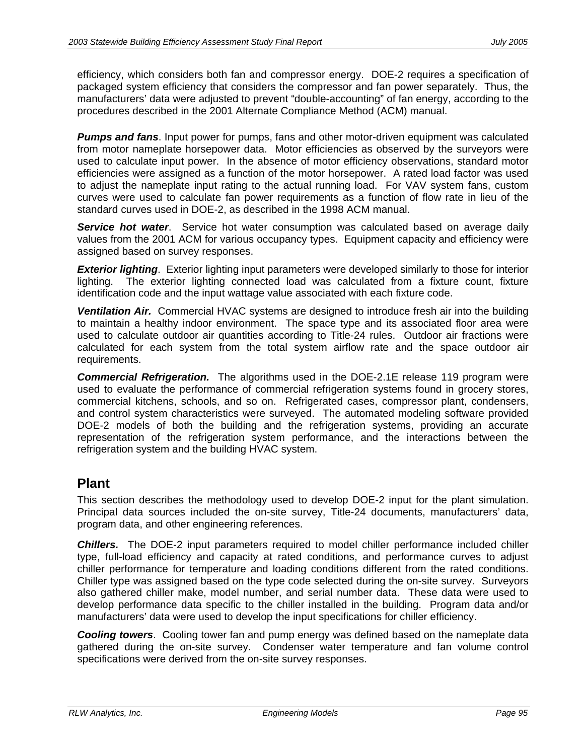efficiency, which considers both fan and compressor energy. DOE-2 requires a specification of packaged system efficiency that considers the compressor and fan power separately. Thus, the manufacturers' data were adjusted to prevent "double-accounting" of fan energy, according to the procedures described in the 2001 Alternate Compliance Method (ACM) manual.

*Pumps and fans*. Input power for pumps, fans and other motor-driven equipment was calculated from motor nameplate horsepower data. Motor efficiencies as observed by the surveyors were used to calculate input power. In the absence of motor efficiency observations, standard motor efficiencies were assigned as a function of the motor horsepower. A rated load factor was used to adjust the nameplate input rating to the actual running load. For VAV system fans, custom curves were used to calculate fan power requirements as a function of flow rate in lieu of the standard curves used in DOE-2, as described in the 1998 ACM manual.

*Service hot water*. Service hot water consumption was calculated based on average daily values from the 2001 ACM for various occupancy types. Equipment capacity and efficiency were assigned based on survey responses.

*Exterior lighting*. Exterior lighting input parameters were developed similarly to those for interior lighting. The exterior lighting connected load was calculated from a fixture count, fixture identification code and the input wattage value associated with each fixture code.

*Ventilation Air.* Commercial HVAC systems are designed to introduce fresh air into the building to maintain a healthy indoor environment. The space type and its associated floor area were used to calculate outdoor air quantities according to Title-24 rules. Outdoor air fractions were calculated for each system from the total system airflow rate and the space outdoor air requirements.

*Commercial Refrigeration.* The algorithms used in the DOE-2.1E release 119 program were used to evaluate the performance of commercial refrigeration systems found in grocery stores, commercial kitchens, schools, and so on. Refrigerated cases, compressor plant, condensers, and control system characteristics were surveyed. The automated modeling software provided DOE-2 models of both the building and the refrigeration systems, providing an accurate representation of the refrigeration system performance, and the interactions between the refrigeration system and the building HVAC system.

### **Plant**

This section describes the methodology used to develop DOE-2 input for the plant simulation. Principal data sources included the on-site survey, Title-24 documents, manufacturers' data, program data, and other engineering references.

*Chillers.* The DOE-2 input parameters required to model chiller performance included chiller type, full-load efficiency and capacity at rated conditions, and performance curves to adjust chiller performance for temperature and loading conditions different from the rated conditions. Chiller type was assigned based on the type code selected during the on-site survey. Surveyors also gathered chiller make, model number, and serial number data. These data were used to develop performance data specific to the chiller installed in the building. Program data and/or manufacturers' data were used to develop the input specifications for chiller efficiency.

*Cooling towers*. Cooling tower fan and pump energy was defined based on the nameplate data gathered during the on-site survey. Condenser water temperature and fan volume control specifications were derived from the on-site survey responses.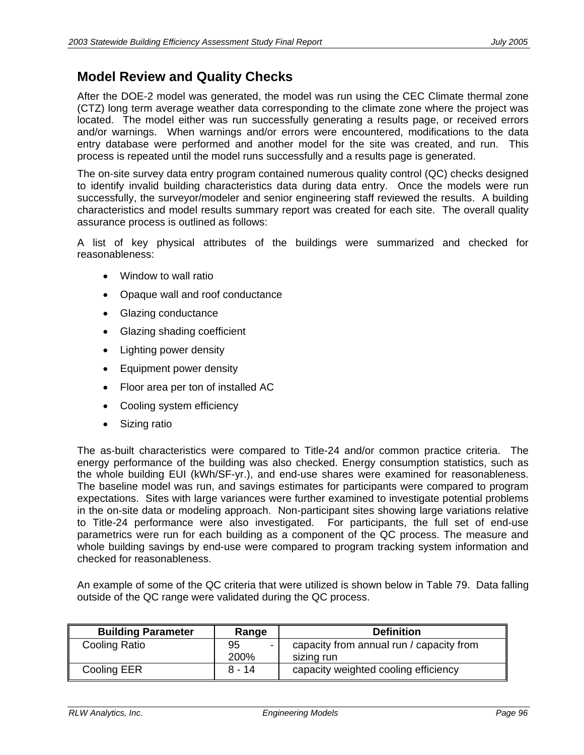### **Model Review and Quality Checks**

After the DOE-2 model was generated, the model was run using the CEC Climate thermal zone (CTZ) long term average weather data corresponding to the climate zone where the project was located. The model either was run successfully generating a results page, or received errors and/or warnings. When warnings and/or errors were encountered, modifications to the data entry database were performed and another model for the site was created, and run. This process is repeated until the model runs successfully and a results page is generated.

The on-site survey data entry program contained numerous quality control (QC) checks designed to identify invalid building characteristics data during data entry. Once the models were run successfully, the surveyor/modeler and senior engineering staff reviewed the results. A building characteristics and model results summary report was created for each site. The overall quality assurance process is outlined as follows:

A list of key physical attributes of the buildings were summarized and checked for reasonableness:

- Window to wall ratio
- Opaque wall and roof conductance
- Glazing conductance
- Glazing shading coefficient
- Lighting power density
- Equipment power density
- Floor area per ton of installed AC
- Cooling system efficiency
- Sizing ratio

The as-built characteristics were compared to Title-24 and/or common practice criteria. The energy performance of the building was also checked. Energy consumption statistics, such as the whole building EUI (kWh/SF-yr.), and end-use shares were examined for reasonableness. The baseline model was run, and savings estimates for participants were compared to program expectations. Sites with large variances were further examined to investigate potential problems in the on-site data or modeling approach. Non-participant sites showing large variations relative to Title-24 performance were also investigated. For participants, the full set of end-use parametrics were run for each building as a component of the QC process. The measure and whole building savings by end-use were compared to program tracking system information and checked for reasonableness.

An example of some of the QC criteria that were utilized is shown below in Table 79. Data falling outside of the QC range were validated during the QC process.

| <b>Building Parameter</b> | Range      | <b>Definition</b>                                      |
|---------------------------|------------|--------------------------------------------------------|
| Cooling Ratio             | 95<br>200% | capacity from annual run / capacity from<br>sizing run |
| Cooling EER               | $8 - 14$   | capacity weighted cooling efficiency                   |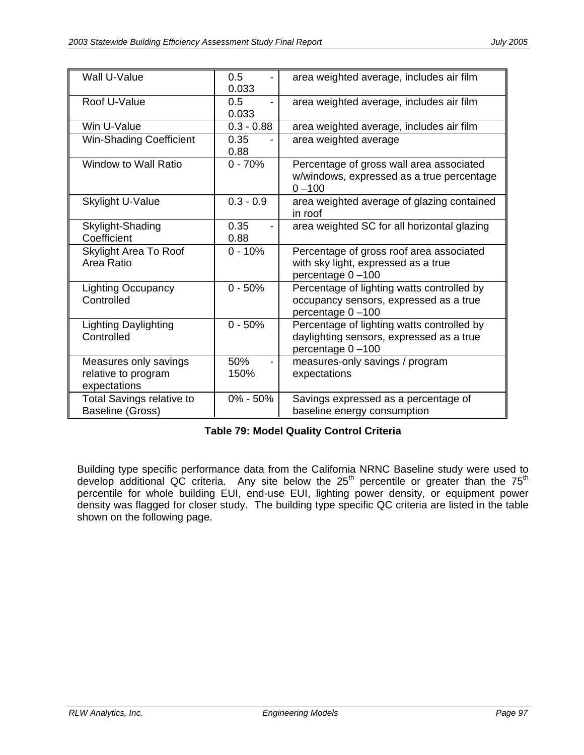| Wall U-Value                                                 | 0.5<br>0.033 | area weighted average, includes air film                                                                   |
|--------------------------------------------------------------|--------------|------------------------------------------------------------------------------------------------------------|
| Roof U-Value                                                 | 0.5<br>0.033 | area weighted average, includes air film                                                                   |
| Win U-Value                                                  | $0.3 - 0.88$ | area weighted average, includes air film                                                                   |
| <b>Win-Shading Coefficient</b>                               | 0.35<br>0.88 | area weighted average                                                                                      |
| Window to Wall Ratio                                         | $0 - 70%$    | Percentage of gross wall area associated<br>w/windows, expressed as a true percentage<br>$0 - 100$         |
| <b>Skylight U-Value</b>                                      | $0.3 - 0.9$  | area weighted average of glazing contained<br>in roof                                                      |
| Skylight-Shading<br>Coefficient                              | 0.35<br>0.88 | area weighted SC for all horizontal glazing                                                                |
| <b>Skylight Area To Roof</b><br>Area Ratio                   | $0 - 10%$    | Percentage of gross roof area associated<br>with sky light, expressed as a true<br>percentage 0-100        |
| <b>Lighting Occupancy</b><br>Controlled                      | $0 - 50%$    | Percentage of lighting watts controlled by<br>occupancy sensors, expressed as a true<br>percentage 0-100   |
| Lighting Daylighting<br>Controlled                           | $0 - 50%$    | Percentage of lighting watts controlled by<br>daylighting sensors, expressed as a true<br>percentage 0-100 |
| Measures only savings<br>relative to program<br>expectations | 50%<br>150%  | measures-only savings / program<br>expectations                                                            |
| <b>Total Savings relative to</b><br>Baseline (Gross)         | $0\% - 50\%$ | Savings expressed as a percentage of<br>baseline energy consumption                                        |

### **Table 79: Model Quality Control Criteria**

Building type specific performance data from the California NRNC Baseline study were used to develop additional QC criteria. Any site below the 25<sup>th</sup> percentile or greater than the 75<sup>th</sup> percentile for whole building EUI, end-use EUI, lighting power density, or equipment power density was flagged for closer study. The building type specific QC criteria are listed in the table shown on the following page.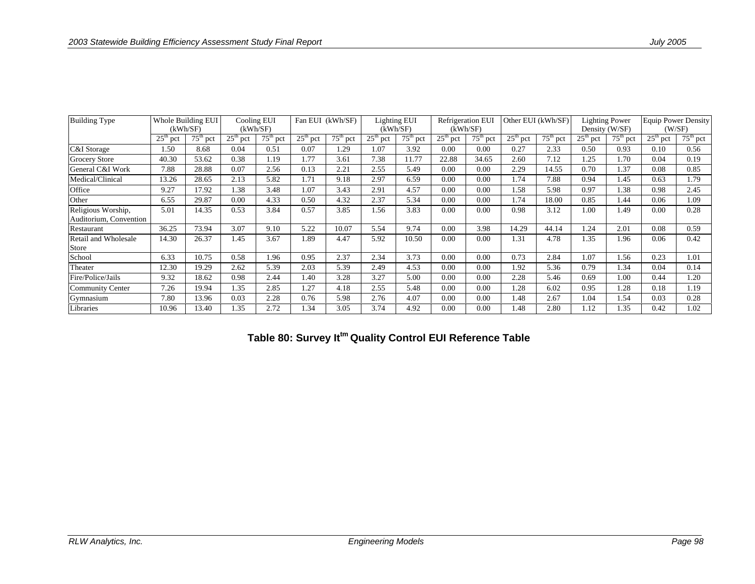| <b>Building Type</b>                         |            | Whole Building EUI<br>(kWh/SF) |            | Cooling EUI<br>(kWh/SF) |            | Fan EUI (kWh/SF) |            | Lighting EUI<br>(kWh/SF) |            | Refrigeration EUI<br>(kWh/SF) |                           | Other EUI (kWh/SF) |            | <b>Lighting Power</b><br>Density (W/SF) | <b>Equip Power Density</b> | (W/SF)     |
|----------------------------------------------|------------|--------------------------------|------------|-------------------------|------------|------------------|------------|--------------------------|------------|-------------------------------|---------------------------|--------------------|------------|-----------------------------------------|----------------------------|------------|
|                                              | $25th$ pct | $75th$ pct                     | $25th$ pct | $75th$ pct              | $25th$ pct | $75th$ pct       | $25th$ pct | $75th$ pct               | $25th$ pct | $75th$ pct                    | $25^{\text{th}}$<br>' pct | $75th$ pct         | $25th$ pct | $75th$ pct                              | $25th$ pct                 | $75th$ pct |
| C&I Storage                                  | 1.50       | 8.68                           | 0.04       | 0.51                    | 0.07       | 1.29             | 1.07       | 3.92                     | 0.00       | 0.00                          | 0.27                      | 2.33               | 0.50       | 0.93                                    | 0.10                       | 0.56       |
| <b>Grocery Store</b>                         | 40.30      | 53.62                          | 0.38       | 1.19                    | 1.77       | 3.61             | 7.38       | 11.77                    | 22.88      | 34.65                         | 2.60                      | 7.12               | 1.25       | 1.70                                    | 0.04                       | 0.19       |
| General C&I Work                             | 7.88       | 28.88                          | 0.07       | 2.56                    | 0.13       | 2.21             | 2.55       | 5.49                     | 0.00       | 0.00                          | 2.29                      | 14.55              | 0.70       | 1.37                                    | 0.08                       | 0.85       |
| Medical/Clinical                             | 13.26      | 28.65                          | 2.13       | 5.82                    | 1.71       | 9.18             | 2.97       | 6.59                     | 0.00       | 0.00                          | 1.74                      | 7.88               | 0.94       | 1.45                                    | 0.63                       | 1.79       |
| Office                                       | 9.27       | 17.92                          | 1.38       | 3.48                    | 1.07       | 3.43             | 2.91       | 4.57                     | 0.00       | 0.00                          | 1.58                      | 5.98               | 0.97       | 1.38                                    | 0.98                       | 2.45       |
| Other                                        | 6.55       | 29.87                          | 0.00       | 4.33                    | 0.50       | 4.32             | 2.37       | 5.34                     | 0.00       | 0.00                          | 1.74                      | 18.00              | 0.85       | 1.44                                    | 0.06                       | 1.09       |
| Religious Worship,<br>Auditorium, Convention | 5.01       | 14.35                          | 0.53       | 3.84                    | 0.57       | 3.85             | 1.56       | 3.83                     | 0.00       | 0.00                          | 0.98                      | 3.12               | 1.00       | 1.49                                    | 0.00                       | 0.28       |
| Restaurant                                   | 36.25      | 73.94                          | 3.07       | 9.10                    | 5.22       | 10.07            | 5.54       | 9.74                     | 0.00       | 3.98                          | 14.29                     | 44.14              | 1.24       | 2.01                                    | 0.08                       | 0.59       |
| Retail and Wholesale<br>Store                | 14.30      | 26.37                          | 1.45       | 3.67                    | 1.89       | 4.47             | 5.92       | 10.50                    | 0.00       | 0.00                          | 1.31                      | 4.78               | 1.35       | 1.96                                    | 0.06                       | 0.42       |
| School                                       | 6.33       | 10.75                          | 0.58       | 1.96                    | 0.95       | 2.37             | 2.34       | 3.73                     | 0.00       | 0.00                          | 0.73                      | 2.84               | 1.07       | 1.56                                    | 0.23                       | 1.01       |
| Theater                                      | 12.30      | 19.29                          | 2.62       | 5.39                    | 2.03       | 5.39             | 2.49       | 4.53                     | 0.00       | 0.00                          | 1.92                      | 5.36               | 0.79       | 1.34                                    | 0.04                       | 0.14       |
| Fire/Police/Jails                            | 9.32       | 18.62                          | 0.98       | 2.44                    | 1.40       | 3.28             | 3.27       | 5.00                     | 0.00       | 0.00                          | 2.28                      | 5.46               | 0.69       | 1.00                                    | 0.44                       | 1.20       |
| Community Center                             | 7.26       | 19.94                          | 1.35       | 2.85                    | 1.27       | 4.18             | 2.55       | 5.48                     | 0.00       | 0.00                          | 1.28                      | 6.02               | 0.95       | 1.28                                    | 0.18                       | 1.19       |
| Gymnasium                                    | 7.80       | 13.96                          | 0.03       | 2.28                    | 0.76       | 5.98             | 2.76       | 4.07                     | 0.00       | 0.00                          | 1.48                      | 2.67               | 1.04       | 1.54                                    | 0.03                       | 0.28       |
| Libraries                                    | 10.96      | 13.40                          | 1.35       | 2.72                    | 1.34       | 3.05             | 3.74       | 4.92                     | 0.00       | 0.00                          | 1.48                      | 2.80               | 1.12       | 1.35                                    | 0.42                       | 1.02       |

**Table 80: Survey Ittm Quality Control EUI Reference Table**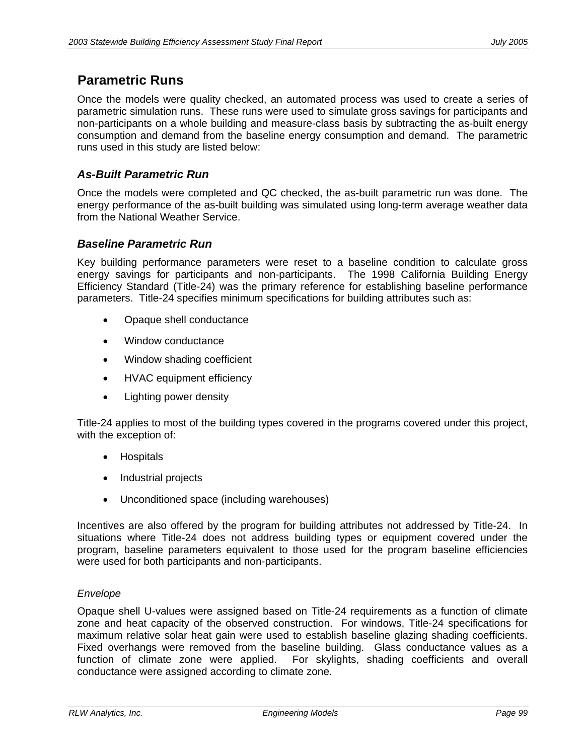# **Parametric Runs**

Once the models were quality checked, an automated process was used to create a series of parametric simulation runs. These runs were used to simulate gross savings for participants and non-participants on a whole building and measure-class basis by subtracting the as-built energy consumption and demand from the baseline energy consumption and demand. The parametric runs used in this study are listed below:

## *As-Built Parametric Run*

Once the models were completed and QC checked, the as-built parametric run was done. The energy performance of the as-built building was simulated using long-term average weather data from the National Weather Service.

## *Baseline Parametric Run*

Key building performance parameters were reset to a baseline condition to calculate gross energy savings for participants and non-participants. The 1998 California Building Energy Efficiency Standard (Title-24) was the primary reference for establishing baseline performance parameters. Title-24 specifies minimum specifications for building attributes such as:

- Opaque shell conductance
- Window conductance
- Window shading coefficient
- HVAC equipment efficiency
- Lighting power density

Title-24 applies to most of the building types covered in the programs covered under this project, with the exception of:

- Hospitals
- Industrial projects
- Unconditioned space (including warehouses)

Incentives are also offered by the program for building attributes not addressed by Title-24. In situations where Title-24 does not address building types or equipment covered under the program, baseline parameters equivalent to those used for the program baseline efficiencies were used for both participants and non-participants.

### *Envelope*

Opaque shell U-values were assigned based on Title-24 requirements as a function of climate zone and heat capacity of the observed construction. For windows, Title-24 specifications for maximum relative solar heat gain were used to establish baseline glazing shading coefficients. Fixed overhangs were removed from the baseline building. Glass conductance values as a function of climate zone were applied. For skylights, shading coefficients and overall conductance were assigned according to climate zone.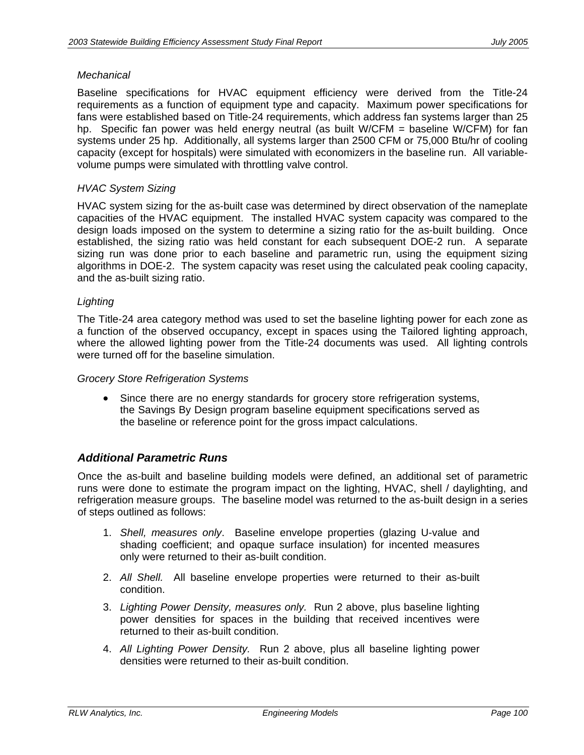#### *Mechanical*

Baseline specifications for HVAC equipment efficiency were derived from the Title-24 requirements as a function of equipment type and capacity. Maximum power specifications for fans were established based on Title-24 requirements, which address fan systems larger than 25 hp. Specific fan power was held energy neutral (as built W/CFM = baseline W/CFM) for fan systems under 25 hp. Additionally, all systems larger than 2500 CFM or 75,000 Btu/hr of cooling capacity (except for hospitals) were simulated with economizers in the baseline run. All variablevolume pumps were simulated with throttling valve control.

#### *HVAC System Sizing*

HVAC system sizing for the as-built case was determined by direct observation of the nameplate capacities of the HVAC equipment. The installed HVAC system capacity was compared to the design loads imposed on the system to determine a sizing ratio for the as-built building. Once established, the sizing ratio was held constant for each subsequent DOE-2 run. A separate sizing run was done prior to each baseline and parametric run, using the equipment sizing algorithms in DOE-2. The system capacity was reset using the calculated peak cooling capacity, and the as-built sizing ratio.

#### *Lighting*

The Title-24 area category method was used to set the baseline lighting power for each zone as a function of the observed occupancy, except in spaces using the Tailored lighting approach, where the allowed lighting power from the Title-24 documents was used. All lighting controls were turned off for the baseline simulation.

#### *Grocery Store Refrigeration Systems*

• Since there are no energy standards for grocery store refrigeration systems, the Savings By Design program baseline equipment specifications served as the baseline or reference point for the gross impact calculations.

### *Additional Parametric Runs*

Once the as-built and baseline building models were defined, an additional set of parametric runs were done to estimate the program impact on the lighting, HVAC, shell / daylighting, and refrigeration measure groups. The baseline model was returned to the as-built design in a series of steps outlined as follows:

- 1. *Shell, measures only*. Baseline envelope properties (glazing U-value and shading coefficient; and opaque surface insulation) for incented measures only were returned to their as-built condition.
- 2. *All Shell.* All baseline envelope properties were returned to their as-built condition.
- 3. *Lighting Power Density, measures only.* Run 2 above, plus baseline lighting power densities for spaces in the building that received incentives were returned to their as-built condition.
- 4. *All Lighting Power Density.* Run 2 above, plus all baseline lighting power densities were returned to their as-built condition.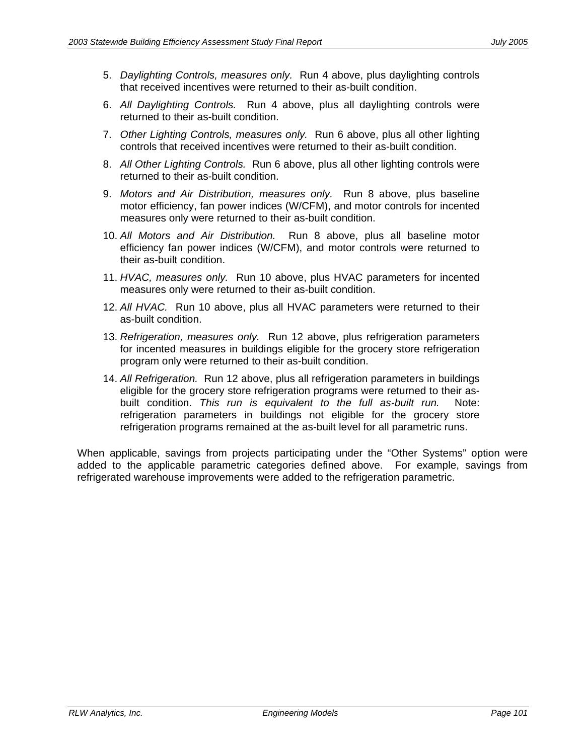- 5. *Daylighting Controls, measures only.* Run 4 above, plus daylighting controls that received incentives were returned to their as-built condition.
- 6. *All Daylighting Controls.* Run 4 above, plus all daylighting controls were returned to their as-built condition.
- 7. *Other Lighting Controls, measures only.* Run 6 above, plus all other lighting controls that received incentives were returned to their as-built condition.
- 8. *All Other Lighting Controls.* Run 6 above, plus all other lighting controls were returned to their as-built condition.
- 9. *Motors and Air Distribution, measures only.* Run 8 above, plus baseline motor efficiency, fan power indices (W/CFM), and motor controls for incented measures only were returned to their as-built condition.
- 10. *All Motors and Air Distribution.* Run 8 above, plus all baseline motor efficiency fan power indices (W/CFM), and motor controls were returned to their as-built condition.
- 11. *HVAC, measures only.* Run 10 above, plus HVAC parameters for incented measures only were returned to their as-built condition.
- 12. *All HVAC.* Run 10 above, plus all HVAC parameters were returned to their as-built condition.
- 13. *Refrigeration, measures only.* Run 12 above, plus refrigeration parameters for incented measures in buildings eligible for the grocery store refrigeration program only were returned to their as-built condition.
- 14. *All Refrigeration.* Run 12 above, plus all refrigeration parameters in buildings eligible for the grocery store refrigeration programs were returned to their asbuilt condition. *This run is equivalent to the full as-built run.* Note: refrigeration parameters in buildings not eligible for the grocery store refrigeration programs remained at the as-built level for all parametric runs.

When applicable, savings from projects participating under the "Other Systems" option were added to the applicable parametric categories defined above. For example, savings from refrigerated warehouse improvements were added to the refrigeration parametric.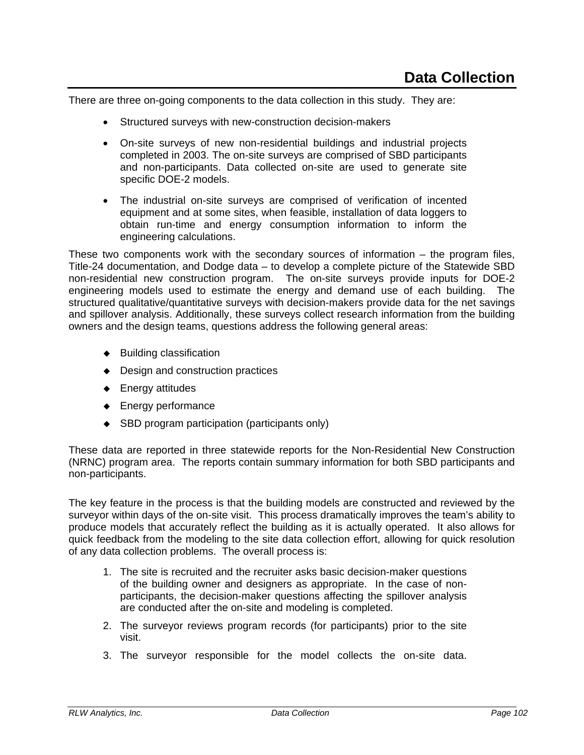There are three on-going components to the data collection in this study. They are:

- Structured surveys with new-construction decision-makers
- On-site surveys of new non-residential buildings and industrial projects completed in 2003. The on-site surveys are comprised of SBD participants and non-participants. Data collected on-site are used to generate site specific DOE-2 models.
- The industrial on-site surveys are comprised of verification of incented equipment and at some sites, when feasible, installation of data loggers to obtain run-time and energy consumption information to inform the engineering calculations.

These two components work with the secondary sources of information – the program files, Title-24 documentation, and Dodge data – to develop a complete picture of the Statewide SBD non-residential new construction program. The on-site surveys provide inputs for DOE-2 engineering models used to estimate the energy and demand use of each building. The structured qualitative/quantitative surveys with decision-makers provide data for the net savings and spillover analysis. Additionally, these surveys collect research information from the building owners and the design teams, questions address the following general areas:

- $\triangleleft$  Building classification
- ◆ Design and construction practices
- ◆ Energy attitudes
- ◆ Energy performance
- ◆ SBD program participation (participants only)

These data are reported in three statewide reports for the Non-Residential New Construction (NRNC) program area. The reports contain summary information for both SBD participants and non-participants.

The key feature in the process is that the building models are constructed and reviewed by the surveyor within days of the on-site visit. This process dramatically improves the team's ability to produce models that accurately reflect the building as it is actually operated. It also allows for quick feedback from the modeling to the site data collection effort, allowing for quick resolution of any data collection problems. The overall process is:

- 1. The site is recruited and the recruiter asks basic decision-maker questions of the building owner and designers as appropriate. In the case of nonparticipants, the decision-maker questions affecting the spillover analysis are conducted after the on-site and modeling is completed.
- 2. The surveyor reviews program records (for participants) prior to the site visit.
- 3. The surveyor responsible for the model collects the on-site data.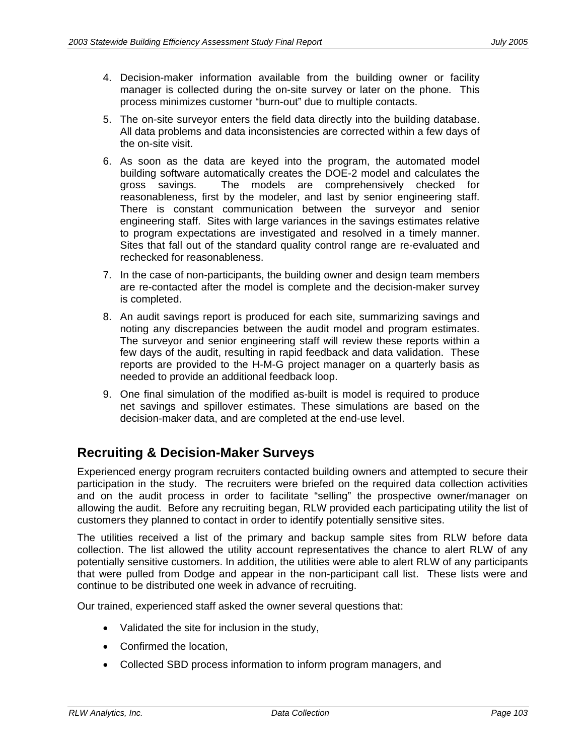- 4. Decision-maker information available from the building owner or facility manager is collected during the on-site survey or later on the phone. This process minimizes customer "burn-out" due to multiple contacts.
- 5. The on-site surveyor enters the field data directly into the building database. All data problems and data inconsistencies are corrected within a few days of the on-site visit.
- 6. As soon as the data are keyed into the program, the automated model building software automatically creates the DOE-2 model and calculates the gross savings. The models are comprehensively checked for reasonableness, first by the modeler, and last by senior engineering staff. There is constant communication between the surveyor and senior engineering staff. Sites with large variances in the savings estimates relative to program expectations are investigated and resolved in a timely manner. Sites that fall out of the standard quality control range are re-evaluated and rechecked for reasonableness.
- 7. In the case of non-participants, the building owner and design team members are re-contacted after the model is complete and the decision-maker survey is completed.
- 8. An audit savings report is produced for each site, summarizing savings and noting any discrepancies between the audit model and program estimates. The surveyor and senior engineering staff will review these reports within a few days of the audit, resulting in rapid feedback and data validation. These reports are provided to the H-M-G project manager on a quarterly basis as needed to provide an additional feedback loop.
- 9. One final simulation of the modified as-built is model is required to produce net savings and spillover estimates. These simulations are based on the decision-maker data, and are completed at the end-use level.

# **Recruiting & Decision-Maker Surveys**

Experienced energy program recruiters contacted building owners and attempted to secure their participation in the study. The recruiters were briefed on the required data collection activities and on the audit process in order to facilitate "selling" the prospective owner/manager on allowing the audit. Before any recruiting began, RLW provided each participating utility the list of customers they planned to contact in order to identify potentially sensitive sites.

The utilities received a list of the primary and backup sample sites from RLW before data collection. The list allowed the utility account representatives the chance to alert RLW of any potentially sensitive customers. In addition, the utilities were able to alert RLW of any participants that were pulled from Dodge and appear in the non-participant call list. These lists were and continue to be distributed one week in advance of recruiting.

Our trained, experienced staff asked the owner several questions that:

- Validated the site for inclusion in the study,
- Confirmed the location.
- Collected SBD process information to inform program managers, and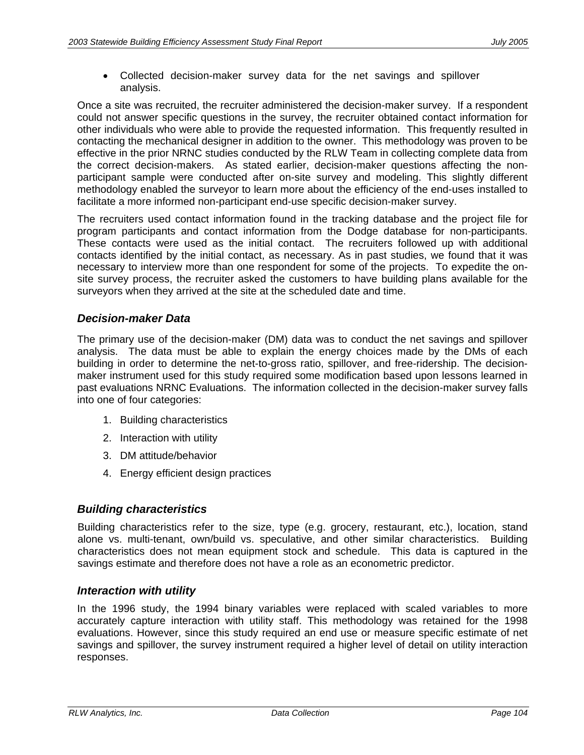• Collected decision-maker survey data for the net savings and spillover analysis.

Once a site was recruited, the recruiter administered the decision-maker survey. If a respondent could not answer specific questions in the survey, the recruiter obtained contact information for other individuals who were able to provide the requested information. This frequently resulted in contacting the mechanical designer in addition to the owner. This methodology was proven to be effective in the prior NRNC studies conducted by the RLW Team in collecting complete data from the correct decision-makers. As stated earlier, decision-maker questions affecting the nonparticipant sample were conducted after on-site survey and modeling. This slightly different methodology enabled the surveyor to learn more about the efficiency of the end-uses installed to facilitate a more informed non-participant end-use specific decision-maker survey.

The recruiters used contact information found in the tracking database and the project file for program participants and contact information from the Dodge database for non-participants. These contacts were used as the initial contact. The recruiters followed up with additional contacts identified by the initial contact, as necessary. As in past studies, we found that it was necessary to interview more than one respondent for some of the projects. To expedite the onsite survey process, the recruiter asked the customers to have building plans available for the surveyors when they arrived at the site at the scheduled date and time.

## *Decision-maker Data*

The primary use of the decision-maker (DM) data was to conduct the net savings and spillover analysis. The data must be able to explain the energy choices made by the DMs of each building in order to determine the net-to-gross ratio, spillover, and free-ridership. The decisionmaker instrument used for this study required some modification based upon lessons learned in past evaluations NRNC Evaluations. The information collected in the decision-maker survey falls into one of four categories:

- 1. Building characteristics
- 2. Interaction with utility
- 3. DM attitude/behavior
- 4. Energy efficient design practices

### *Building characteristics*

Building characteristics refer to the size, type (e.g. grocery, restaurant, etc.), location, stand alone vs. multi-tenant, own/build vs. speculative, and other similar characteristics. Building characteristics does not mean equipment stock and schedule. This data is captured in the savings estimate and therefore does not have a role as an econometric predictor.

### *Interaction with utility*

In the 1996 study, the 1994 binary variables were replaced with scaled variables to more accurately capture interaction with utility staff. This methodology was retained for the 1998 evaluations. However, since this study required an end use or measure specific estimate of net savings and spillover, the survey instrument required a higher level of detail on utility interaction responses.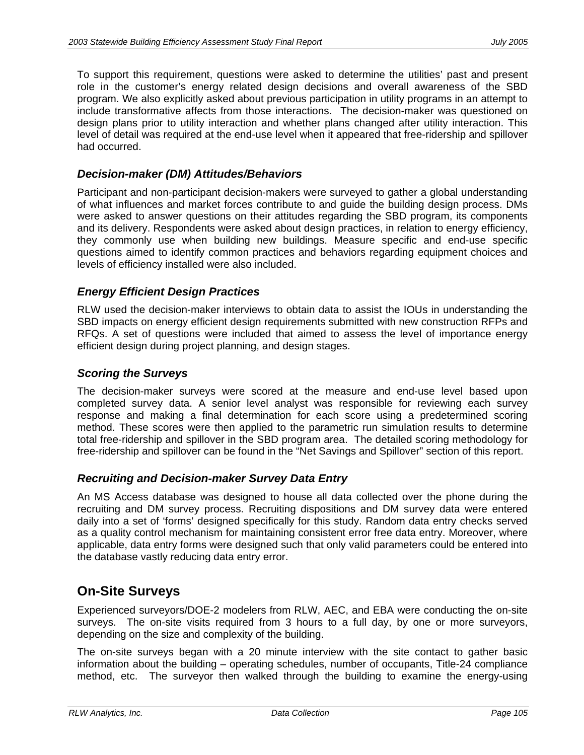To support this requirement, questions were asked to determine the utilities' past and present role in the customer's energy related design decisions and overall awareness of the SBD program. We also explicitly asked about previous participation in utility programs in an attempt to include transformative affects from those interactions. The decision-maker was questioned on design plans prior to utility interaction and whether plans changed after utility interaction. This level of detail was required at the end-use level when it appeared that free-ridership and spillover had occurred.

### *Decision-maker (DM) Attitudes/Behaviors*

Participant and non-participant decision-makers were surveyed to gather a global understanding of what influences and market forces contribute to and guide the building design process. DMs were asked to answer questions on their attitudes regarding the SBD program, its components and its delivery. Respondents were asked about design practices, in relation to energy efficiency, they commonly use when building new buildings. Measure specific and end-use specific questions aimed to identify common practices and behaviors regarding equipment choices and levels of efficiency installed were also included.

## *Energy Efficient Design Practices*

RLW used the decision-maker interviews to obtain data to assist the IOUs in understanding the SBD impacts on energy efficient design requirements submitted with new construction RFPs and RFQs. A set of questions were included that aimed to assess the level of importance energy efficient design during project planning, and design stages.

### *Scoring the Surveys*

The decision-maker surveys were scored at the measure and end-use level based upon completed survey data. A senior level analyst was responsible for reviewing each survey response and making a final determination for each score using a predetermined scoring method. These scores were then applied to the parametric run simulation results to determine total free-ridership and spillover in the SBD program area. The detailed scoring methodology for free-ridership and spillover can be found in the "Net Savings and Spillover" section of this report.

### *Recruiting and Decision-maker Survey Data Entry*

An MS Access database was designed to house all data collected over the phone during the recruiting and DM survey process. Recruiting dispositions and DM survey data were entered daily into a set of 'forms' designed specifically for this study. Random data entry checks served as a quality control mechanism for maintaining consistent error free data entry. Moreover, where applicable, data entry forms were designed such that only valid parameters could be entered into the database vastly reducing data entry error.

# **On-Site Surveys**

Experienced surveyors/DOE-2 modelers from RLW, AEC, and EBA were conducting the on-site surveys. The on-site visits required from 3 hours to a full day, by one or more surveyors, depending on the size and complexity of the building.

The on-site surveys began with a 20 minute interview with the site contact to gather basic information about the building – operating schedules, number of occupants, Title-24 compliance method, etc. The surveyor then walked through the building to examine the energy-using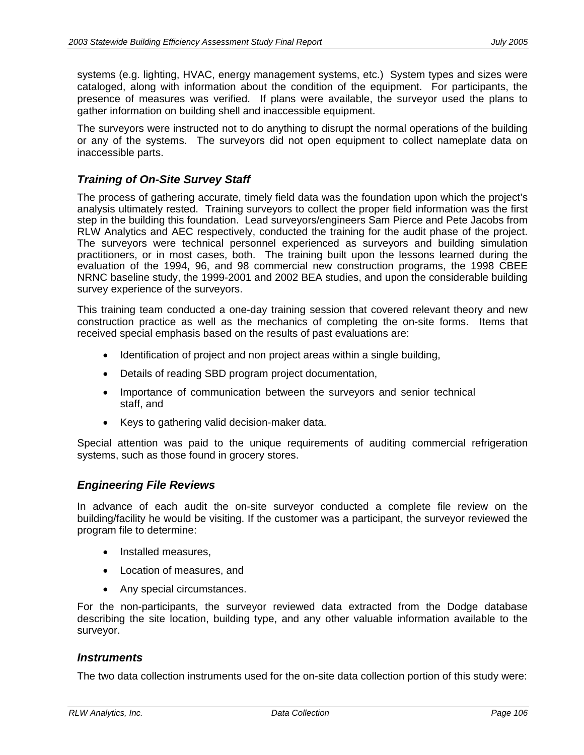systems (e.g. lighting, HVAC, energy management systems, etc.) System types and sizes were cataloged, along with information about the condition of the equipment. For participants, the presence of measures was verified. If plans were available, the surveyor used the plans to gather information on building shell and inaccessible equipment.

The surveyors were instructed not to do anything to disrupt the normal operations of the building or any of the systems. The surveyors did not open equipment to collect nameplate data on inaccessible parts.

## *Training of On-Site Survey Staff*

The process of gathering accurate, timely field data was the foundation upon which the project's analysis ultimately rested. Training surveyors to collect the proper field information was the first step in the building this foundation. Lead surveyors/engineers Sam Pierce and Pete Jacobs from RLW Analytics and AEC respectively, conducted the training for the audit phase of the project. The surveyors were technical personnel experienced as surveyors and building simulation practitioners, or in most cases, both. The training built upon the lessons learned during the evaluation of the 1994, 96, and 98 commercial new construction programs, the 1998 CBEE NRNC baseline study, the 1999-2001 and 2002 BEA studies, and upon the considerable building survey experience of the surveyors.

This training team conducted a one-day training session that covered relevant theory and new construction practice as well as the mechanics of completing the on-site forms. Items that received special emphasis based on the results of past evaluations are:

- Identification of project and non project areas within a single building,
- Details of reading SBD program project documentation,
- Importance of communication between the surveyors and senior technical staff, and
- Keys to gathering valid decision-maker data.

Special attention was paid to the unique requirements of auditing commercial refrigeration systems, such as those found in grocery stores.

### *Engineering File Reviews*

In advance of each audit the on-site surveyor conducted a complete file review on the building/facility he would be visiting. If the customer was a participant, the surveyor reviewed the program file to determine:

- Installed measures,
- Location of measures, and
- Any special circumstances.

For the non-participants, the surveyor reviewed data extracted from the Dodge database describing the site location, building type, and any other valuable information available to the surveyor.

#### *Instruments*

The two data collection instruments used for the on-site data collection portion of this study were: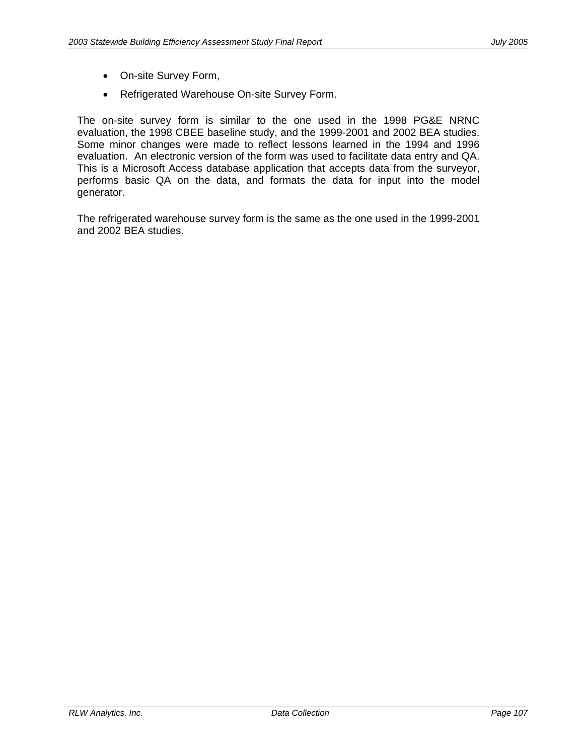- On-site Survey Form,
- Refrigerated Warehouse On-site Survey Form.

The on-site survey form is similar to the one used in the 1998 PG&E NRNC evaluation, the 1998 CBEE baseline study, and the 1999-2001 and 2002 BEA studies. Some minor changes were made to reflect lessons learned in the 1994 and 1996 evaluation. An electronic version of the form was used to facilitate data entry and QA. This is a Microsoft Access database application that accepts data from the surveyor, performs basic QA on the data, and formats the data for input into the model generator.

The refrigerated warehouse survey form is the same as the one used in the 1999-2001 and 2002 BEA studies.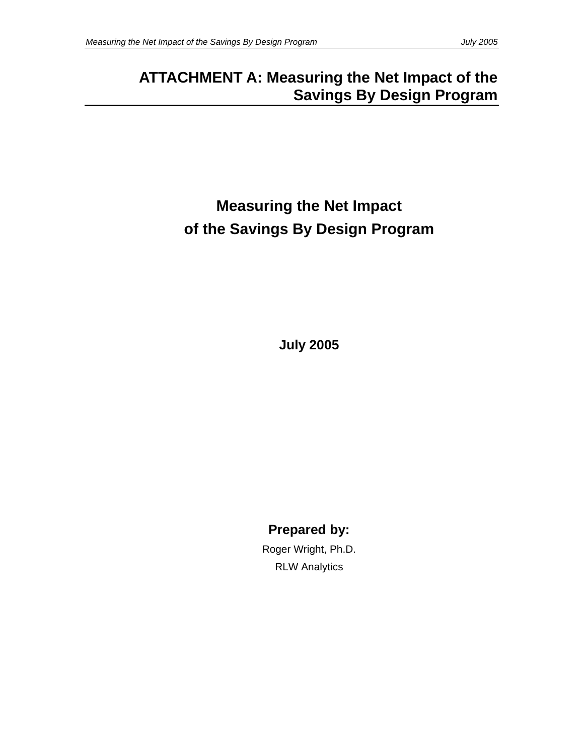# **ATTACHMENT A: Measuring the Net Impact of the Savings By Design Program**

# **Measuring the Net Impact of the Savings By Design Program**

**July 2005** 

**Prepared by:** 

Roger Wright, Ph.D. RLW Analytics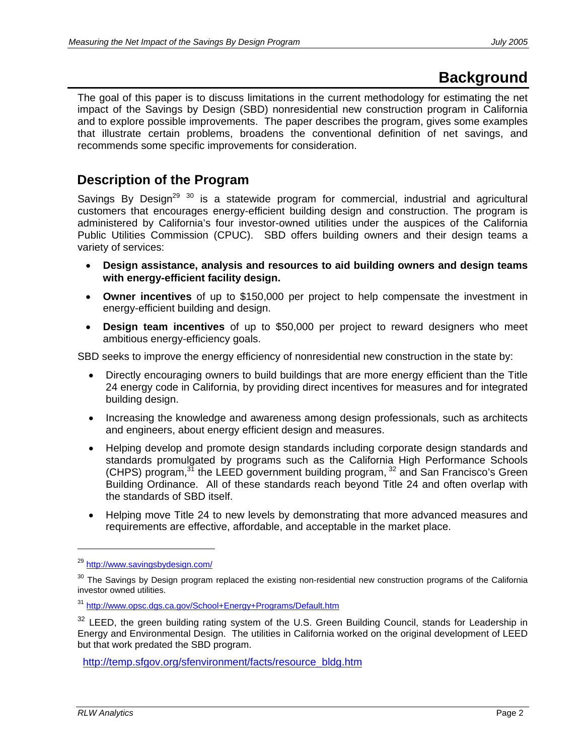# **Background**

The goal of this paper is to discuss limitations in the current methodology for estimating the net impact of the Savings by Design (SBD) nonresidential new construction program in California and to explore possible improvements. The paper describes the program, gives some examples that illustrate certain problems, broadens the conventional definition of net savings, and recommends some specific improvements for consideration.

# **Description of the Program**

Savings By Design<sup>29 30</sup> is a statewide program for commercial, industrial and agricultural customers that encourages energy-efficient building design and construction. The program is administered by California's four investor-owned utilities under the auspices of the California Public Utilities Commission (CPUC). SBD offers building owners and their design teams a variety of services:

- **Design assistance, analysis and resources to aid building owners and design teams with energy-efficient facility design.**
- **Owner incentives** of up to \$150,000 per project to help compensate the investment in energy-efficient building and design.
- **Design team incentives** of up to \$50,000 per project to reward designers who meet ambitious energy-efficiency goals.

SBD seeks to improve the energy efficiency of nonresidential new construction in the state by:

- Directly encouraging owners to build buildings that are more energy efficient than the Title 24 energy code in California, by providing direct incentives for measures and for integrated building design.
- Increasing the knowledge and awareness among design professionals, such as architects and engineers, about energy efficient design and measures.
- Helping develop and promote design standards including corporate design standards and standards promulgated by programs such as the California High Performance Schools (CHPS) program, $31$  the LEED government building program,  $32$  and San Francisco's Green Building Ordinance. All of these standards reach beyond Title 24 and often overlap with the standards of SBD itself.
- Helping move Title 24 to new levels by demonstrating that more advanced measures and requirements are effective, affordable, and acceptable in the market place.

<sup>29</sup> http://www.savingsbydesign.com/

 $30$  The Savings by Design program replaced the existing non-residential new construction programs of the California investor owned utilities.

<sup>31</sup> http://www.opsc.dgs.ca.gov/School+Energy+Programs/Default.htm

<sup>&</sup>lt;sup>32</sup> LEED, the green building rating system of the U.S. Green Building Council, stands for Leadership in Energy and Environmental Design. The utilities in California worked on the original development of LEED but that work predated the SBD program.

http://temp.sfgov.org/sfenvironment/facts/resource\_bldg.htm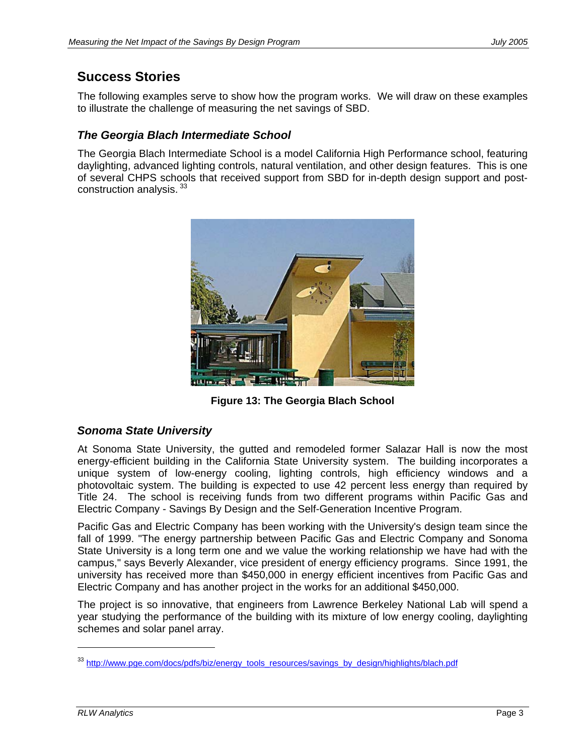# **Success Stories**

The following examples serve to show how the program works. We will draw on these examples to illustrate the challenge of measuring the net savings of SBD.

## *The Georgia Blach Intermediate School*

The Georgia Blach Intermediate School is a model California High Performance school, featuring daylighting, advanced lighting controls, natural ventilation, and other design features. This is one of several CHPS schools that received support from SBD for in-depth design support and postconstruction analysis.  $33$ 



**Figure 13: The Georgia Blach School** 

## *Sonoma State University*

At Sonoma State University, the gutted and remodeled former Salazar Hall is now the most energy-efficient building in the California State University system. The building incorporates a unique system of low-energy cooling, lighting controls, high efficiency windows and a photovoltaic system. The building is expected to use 42 percent less energy than required by Title 24. The school is receiving funds from two different programs within Pacific Gas and Electric Company - Savings By Design and the Self-Generation Incentive Program.

Pacific Gas and Electric Company has been working with the University's design team since the fall of 1999. "The energy partnership between Pacific Gas and Electric Company and Sonoma State University is a long term one and we value the working relationship we have had with the campus," says Beverly Alexander, vice president of energy efficiency programs. Since 1991, the university has received more than \$450,000 in energy efficient incentives from Pacific Gas and Electric Company and has another project in the works for an additional \$450,000.

The project is so innovative, that engineers from Lawrence Berkeley National Lab will spend a year studying the performance of the building with its mixture of low energy cooling, daylighting schemes and solar panel array.

<sup>&</sup>lt;sup>33</sup> http://www.pge.com/docs/pdfs/biz/energy\_tools\_resources/savings\_by\_design/highlights/blach.pdf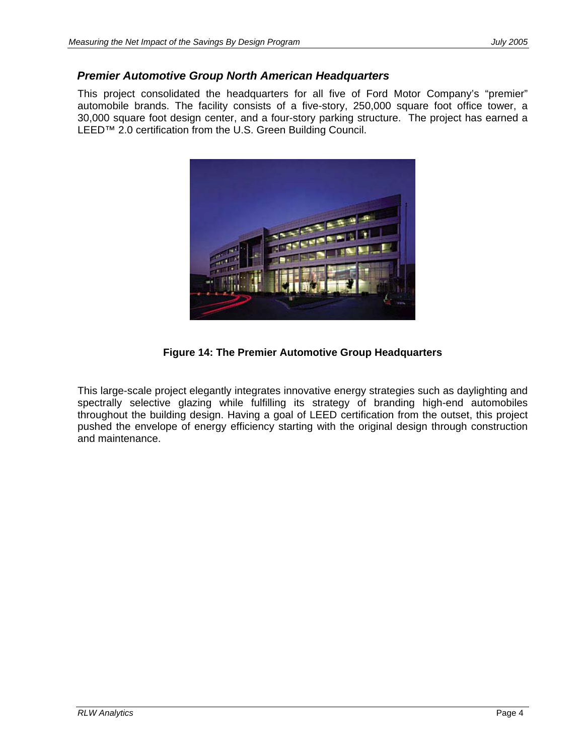## *Premier Automotive Group North American Headquarters*

This project consolidated the headquarters for all five of Ford Motor Company's "premier" automobile brands. The facility consists of a five-story, 250,000 square foot office tower, a 30,000 square foot design center, and a four-story parking structure. The project has earned a LEED™ 2.0 certification from the U.S. Green Building Council.



**Figure 14: The Premier Automotive Group Headquarters** 

This large-scale project elegantly integrates innovative energy strategies such as daylighting and spectrally selective glazing while fulfilling its strategy of branding high-end automobiles throughout the building design. Having a goal of LEED certification from the outset, this project pushed the envelope of energy efficiency starting with the original design through construction and maintenance.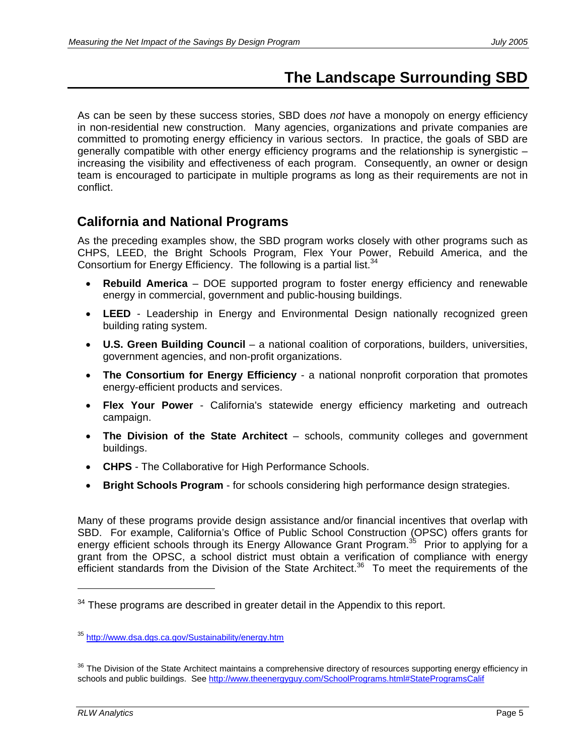# **The Landscape Surrounding SBD**

As can be seen by these success stories, SBD does *not* have a monopoly on energy efficiency in non-residential new construction. Many agencies, organizations and private companies are committed to promoting energy efficiency in various sectors. In practice, the goals of SBD are generally compatible with other energy efficiency programs and the relationship is synergistic – increasing the visibility and effectiveness of each program. Consequently, an owner or design team is encouraged to participate in multiple programs as long as their requirements are not in conflict.

# **California and National Programs**

As the preceding examples show, the SBD program works closely with other programs such as CHPS, LEED, the Bright Schools Program, Flex Your Power, Rebuild America, and the Consortium for Energy Efficiency. The following is a partial list.  $34$ 

- **Rebuild America** DOE supported program to foster energy efficiency and renewable energy in commercial, government and public-housing buildings.
- **LEED** Leadership in Energy and Environmental Design nationally recognized green building rating system.
- **U.S. Green Building Council** a national coalition of corporations, builders, universities, government agencies, and non-profit organizations.
- **The Consortium for Energy Efficiency** a national nonprofit corporation that promotes energy-efficient products and services.
- **Flex Your Power** California's statewide energy efficiency marketing and outreach campaign.
- **The Division of the State Architect** schools, community colleges and government buildings.
- **CHPS** The Collaborative for High Performance Schools.
- **Bright Schools Program** for schools considering high performance design strategies.

Many of these programs provide design assistance and/or financial incentives that overlap with SBD. For example, California's Office of Public School Construction (OPSC) offers grants for energy efficient schools through its Energy Allowance Grant Program.<sup>35</sup> Prior to applying for a grant from the OPSC, a school district must obtain a verification of compliance with energy efficient standards from the Division of the State Architect.<sup>36</sup> To meet the requirements of the

 $34$  These programs are described in greater detail in the Appendix to this report.

<sup>35</sup> http://www.dsa.dgs.ca.gov/Sustainability/energy.htm

<sup>&</sup>lt;sup>36</sup> The Division of the State Architect maintains a comprehensive directory of resources supporting energy efficiency in schools and public buildings. See http://www.theenergyguy.com/SchoolPrograms.html#StateProgramsCalif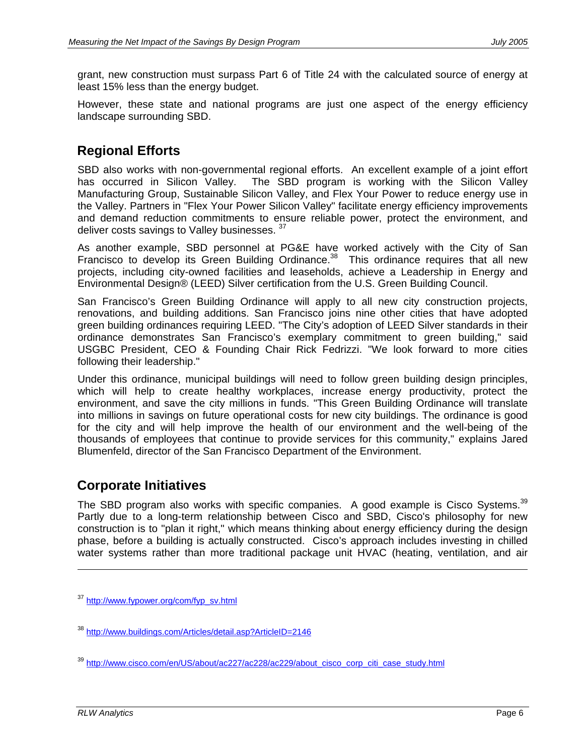grant, new construction must surpass Part 6 of Title 24 with the calculated source of energy at least 15% less than the energy budget.

However, these state and national programs are just one aspect of the energy efficiency landscape surrounding SBD.

# **Regional Efforts**

SBD also works with non-governmental regional efforts. An excellent example of a joint effort has occurred in Silicon Valley. The SBD program is working with the Silicon Valley Manufacturing Group, Sustainable Silicon Valley, and Flex Your Power to reduce energy use in the Valley. Partners in "Flex Your Power Silicon Valley" facilitate energy efficiency improvements and demand reduction commitments to ensure reliable power, protect the environment, and deliver costs savings to Valley businesses. 37

As another example, SBD personnel at PG&E have worked actively with the City of San Francisco to develop its Green Building Ordinance.<sup>38</sup> This ordinance requires that all new projects, including city-owned facilities and leaseholds, achieve a Leadership in Energy and Environmental Design® (LEED) Silver certification from the U.S. Green Building Council.

San Francisco's Green Building Ordinance will apply to all new city construction projects, renovations, and building additions. San Francisco joins nine other cities that have adopted green building ordinances requiring LEED. "The City's adoption of LEED Silver standards in their ordinance demonstrates San Francisco's exemplary commitment to green building," said USGBC President, CEO & Founding Chair Rick Fedrizzi. "We look forward to more cities following their leadership."

Under this ordinance, municipal buildings will need to follow green building design principles, which will help to create healthy workplaces, increase energy productivity, protect the environment, and save the city millions in funds. "This Green Building Ordinance will translate into millions in savings on future operational costs for new city buildings. The ordinance is good for the city and will help improve the health of our environment and the well-being of the thousands of employees that continue to provide services for this community," explains Jared Blumenfeld, director of the San Francisco Department of the Environment.

# **Corporate Initiatives**

The SBD program also works with specific companies. A good example is Cisco Systems.<sup>39</sup> Partly due to a long-term relationship between Cisco and SBD, Cisco's philosophy for new construction is to "plan it right," which means thinking about energy efficiency during the design phase, before a building is actually constructed. Cisco's approach includes investing in chilled water systems rather than more traditional package unit HVAC (heating, ventilation, and air

<sup>&</sup>lt;sup>37</sup> http://www.fypower.org/com/fyp\_sv.html

<sup>&</sup>lt;sup>38</sup> http://www.buildings.com/Articles/detail.asp?ArticleID=2146

<sup>&</sup>lt;sup>39</sup> http://www<u>.cisco.com/en/US/about/ac227/ac228/ac229/about\_cisco\_corp\_citi\_case\_study.html</u>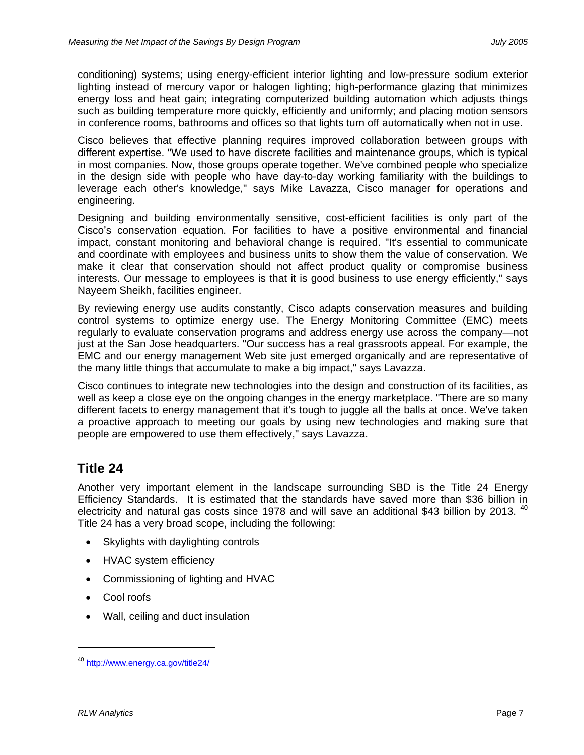conditioning) systems; using energy-efficient interior lighting and low-pressure sodium exterior lighting instead of mercury vapor or halogen lighting; high-performance glazing that minimizes energy loss and heat gain; integrating computerized building automation which adjusts things such as building temperature more quickly, efficiently and uniformly; and placing motion sensors in conference rooms, bathrooms and offices so that lights turn off automatically when not in use.

Cisco believes that effective planning requires improved collaboration between groups with different expertise. "We used to have discrete facilities and maintenance groups, which is typical in most companies. Now, those groups operate together. We've combined people who specialize in the design side with people who have day-to-day working familiarity with the buildings to leverage each other's knowledge," says Mike Lavazza, Cisco manager for operations and engineering.

Designing and building environmentally sensitive, cost-efficient facilities is only part of the Cisco's conservation equation. For facilities to have a positive environmental and financial impact, constant monitoring and behavioral change is required. "It's essential to communicate and coordinate with employees and business units to show them the value of conservation. We make it clear that conservation should not affect product quality or compromise business interests. Our message to employees is that it is good business to use energy efficiently," says Nayeem Sheikh, facilities engineer.

By reviewing energy use audits constantly, Cisco adapts conservation measures and building control systems to optimize energy use. The Energy Monitoring Committee (EMC) meets regularly to evaluate conservation programs and address energy use across the company—not just at the San Jose headquarters. "Our success has a real grassroots appeal. For example, the EMC and our energy management Web site just emerged organically and are representative of the many little things that accumulate to make a big impact," says Lavazza.

Cisco continues to integrate new technologies into the design and construction of its facilities, as well as keep a close eye on the ongoing changes in the energy marketplace. "There are so many different facets to energy management that it's tough to juggle all the balls at once. We've taken a proactive approach to meeting our goals by using new technologies and making sure that people are empowered to use them effectively," says Lavazza.

# **Title 24**

Another very important element in the landscape surrounding SBD is the Title 24 Energy Efficiency Standards. It is estimated that the standards have saved more than \$36 billion in electricity and natural gas costs since 1978 and will save an additional \$43 billion by 2013.  $40$ Title 24 has a very broad scope, including the following:

- Skylights with daylighting controls
- HVAC system efficiency
- Commissioning of lighting and HVAC
- Cool roofs
- Wall, ceiling and duct insulation

<sup>&</sup>lt;sup>40</sup> http://www.energy.ca.gov/title24/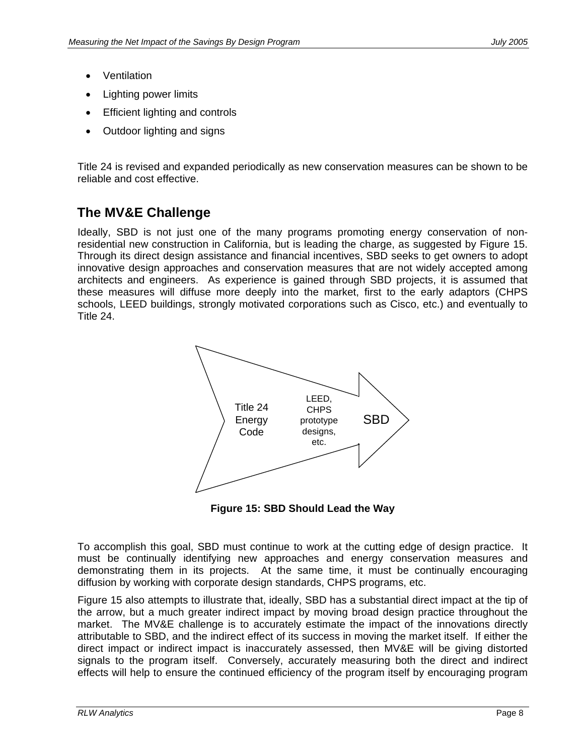- Ventilation
- Lighting power limits
- **Efficient lighting and controls**
- Outdoor lighting and signs

Title 24 is revised and expanded periodically as new conservation measures can be shown to be reliable and cost effective.

# **The MV&E Challenge**

Ideally, SBD is not just one of the many programs promoting energy conservation of nonresidential new construction in California, but is leading the charge, as suggested by Figure 15. Through its direct design assistance and financial incentives, SBD seeks to get owners to adopt innovative design approaches and conservation measures that are not widely accepted among architects and engineers. As experience is gained through SBD projects, it is assumed that these measures will diffuse more deeply into the market, first to the early adaptors (CHPS schools, LEED buildings, strongly motivated corporations such as Cisco, etc.) and eventually to Title 24.



**Figure 15: SBD Should Lead the Way** 

To accomplish this goal, SBD must continue to work at the cutting edge of design practice. It must be continually identifying new approaches and energy conservation measures and demonstrating them in its projects. At the same time, it must be continually encouraging diffusion by working with corporate design standards, CHPS programs, etc.

Figure 15 also attempts to illustrate that, ideally, SBD has a substantial direct impact at the tip of the arrow, but a much greater indirect impact by moving broad design practice throughout the market. The MV&E challenge is to accurately estimate the impact of the innovations directly attributable to SBD, and the indirect effect of its success in moving the market itself. If either the direct impact or indirect impact is inaccurately assessed, then MV&E will be giving distorted signals to the program itself. Conversely, accurately measuring both the direct and indirect effects will help to ensure the continued efficiency of the program itself by encouraging program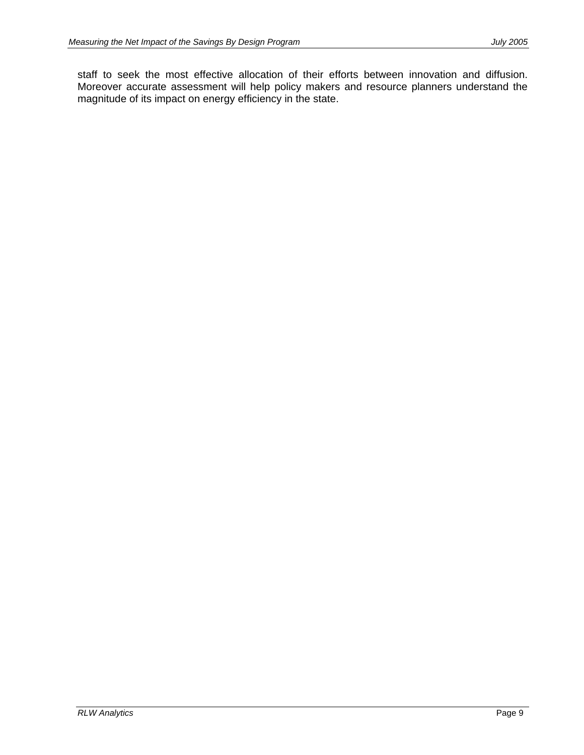staff to seek the most effective allocation of their efforts between innovation and diffusion. Moreover accurate assessment will help policy makers and resource planners understand the magnitude of its impact on energy efficiency in the state.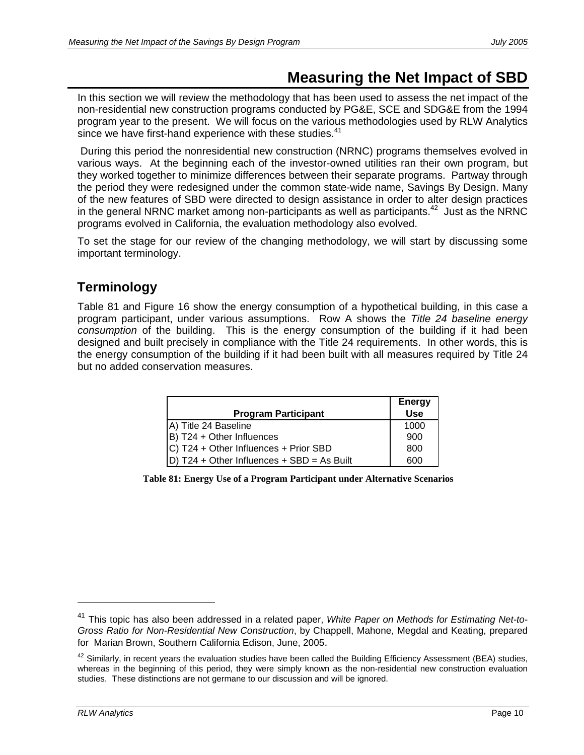# **Measuring the Net Impact of SBD**

In this section we will review the methodology that has been used to assess the net impact of the non-residential new construction programs conducted by PG&E, SCE and SDG&E from the 1994 program year to the present. We will focus on the various methodologies used by RLW Analytics since we have first-hand experience with these studies. $41$ 

 During this period the nonresidential new construction (NRNC) programs themselves evolved in various ways. At the beginning each of the investor-owned utilities ran their own program, but they worked together to minimize differences between their separate programs. Partway through the period they were redesigned under the common state-wide name, Savings By Design. Many of the new features of SBD were directed to design assistance in order to alter design practices in the general NRNC market among non-participants as well as participants.<sup>42</sup> Just as the NRNC programs evolved in California, the evaluation methodology also evolved.

To set the stage for our review of the changing methodology, we will start by discussing some important terminology.

# **Terminology**

Table 81 and Figure 16 show the energy consumption of a hypothetical building, in this case a program participant, under various assumptions. Row A shows the *Title 24 baseline energy consumption* of the building. This is the energy consumption of the building if it had been designed and built precisely in compliance with the Title 24 requirements. In other words, this is the energy consumption of the building if it had been built with all measures required by Title 24 but no added conservation measures.

|                                            | <b>Energy</b> |
|--------------------------------------------|---------------|
| <b>Program Participant</b>                 | <b>Use</b>    |
| A) Title 24 Baseline                       | 1000          |
| B) T24 + Other Influences                  | 900           |
| C) T24 + Other Influences + Prior SBD      | 800           |
| D) T24 + Other Influences + SBD = As Built | റെറ           |

**Table 81: Energy Use of a Program Participant under Alternative Scenarios** 

<sup>41</sup> This topic has also been addressed in a related paper, *White Paper on Methods for Estimating Net-to-Gross Ratio for Non-Residential New Construction*, by Chappell, Mahone, Megdal and Keating, prepared for Marian Brown, Southern California Edison, June, 2005.

 $42$  Similarly, in recent years the evaluation studies have been called the Building Efficiency Assessment (BEA) studies, whereas in the beginning of this period, they were simply known as the non-residential new construction evaluation studies. These distinctions are not germane to our discussion and will be ignored.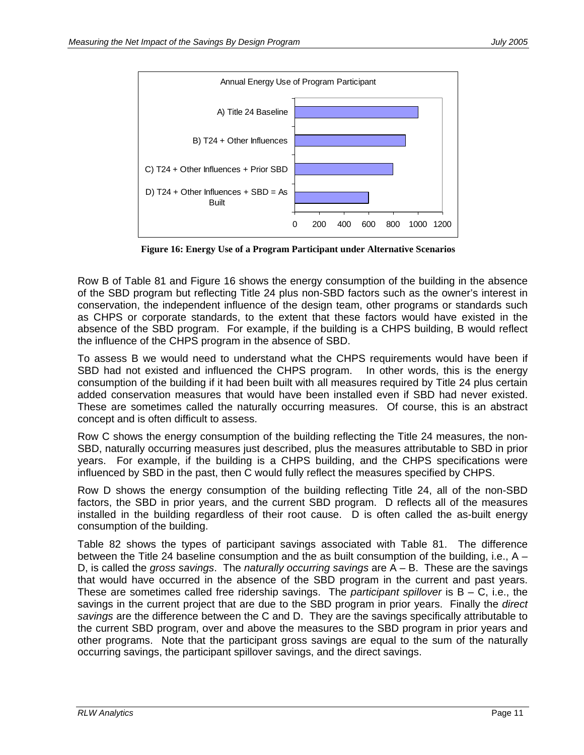

**Figure 16: Energy Use of a Program Participant under Alternative Scenarios** 

Row B of Table 81 and Figure 16 shows the energy consumption of the building in the absence of the SBD program but reflecting Title 24 plus non-SBD factors such as the owner's interest in conservation, the independent influence of the design team, other programs or standards such as CHPS or corporate standards, to the extent that these factors would have existed in the absence of the SBD program. For example, if the building is a CHPS building, B would reflect the influence of the CHPS program in the absence of SBD.

To assess B we would need to understand what the CHPS requirements would have been if SBD had not existed and influenced the CHPS program. In other words, this is the energy consumption of the building if it had been built with all measures required by Title 24 plus certain added conservation measures that would have been installed even if SBD had never existed. These are sometimes called the naturally occurring measures. Of course, this is an abstract concept and is often difficult to assess.

Row C shows the energy consumption of the building reflecting the Title 24 measures, the non-SBD, naturally occurring measures just described, plus the measures attributable to SBD in prior years. For example, if the building is a CHPS building, and the CHPS specifications were influenced by SBD in the past, then C would fully reflect the measures specified by CHPS.

Row D shows the energy consumption of the building reflecting Title 24, all of the non-SBD factors, the SBD in prior years, and the current SBD program. D reflects all of the measures installed in the building regardless of their root cause. D is often called the as-built energy consumption of the building.

Table 82 shows the types of participant savings associated with Table 81. The difference between the Title 24 baseline consumption and the as built consumption of the building, i.e., A – D, is called the *gross savings*. The *naturally occurring savings* are A – B. These are the savings that would have occurred in the absence of the SBD program in the current and past years. These are sometimes called free ridership savings. The *participant spillover* is B – C, i.e., the savings in the current project that are due to the SBD program in prior years. Finally the *direct savings* are the difference between the C and D. They are the savings specifically attributable to the current SBD program, over and above the measures to the SBD program in prior years and other programs. Note that the participant gross savings are equal to the sum of the naturally occurring savings, the participant spillover savings, and the direct savings.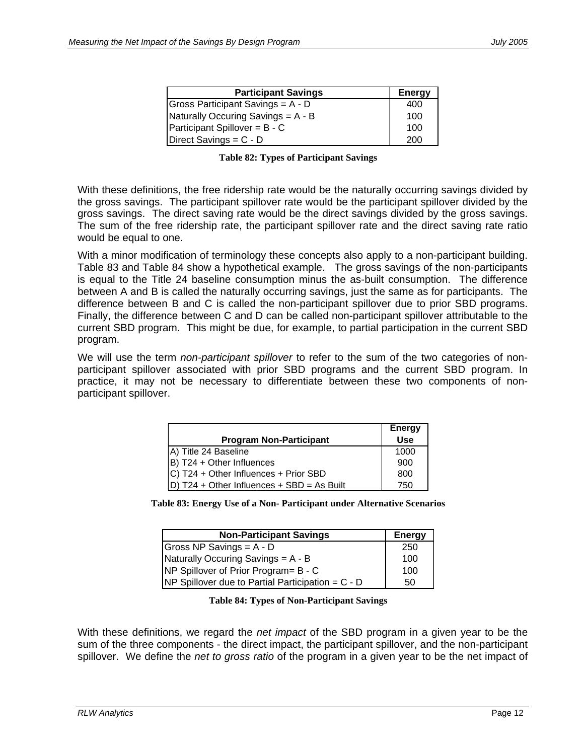| <b>Participant Savings</b>           | <b>Energy</b> |
|--------------------------------------|---------------|
| Gross Participant Savings = $A - D$  | 400           |
| Naturally Occuring Savings = A - B   | 100           |
| <b>Participant Spillover = B - C</b> | 100           |
| Direct Savings = $C - D$             | 200           |

|  |  | <b>Table 82: Types of Participant Savings</b> |  |
|--|--|-----------------------------------------------|--|
|--|--|-----------------------------------------------|--|

With these definitions, the free ridership rate would be the naturally occurring savings divided by the gross savings. The participant spillover rate would be the participant spillover divided by the gross savings. The direct saving rate would be the direct savings divided by the gross savings. The sum of the free ridership rate, the participant spillover rate and the direct saving rate ratio would be equal to one.

With a minor modification of terminology these concepts also apply to a non-participant building. Table 83 and Table 84 show a hypothetical example. The gross savings of the non-participants is equal to the Title 24 baseline consumption minus the as-built consumption. The difference between A and B is called the naturally occurring savings, just the same as for participants. The difference between B and C is called the non-participant spillover due to prior SBD programs. Finally, the difference between C and D can be called non-participant spillover attributable to the current SBD program. This might be due, for example, to partial participation in the current SBD program.

We will use the term *non-participant spillover* to refer to the sum of the two categories of nonparticipant spillover associated with prior SBD programs and the current SBD program. In practice, it may not be necessary to differentiate between these two components of nonparticipant spillover.

|                                            | <b>Energy</b> |
|--------------------------------------------|---------------|
| <b>Program Non-Participant</b>             | <b>Use</b>    |
| A) Title 24 Baseline                       | 1000          |
| B) T24 + Other Influences                  | 900           |
| C) T24 + Other Influences + Prior SBD      | 800           |
| D) T24 + Other Influences + SBD = As Built | 750           |

|  |  |  | Table 83: Energy Use of a Non-Participant under Alternative Scenarios |
|--|--|--|-----------------------------------------------------------------------|
|--|--|--|-----------------------------------------------------------------------|

| <b>Non-Participant Savings</b>                        | <b>Energy</b> |
|-------------------------------------------------------|---------------|
| Gross NP Savings = $A - D$                            | 250           |
| Naturally Occuring Savings = A - B                    | 100           |
| <b>INP Spillover of Prior Program = B - C</b>         | 100           |
| $NP$ Spillover due to Partial Participation = $C - D$ | 50            |

**Table 84: Types of Non-Participant Savings** 

With these definitions, we regard the *net impact* of the SBD program in a given year to be the sum of the three components - the direct impact, the participant spillover, and the non-participant spillover. We define the *net to gross ratio* of the program in a given year to be the net impact of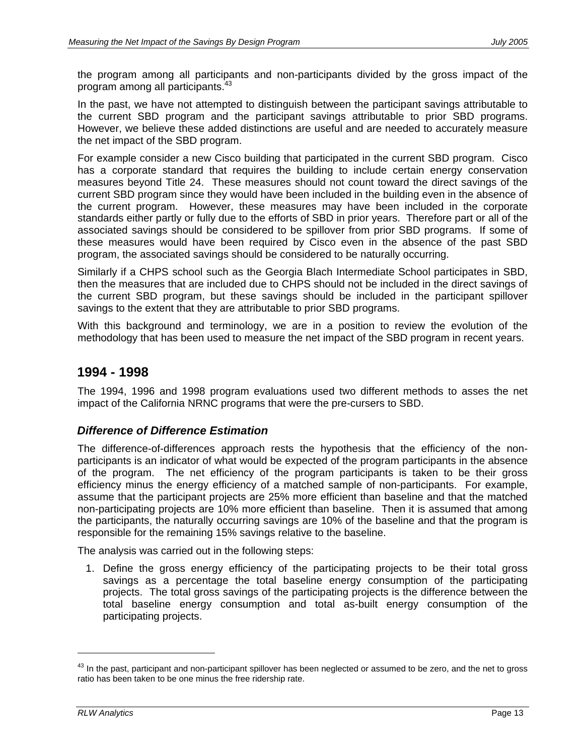the program among all participants and non-participants divided by the gross impact of the program among all participants. $43$ 

In the past, we have not attempted to distinguish between the participant savings attributable to the current SBD program and the participant savings attributable to prior SBD programs. However, we believe these added distinctions are useful and are needed to accurately measure the net impact of the SBD program.

For example consider a new Cisco building that participated in the current SBD program. Cisco has a corporate standard that requires the building to include certain energy conservation measures beyond Title 24. These measures should not count toward the direct savings of the current SBD program since they would have been included in the building even in the absence of the current program. However, these measures may have been included in the corporate standards either partly or fully due to the efforts of SBD in prior years. Therefore part or all of the associated savings should be considered to be spillover from prior SBD programs. If some of these measures would have been required by Cisco even in the absence of the past SBD program, the associated savings should be considered to be naturally occurring.

Similarly if a CHPS school such as the Georgia Blach Intermediate School participates in SBD, then the measures that are included due to CHPS should not be included in the direct savings of the current SBD program, but these savings should be included in the participant spillover savings to the extent that they are attributable to prior SBD programs.

With this background and terminology, we are in a position to review the evolution of the methodology that has been used to measure the net impact of the SBD program in recent years.

## **1994 - 1998**

The 1994, 1996 and 1998 program evaluations used two different methods to asses the net impact of the California NRNC programs that were the pre-cursers to SBD.

### *Difference of Difference Estimation*

The difference-of-differences approach rests the hypothesis that the efficiency of the nonparticipants is an indicator of what would be expected of the program participants in the absence of the program. The net efficiency of the program participants is taken to be their gross efficiency minus the energy efficiency of a matched sample of non-participants. For example, assume that the participant projects are 25% more efficient than baseline and that the matched non-participating projects are 10% more efficient than baseline. Then it is assumed that among the participants, the naturally occurring savings are 10% of the baseline and that the program is responsible for the remaining 15% savings relative to the baseline.

The analysis was carried out in the following steps:

1. Define the gross energy efficiency of the participating projects to be their total gross savings as a percentage the total baseline energy consumption of the participating projects. The total gross savings of the participating projects is the difference between the total baseline energy consumption and total as-built energy consumption of the participating projects.

 $^{43}$  In the past, participant and non-participant spillover has been neglected or assumed to be zero, and the net to gross ratio has been taken to be one minus the free ridership rate.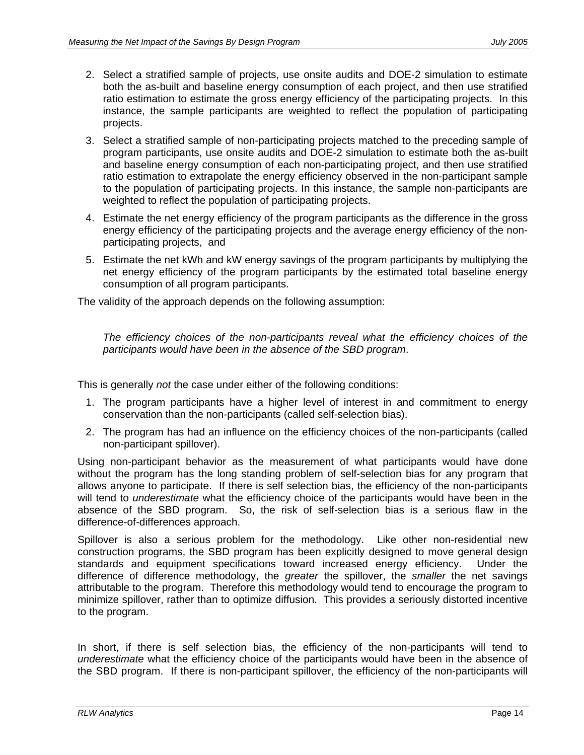- 2. Select a stratified sample of projects, use onsite audits and DOE-2 simulation to estimate both the as-built and baseline energy consumption of each project, and then use stratified ratio estimation to estimate the gross energy efficiency of the participating projects. In this instance, the sample participants are weighted to reflect the population of participating projects.
- 3. Select a stratified sample of non-participating projects matched to the preceding sample of program participants, use onsite audits and DOE-2 simulation to estimate both the as-built and baseline energy consumption of each non-participating project, and then use stratified ratio estimation to extrapolate the energy efficiency observed in the non-participant sample to the population of participating projects. In this instance, the sample non-participants are weighted to reflect the population of participating projects.
- 4. Estimate the net energy efficiency of the program participants as the difference in the gross energy efficiency of the participating projects and the average energy efficiency of the nonparticipating projects, and
- 5. Estimate the net kWh and kW energy savings of the program participants by multiplying the net energy efficiency of the program participants by the estimated total baseline energy consumption of all program participants.

The validity of the approach depends on the following assumption:

*The efficiency choices of the non-participants reveal what the efficiency choices of the participants would have been in the absence of the SBD program*.

This is generally *not* the case under either of the following conditions:

- 1. The program participants have a higher level of interest in and commitment to energy conservation than the non-participants (called self-selection bias).
- 2. The program has had an influence on the efficiency choices of the non-participants (called non-participant spillover).

Using non-participant behavior as the measurement of what participants would have done without the program has the long standing problem of self-selection bias for any program that allows anyone to participate. If there is self selection bias, the efficiency of the non-participants will tend to *underestimate* what the efficiency choice of the participants would have been in the absence of the SBD program. So, the risk of self-selection bias is a serious flaw in the difference-of-differences approach.

Spillover is also a serious problem for the methodology. Like other non-residential new construction programs, the SBD program has been explicitly designed to move general design standards and equipment specifications toward increased energy efficiency. Under the difference of difference methodology, the *greater* the spillover, the *smaller* the net savings attributable to the program. Therefore this methodology would tend to encourage the program to minimize spillover, rather than to optimize diffusion. This provides a seriously distorted incentive to the program.

In short, if there is self selection bias, the efficiency of the non-participants will tend to *underestimate* what the efficiency choice of the participants would have been in the absence of the SBD program. If there is non-participant spillover, the efficiency of the non-participants will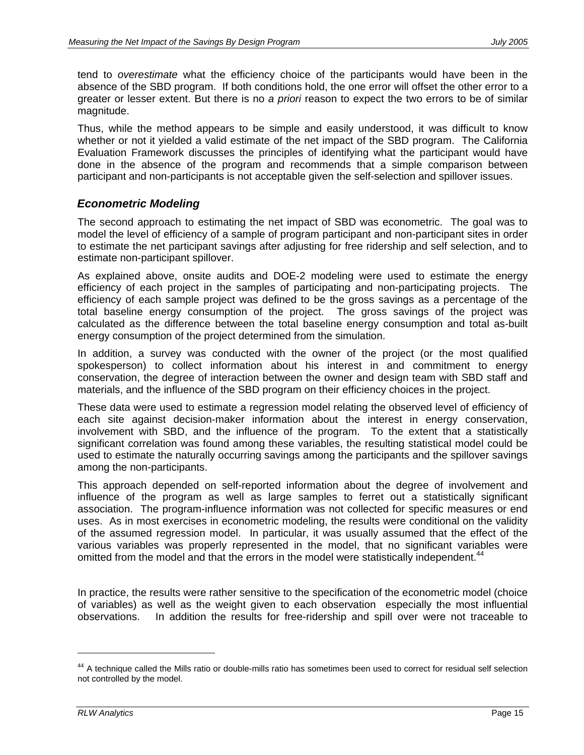tend to *overestimate* what the efficiency choice of the participants would have been in the absence of the SBD program. If both conditions hold, the one error will offset the other error to a greater or lesser extent. But there is no *a priori* reason to expect the two errors to be of similar magnitude.

Thus, while the method appears to be simple and easily understood, it was difficult to know whether or not it yielded a valid estimate of the net impact of the SBD program. The California Evaluation Framework discusses the principles of identifying what the participant would have done in the absence of the program and recommends that a simple comparison between participant and non-participants is not acceptable given the self-selection and spillover issues.

## *Econometric Modeling*

The second approach to estimating the net impact of SBD was econometric. The goal was to model the level of efficiency of a sample of program participant and non-participant sites in order to estimate the net participant savings after adjusting for free ridership and self selection, and to estimate non-participant spillover.

As explained above, onsite audits and DOE-2 modeling were used to estimate the energy efficiency of each project in the samples of participating and non-participating projects. The efficiency of each sample project was defined to be the gross savings as a percentage of the total baseline energy consumption of the project. The gross savings of the project was calculated as the difference between the total baseline energy consumption and total as-built energy consumption of the project determined from the simulation.

In addition, a survey was conducted with the owner of the project (or the most qualified spokesperson) to collect information about his interest in and commitment to energy conservation, the degree of interaction between the owner and design team with SBD staff and materials, and the influence of the SBD program on their efficiency choices in the project.

These data were used to estimate a regression model relating the observed level of efficiency of each site against decision-maker information about the interest in energy conservation, involvement with SBD, and the influence of the program. To the extent that a statistically significant correlation was found among these variables, the resulting statistical model could be used to estimate the naturally occurring savings among the participants and the spillover savings among the non-participants.

This approach depended on self-reported information about the degree of involvement and influence of the program as well as large samples to ferret out a statistically significant association. The program-influence information was not collected for specific measures or end uses. As in most exercises in econometric modeling, the results were conditional on the validity of the assumed regression model. In particular, it was usually assumed that the effect of the various variables was properly represented in the model, that no significant variables were omitted from the model and that the errors in the model were statistically independent.<sup>44</sup>

In practice, the results were rather sensitive to the specification of the econometric model (choice of variables) as well as the weight given to each observation especially the most influential observations. In addition the results for free-ridership and spill over were not traceable to

<sup>&</sup>lt;sup>44</sup> A technique called the Mills ratio or double-mills ratio has sometimes been used to correct for residual self selection not controlled by the model.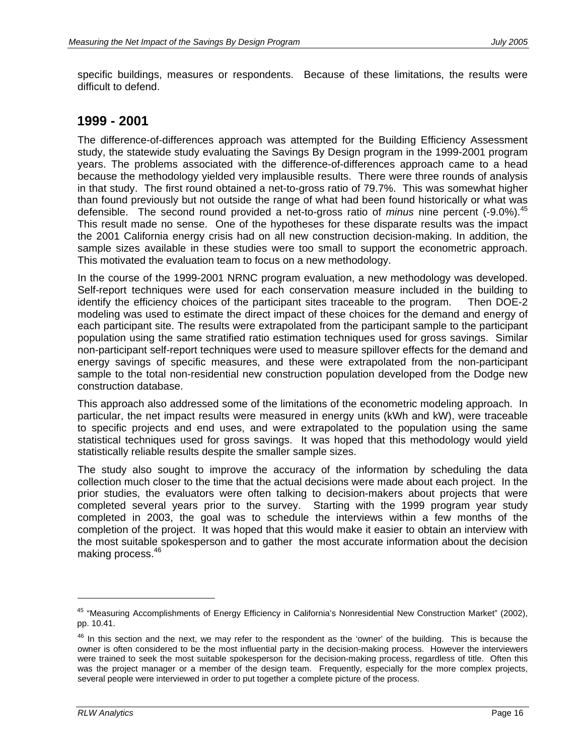specific buildings, measures or respondents. Because of these limitations, the results were difficult to defend.

## **1999 - 2001**

The difference-of-differences approach was attempted for the Building Efficiency Assessment study, the statewide study evaluating the Savings By Design program in the 1999-2001 program years. The problems associated with the difference-of-differences approach came to a head because the methodology yielded very implausible results. There were three rounds of analysis in that study. The first round obtained a net-to-gross ratio of 79.7%. This was somewhat higher than found previously but not outside the range of what had been found historically or what was defensible. The second round provided a net-to-gross ratio of *minus* nine percent (-9.0%).<sup>45</sup> This result made no sense. One of the hypotheses for these disparate results was the impact the 2001 California energy crisis had on all new construction decision-making. In addition, the sample sizes available in these studies were too small to support the econometric approach. This motivated the evaluation team to focus on a new methodology.

In the course of the 1999-2001 NRNC program evaluation, a new methodology was developed. Self-report techniques were used for each conservation measure included in the building to identify the efficiency choices of the participant sites traceable to the program. Then DOE-2 modeling was used to estimate the direct impact of these choices for the demand and energy of each participant site. The results were extrapolated from the participant sample to the participant population using the same stratified ratio estimation techniques used for gross savings. Similar non-participant self-report techniques were used to measure spillover effects for the demand and energy savings of specific measures, and these were extrapolated from the non-participant sample to the total non-residential new construction population developed from the Dodge new construction database.

This approach also addressed some of the limitations of the econometric modeling approach. In particular, the net impact results were measured in energy units (kWh and kW), were traceable to specific projects and end uses, and were extrapolated to the population using the same statistical techniques used for gross savings. It was hoped that this methodology would yield statistically reliable results despite the smaller sample sizes.

The study also sought to improve the accuracy of the information by scheduling the data collection much closer to the time that the actual decisions were made about each project. In the prior studies, the evaluators were often talking to decision-makers about projects that were completed several years prior to the survey. Starting with the 1999 program year study completed in 2003, the goal was to schedule the interviews within a few months of the completion of the project. It was hoped that this would make it easier to obtain an interview with the most suitable spokesperson and to gather the most accurate information about the decision making process.<sup>46</sup>

<sup>&</sup>lt;sup>45</sup> "Measuring Accomplishments of Energy Efficiency in California's Nonresidential New Construction Market" (2002), pp. 10.41.

 $46$  In this section and the next, we may refer to the respondent as the 'owner' of the building. This is because the owner is often considered to be the most influential party in the decision-making process. However the interviewers were trained to seek the most suitable spokesperson for the decision-making process, regardless of title. Often this was the project manager or a member of the design team. Frequently, especially for the more complex projects, several people were interviewed in order to put together a complete picture of the process.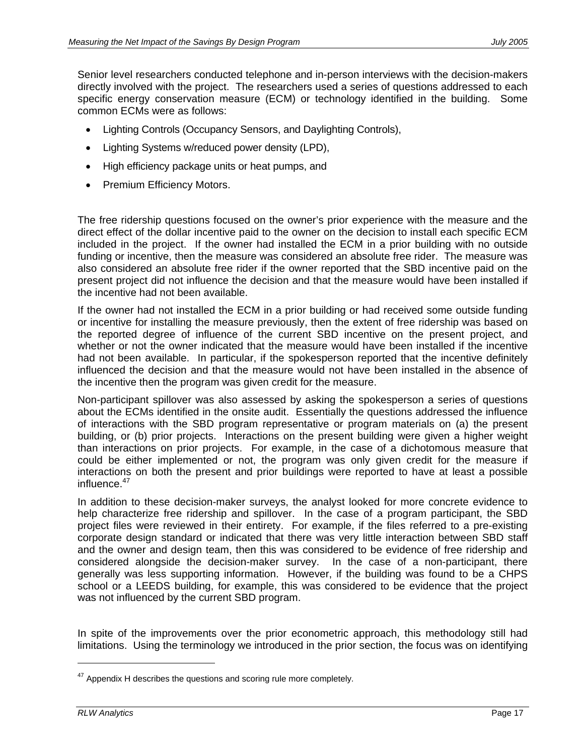Senior level researchers conducted telephone and in-person interviews with the decision-makers directly involved with the project. The researchers used a series of questions addressed to each specific energy conservation measure (ECM) or technology identified in the building. Some common ECMs were as follows:

- Lighting Controls (Occupancy Sensors, and Daylighting Controls),
- Lighting Systems w/reduced power density (LPD),
- High efficiency package units or heat pumps, and
- Premium Efficiency Motors.

The free ridership questions focused on the owner's prior experience with the measure and the direct effect of the dollar incentive paid to the owner on the decision to install each specific ECM included in the project. If the owner had installed the ECM in a prior building with no outside funding or incentive, then the measure was considered an absolute free rider. The measure was also considered an absolute free rider if the owner reported that the SBD incentive paid on the present project did not influence the decision and that the measure would have been installed if the incentive had not been available.

If the owner had not installed the ECM in a prior building or had received some outside funding or incentive for installing the measure previously, then the extent of free ridership was based on the reported degree of influence of the current SBD incentive on the present project, and whether or not the owner indicated that the measure would have been installed if the incentive had not been available. In particular, if the spokesperson reported that the incentive definitely influenced the decision and that the measure would not have been installed in the absence of the incentive then the program was given credit for the measure.

Non-participant spillover was also assessed by asking the spokesperson a series of questions about the ECMs identified in the onsite audit. Essentially the questions addressed the influence of interactions with the SBD program representative or program materials on (a) the present building, or (b) prior projects. Interactions on the present building were given a higher weight than interactions on prior projects. For example, in the case of a dichotomous measure that could be either implemented or not, the program was only given credit for the measure if interactions on both the present and prior buildings were reported to have at least a possible influence.47

In addition to these decision-maker surveys, the analyst looked for more concrete evidence to help characterize free ridership and spillover. In the case of a program participant, the SBD project files were reviewed in their entirety. For example, if the files referred to a pre-existing corporate design standard or indicated that there was very little interaction between SBD staff and the owner and design team, then this was considered to be evidence of free ridership and considered alongside the decision-maker survey. In the case of a non-participant, there generally was less supporting information. However, if the building was found to be a CHPS school or a LEEDS building, for example, this was considered to be evidence that the project was not influenced by the current SBD program.

In spite of the improvements over the prior econometric approach, this methodology still had limitations. Using the terminology we introduced in the prior section, the focus was on identifying

 $47$  Appendix H describes the questions and scoring rule more completely.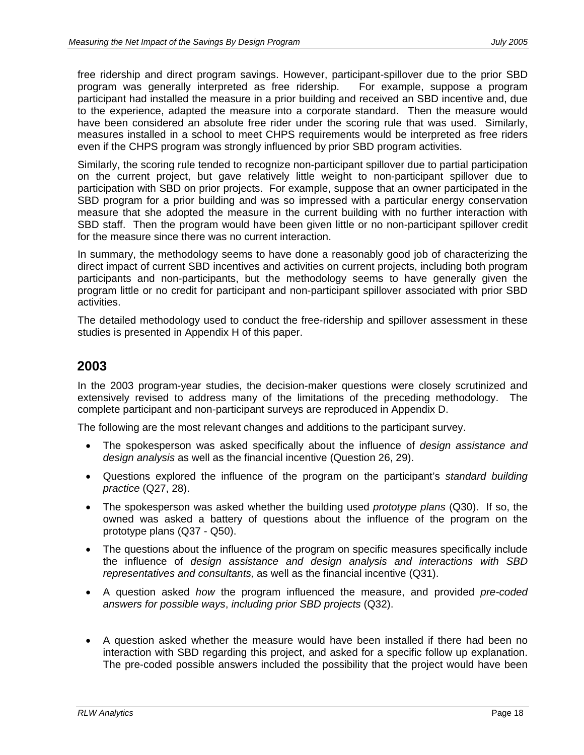free ridership and direct program savings. However, participant-spillover due to the prior SBD program was generally interpreted as free ridership. For example, suppose a program participant had installed the measure in a prior building and received an SBD incentive and, due to the experience, adapted the measure into a corporate standard. Then the measure would have been considered an absolute free rider under the scoring rule that was used. Similarly, measures installed in a school to meet CHPS requirements would be interpreted as free riders even if the CHPS program was strongly influenced by prior SBD program activities.

Similarly, the scoring rule tended to recognize non-participant spillover due to partial participation on the current project, but gave relatively little weight to non-participant spillover due to participation with SBD on prior projects. For example, suppose that an owner participated in the SBD program for a prior building and was so impressed with a particular energy conservation measure that she adopted the measure in the current building with no further interaction with SBD staff. Then the program would have been given little or no non-participant spillover credit for the measure since there was no current interaction.

In summary, the methodology seems to have done a reasonably good job of characterizing the direct impact of current SBD incentives and activities on current projects, including both program participants and non-participants, but the methodology seems to have generally given the program little or no credit for participant and non-participant spillover associated with prior SBD activities.

The detailed methodology used to conduct the free-ridership and spillover assessment in these studies is presented in Appendix H of this paper.

## **2003**

In the 2003 program-year studies, the decision-maker questions were closely scrutinized and extensively revised to address many of the limitations of the preceding methodology. The complete participant and non-participant surveys are reproduced in Appendix D.

The following are the most relevant changes and additions to the participant survey.

- The spokesperson was asked specifically about the influence of *design assistance and design analysis* as well as the financial incentive (Question 26, 29).
- Questions explored the influence of the program on the participant's *standard building practice* (Q27, 28).
- The spokesperson was asked whether the building used *prototype plans* (Q30). If so, the owned was asked a battery of questions about the influence of the program on the prototype plans (Q37 - Q50).
- The questions about the influence of the program on specific measures specifically include the influence of *design assistance and design analysis and interactions with SBD representatives and consultants,* as well as the financial incentive (Q31).
- A question asked *how* the program influenced the measure, and provided *pre-coded answers for possible ways*, *including prior SBD projects* (Q32).
- A question asked whether the measure would have been installed if there had been no interaction with SBD regarding this project, and asked for a specific follow up explanation. The pre-coded possible answers included the possibility that the project would have been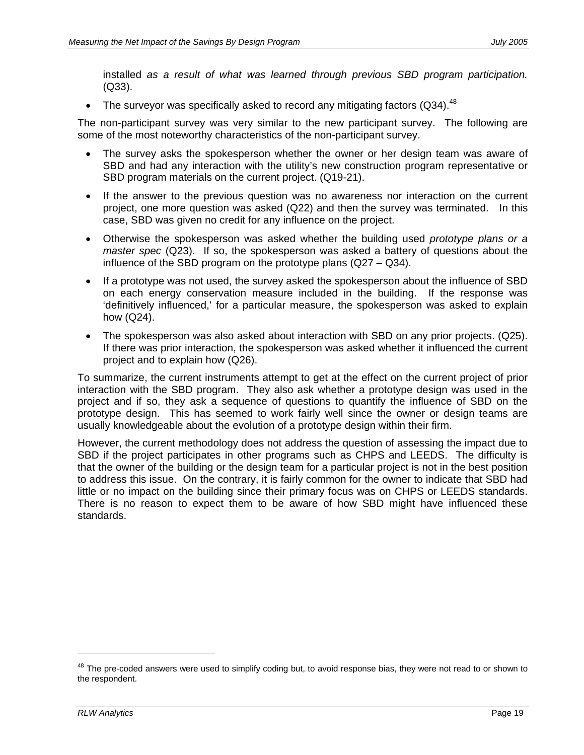installed *as a result of what was learned through previous SBD program participation.* (Q33).

• The surveyor was specifically asked to record any mitigating factors (Q34).<sup>48</sup>

The non-participant survey was very similar to the new participant survey. The following are some of the most noteworthy characteristics of the non-participant survey.

- The survey asks the spokesperson whether the owner or her design team was aware of SBD and had any interaction with the utility's new construction program representative or SBD program materials on the current project. (Q19-21).
- If the answer to the previous question was no awareness nor interaction on the current project, one more question was asked (Q22) and then the survey was terminated. In this case, SBD was given no credit for any influence on the project.
- Otherwise the spokesperson was asked whether the building used *prototype plans or a master spec* (Q23). If so, the spokesperson was asked a battery of questions about the influence of the SBD program on the prototype plans (Q27 – Q34).
- If a prototype was not used, the survey asked the spokesperson about the influence of SBD on each energy conservation measure included in the building. If the response was 'definitively influenced,' for a particular measure, the spokesperson was asked to explain how (Q24).
- The spokesperson was also asked about interaction with SBD on any prior projects. (Q25). If there was prior interaction, the spokesperson was asked whether it influenced the current project and to explain how (Q26).

To summarize, the current instruments attempt to get at the effect on the current project of prior interaction with the SBD program. They also ask whether a prototype design was used in the project and if so, they ask a sequence of questions to quantify the influence of SBD on the prototype design. This has seemed to work fairly well since the owner or design teams are usually knowledgeable about the evolution of a prototype design within their firm.

However, the current methodology does not address the question of assessing the impact due to SBD if the project participates in other programs such as CHPS and LEEDS. The difficulty is that the owner of the building or the design team for a particular project is not in the best position to address this issue. On the contrary, it is fairly common for the owner to indicate that SBD had little or no impact on the building since their primary focus was on CHPS or LEEDS standards. There is no reason to expect them to be aware of how SBD might have influenced these standards.

<sup>&</sup>lt;sup>48</sup> The pre-coded answers were used to simplify coding but, to avoid response bias, they were not read to or shown to the respondent.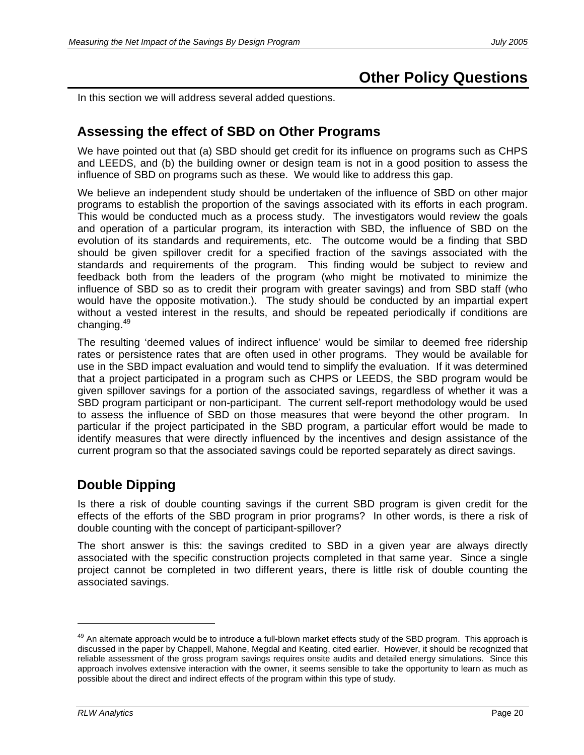# **Other Policy Questions**

In this section we will address several added questions.

# **Assessing the effect of SBD on Other Programs**

We have pointed out that (a) SBD should get credit for its influence on programs such as CHPS and LEEDS, and (b) the building owner or design team is not in a good position to assess the influence of SBD on programs such as these. We would like to address this gap.

We believe an independent study should be undertaken of the influence of SBD on other major programs to establish the proportion of the savings associated with its efforts in each program. This would be conducted much as a process study. The investigators would review the goals and operation of a particular program, its interaction with SBD, the influence of SBD on the evolution of its standards and requirements, etc. The outcome would be a finding that SBD should be given spillover credit for a specified fraction of the savings associated with the standards and requirements of the program. This finding would be subject to review and feedback both from the leaders of the program (who might be motivated to minimize the influence of SBD so as to credit their program with greater savings) and from SBD staff (who would have the opposite motivation.). The study should be conducted by an impartial expert without a vested interest in the results, and should be repeated periodically if conditions are changing.<sup>49</sup>

The resulting 'deemed values of indirect influence' would be similar to deemed free ridership rates or persistence rates that are often used in other programs. They would be available for use in the SBD impact evaluation and would tend to simplify the evaluation. If it was determined that a project participated in a program such as CHPS or LEEDS, the SBD program would be given spillover savings for a portion of the associated savings, regardless of whether it was a SBD program participant or non-participant. The current self-report methodology would be used to assess the influence of SBD on those measures that were beyond the other program. In particular if the project participated in the SBD program, a particular effort would be made to identify measures that were directly influenced by the incentives and design assistance of the current program so that the associated savings could be reported separately as direct savings.

# **Double Dipping**

Is there a risk of double counting savings if the current SBD program is given credit for the effects of the efforts of the SBD program in prior programs? In other words, is there a risk of double counting with the concept of participant-spillover?

The short answer is this: the savings credited to SBD in a given year are always directly associated with the specific construction projects completed in that same year. Since a single project cannot be completed in two different years, there is little risk of double counting the associated savings.

<sup>&</sup>lt;sup>49</sup> An alternate approach would be to introduce a full-blown market effects study of the SBD program. This approach is discussed in the paper by Chappell, Mahone, Megdal and Keating, cited earlier. However, it should be recognized that reliable assessment of the gross program savings requires onsite audits and detailed energy simulations. Since this approach involves extensive interaction with the owner, it seems sensible to take the opportunity to learn as much as possible about the direct and indirect effects of the program within this type of study.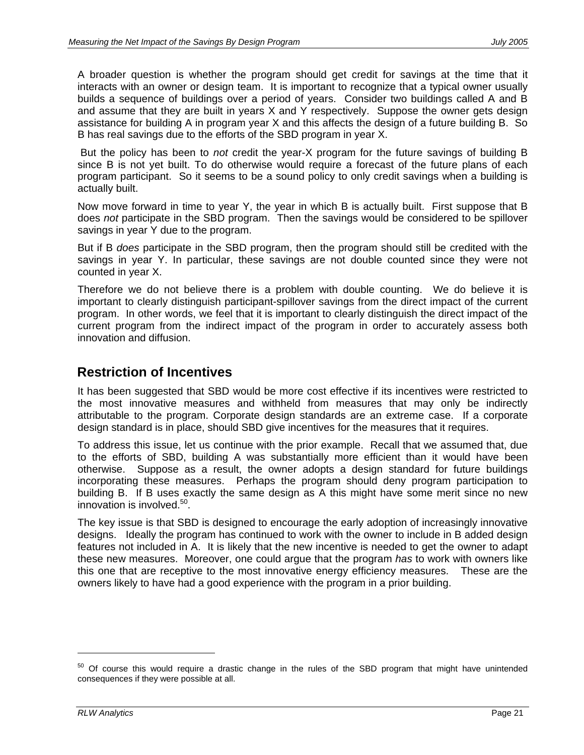A broader question is whether the program should get credit for savings at the time that it interacts with an owner or design team. It is important to recognize that a typical owner usually builds a sequence of buildings over a period of years. Consider two buildings called A and B and assume that they are built in years X and Y respectively. Suppose the owner gets design assistance for building A in program year X and this affects the design of a future building B. So B has real savings due to the efforts of the SBD program in year X.

 But the policy has been to *not* credit the year-X program for the future savings of building B since B is not yet built. To do otherwise would require a forecast of the future plans of each program participant. So it seems to be a sound policy to only credit savings when a building is actually built.

Now move forward in time to year Y, the year in which B is actually built. First suppose that B does *not* participate in the SBD program. Then the savings would be considered to be spillover savings in year Y due to the program.

But if B *does* participate in the SBD program, then the program should still be credited with the savings in year Y. In particular, these savings are not double counted since they were not counted in year X.

Therefore we do not believe there is a problem with double counting. We do believe it is important to clearly distinguish participant-spillover savings from the direct impact of the current program. In other words, we feel that it is important to clearly distinguish the direct impact of the current program from the indirect impact of the program in order to accurately assess both innovation and diffusion.

# **Restriction of Incentives**

It has been suggested that SBD would be more cost effective if its incentives were restricted to the most innovative measures and withheld from measures that may only be indirectly attributable to the program. Corporate design standards are an extreme case. If a corporate design standard is in place, should SBD give incentives for the measures that it requires.

To address this issue, let us continue with the prior example. Recall that we assumed that, due to the efforts of SBD, building A was substantially more efficient than it would have been otherwise. Suppose as a result, the owner adopts a design standard for future buildings incorporating these measures. Perhaps the program should deny program participation to building B. If B uses exactly the same design as A this might have some merit since no new innovation is involved.<sup>50</sup>.

The key issue is that SBD is designed to encourage the early adoption of increasingly innovative designs. Ideally the program has continued to work with the owner to include in B added design features not included in A. It is likely that the new incentive is needed to get the owner to adapt these new measures. Moreover, one could argue that the program *has* to work with owners like this one that are receptive to the most innovative energy efficiency measures. These are the owners likely to have had a good experience with the program in a prior building.

 $50$  Of course this would require a drastic change in the rules of the SBD program that might have unintended consequences if they were possible at all.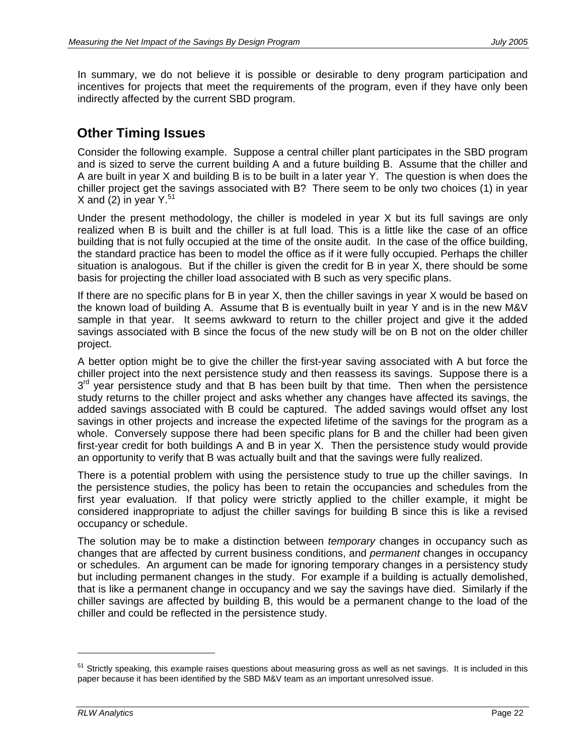In summary, we do not believe it is possible or desirable to deny program participation and incentives for projects that meet the requirements of the program, even if they have only been indirectly affected by the current SBD program.

# **Other Timing Issues**

Consider the following example. Suppose a central chiller plant participates in the SBD program and is sized to serve the current building A and a future building B. Assume that the chiller and A are built in year X and building B is to be built in a later year Y. The question is when does the chiller project get the savings associated with B? There seem to be only two choices (1) in year X and (2) in year  $Y^{51}$ 

Under the present methodology, the chiller is modeled in year X but its full savings are only realized when B is built and the chiller is at full load. This is a little like the case of an office building that is not fully occupied at the time of the onsite audit. In the case of the office building, the standard practice has been to model the office as if it were fully occupied. Perhaps the chiller situation is analogous. But if the chiller is given the credit for B in year X, there should be some basis for projecting the chiller load associated with B such as very specific plans.

If there are no specific plans for B in year X, then the chiller savings in year X would be based on the known load of building A. Assume that B is eventually built in year Y and is in the new M&V sample in that year. It seems awkward to return to the chiller project and give it the added savings associated with B since the focus of the new study will be on B not on the older chiller project.

A better option might be to give the chiller the first-year saving associated with A but force the chiller project into the next persistence study and then reassess its savings. Suppose there is a  $3<sup>rd</sup>$  year persistence study and that B has been built by that time. Then when the persistence study returns to the chiller project and asks whether any changes have affected its savings, the added savings associated with B could be captured. The added savings would offset any lost savings in other projects and increase the expected lifetime of the savings for the program as a whole. Conversely suppose there had been specific plans for B and the chiller had been given first-year credit for both buildings A and B in year X. Then the persistence study would provide an opportunity to verify that B was actually built and that the savings were fully realized.

There is a potential problem with using the persistence study to true up the chiller savings. In the persistence studies, the policy has been to retain the occupancies and schedules from the first year evaluation. If that policy were strictly applied to the chiller example, it might be considered inappropriate to adjust the chiller savings for building B since this is like a revised occupancy or schedule.

The solution may be to make a distinction between *temporary* changes in occupancy such as changes that are affected by current business conditions, and *permanent* changes in occupancy or schedules. An argument can be made for ignoring temporary changes in a persistency study but including permanent changes in the study. For example if a building is actually demolished, that is like a permanent change in occupancy and we say the savings have died. Similarly if the chiller savings are affected by building B, this would be a permanent change to the load of the chiller and could be reflected in the persistence study.

<sup>&</sup>lt;sup>51</sup> Strictly speaking, this example raises questions about measuring gross as well as net savings. It is included in this paper because it has been identified by the SBD M&V team as an important unresolved issue.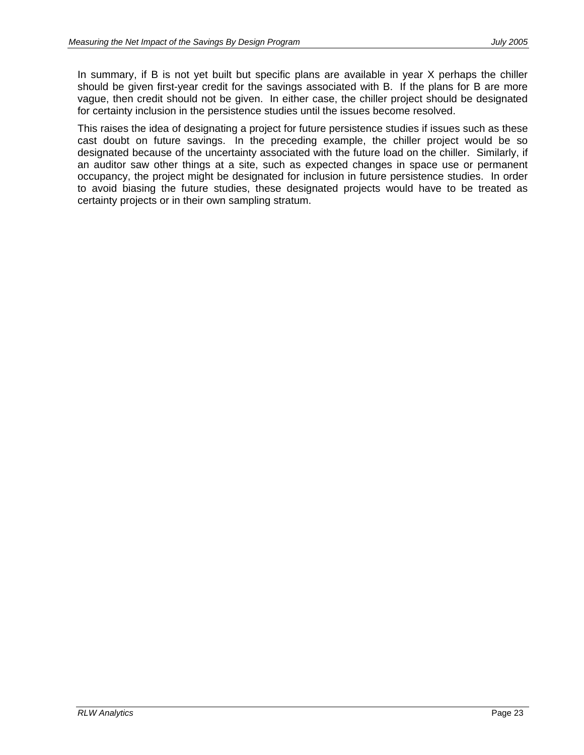In summary, if B is not yet built but specific plans are available in year X perhaps the chiller should be given first-year credit for the savings associated with B. If the plans for B are more vague, then credit should not be given. In either case, the chiller project should be designated for certainty inclusion in the persistence studies until the issues become resolved.

This raises the idea of designating a project for future persistence studies if issues such as these cast doubt on future savings. In the preceding example, the chiller project would be so designated because of the uncertainty associated with the future load on the chiller. Similarly, if an auditor saw other things at a site, such as expected changes in space use or permanent occupancy, the project might be designated for inclusion in future persistence studies. In order to avoid biasing the future studies, these designated projects would have to be treated as certainty projects or in their own sampling stratum.